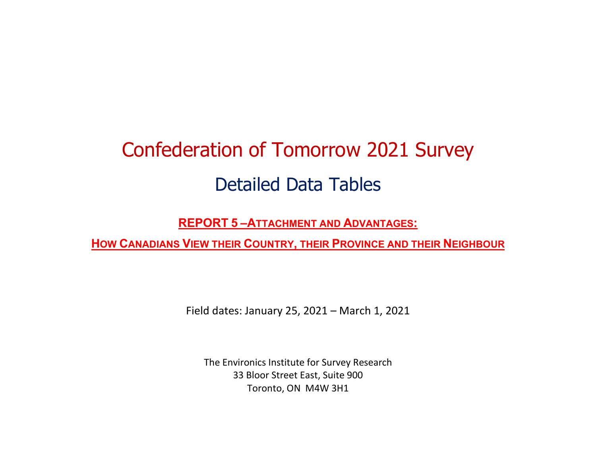# Confederation of Tomorrow 2021 Survey Detailed Data Tables

REPORT 5 –ATTACHMENT AND ADVANTAGES:

HOW CANADIANS VIEW THEIR COUNTRY, THEIR PROVINCE AND THEIR NEIGHBOUR

Field dates: January 25, 2021 – March 1, 2021

The Environics Institute for Survey Research 33 Bloor Street East, Suite 900 Toronto, ON M4W 3H1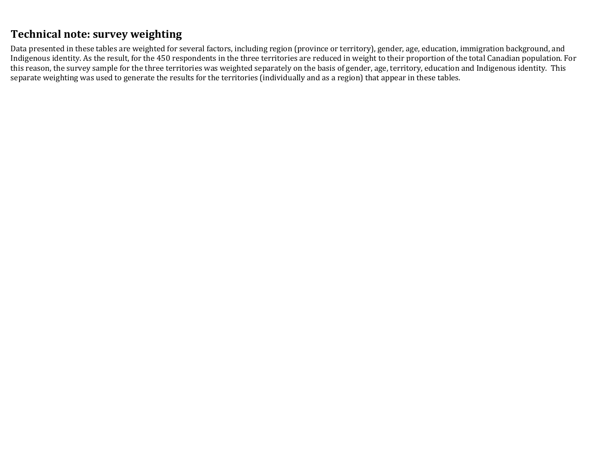# Technical note: survey weighting

Data presented in these tables are weighted for several factors, including region (province or territory), gender, age, education, immigration background, and Indigenous identity. As the result, for the 450 respondents in the three territories are reduced in weight to their proportion of the total Canadian population. For this reason, the survey sample for the three territories was weighted separately on the basis of gender, age, territory, education and Indigenous identity. This separate weighting was used to generate the results for the territories (individually and as a region) that appear in these tables.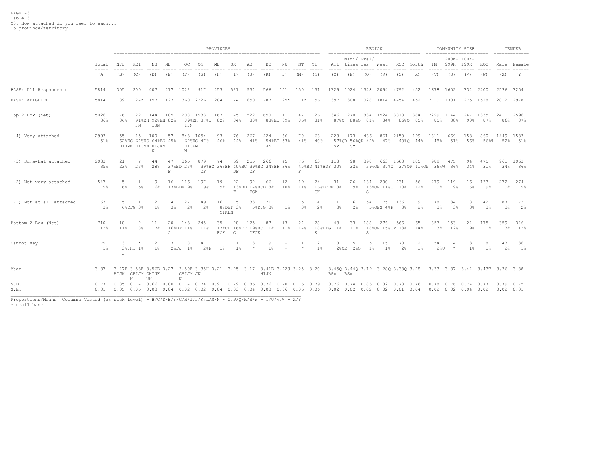|                         |                       |                          | PROVINCES |                                                        |           |                              |                        |             |                            |                                                                         |                     |                  |                     |                        |                      |                                     |             | REGION<br>------------------------------------                    |                       |                 | ========================= | COMMUNITY SIZE                                  |                     |                                |                                  | GENDER      |
|-------------------------|-----------------------|--------------------------|-----------|--------------------------------------------------------|-----------|------------------------------|------------------------|-------------|----------------------------|-------------------------------------------------------------------------|---------------------|------------------|---------------------|------------------------|----------------------|-------------------------------------|-------------|-------------------------------------------------------------------|-----------------------|-----------------|---------------------------|-------------------------------------------------|---------------------|--------------------------------|----------------------------------|-------------|
|                         | Total                 | NFL                      | PEI       | ΝS                                                     | NB        | OС                           | ON                     | МB          | SK                         | AВ                                                                      | BC                  | NU               | NΤ                  | ΥT                     | ATL                  | times res                           | Mari/ Prai/ | West                                                              | ROC                   | North           | $1M+$                     | 999K                                            | 200K- 100K-<br>199K | ROC                            |                                  | Male Female |
|                         | (A)                   | (B)                      | (C)       | (D)                                                    | (E)       | (F)                          | (G)                    | (H)         | (I)                        | (J)                                                                     | (K)                 | (L)              | (M)                 | (N)                    | (0)                  | (P)                                 | (Q)         | (R)                                                               | (S)                   | (x)             | (T)                       | (U)                                             | (V)                 | (W)                            | (X)                              | (Y)         |
| BASE: All Respondents   | 5814                  | 305                      | 200       | 407                                                    | 417       | 1022                         | 917                    | 453         | 521                        | 554                                                                     | 566                 | 151              | 150                 | 151                    | 1329                 | 1024                                | 1528        | 2094 4792                                                         |                       | 452             | 1678                      | 1602                                            |                     | 334 2200                       | 2536 3254                        |             |
| BASE: WEIGHTED          | 5814                  | 89                       | $24*$     | 157                                                    | 127       | 1360                         | 2226                   | 204         | 174                        | 650                                                                     | 787                 | $125*$           | $171*$              | 156                    | 397                  | 308                                 | 1028        | 1814 4454                                                         |                       | 452             | 2710                      | 1301                                            |                     | 275 1528                       | 2812 2978                        |             |
| Top 2 Box (Net)         | 5026<br>86%           | 76<br>86%                | 22<br>JN  | 144<br>91%EH 92%EH 82%<br>IJN                          | 105       | 1208<br>IJN                  | 1933<br>89%EH 87%J 82% | 167         | 145<br>84%                 | 522<br>80%                                                              | 690                 | 111<br>88%EJ 89% | 147<br>86%          | 126<br>81%             | 346                  | 270<br>87%Q 88%Q 81%                | 834         | 1524<br>84%                                                       | 3818                  | 384<br>86%0 85% | 2299<br>85%               | 1144<br>88%                                     | 247<br>90%          | 1335<br>87%                    | 2411<br>86%                      | 2596<br>87% |
| (4) Very attached       | 2993<br>51%           | 55                       | 15        | 100<br>62%EG 64%EG 64%EG 45%<br>HIJMN HIJMN HIJKM<br>N | 57        | HIJKM<br>$_{\rm N}$          | 843 1054<br>62%EG 47%  | 93<br>46%   | 76<br>44%                  | 267<br>41%                                                              | 424<br>$\rm JN$     | 66<br>54%EI 53%  | 70<br>41%           | 63<br>40%              | 228<br>Sx.           | 173<br>57%OR 56%OR 42%<br><b>Sx</b> | 436         | 861<br>47%                                                        | 2150                  | 199<br>48%0 44% | 1311<br>48%               | 669<br>51%                                      | 153<br>56%          | 860<br>56%T                    | 1449 1533<br>52%                 | 51%         |
| (3) Somewhat attached   | 2033<br>35%           | 21<br>23%                | 27%       | 44<br>28%                                              | 47<br>F   | 365<br>37%BD 27%             | 879<br>DF              | 74          | 69<br>DF                   | 255<br>39%BC 36%BF 40%BC 39%BC 34%BF 36%<br>DF                          | 266                 | 45               | 76<br>F             | 63<br>45%BD 41%BDF 30% | 118                  | 98<br>32%                           | 398         | 663<br>39%OP 37%O 37%OP 41%OP 36%W 36%                            | 1668                  | 185             | 989                       | 475                                             | 94<br>34%           | 475<br>31%                     | 961<br>34%                       | 1063<br>36% |
| (2) Not very attached   | 547<br>9%             | .5<br>6%                 | $5\%$     | 9<br>6%                                                | 16        | 116<br>13%BDF 9%             | 197<br>9 <sup>°</sup>  | 19<br>9%    | 22<br>138BD<br>$\mathbf F$ | 92<br>FGK                                                               | 66<br>14%BCD 8%     | 12<br>10%        | 19<br>11%           | 24<br><b>GK</b>        | 31<br>16%BCDF 8%     | 26<br>$9\%$                         | 134<br>S    | 200<br>13%OP 11%O 10%                                             | 431                   | 56<br>12%       | 279<br>10%                | 119<br>9%                                       | 16<br>6%            | 133<br>9%                      | 272<br>10%                       | 274<br>9%   |
| (1) Not at all attached | 163<br>3 <sup>8</sup> | 5                        | 6%DFG 3%  | $1\frac{6}{3}$                                         | 3%        | 27<br>2%                     | 49<br>2 <sup>°</sup>   | 16<br>GIKLN | -5<br>8%DEF 3%             | 33                                                                      | 21<br>5%DFG 3%      | $1\%$            | 5<br>3 <sup>°</sup> | $\overline{4}$<br>2%   | 11<br>3 <sup>°</sup> | 6<br>2%                             | 54          | 75<br>5%OPS 4%P                                                   | 136<br>3 <sup>8</sup> | 9<br>2%         | 78<br>3%                  | 34<br>3 <sup>°</sup>                            | 8<br>3%             | 42<br>3%                       | 87<br>3%                         | 72<br>2%    |
| Bottom 2 Box (Net)      | 710<br>12%            | 10<br>11%                | 2<br>8%   | 11<br>7%                                               | 20<br>G   | 143<br>16%DF 11%             | 245<br>11%             | 35<br>FGK   | 28<br>G                    | 125<br>17%CD 16%DF 19%BC 11%<br>DFGK                                    | 87                  | 13<br>11%        | 24<br>14%           | 28<br>K                | 43<br>18%DFG 11%     | 33<br>11%                           | 188<br>S    | 276<br>18%OP 15%OP 13%                                            | 566                   | 65<br>14%       | 357<br>13%                | 153<br>12%                                      | 24<br>9%            | 175<br>11%                     | 359<br>13%                       | 346<br>12%  |
| Cannot say              | 79<br>$1\%$           | 3<br>J                   | 3%FHI 1%  | 2<br>$1\%$                                             | 3<br>28FJ | $1\%$                        | 47<br>28F              | $1\%$       | 1 <sup>8</sup>             | 3<br>$\star$                                                            | 9<br>1 <sup>°</sup> |                  | $\star$             | 2<br>$1\%$             | 8                    | -5<br>$2$ % QR<br>280               | -5<br>$1\%$ | 15<br>1%                                                          | 70<br>2%              | 2<br>$1\%$      | 54<br>$2\,80$             | -4<br>$\star$                                   | 3<br>$1\%$          | 18<br>$1\%$                    | 43<br>2%                         | 36<br>1%    |
| Mean                    | 3.37                  | HIJN GHIJM GHIJK         | N         | MN                                                     |           | GHIJM JN<br>N                |                        |             |                            | 3.47E 3.53E 3.56E 3.27 3.50E 3.35H 3.21 3.25 3.17 3.41E 3.42J 3.25 3.20 | HIJN                |                  |                     |                        | RSx RSx              |                                     |             | 3.45Q 3.44Q 3.19 3.28Q 3.33Q 3.28                                 |                       |                 |                           |                                                 |                     | 3.33 3.37 3.44 3.43T 3.36 3.38 |                                  |             |
| S.D.<br>S.E.            | 0.77<br>0.01          | $0.85$ 0.74 0.66<br>0.05 |           | $0.05$ 0.03 0.04                                       | 0.80      | $0.74$ 0.74<br>$0.02$ $0.02$ |                        | 0.91        |                            | 0.79 0.86<br>$0.04$ 0.03 0.04 0.03 0.06 0.06 0.06                       | 0.76                | $0.70$ 0.76 0.79 |                     |                        | 0.76                 | 0.74                                |             | $0.86$ $0.82$<br>$0.02$ $0.02$ $0.02$ $0.02$ $0.02$ $0.01$ $0.04$ | 0.78                  | 0.76            | 0.78                      | $0.76$ 0.74 0.77<br>$0.02$ $0.02$ $0.04$ $0.02$ |                     |                                | $0.79$ 0.75<br>$0.02 \quad 0.01$ |             |

Proportions/Means: Columns Tested (5% risk level) - B/C/D/E/F/G/H/I/J/K/L/M/N - O/P/Q/R/S/x - T/U/V/W - X/Y<br>\* small base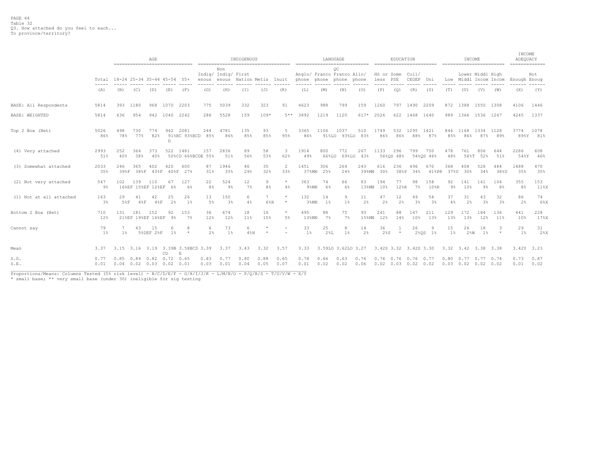|                         |                                                                                                                                                                                                                                                                                                                                                                                              | AGE<br>------------------------------                          |                                                                      |                 |           |                                        |                      |                            | INDIGENOUS                     |                     | ------------------------------------- |                     |                      | LANGUAGE                                                    |                    |                              | EDUCATION            |                       |                      |             | INCOME                                                     |                      |                       | INCOME<br>ADEQUACY<br>============= |                  |
|-------------------------|----------------------------------------------------------------------------------------------------------------------------------------------------------------------------------------------------------------------------------------------------------------------------------------------------------------------------------------------------------------------------------------------|----------------------------------------------------------------|----------------------------------------------------------------------|-----------------|-----------|----------------------------------------|----------------------|----------------------------|--------------------------------|---------------------|---------------------------------------|---------------------|----------------------|-------------------------------------------------------------|--------------------|------------------------------|----------------------|-----------------------|----------------------|-------------|------------------------------------------------------------|----------------------|-----------------------|-------------------------------------|------------------|
|                         | $\frac{1}{2} \frac{1}{2} \frac{1}{2} \frac{1}{2} \frac{1}{2} \frac{1}{2} \frac{1}{2} \frac{1}{2} \frac{1}{2} \frac{1}{2} \frac{1}{2} \frac{1}{2} \frac{1}{2} \frac{1}{2} \frac{1}{2} \frac{1}{2} \frac{1}{2} \frac{1}{2} \frac{1}{2} \frac{1}{2} \frac{1}{2} \frac{1}{2} \frac{1}{2} \frac{1}{2} \frac{1}{2} \frac{1}{2} \frac{1}{2} \frac{1}{2} \frac{1}{2} \frac{1}{2} \frac{1}{2} \frac{$ |                                                                | Total 18-24 25-34 35-44 45-54 55+<br>(B)<br>(C)<br>(E)<br>(F)<br>(D) |                 |           |                                        |                      | Non<br>Indig/ Indig/ First | enous enous Nation Metis Inuit |                     |                                       |                     |                      | OС<br>Anglo/ Franco Franco Allo/<br>phone phone phone phone |                    | HS or Some Coll/<br>less PSE |                      | CEGEP Uni             |                      |             | Lower Middl High                                           |                      | Low Middl Incom Incom | Enough Enoug                        | Not              |
|                         | (A)                                                                                                                                                                                                                                                                                                                                                                                          |                                                                |                                                                      |                 |           |                                        | (G)                  | (H)                        | $(\bot)$                       | (J)                 | (K)                                   | (L)                 | (M)                  | (N)                                                         | (0)                | (P)                          | (Q)                  | (R)                   | (S)                  | (T)         | (U)                                                        | (V)                  | (W)                   | (X)                                 | (Y)              |
| BASE: All Respondents   | 5814                                                                                                                                                                                                                                                                                                                                                                                         | 393 1180                                                       |                                                                      | 968 1070        |           | 2203                                   | 775                  | 5039                       | 332                            | 323                 | 91                                    | 4623                | 988                  | 799                                                         | 159                | 1260                         |                      | 797 1490 2209         |                      |             | 872 1388 1550 1308                                         |                      |                       | 4106                                | 1446             |
| <b>BASE: WEIGHTED</b>   | 5814                                                                                                                                                                                                                                                                                                                                                                                         | 636                                                            | 954                                                                  | 942 1040        |           | 2242                                   | 286                  | 5528                       | 159                            | $109*$              | $5**$                                 | 3892                | 1219                 | 1120                                                        | 617*               | 2026                         |                      | 622 1468 1640         |                      |             | 989 1366 1536 1267                                         |                      |                       | 4245                                | 1337             |
| Top 2 Box (Net)         | 5026<br>86%                                                                                                                                                                                                                                                                                                                                                                                  | 498<br>78%                                                     | 730<br>77%                                                           | 774<br>82%      | 942<br>D. | 2081<br>91%BC 93%BCD 85%               | 244                  | 4781<br>86%                | 135<br>8.5%                    | 93<br>85%           | -5<br>95%                             | 3365<br>86%         | 1106                 | 1037<br>91%LO 93%LO 83%                                     | 510                | 1749<br>86%                  | 532<br>86%           | 1295<br>88%           | 1421<br>87%          | 8.5%        | 846 1168<br>86%                                            | 1334 1128<br>87%     | 89%                   | 3774                                | 1078<br>89%Y 81% |
| (4) Very attached       | 2993<br>51%                                                                                                                                                                                                                                                                                                                                                                                  | 252<br>40%                                                     | 364<br>38%                                                           | 373<br>40%      | 522 1481  | 50%CD 66%BCDE 55%                      | 157                  | 2836<br>51%                | 89<br>56%                      | 58<br>53%           | 3<br>62%                              | 1914<br>49%         | 800<br>66%LO         | 772                                                         | 267<br>69%LO 43%   | 1133                         | 296<br>56%OS 48%     | 799                   | 750<br>54%OS 46%     | 478<br>48%  | 761<br>56%T                                                | 806<br>52%           | 644<br>51%            | 2286<br>54%Y                        | 608<br>46%       |
| (3) Somewhat attached   | 2033<br>35%                                                                                                                                                                                                                                                                                                                                                                                  | 246<br>39%F                                                    | 365                                                                  | 402             | 420       | 600<br>38%F 43%F 40%F 27%              | 87<br>31%            | 1946<br>35%                | 46<br>29%                      | 35<br>32%           | 2<br>33%                              | 1451<br>37%MN       | 306<br>25%           | 264<br>24%                                                  | 243<br>39%MN       | 616<br>30%                   | 236<br>38%P          | 496<br>34%            | 670<br>$41$ % PR     | 368<br>37%U | 408<br>30%                                                 | 528<br>34%           | 484<br>38%U           | 1488<br>35%                         | 470<br>35%       |
| (2) Not very attached   | 547<br>9%                                                                                                                                                                                                                                                                                                                                                                                    | 102                                                            | 139<br>16%EF 15%EF 12%EF 6%                                          | 110             | 67        | 127<br>6%                              | 22<br>8 <sup>°</sup> | 524<br>9%                  | 12<br>$7\%$                    | 9<br>8 <sup>°</sup> | $\star$<br>4%                         | 363<br>$9$ % $M$ N  | 74<br>6%             | 66<br>6%                                                    | 83<br>$13$ % $M$ N | 194<br>10%                   | 77<br>12%R           | 98<br>$7\%$           | 158<br>10%R          | 92<br>9%    | 141<br>10%                                                 | 141<br>9%            | 104<br>8%             | 355<br>8%                           | 153<br>11%X      |
| (1) Not at all attached | 163<br>3%                                                                                                                                                                                                                                                                                                                                                                                    | 29<br>5%F                                                      | 41<br>48F                                                            | 42<br>48F       | 25<br>2%  | 26<br>$1\%$                            | 13<br>$5\%$          | 150<br>3%                  | 6<br>4%                        | 6%H                 | $\star$<br>$\star$                    | 132<br>$3$ % $M$ N  | 14<br>$1\frac{6}{5}$ | 9<br>$1\%$                                                  | 11<br>2%           | 47<br>$2\%$                  | 12<br>2 <sup>°</sup> | 49<br>$3\frac{6}{9}$  | 54<br>3 <sup>°</sup> | 37<br>4%    | 31<br>2 <sup>°</sup>                                       | 43<br>3 <sup>°</sup> | 32<br>3%              | 86<br>2%                            | 74<br>6%X        |
| Bottom 2 Box (Net)      | 710<br>12%                                                                                                                                                                                                                                                                                                                                                                                   | 131                                                            | 181<br>21%EF 19%EF 16%EF                                             | 152             | 92<br>9%  | 153<br>7%                              | 36<br>12%            | 674<br>12%                 | 18<br>11%                      | 16<br>15%           | $\star$<br>5%                         | 495<br>$13$ % $M$ N | 88<br>7%             | 75<br>7%                                                    | 93<br>15%MN        | 241<br>12%                   | 88<br>14%            | 147<br>10%            | 211<br>13%           | 129<br>13%  | 172<br>13%                                                 | 184<br>12%           | 136<br>11%            | 441<br>10%                          | 228<br>17%X      |
| Cannot say              | 79<br>$1\%$                                                                                                                                                                                                                                                                                                                                                                                  | $1\%$                                                          | 43                                                                   | 15<br>5%DEF 2%F | 6<br>1%   | 8<br>$\star$                           | 6<br>2%              | 73<br>$1\%$                | 6<br>4.8H                      |                     | $\equiv$                              | 33<br>$1\%$         | 25<br>$2\,$ %L       | 8<br>$1\%$                                                  | 14<br>2%           | 36<br>$2$ $8S$               | $\star$              | 26                    | 9<br>2%0S 1%         | 15<br>$1\%$ | 26<br>$2\%W$                                               | 18<br>$1\%$          | 3<br>$\star$          | 29<br>$1\%$                         | 31<br>2%X        |
| Mean                    | 3.37                                                                                                                                                                                                                                                                                                                                                                                         |                                                                |                                                                      |                 | CD        | 3.15 3.16 3.19 3.39B 3.58BCD 3.39<br>Е |                      | 3.37                       |                                | $3.43$ $3.32$       | 3.57                                  | 3.33                |                      | 3.59LO 3.62LO 3.27                                          |                    | 3.42S 3.32 3.42S 3.30        |                      |                       |                      |             | 3.32 3.42 3.38 3.38                                        |                      |                       | 3.42Y 3.23                          |                  |
| S.D.<br>S.E.            | 0.77<br>0.01                                                                                                                                                                                                                                                                                                                                                                                 | 0.85 0.84 0.82 0.72 0.65<br>$0.04$ $0.02$ $0.03$ $0.02$ $0.01$ |                                                                      |                 |           |                                        | 0.83<br>0.03         | 0.77<br>0.01               | 0.80<br>0.04                   | 0.88<br>0.05        | 0.65<br>0.07                          | 0.78<br>0.01        | 0.66<br>0.02         | 0.63<br>0.02                                                | 0.76<br>0.06       | $0.02$ $0.03$ $0.02$ $0.02$  |                      | $0.76$ 0.76 0.76 0.77 |                      |             | $0.80$ $0.77$ $0.77$ $0.74$<br>$0.03$ $0.02$ $0.02$ $0.02$ |                      |                       | 0.73<br>0.01                        | 0.87<br>0.02     |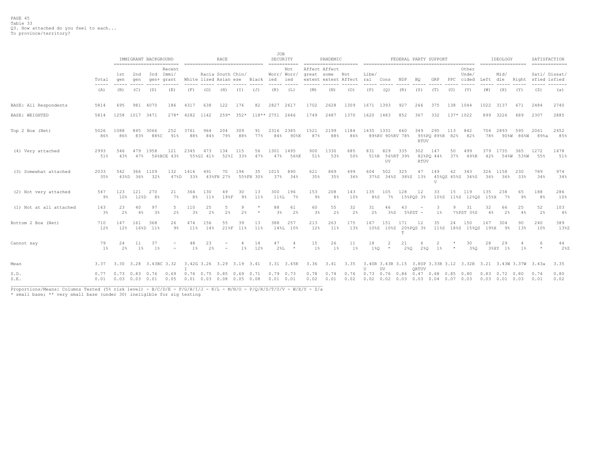|                         |                                                                                                                                                                                                                                                                                                                                                                                                       |                                                     |                      | IMMIGRANT BACKGROUND<br>------------------------- |                                         | ------------------------------ |                  | RACE              |                 |                                 | JOB                  | SECURITY                                   |              | PANDEMIC                        |                          |               |                                          |                  |                    | FEDERAL PARTY SUPPORT |           |                                |               | IDEOLOGY                                                                                      |                  | SATISFACTION                        |              |
|-------------------------|-------------------------------------------------------------------------------------------------------------------------------------------------------------------------------------------------------------------------------------------------------------------------------------------------------------------------------------------------------------------------------------------------------|-----------------------------------------------------|----------------------|---------------------------------------------------|-----------------------------------------|--------------------------------|------------------|-------------------|-----------------|---------------------------------|----------------------|--------------------------------------------|--------------|---------------------------------|--------------------------|---------------|------------------------------------------|------------------|--------------------|-----------------------|-----------|--------------------------------|---------------|-----------------------------------------------------------------------------------------------|------------------|-------------------------------------|--------------|
|                         | Total<br>$\frac{1}{2} \frac{1}{2} \frac{1}{2} \frac{1}{2} \frac{1}{2} \frac{1}{2} \frac{1}{2} \frac{1}{2} \frac{1}{2} \frac{1}{2} \frac{1}{2} \frac{1}{2} \frac{1}{2} \frac{1}{2} \frac{1}{2} \frac{1}{2} \frac{1}{2} \frac{1}{2} \frac{1}{2} \frac{1}{2} \frac{1}{2} \frac{1}{2} \frac{1}{2} \frac{1}{2} \frac{1}{2} \frac{1}{2} \frac{1}{2} \frac{1}{2} \frac{1}{2} \frac{1}{2} \frac{1}{2} \frac{$ | 1st<br>qen<br>$\frac{1}{2}$                         | 2nd<br>qen<br>------ | 3rd Immi/                                         | Recent<br>gen+ grant                    |                                |                  | Racia South Chin/ |                 | White lized Asian ese Black ied | -----                | Not<br>Worr/ Worr/<br>ied<br>$\frac{1}{2}$ |              | Affect Affect<br>great some Not | extent extent Affect ral | Libe/         | Cons                                     | NDP              | BQ                 | GRP                   | PPC       | Other<br>Unde/<br>cided        | Left<br>----- | Mid/<br>dle                                                                                   |                  | Sati/ Dissat/<br>Right sfied isfied |              |
|                         | (A)                                                                                                                                                                                                                                                                                                                                                                                                   | (B)                                                 | (C)                  | (D)                                               | (E)                                     | (F)                            | (G)              | (H)               | (I)             | (J)                             | (K)                  | (L)                                        | (M)          | (N)                             | (0)                      | (P)           | (Q)                                      | (R)              | (S)                | (T)                   | (U)       | (V)                            | (W)           | (X)                                                                                           | (Y)              | (Z)                                 | (a)          |
| BASE: All Respondents   | 5814                                                                                                                                                                                                                                                                                                                                                                                                  | 695                                                 | 981                  | 4070                                              | 186                                     | 4317                           | 638              | 122               | 176             | 82                              | 2827                 | 2617                                       | 1702         | 2628                            | 1309                     | 1671 1393     |                                          | 927              | 266                | 375                   | 138 1044  |                                | 1022 3137     |                                                                                               | 671              | 2484                                | 2740         |
| BASE: WEIGHTED          | 5814                                                                                                                                                                                                                                                                                                                                                                                                  |                                                     | 1258 1017 3471       |                                                   |                                         | 278* 4282 1142                 |                  |                   |                 | 259* 352* 118** 2751 2646       |                      |                                            | 1749         | 2487                            | 1370                     | 1620 1483     |                                          | 852              | 367                | 332                   | 137* 1022 |                                |               | 899 3226                                                                                      | 689              | 2307                                | 2885         |
| Top 2 Box (Net)         | 5026<br>86%                                                                                                                                                                                                                                                                                                                                                                                           | 1088<br>86%                                         | 845<br>83%           | 3066<br>88%C                                      | 252<br>91%                              | 3761<br>88%                    | 964<br>84%       | 204<br>79%        | 309<br>88%      | 91<br>77%                       | 2316<br>84%          | 2385<br>90%K                               | 1521<br>87%  | 2199<br>88%                     | 1184<br>86%              | 1435 1331     | 89%RV 90%RV 78%                          | 660              | 349<br>RTUV        | 295<br>95%PQ 89%R 82% | 113       | 842<br>82%                     | 78%           | 704 2893                                                                                      | 595<br>90%W 86%W | 2061<br>89%a                        | 2452<br>85%  |
| (4) Very attached       | 2993<br>51%                                                                                                                                                                                                                                                                                                                                                                                           | 546<br>43%                                          | 479<br>47%           | 1958                                              | 121<br>56%BCE 43%                       | 2345                           | 473<br>55%GI 41% | 134               | 115<br>52%I 33% | 56<br>47%                       | 1301<br>47%          | 1495<br>56%K                               | 900<br>51%   | 1330<br>53%                     | 685<br>50%               | 831           | 829<br>51%R 56%RT 39%<br>UV              | 335              | 302<br><b>RTUV</b> | 147<br>82%PO 44%      | 50<br>37% | 499<br>49%R                    | 42%           | 379 1735                                                                                      | 365              | 1272<br>54%W 53%W 55%               | 1478<br>51%  |
| (3) Somewhat attached   | 2033<br>35%                                                                                                                                                                                                                                                                                                                                                                                           | 542                                                 | 366<br>43%D 36%      | 1109<br>32%                                       | 132<br>47%D                             | 1416<br>33%                    | 491              | 70<br>43%FH 27%   | 194             | 35<br>55%FH 30%                 | 1015<br>37%          | 890<br>34%                                 | 621<br>35%   | 869<br>35%                      | 499<br>36%               | 604<br>37%S   | 502                                      | 325<br>34%S 38%S | 47<br>13%          | 149<br>V              | 62        | 343<br>45%OS 45%S 34%S         | 326<br>36%    | 1158<br>36%                                                                                   | 230<br>33%       | 789<br>34%                          | 974<br>34%   |
| (2) Not very attached   | 547<br>$9\%$                                                                                                                                                                                                                                                                                                                                                                                          | 123<br>10%                                          | 121<br>128D          | 270<br>8%                                         | 21<br>$7\%$                             | 364<br>8 <sup>°</sup>          | 130<br>11%       | 49<br>19%F        | 30<br>$9\%$     | 13<br>11%                       | 300<br>$11\$ L       | 196<br>7%                                  | 153<br>9%    | 208<br>8 <sup>°</sup>           | 143<br>10%               | 135<br>$8\$ S | 105<br>7%                                | 128              | 12<br>15%PQS 3%    | 33                    | 15        | 119<br>10%S 11%S 12%QS 15%X    | 135           | 238<br>7%                                                                                     | 65<br>9%         | 188<br>8%                           | 286<br>10%   |
| (1) Not at all attached | 163<br>3%                                                                                                                                                                                                                                                                                                                                                                                             | 23<br>$2\frac{a}{b}$                                | 40<br>4%             | 97<br>3%                                          | .5.<br>2%                               | 110<br>$3\%$                   | 25<br>2%         | 2%                | 9<br>2%         | $\star$                         | 88<br>3 <sup>°</sup> | 61<br>2%                                   | 60<br>3%     | 55<br>2 <sup>°</sup>            | 32<br>2%                 | 31<br>2%      | 46<br>3%S                                | 43               | $58PST -$          | 3<br>$1\%$            | 9         | 31<br>7%PST 3%S                | 32<br>$4\%$   | 66<br>2%                                                                                      | 25<br>4%         | 52<br>2%                            | 103<br>$4\%$ |
| Bottom 2 Box (Net)      | 710<br>12%                                                                                                                                                                                                                                                                                                                                                                                            | 147<br>12%                                          | 161                  | 368<br>16%D 11%                                   | 26<br>9%                                | 474<br>11%                     | 156<br>14%       | 55                | 39<br>21%F 11%  | 13<br>11%                       | 388                  | 257<br>14%L 10%                            | 213<br>12%   | 263<br>11%                      | 175<br>13%               | 167           | 151<br>10%S 10%S 20%PQS 3%               | 171<br>T         | 12                 | 35                    | 24        | 150<br>11%S 18%S 15%OS 19%X 9% | 167           | 304                                                                                           | 90<br>13%        | 240<br>10%                          | 389<br>13%Z  |
| Cannot say              | 79<br>$1\%$                                                                                                                                                                                                                                                                                                                                                                                           | 24<br>$2\%$                                         | 11<br>$1\%$          | 37<br>1%                                          |                                         | 48<br>$1\%$                    | 23<br>2%         |                   | 4<br>$1\%$      | 14<br>12%                       | 47<br>$2\,$ L        | $\star$                                    | 15<br>$1\%$  | 26<br>$1\%$                     | 11<br>1%                 | 18<br>1%0     | $*$                                      | 21<br>280        | 2%0                | $1\%$                 | $\star$   | 30<br>3%0                      | 28<br>3%XY    | 29<br>$1\%$                                                                                   | 1%               | $\star$                             | 44<br>28Z    |
| Mean                    | 3.37                                                                                                                                                                                                                                                                                                                                                                                                  |                                                     |                      | 3.30 3.28 3.43BC 3.32                             |                                         |                                |                  |                   |                 |                                 |                      | 3.42G 3.26 3.29 3.19 3.41 3.31 3.45K       | 3.36         | 3.41                            | 3.35                     | $\mathbf{U}$  | UV                                       |                  | ORTUV              |                       |           |                                |               | 3.40R 3.43R 3.15 3.80P 3.33R 3.12 3.32R 3.21 3.43W 3.37W 3.43a                                |                  |                                     | 3.35         |
| S.D.<br>S.E.            | 0.77                                                                                                                                                                                                                                                                                                                                                                                                  | $0.73$ $0.83$ $0.76$<br>$0.01$ $0.03$ $0.03$ $0.01$ |                      |                                                   | 0.69<br>$0.05$ 0.01 0.03 0.08 0.05 0.08 | $0.76$ 0.75 0.85 0.69 0.71     |                  |                   |                 |                                 | $0.01$ $0.01$        | $0.79$ 0.73                                | 0.78<br>0.02 | 0.74<br>0.01                    | 0.76<br>0.02             |               | 0.73  0.76  0.86  0.47  0.68  0.85  0.80 |                  |                    |                       |           |                                |               | $0.83$ $0.72$ $0.80$<br>$0.02$ $0.02$ $0.03$ $0.03$ $0.04$ $0.07$ $0.03$ $0.03$ $0.01$ $0.03$ |                  | 0.74<br>0.01                        | 0.80<br>0.02 |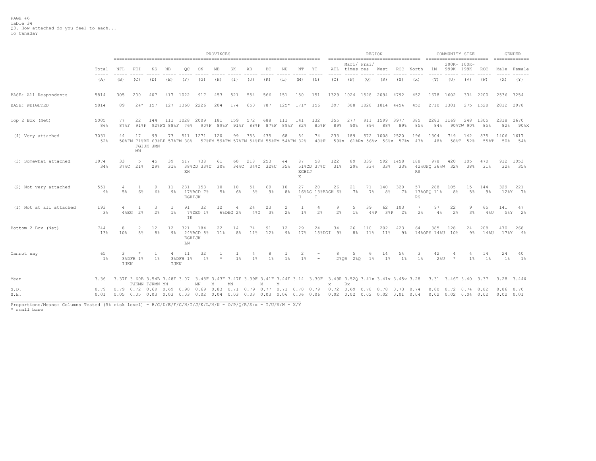|                         |                                                                                                                                                                                                                                                                                                                                                                                                       | PROVINCES                                                                                                      |                                                                 |                      |                   |                           |                   |             |                |                                                                                 |                      |                  |                  |                             |                      |               | REGION              |              |                                                                                   |            |                        | COMMUNITY SIZE                                      |                  |             |                          | <b>GENDER</b><br>_______________ |
|-------------------------|-------------------------------------------------------------------------------------------------------------------------------------------------------------------------------------------------------------------------------------------------------------------------------------------------------------------------------------------------------------------------------------------------------|----------------------------------------------------------------------------------------------------------------|-----------------------------------------------------------------|----------------------|-------------------|---------------------------|-------------------|-------------|----------------|---------------------------------------------------------------------------------|----------------------|------------------|------------------|-----------------------------|----------------------|---------------|---------------------|--------------|-----------------------------------------------------------------------------------|------------|------------------------|-----------------------------------------------------|------------------|-------------|--------------------------|----------------------------------|
|                         | Total<br>$\frac{1}{2} \frac{1}{2} \frac{1}{2} \frac{1}{2} \frac{1}{2} \frac{1}{2} \frac{1}{2} \frac{1}{2} \frac{1}{2} \frac{1}{2} \frac{1}{2} \frac{1}{2} \frac{1}{2} \frac{1}{2} \frac{1}{2} \frac{1}{2} \frac{1}{2} \frac{1}{2} \frac{1}{2} \frac{1}{2} \frac{1}{2} \frac{1}{2} \frac{1}{2} \frac{1}{2} \frac{1}{2} \frac{1}{2} \frac{1}{2} \frac{1}{2} \frac{1}{2} \frac{1}{2} \frac{1}{2} \frac{$ | NFL                                                                                                            | PEI                                                             | ΝS                   | NB                | OС                        | ON                | MВ          | SK             | AB                                                                              | ВC                   | ΝU               | NΤ               | ΥT                          | ATL<br>----          | times res     | Mari/ Prai/         | West         | ROC                                                                               | North      | $1M+$                  | 200K- 100K-<br>999K                                 | 199K             | ROC         | -----                    | Male Female                      |
|                         | (A)                                                                                                                                                                                                                                                                                                                                                                                                   | (B)                                                                                                            | (C)                                                             | (D)                  | (E)               | (F)                       | (G)               | (H)         | (I)            | (J)                                                                             | (K)                  | (L)              | (M)              | (N)                         | (0)                  | (P)           | (Q)                 | (R)          | (S)                                                                               | (x)        | (T)                    | (U)                                                 | (V)              | (W)         | (X)                      | (Y)                              |
| BASE: All Respondents   | 5814                                                                                                                                                                                                                                                                                                                                                                                                  | 305                                                                                                            | 200                                                             | 407                  | 417               | 1022                      | 917               | 453         | 521            | 554                                                                             | 566                  | 151              | 150              | 151                         | 1329                 |               | 1024 1528 2094 4792 |              |                                                                                   | 452        | 1678                   | 1602                                                |                  | 334 2200    | 2536 3254                |                                  |
| <b>BASE: WEIGHTED</b>   | 5814                                                                                                                                                                                                                                                                                                                                                                                                  | 89                                                                                                             | $24*$                                                           | 157                  | 127               | 1360                      | 2226              | 204         | 174            | 650                                                                             | 787                  | $125*$           | $171*$           | 156                         | 397                  | 308           | 1028                | 1814 4454    |                                                                                   | 452        | 2710                   | 1301                                                |                  | 275 1528    | 2812 2978                |                                  |
| Top 2 Box (Net)         | 5005<br>86%                                                                                                                                                                                                                                                                                                                                                                                           | 77<br>87%F                                                                                                     | 22<br>$91$ %F                                                   | 144                  | 111<br>92%FN 88%F | 1028<br>76%               | 2009<br>90%F      | 181<br>89%F | 159<br>$91$ %F | 572<br>88%F                                                                     | 688<br>87%F          | 111<br>89%F      | 141<br>82%       | 132<br>85%F                 | 355<br>89%           | 277<br>90%    | 911<br>89%          | 1599<br>88%  | 3977<br>89%                                                                       | 385<br>85% | 2283<br>84%            | 1169                                                | 248<br>90%TW 90% | 1305<br>85% | 2318<br>82%              | 2670<br>90%X                     |
| (4) Very attached       | 3031<br>52%                                                                                                                                                                                                                                                                                                                                                                                           | 44                                                                                                             | 17<br>50%FM 71%BE 63%BF 57%FM 38%<br>$\mathop{\rm MN}\nolimits$ | 99<br>FGIJK JMN      | 73                | 511                       | 1271              | 120         | 99             | 353<br>57%FM 59%FM 57%FM 54%FM 55%FM 54%FM 32%                                  | 435                  | 68               | 54               | 74<br>488F                  | 233                  | 189           | 572                 | 1008         | 2520<br>59%x 61%Rx 56%x 56%x 57%x 43%                                             | 196        | 1304<br>48%            | 749                                                 | 142<br>58%T 52%  | 835<br>55%T | 1406 1617<br>50%         | 54%                              |
| (3) Somewhat attached   | 1974<br>34%                                                                                                                                                                                                                                                                                                                                                                                           | 33<br>378C                                                                                                     | -5<br>21%                                                       | 45<br>29%            | 39<br>31%         | 517<br>EH                 | 738<br>38%CD 33%C | 61<br>30%   | 60             | 218<br>34%C 34%C                                                                | 253<br>32%C          | 44<br>35%        | 87<br>EGHIJ<br>Κ | 58<br>51%CD 37%C            | 122<br>31%           | 89<br>29%     | 339<br>33%          | 33%          | 592 1458<br>33%                                                                   | 188<br>RS  | 978<br>42%OPQ 36%W 32% | 420                                                 | 105<br>38%       | 470<br>31%  | 32%                      | 912 1053<br>35%                  |
| (2) Not very attached   | 551<br>$9\%$                                                                                                                                                                                                                                                                                                                                                                                          | $5\%$                                                                                                          | 6%                                                              | 9<br>6%              | 11<br>9%          | 231<br>EGHIJK             | 153<br>17%BCD 7%  | 10<br>5%    | 10<br>6%       | 51<br>8 <sup>°</sup>                                                            | 69<br>$9\%$          | 10<br>8%         | 27<br>Н          | 20<br>16%DG 13%BDGH 6%<br>T | 26                   | 21<br>$7\%$   | 71<br>$7\%$         | 140<br>$8\%$ | 320<br>$7\%$                                                                      | 57<br>RS   | 288<br>13%OPQ 11%      | 105<br>8%                                           | 15<br>$5\%$      | 144<br>9%   | 329                      | 221<br>12%Y 7%                   |
| (1) Not at all attached | 193<br>3%                                                                                                                                                                                                                                                                                                                                                                                             |                                                                                                                | 4%EG 2%                                                         | 3<br>2%              | 1<br>$1\%$        | 91<br>ΙK                  | 32<br>7%DEG 1%    | 12          | 6%DEG 2%       | 24<br>4%G                                                                       | 23<br>3 <sup>°</sup> | 2<br>2%          | 1<br>$1\%$       | 4<br>2%                     | 9<br>2%              | 5<br>$1\%$    | 39<br>48P           | 62<br>38P    | 103<br>2%                                                                         | 7<br>2%    | 97<br>4%               | 22<br>2%                                            | 9<br>3%          | 65<br>480   | 141<br>$5\%Y$            | 47<br>2 <sup>8</sup>             |
| Bottom 2 Box (Net)      | 744<br>13%                                                                                                                                                                                                                                                                                                                                                                                            | 8<br>10%                                                                                                       | 2<br>8 <sup>°</sup>                                             | 12<br>8 <sup>°</sup> | 12<br>9%          | 321<br>EGHIJK<br>$\rm LN$ | 184<br>24%BCD 8%  | 22<br>11%   | 14<br>8%       | 74<br>11 <sup>8</sup>                                                           | 91<br>12%            | 12<br>$9\%$      | 29<br>17%        | 24<br>15%DGI                | 34<br>9 <sup>8</sup> | 26<br>8%      | 110<br>11%          | 202<br>11%   | 423<br>$9\%$                                                                      | 64         | 385<br>14%OPS 14%U 10% | 128                                                 | 24<br>9%         | 208<br>14%U | 470<br>17%Y              | 268<br>- 9%                      |
| Cannot say              | 65<br>1%                                                                                                                                                                                                                                                                                                                                                                                              | 3<br>IJKN                                                                                                      | 3%DFH 1%                                                        | $1\%$                | 4<br>IJKN         | 11<br>3%DFH 1%            | 32<br>1 %         | $\star$     | 1 <sup>8</sup> | $1\%$                                                                           | 8<br>$1\%$           | $1\%$            | 2<br>$1\%$       | $\qquad \qquad =$           | 8                    | 5<br>2%QR 2%Q | -6<br>$1\%$         | 14<br>$1\%$  | 54<br>$1\%$                                                                       | 3<br>$1\%$ | 42<br>28U              | $\star$                                             | $1\%$            | 14<br>$1\%$ | 24<br>$1\%$              | 40<br>1%                         |
| Mean                    | 3.36                                                                                                                                                                                                                                                                                                                                                                                                  | 3.37F 3.60B 3.54B 3.48F 3.07 3.48F 3.43F 3.47F 3.39F 3.41F 3.44F 3.14 3.30F 3.49R 3.52Q 3.41x 3.41x 3.45x 3.28 | FJKMN FJKMN MN                                                  |                      |                   |                           | $\texttt{MN}$     | M           | MN             |                                                                                 | M<br>М               |                  |                  |                             | X                    | Rx            |                     |              |                                                                                   |            |                        | 3.31 3.46T 3.40 3.37                                |                  |             |                          | $3.28$ $3.44X$                   |
| S.D.<br>S.E.            | 0.79<br>0.01                                                                                                                                                                                                                                                                                                                                                                                          | $0.79$ 0.72 0.69 0.69<br>$0.05$ 0.05 0.03 0.03 0.03 0.02                                                       |                                                                 |                      |                   | 0.90 0.69                 |                   |             |                | $0.83$ $0.71$ $0.79$ $0.77$<br>$0.04$ $0.03$ $0.03$ $0.03$ $0.06$ $0.06$ $0.06$ |                      | $0.71$ 0.70 0.79 |                  |                             |                      |               |                     |              | 0.72 0.69 0.78 0.78 0.73 0.74<br>$0.02$ $0.02$ $0.02$ $0.02$ $0.02$ $0.01$ $0.04$ |            | 0.80                   | $0.72$ $0.74$ $0.82$<br>$0.02$ $0.02$ $0.04$ $0.02$ |                  |             | $0.86$ 0.70<br>0.02 0.01 |                                  |

Proportions/Means: Columns Tested (5% risk level) - B/C/D/E/F/G/H/I/J/K/L/M/N - O/P/Q/R/S/x - T/U/V/W - X/Y<br>\* small base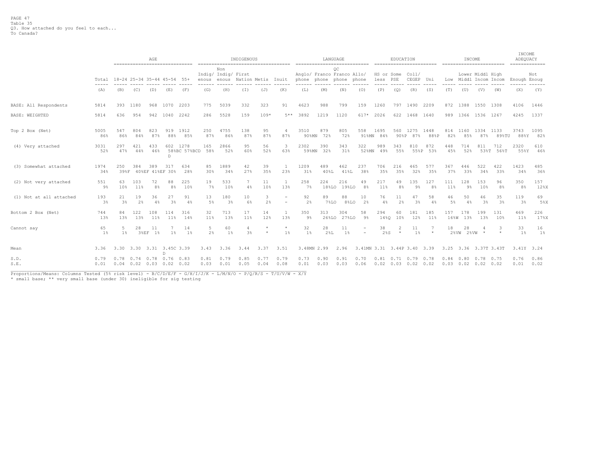|                         |              | AGE<br>-------------------------------                                        |               |                        |            |                          |                      |                            | INDIGENOUS<br>------------------------------------ |              |                  |                      |               | LANGUAGE<br>-----------------------------                   |                             | -------------------------                                  | EDUCATION  |                  |              |             | INCOME          | ------------------------                   |             | INCOME<br>ADEQUACY<br>============= |              |
|-------------------------|--------------|-------------------------------------------------------------------------------|---------------|------------------------|------------|--------------------------|----------------------|----------------------------|----------------------------------------------------|--------------|------------------|----------------------|---------------|-------------------------------------------------------------|-----------------------------|------------------------------------------------------------|------------|------------------|--------------|-------------|-----------------|--------------------------------------------|-------------|-------------------------------------|--------------|
|                         |              | Total 18-24 25-34 35-44 45-54 55+<br>enous<br>(B)<br>(E)<br>(C)<br>(D)<br>(F) |               |                        |            |                          |                      | Non<br>Indig/ Indig/ First | enous Nation Metis Inuit                           |              |                  |                      |               | OС<br>Anglo/ Franco Franco Allo/<br>phone phone phone phone |                             | HS or Some<br>less PSE                                     |            | Coll/<br>CEGEP   | Uni          |             |                 | Lower Middl High<br>Low Middl Incom Incom  |             | Enough Enoug                        | Not          |
|                         | (A)          |                                                                               |               |                        |            |                          | (G)                  | (H)                        | (T)                                                | (J)          | (K)              | (L)                  | (M)           | (N)                                                         | (0)                         | (P)                                                        | (Q)        | (R)              | (S)          | (T)         | (U)             | (V)                                        | (W)         | (X)                                 | (Y)          |
| BASE: All Respondents   | 5814         | 393                                                                           | 1180          | 968                    | 1070       | 2203                     | 775                  | 5039                       | 332                                                | 323          | 91               | 4623                 | 988           | 799                                                         | 159                         | 1260                                                       |            | 797 1490 2209    |              |             | 872 1388        | 1550 1308                                  |             | 4106                                | 1446         |
| <b>BASE: WEIGHTED</b>   | 5814         | 636                                                                           | 954           | 942 1040               |            | 2242                     | 286                  | 5528                       | 159                                                | $109*$       | 5**              | 3892                 | 1219          | 1120                                                        | 617*                        | 2026                                                       |            | 622 1468 1640    |              |             |                 | 989 1366 1536 1267                         |             | 4245                                | 1337         |
| Top 2 Box (Net)         | 5005<br>86%  | 547<br>86%                                                                    | 804<br>84%    | 823<br>87%             | 919<br>88% | 1912<br>85%              | 250<br>87%           | 4755<br>86%                | 138<br>87%                                         | 95<br>87%    | 4<br>87%         | 3510<br>$90$ % $M$ N | 879<br>72%    | 805<br>72%                                                  | 558<br>91%MN                | 1695<br>84%                                                | 560        | 1275<br>90%P 87% | 1448<br>88%P | 82%         | 814 1160<br>85% | 1334 1133<br>87%                           | 89%TU       | 3743<br>88%Y                        | 1095<br>82%  |
| (4) Very attached       | 3031<br>52%  | 297<br>47%                                                                    | 421<br>44%    | 433<br>46%             | D          | 602 1278<br>58%BC 57%BCD | 165<br>58%           | 2866<br>52%                | 95<br>60%                                          | 56<br>52%    | 3<br>63%         | 2302<br>59%MN        | 390<br>32%    | 343<br>31%                                                  | 322<br>52%MN                | 989<br>49%                                                 | 343<br>55% | 810<br>55%P      | 872<br>53%   | 448<br>45%  | 714<br>52%      | 811<br>53%T                                | 712<br>56%T | 2320<br>55%Y                        | 610<br>46%   |
| (3) Somewhat attached   | 1974<br>34%  | 250<br>39%F                                                                   | 384           | 389<br>40%EF 41%EF 30% | 317        | 634<br>28%               | 85<br>30%            | 1889<br>34%                | 42<br>27%                                          | 39<br>35%    | 1<br>23%         | 1209<br>31%          | 489<br>40%L   | 462<br>41%L                                                 | 237<br>38%                  | 706<br>35%                                                 | 216<br>35% | 465<br>32%       | 577<br>35%   | 367<br>37%  | 446<br>33%      | 522<br>34%                                 | 422<br>33%  | 1423<br>34%                         | 485<br>36%   |
| (2) Not very attached   | 551<br>9%    | 63<br>10%                                                                     | 103<br>$11\%$ | 72<br>8%               | 88<br>8%   | 225<br>10%               | 19<br>$7\frac{6}{5}$ | 533<br>10%                 | $4\%$                                              | 11<br>10%    | 1<br>13%         | 258<br>7%            | 224<br>18%LO  | 216<br>19%LO                                                | 49<br>8 <sup>°</sup>        | 217<br>11%                                                 | 49<br>8%   | 135<br>$9\%$     | 127<br>8%    | 111<br>11%  | 128<br>$9\%$    | 153<br>10%                                 | 96<br>8%    | 350<br>8%                           | 157<br>12%X  |
| (1) Not at all attached | 193<br>3%    | 21<br>$3\%$                                                                   | 19<br>2%      | 36<br>4%               | 27<br>3%   | 91<br>4%                 | 13<br>5%             | 180<br>3%                  | 10<br>6%                                           | 3<br>2%      | $\equiv$         | 92<br>2%             | 89<br>7%LO    | 88<br>8%LO                                                  | 10<br>2%                    | 76<br>4%                                                   | 11<br>2%   | 47<br>3%         | 58<br>4%     | 46<br>5%    | 50<br>4%        | 46<br>$3\%$                                | 35<br>3%    | 119<br>3%                           | 69<br>5%X    |
| Bottom 2 Box (Net)      | 744<br>13%   | 84<br>13%                                                                     | 122<br>13%    | 108<br>$11\%$          | 114<br>11% | 316<br>14%               | 32<br>11%            | 713<br>13%                 | 17<br>11%                                          | 14<br>12%    | 1<br>13%         | 350<br>$9\%$         | 313<br>26%LO  | 304<br>27%LO                                                | 58<br>$9\%$                 | 294<br>14%0                                                | 60<br>10%  | 181<br>12%       | 185<br>11%   | 157<br>16%W | 178<br>13%      | 199<br>13%                                 | 131<br>10%  | 469<br>$11\%$                       | 226<br>17%X  |
| Cannot say              | 65<br>$1\%$  | .5<br>1%                                                                      | 28<br>38EF    | 11<br>1%               | $1\%$      | 14<br>1%                 | 5<br>2%              | 60<br>$1\%$                | 3%                                                 | $\star$      | $\star$<br>$1\%$ | 32<br>$1\%$          | 28<br>$2\,$ L | 11<br>$1\%$                                                 |                             | 38<br>$2$ $8S$                                             | $\star$    | 11<br>$1\%$      | $\star$      | 18          | 28<br>2%VW 2%VW | 4                                          | 3           | 33<br>1%                            | 16<br>$1\%$  |
| Mean                    | 3.36         | 3.30 3.30 3.31 3.45C 3.39                                                     |               |                        | n.         |                          | 3.43                 | 3.36                       | 3.44                                               | 3.37         | 3.51             | 3.48MN 2.99          |               | 2.96                                                        | 3.41MN 3.31 3.44P 3.40 3.39 |                                                            |            |                  |              |             |                 | 3.25 3.36 3.37T 3.43T                      |             | 3.41Y 3.24                          |              |
| S.D.<br>S.E.            | 0.79<br>0.01 | $0.78$ 0.74 0.78 0.76 0.83<br>$0.04$ 0.02 0.03 0.02 0.02                      |               |                        |            |                          | 0.81<br>0.03         | 0.79<br>0.01               | 0.85<br>0.05                                       | 0.77<br>0.04 | 0.79<br>0.08     | 0.73<br>0.01         | 0.90<br>0.03  | 0.91<br>0.03                                                | 0.70<br>0.06                | $0.81$ $0.71$ $0.79$ $0.78$<br>$0.02$ $0.03$ $0.02$ $0.02$ |            |                  |              | $0.84$ 0.80 |                 | $0.78$ 0.75<br>$0.03$ $0.02$ $0.02$ $0.02$ |             | 0.76<br>0.01                        | 0.86<br>0.02 |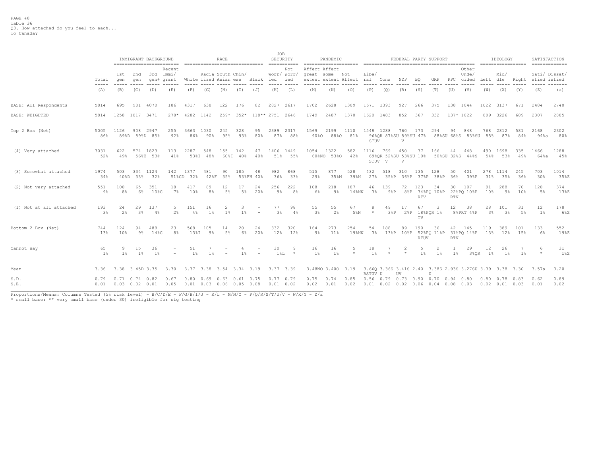|                         |                                                                                                                                                                                                                                                                                                                                                                                                       |                                                                                        |             | IMMIGRANT BACKGROUND  | ========================== |                                    |                                    | RACE              |                 | ================================ | JOB                  | SECURITY<br>$=$ =========== |                      | PANDEMIC             |                               |             |                                        |                 |                    | FEDERAL PARTY SUPPORT          |                  |                                                                       |             | IDEOLOGY             | ================== | SATISFACTION<br>=============       |              |
|-------------------------|-------------------------------------------------------------------------------------------------------------------------------------------------------------------------------------------------------------------------------------------------------------------------------------------------------------------------------------------------------------------------------------------------------|----------------------------------------------------------------------------------------|-------------|-----------------------|----------------------------|------------------------------------|------------------------------------|-------------------|-----------------|----------------------------------|----------------------|-----------------------------|----------------------|----------------------|-------------------------------|-------------|----------------------------------------|-----------------|--------------------|--------------------------------|------------------|-----------------------------------------------------------------------|-------------|----------------------|--------------------|-------------------------------------|--------------|
|                         | Total<br>$\frac{1}{2} \frac{1}{2} \frac{1}{2} \frac{1}{2} \frac{1}{2} \frac{1}{2} \frac{1}{2} \frac{1}{2} \frac{1}{2} \frac{1}{2} \frac{1}{2} \frac{1}{2} \frac{1}{2} \frac{1}{2} \frac{1}{2} \frac{1}{2} \frac{1}{2} \frac{1}{2} \frac{1}{2} \frac{1}{2} \frac{1}{2} \frac{1}{2} \frac{1}{2} \frac{1}{2} \frac{1}{2} \frac{1}{2} \frac{1}{2} \frac{1}{2} \frac{1}{2} \frac{1}{2} \frac{1}{2} \frac{$ | Recent<br>3rd Immi/<br>1st 2nd<br>qen<br>qen<br>gen+ grant<br>(B)<br>(C)<br>(D)<br>(E) |             |                       |                            |                                    |                                    | Racia South Chin/ |                 | White lized Asian ese Black ied  |                      | Not<br>Worr/ Worr/<br>ied   | Affect Affect        | great some Not       | extent extent Affect ral Cons | Libe/       |                                        | NDP             | BQ                 | GRP                            |                  | Other<br>Unde/<br>PPC cided                                           | Left dle    | Mid/                 |                    | Sati/ Dissat/<br>Right sfied isfied |              |
|                         | (A)                                                                                                                                                                                                                                                                                                                                                                                                   |                                                                                        |             |                       |                            | (F)                                | (G)                                | (H)               | (I)             | (J)                              | (K)                  | (L)                         | (M)                  | (N)                  | (0)                           | (P)         | (Q)                                    | (R)             | (S)                | (T)                            | (U)              | (V)                                                                   | (W)         | (X)                  | (Y)                | (Z)                                 | (a)          |
| BASE: All Respondents   | 5814                                                                                                                                                                                                                                                                                                                                                                                                  | 695                                                                                    | 981         | 4070                  | 186                        | 4317                               | 638                                | 122               | 176             | 82                               | 2827                 | 2617                        | 1702                 | 2628                 | 1309                          | 1671 1393   |                                        | 927             | 266                | 375                            |                  | 138 1044                                                              |             | 1022 3137            | 671                | 2484                                | 2740         |
| BASE: WEIGHTED          | 5814                                                                                                                                                                                                                                                                                                                                                                                                  | 1258                                                                                   | 1017 3471   |                       | $278*$                     | 4282                               | 1142                               | $259*$            | $352*$          | 118** 2751 2646                  |                      |                             | 1749                 | 2487                 | 1370                          | 1620        | 1483                                   | 852             | 367                | 332                            |                  | 137* 1022                                                             | 899         | 3226                 | 689                | 2307                                | 2885         |
| Top 2 Box (Net)         | 5005<br>86%                                                                                                                                                                                                                                                                                                                                                                                           | 1126                                                                                   | 908         | 2947<br>89%D 89%D 85% | 255<br>92%                 | 3663<br>86%                        | 1030<br>90%                        | 245<br>95%        | 328<br>93%      | 95<br>80%                        | 2389<br>87%          | 2317<br>88%                 | 1569<br>90%0         | 2199<br>88%0         | 1110<br>81%                   | STUV        | 1548 1288                              | 760<br>V        | 173                | 294                            | 94               | 848<br>96%OR 87%SU 89%SU 47% 88%SU 68%S 83%SU 85% 87%                 | 768         | 2812                 | 581<br>84%         | 2168<br>94%a                        | 2302<br>80%  |
| (4) Very attached       | 3031<br>52%                                                                                                                                                                                                                                                                                                                                                                                           | 622<br>49%                                                                             | 574         | 1823<br>56%E 53%      | 113<br>41%                 | 2287                               | 548<br>53%I 48%                    | 155               | 142<br>60%I 40% | 47<br>40%                        | 1406<br>51%          | 1449<br>55%                 | 1054                 | 1322<br>60%NO 53%O   | 582<br>42%                    | 1116        | 769<br>69%OR 52%SU 53%SU 10%<br>STUV V | 450<br>V        | 37                 | 166                            | 44               | 448<br>50%SU 32%S 44%S                                                | 490<br>54%  | 1698<br>53%          | 335<br>49%         | 1466<br>64%a                        | 1288<br>45%  |
| (3) Somewhat attached   | 1974<br>34%                                                                                                                                                                                                                                                                                                                                                                                           | 503<br>408D                                                                            | 33%         | 334 1124<br>32%       | 142                        | 1377<br>51%CD 32%                  | 481<br>42%F                        | 90<br>35%         | 185             | 48<br>53%FH 40%                  | 982<br>36%           | 868<br>33%                  | 515<br>29%           | 877<br>35%M          | 528<br>39%M                   | 432<br>27%  | 518                                    | 310             | 135                | 128<br>35%P 36%P 37%P 38%P 36% | 50               | 401<br>39%P                                                           | 31%         | 278 1114<br>35%      | 245<br>36%         | 703<br>30%                          | 1014<br>35%Z |
| (2) Not very attached   | 551<br>$9\%$                                                                                                                                                                                                                                                                                                                                                                                          | 100<br>8%                                                                              | 65<br>6%    | 351<br>10%C           | 18<br>7%                   | 417<br>10%                         | 89<br>8%                           | 12<br>5%          | 17<br>$5\%$     | 24<br>20%                        | 256<br>$9\%$         | 222<br>8 <sup>°</sup>       | 108<br>$6\%$         | 218<br>$9\%$         | 187<br>14%MN                  | 46<br>3%    | 139<br>9% P                            | 72              | 123<br><b>RTV</b>  | 34                             | 30<br><b>RTV</b> | 107<br>8%P 34%PO 10%P 22%PO 10%P                                      | 91<br>10%   | 288<br>9%            | 70<br>10%          | 120<br>5%                           | 374<br>13%Z  |
| (1) Not at all attached | 193<br>3%                                                                                                                                                                                                                                                                                                                                                                                             | 24<br>2%                                                                               | 29<br>3%    | 137<br>4%             | .5.<br>$2\frac{6}{5}$      | 151<br>4%                          | 16<br>$1\%$                        | 1 <sup>8</sup>    | 3<br>$1\%$      | $\overline{a}$                   | 77<br>3 <sup>°</sup> | 98<br>4%                    | 55<br>$3\frac{6}{5}$ | 55<br>2 <sup>°</sup> | 67<br>5%N                     | $\star$     | 49<br>38P                              | 17<br>$2$ % $P$ | 67<br>TV           | 3<br>18%POR 1%                 | 12               | 38<br>8%PRT 4%P                                                       | 28<br>3%    | 101<br>3%            | 31<br>5%           | 12<br>$1\%$                         | 178<br>6%Z   |
| Bottom 2 Box (Net)      | 744<br>13%                                                                                                                                                                                                                                                                                                                                                                                            | 124<br>10%                                                                             | 94<br>9%    | 488<br>14%C           | 23<br>8%                   | 568<br>138I                        | 105<br>9%                          | 14<br>$5\%$       | 20<br>6%        | 24<br>20%                        | 332<br>12%           | 320<br>12%                  | 164<br>9%            | 273<br>11%           | 254<br>19%MN                  | 54<br>$3\,$ | 188                                    | 89              | 190<br><b>RTUV</b> | 36                             | 42<br><b>RTV</b> | 145<br>13%P 10%P 52%PO 11%P 31%PO 14%P 13%                            | 119         | 389<br>12%           | 101<br>15%         | 133<br>6%                           | 552<br>19%Z  |
| Cannot say              | 65<br>1 <sup>8</sup>                                                                                                                                                                                                                                                                                                                                                                                  | 9<br>$1\%$                                                                             | 15<br>$1\%$ | 36<br>$1\%$           |                            | 51<br>$1\%$                        | $1\%$                              |                   | 1%              |                                  | 30<br>$1\,$ $\&$ L   |                             | 16<br>$1\%$          | 16<br>1%             | 5                             | 18<br>1%    |                                        |                 | 5<br>1%            | 2<br>$1\%$                     | $1\%$            | 29<br>3%OR                                                            | 12<br>$1\%$ | 26<br>$1\%$          | 1%                 |                                     | 31<br>18Z    |
| Mean                    | 3.36                                                                                                                                                                                                                                                                                                                                                                                                  | 3.38 3.45D 3.35                                                                        |             |                       | 3.30                       | 3.37 3.38 3.54 3.34 3.19           |                                    |                   |                 |                                  | 3.37 3.39            |                             |                      | 3.48NO 3.40O 3.19    |                               | RSTUV U     | 3.660 3.36S 3.41S 2.40                 | UV              |                    | $\mathbf{U}$                   |                  | 3.38S 2.93S 3.27SU 3.39 3.38 3.30                                     |             |                      |                    | 3.57a                               | 3.20         |
| S.D.<br>S.E.            | 0.79                                                                                                                                                                                                                                                                                                                                                                                                  | $0.71$ $0.74$ $0.82$<br>$0.01$ $0.03$ $0.02$ $0.01$                                    |             |                       | 0.67<br>0.05               | $0.01$ $0.03$ $0.06$ $0.05$ $0.08$ | $0.80$ $0.69$ $0.63$ $0.61$ $0.75$ |                   |                 |                                  | $0.01$ 0.02          | $0.77 \quad 0.79$           | 0.75<br>0.02         | 0.74<br>0.01         | 0.85<br>0.02                  |             | 0.56 0.79 0.73 0.90 0.70 0.94 0.80     |                 |                    |                                |                  | $0.01$ $0.02$ $0.02$ $0.06$ $0.04$ $0.08$ $0.03$ $0.02$ $0.01$ $0.03$ |             | $0.80$ $0.78$ $0.83$ |                    | 0.62<br>0.01                        | 0.89<br>0.02 |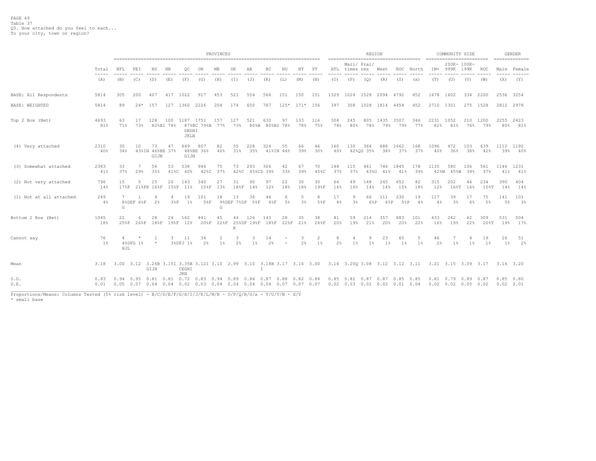|                                                                                                                             |                                                                                                                                                                                                                                                                                                                                                                                                     |            | PROVINCES                                                                                                          |                               |                  |                                   |                                                                            |                 |                     |                             |                       |                 |            |              |                                                                                                                                                                                                                                                                                                                                                                                                     | ------------------------------------              | REGION           |             |             |              | =========================                                                                                                | COMMUNITY SIZE                      |                     |                                                                                                                                                                                                                                                                                                                                                                                                     |                   | GENDER             |
|-----------------------------------------------------------------------------------------------------------------------------|-----------------------------------------------------------------------------------------------------------------------------------------------------------------------------------------------------------------------------------------------------------------------------------------------------------------------------------------------------------------------------------------------------|------------|--------------------------------------------------------------------------------------------------------------------|-------------------------------|------------------|-----------------------------------|----------------------------------------------------------------------------|-----------------|---------------------|-----------------------------|-----------------------|-----------------|------------|--------------|-----------------------------------------------------------------------------------------------------------------------------------------------------------------------------------------------------------------------------------------------------------------------------------------------------------------------------------------------------------------------------------------------------|---------------------------------------------------|------------------|-------------|-------------|--------------|--------------------------------------------------------------------------------------------------------------------------|-------------------------------------|---------------------|-----------------------------------------------------------------------------------------------------------------------------------------------------------------------------------------------------------------------------------------------------------------------------------------------------------------------------------------------------------------------------------------------------|-------------------|--------------------|
|                                                                                                                             | Total                                                                                                                                                                                                                                                                                                                                                                                               | NFL        | PEI<br>ΝS<br>ΝB<br>OС<br>ON<br>МB<br>SK<br>AB<br>ВC<br>ΝU<br>NΤ<br>ΥT<br>-----<br>-----<br>-----<br>-----<br>----- |                               |                  |                                   |                                                                            |                 |                     |                             |                       |                 |            |              | ATL                                                                                                                                                                                                                                                                                                                                                                                                 | times res                                         | Mari/ Prai/      | West        | ROC         | North        | $1M+$                                                                                                                    | 999K                                | 200K- 100K-<br>199K | ROC                                                                                                                                                                                                                                                                                                                                                                                                 | Male              | Female             |
|                                                                                                                             | $\frac{1}{2} \frac{1}{2} \frac{1}{2} \frac{1}{2} \frac{1}{2} \frac{1}{2} \frac{1}{2} \frac{1}{2} \frac{1}{2} \frac{1}{2} \frac{1}{2} \frac{1}{2} \frac{1}{2} \frac{1}{2} \frac{1}{2} \frac{1}{2} \frac{1}{2} \frac{1}{2} \frac{1}{2} \frac{1}{2} \frac{1}{2} \frac{1}{2} \frac{1}{2} \frac{1}{2} \frac{1}{2} \frac{1}{2} \frac{1}{2} \frac{1}{2} \frac{1}{2} \frac{1}{2} \frac{1}{2} \frac{$<br>(A) | (B)        | (C)                                                                                                                | (D)                           | (E)              | (F)                               | (G)                                                                        | (H)             | (T)                 | (J)                         | (K)                   | (L)             | (M)        | -----<br>(N) | $\frac{1}{2} \frac{1}{2} \frac{1}{2} \frac{1}{2} \frac{1}{2} \frac{1}{2} \frac{1}{2} \frac{1}{2} \frac{1}{2} \frac{1}{2} \frac{1}{2} \frac{1}{2} \frac{1}{2} \frac{1}{2} \frac{1}{2} \frac{1}{2} \frac{1}{2} \frac{1}{2} \frac{1}{2} \frac{1}{2} \frac{1}{2} \frac{1}{2} \frac{1}{2} \frac{1}{2} \frac{1}{2} \frac{1}{2} \frac{1}{2} \frac{1}{2} \frac{1}{2} \frac{1}{2} \frac{1}{2} \frac{$<br>(0) | (P)                                               | (Q)              | (R)         | (S)         | -----<br>(x) | -----<br>(T)                                                                                                             | (U)                                 | (V)                 | $\frac{1}{2} \frac{1}{2} \frac{1}{2} \frac{1}{2} \frac{1}{2} \frac{1}{2} \frac{1}{2} \frac{1}{2} \frac{1}{2} \frac{1}{2} \frac{1}{2} \frac{1}{2} \frac{1}{2} \frac{1}{2} \frac{1}{2} \frac{1}{2} \frac{1}{2} \frac{1}{2} \frac{1}{2} \frac{1}{2} \frac{1}{2} \frac{1}{2} \frac{1}{2} \frac{1}{2} \frac{1}{2} \frac{1}{2} \frac{1}{2} \frac{1}{2} \frac{1}{2} \frac{1}{2} \frac{1}{2} \frac{$<br>(W) | -----<br>(X)      | -------<br>(Y)     |
| BASE: All Respondents                                                                                                       | 5814                                                                                                                                                                                                                                                                                                                                                                                                | 305        | 200                                                                                                                | 407                           | 417              | 1022                              | 917                                                                        | 453             | 521                 | 554                         | 566                   | 151             | 150        | 151          | 1329                                                                                                                                                                                                                                                                                                                                                                                                | 1024                                              | 1528 2094 4792   |             |             | 452          | 1678                                                                                                                     | 1602                                | 334                 | 2200                                                                                                                                                                                                                                                                                                                                                                                                |                   | 2536 3254          |
| <b>BASE: WEIGHTED</b>                                                                                                       | 5814                                                                                                                                                                                                                                                                                                                                                                                                | 89         | $24*$                                                                                                              | 157                           | 127              | 1360                              | 2226                                                                       | 204             | 174                 | 650                         | 787                   | $125*$          | $171*$ 156 |              | 397                                                                                                                                                                                                                                                                                                                                                                                                 | 308                                               | 1028             | 1814 4454   |             | 452          | 2710                                                                                                                     | 1301                                |                     | 275 1528                                                                                                                                                                                                                                                                                                                                                                                            |                   | 2812 2978          |
| Top 2 Box (Net)                                                                                                             | 4693<br>81%                                                                                                                                                                                                                                                                                                                                                                                         | 63<br>71%  | 17<br>73%                                                                                                          | 128                           | 100<br>82%BI 78% | 1187 1751<br>DEGHI<br><b>JKLN</b> | 87%BC 79%B                                                                 | 157<br>77%      | 127<br>73%          | 521                         | 630<br>80%B 80%BI 78% | 97              | 133<br>78% | 116<br>75%   | 308<br>78%                                                                                                                                                                                                                                                                                                                                                                                          | 245<br>80%                                        | 805<br>78%       | 1435<br>79% | 3507<br>79% | 346<br>77%   | 2231<br>82%                                                                                                              | 1052<br>81%                         | 210<br>76%          | 1200<br>79%                                                                                                                                                                                                                                                                                                                                                                                         | 2255<br>80%       | 2423<br>81%        |
| (4) Very attached                                                                                                           | 2310<br>40%                                                                                                                                                                                                                                                                                                                                                                                         | 30<br>34%  | 10                                                                                                                 | 73<br>43%IN 46%BE 37%<br>GIJN | 47               | 649<br>GIJN                       | 807<br>48%BE 36%                                                           | 82<br>40%       | 55<br>31%           | 228<br>35%                  | 324                   | 55<br>41%IN 44% | 66<br>39%  | 46<br>30%    | 160<br>40%                                                                                                                                                                                                                                                                                                                                                                                          | 130                                               | 364<br>42%0S 35% | 688<br>38%  | 1662<br>37% | 168<br>37%   | 1096<br>40%                                                                                                              | 472<br>36%                          | 103<br>38%          | 639<br>42%                                                                                                                                                                                                                                                                                                                                                                                          | 39%               | 1110 1192<br>- 40% |
| (3) Somewhat attached                                                                                                       | 2383<br>41%                                                                                                                                                                                                                                                                                                                                                                                         | 33<br>37%  | 7<br>29%                                                                                                           | 56<br>35%                     | 53<br>41%C       | 538<br>40%                        | 944<br>42%C                                                                | 75<br>37%       | 73<br>42%C          | 293<br>45%CD 39%            | 306                   | 42<br>33%       | 67<br>39%  | 70<br>45%C   | 148<br>37%                                                                                                                                                                                                                                                                                                                                                                                          | 115<br>37%                                        | 441<br>43%0      | 746<br>41%  | 1845<br>41% | 178<br>39%   | 1135<br>42%W                                                                                                             | 580                                 | 106<br>45%W 39%     | 561<br>37%                                                                                                                                                                                                                                                                                                                                                                                          | 41%               | 1146 1231<br>41%   |
| (2) Not very attached                                                                                                       | 796<br>14%                                                                                                                                                                                                                                                                                                                                                                                          | 15<br>17%F | .5                                                                                                                 | 25<br>21%FK 16%F              | 20<br>15%F       | 143<br>$11\%$                     | 340<br>158F                                                                | 27<br>13%       | 31<br>18%F          | 90<br>14%                   | 97<br>12%             | 22<br>18%       | 30<br>18%  | 30<br>19%F   | 64<br>16%                                                                                                                                                                                                                                                                                                                                                                                           | 49<br>16%                                         | 148<br>14%       | 245<br>14%  | 652<br>15%  | 82<br>18%    | 315<br>12%                                                                                                               | 202<br>168T                         | 44<br>16%           | 234<br>15%T                                                                                                                                                                                                                                                                                                                                                                                         | 390<br>14%        | 404<br>14%         |
| (1) Not at all attached                                                                                                     | 249<br>4%                                                                                                                                                                                                                                                                                                                                                                                           | 7<br>G     | 8%DEF 6%F                                                                                                          | 2%                            | $\Delta$<br>38F  | 19<br>$1\%$                       | 101<br>5%F                                                                 | 18<br>G         | 13                  | 36<br>9%DEF 7%DF 5%F        | 46<br>6%F             | -6<br>$5\%$     | .5<br>3%   | 8<br>58F     | 17<br>4%                                                                                                                                                                                                                                                                                                                                                                                            | 9<br>3%                                           | 66<br>6%P        | 111<br>6%P  | 230<br>5%P  | 19<br>4%     | 117<br>4%                                                                                                                | 39<br>3 <sup>°</sup>                | 17<br>6%            | 75<br>5%                                                                                                                                                                                                                                                                                                                                                                                            | 141<br>5%         | 101<br>3%          |
| Bottom 2 Box (Net)                                                                                                          | 1045<br>18%                                                                                                                                                                                                                                                                                                                                                                                         | 22<br>25%F | 6<br>268F                                                                                                          | 28<br>188F                    | 24               | 162<br>19%F 12%                   | 441                                                                        | 45<br>20%F 22%F | 44<br>K             | 126<br>25%DF 19%F 18%F 22%F | 143                   | 28              | 35<br>21%  | 38<br>24%F   | 81<br>20%                                                                                                                                                                                                                                                                                                                                                                                           | 59<br>19%                                         | 214<br>21%       | 357<br>20%  | 883<br>20%  | 101<br>22%   | 433<br>16%                                                                                                               | 242<br>19%                          | 62<br>22%           | 309<br>208T                                                                                                                                                                                                                                                                                                                                                                                         | 531<br>19%        | 504<br>17%         |
| Cannot say                                                                                                                  | 76<br>1%                                                                                                                                                                                                                                                                                                                                                                                            | HJL        | $\star$<br>4%DFG 1%                                                                                                | -1<br>$\star$                 | 3                | 11<br>3%DFJ 1%                    | 34<br>2%                                                                   | 2<br>$1\%$      | 3<br>2 <sup>8</sup> | 3<br>1 <sup>°</sup>         | 14<br>2%              |                 | 3<br>2%    | 2<br>$1\%$   | 8<br>2%                                                                                                                                                                                                                                                                                                                                                                                             | 4<br>$1\%$                                        | 9<br>$1\%$       | 23<br>$1\%$ | 65<br>$1\%$ | 5<br>$1\%$   | 46<br>2%                                                                                                                 | 7<br>$1\%$                          | 4<br>$1\%$          | 19<br>$1\%$                                                                                                                                                                                                                                                                                                                                                                                         | 26<br>$1\%$       | 51<br>2%           |
| Mean                                                                                                                        | 3.18                                                                                                                                                                                                                                                                                                                                                                                                |            |                                                                                                                    | GIJN                          |                  | CEGHI<br><b>JKN</b>               |                                                                            |                 |                     |                             | T                     |                 |            |              |                                                                                                                                                                                                                                                                                                                                                                                                     |                                                   |                  |             |             |              | 3.00 3.12 3.26B 3.15I 3.35B 3.12I 3.10 2.99 3.10 3.18B 3.17 3.16 3.00 3.16 3.20Q 3.08 3.12 3.12 3.11 3.21 3.15 3.09 3.17 |                                     |                     |                                                                                                                                                                                                                                                                                                                                                                                                     | 3.16 3.20         |                    |
| S.D.<br>S.E.<br>Proportions/Means: Columns Tested (5% risk level) - B/C/D/E/F/G/H/I/J/K/L/M/N - O/P/Q/R/S/x - T/U/V/W - X/Y | 0.83<br>0.01                                                                                                                                                                                                                                                                                                                                                                                        | 0.94       | 0.95                                                                                                               | $0.81$ $0.81$                 |                  | 0.72                              | 0.83<br>$0.05$ 0.07 0.04 0.04 0.02 0.03 0.04 0.04 0.04 0.04 0.07 0.07 0.07 | 0.94            | 0.89                | 0.84                        | 0.87                  | 0.88            | 0.82       | 0.84         | 0.85                                                                                                                                                                                                                                                                                                                                                                                                | 0.82<br>$0.02$ $0.03$ $0.02$ $0.02$ $0.01$ $0.04$ | 0.87             | 0.87        | 0.85        | 0.85         | 0.81                                                                                                                     | 0.79<br>$0.02$ $0.02$ $0.05$ $0.02$ | 0.89                | 0.87                                                                                                                                                                                                                                                                                                                                                                                                | 0.85<br>0.02 0.01 | 0.80               |
| * small base                                                                                                                |                                                                                                                                                                                                                                                                                                                                                                                                     |            |                                                                                                                    |                               |                  |                                   |                                                                            |                 |                     |                             |                       |                 |            |              |                                                                                                                                                                                                                                                                                                                                                                                                     |                                                   |                  |             |             |              |                                                                                                                          |                                     |                     |                                                                                                                                                                                                                                                                                                                                                                                                     |                   |                    |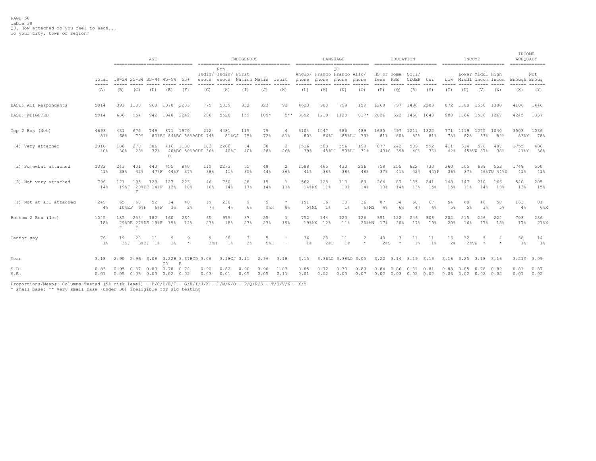|                         |              | AGE<br>------------------------------- |                                                        |                       |                     |                                      |              | ------------------------------------ | INDIGENOUS   |                     |                          |                     |              | LANGUAGE<br>---------------------------- |                     | =========================           | EDUCATION    |                    |             |                      | INCOME<br>========================= |                  |                   | INCOME<br>ADEQUACY<br>============= |              |
|-------------------------|--------------|----------------------------------------|--------------------------------------------------------|-----------------------|---------------------|--------------------------------------|--------------|--------------------------------------|--------------|---------------------|--------------------------|---------------------|--------------|------------------------------------------|---------------------|-------------------------------------|--------------|--------------------|-------------|----------------------|-------------------------------------|------------------|-------------------|-------------------------------------|--------------|
|                         | Total        | 18-24 25-34 35-44 45-54<br>55+         |                                                        |                       |                     |                                      | enous        | Non<br>Indig/ Indig/ First<br>enous  | Nation Metis |                     | Inuit                    | phone               | phone phone  | OС<br>Anglo/ Franco Franco Allo/         | phone               | HS or Some<br>less PSE              |              | Coll/<br>CEGEP Uni |             |                      | Low Middl Incom Incom               | Lower Middl High |                   | Enough Enoug                        | Not          |
|                         | (A)          | (B)                                    | (C)                                                    | (D)                   | (E)                 | (F)                                  | (G)          | (H)                                  | (T)          | (J)                 | (K)                      | (L)                 | (M)          | (N)                                      | (0)                 | (P)                                 | (Q)          | (R)                | (S)         | (T)                  | (U)                                 | (V)              | (W)               | (X)                                 | (Y)          |
| BASE: All Respondents   | 5814         | 393                                    | 1180                                                   | 968                   | 1070                | 2203                                 | 775          | 5039                                 | 332          | 323                 | 91                       | 4623                | 988          | 799                                      | 159                 | 1260                                |              | 797 1490 2209      |             |                      | 872 1388 1550 1308                  |                  |                   | 4106                                | 1446         |
| BASE: WEIGHTED          | 5814         | 636                                    | 954                                                    | 942                   | 1040                | 2242                                 | 286          | 5528                                 | 159          | $109*$              | 5**                      | 3892                | 1219         | 1120                                     | 617*                | 2026                                |              | 622 1468 1640      |             |                      | 989 1366 1536 1267                  |                  |                   | 4245                                | 1337         |
| Top 2 Box (Net)         | 4693<br>81%  | 431<br>68%                             | 672<br>70%                                             | 749                   |                     | 871 1970<br>80%BC 84%BC 88%BCDE 74%  | 212          | 4481<br>81%GJ                        | 119<br>75%   | 79<br>72%           | 4<br>81%                 | 3104<br>80%         | 1047<br>86%L | 986<br>88%LO                             | 489<br>79%          | 1635<br>81%                         | 497<br>80%   | 1211<br>82%        | 1322<br>81% | 78%                  | 771 1119<br>82%                     | 1275<br>83%      | 1040<br>82%       | 3503<br>83%Y                        | 1036<br>78%  |
| (4) Very attached       | 2310<br>40%  | 188<br>30%                             | 270<br>28%                                             | 306<br>32%            | D                   | 416 1130<br>40%BC 50%BCDE 36%        | 102          | 2208<br>408J                         | 64<br>40%    | 30<br>28%           | 2<br>46%                 | 1516<br>39%         | 583          | 556<br>48%LO 50%LO 31%                   | 193                 | 877<br>43%S                         | 242<br>39%   | 589<br>40%         | 592<br>36%  | 411<br>42%           | 614                                 | 576<br>45%VW 37% | 487<br>38%        | 1755<br>418Y                        | 486<br>36%   |
| (3) Somewhat attached   | 2383<br>41%  | 243<br>38%                             | 401<br>42%                                             | 443<br>$47\%$ F       | 455                 | 840<br>44%F 37%                      | 110<br>38%   | 2273<br>41%                          | 55<br>35%    | 48<br>44%           | 2<br>36%                 | 1588<br>41%         | 465<br>38%   | 430<br>38%                               | 296<br>48%          | 758<br>37%                          | 255<br>41%   | 622<br>42%         | 730<br>44%P | 360<br>36%           | 505<br>37%                          | 699              | 553<br>46%TU 44%U | 1748<br>41%                         | 550<br>41%   |
| (2) Not very attached   | 796<br>14%   | 121<br>198F                            | 195<br>F                                               | 129<br>20%DE 14%F 12% | 127                 | 223<br>10 <sup>8</sup>               | 46<br>16%    | 750<br>14%                           | 28<br>17%    | 15<br>14%           | $\mathbf{1}$<br>11%      | 562<br>$14$ % $M$ N | 128<br>11%   | 113<br>10%                               | 89<br>14%           | 264<br>13%                          | 87<br>14%    | 185<br>13%         | 241<br>15%  | 148<br>15%           | 147<br>11%                          | 210<br>14%       | 166<br>13%        | 540<br>13%                          | 205<br>15%   |
| (1) Not at all attached | 249<br>$4\%$ | 65                                     | 58<br>10%EF 6%F                                        | 52<br>6%F             | 34<br>3%            | 40<br>2%                             | 19<br>7%     | 230<br>$4\%$                         | 9<br>6%      | <sup>Q</sup><br>98H | $\star$<br>8%            | 191<br>5%MN         | 16<br>1%     | 10<br>$1\%$                              | 36<br>$6$ % $M$ N   | 87<br>$4\%$                         | 34<br>6%     | 60<br>4%           | 67<br>$4\%$ | 54<br>5%             | 68<br>5%                            | 46<br>3%         | 58<br>5%          | 163<br>4%                           | 81<br>$6\%X$ |
| Bottom 2 Box (Net)      | 1045<br>18%  | 185<br>$\overline{\mathbf{F}}$         | 253<br>29%DE 27%DE 19%F 15%<br>$\overline{\mathrm{F}}$ | 182                   | 160                 | 264<br>12%                           | 65<br>23%    | 979<br>18%                           | 37<br>23%    | 25<br>23%           | 1<br>19%                 | 752<br>19%MN        | 144<br>12%   | 123<br>11%                               | 126<br>$20$ % $M$ N | 351<br>17%                          | 122<br>20%   | 246<br>17%         | 308<br>19%  | 202<br>20%           | 215<br>16%                          | 256<br>17%       | 224<br>18%        | 703<br>17%                          | 286<br>21%X  |
| Cannot say              | 76<br>$1\%$  | 19<br>38F                              | 28                                                     | 11<br>3%EF 1%         | 9<br>1 <sup>8</sup> | -9<br>$\star$                        | 9<br>38H     | 68<br>$1\%$                          | 3<br>2%      | 5%H                 | $\overline{\phantom{0}}$ | 36<br>1%            | 28<br>28L    | 11<br>$1\%$                              | $\star$             | 40<br>28S                           | 3<br>$\star$ | 11<br>1%           | 11<br>$1\%$ | 16<br>2 <sup>8</sup> | 32<br>2%VW                          | 5                |                   | 38<br>1%                            | 14<br>$1\%$  |
| Mean                    | 3.18         | 2.90                                   | 2.96                                                   | 3.08                  | CD                  | 3.22B 3.37BCD 3.06<br>$\mathbf{F}_i$ |              | 3.18GJ 3.11                          |              | 2.96                | 3.18                     | 3.15                |              | 3.36LO 3.38LO 3.05                       |                     | 3.22 3.14 3.19 3.13                 |              |                    |             |                      | $3.16$ $3.25$ $3.18$                |                  | 3.16              | 3.21Y 3.09                          |              |
| S.D.<br>S.E.            | 0.83<br>0.01 | 0.95                                   | $0.87$ $0.83$ $0.78$<br>$0.05$ $0.03$ $0.03$           |                       | 0.02                | 0.74<br>0.02                         | 0.90<br>0.03 | 0.82<br>0.01                         | 0.90<br>0.05 | 0.90<br>0.05        | 1.03<br>0.11             | 0.85<br>0.01        | 0.72<br>0.02 | 0.70<br>0.03                             | 0.83<br>0.07        | 0.84<br>$0.02$ $0.03$ $0.02$ $0.02$ | 0.86         | 0.81               | 0.81        | 0.88                 | 0.85<br>$0.03$ $0.02$ $0.02$ $0.02$ | 0.78             | 0.82              | 0.81<br>0.01                        | 0.87<br>0.02 |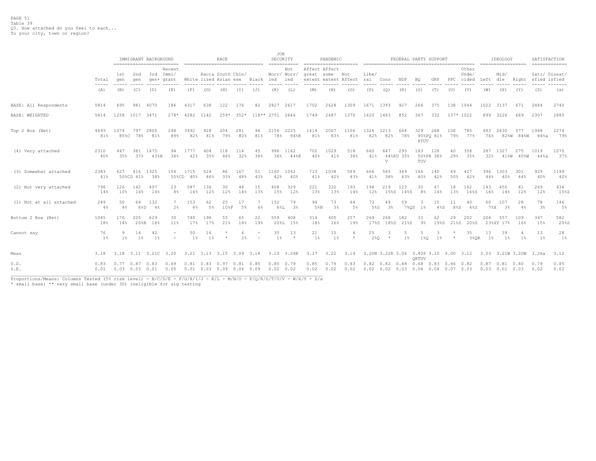|                         |                                        |                                           |                  | IMMIGRANT BACKGROUND | ==========================    |             | ================================                                         | <b>RACE</b> |                   |                          | JOB             | SECURITY<br>$=$ = = = = = = = = = = = |               | PANDEMIC       | ===================== |              |                                              |                  |                    | FEDERAL PARTY SUPPORT                               |                    |                         |              | IDEOLOGY<br>==================        |                  | SATISFACTION<br>$=$ = = = = = = = = = = = = = |              |
|-------------------------|----------------------------------------|-------------------------------------------|------------------|----------------------|-------------------------------|-------------|--------------------------------------------------------------------------|-------------|-------------------|--------------------------|-----------------|---------------------------------------|---------------|----------------|-----------------------|--------------|----------------------------------------------|------------------|--------------------|-----------------------------------------------------|--------------------|-------------------------|--------------|---------------------------------------|------------------|-----------------------------------------------|--------------|
|                         | Total<br>$\cdots \cdots \cdots \cdots$ | 1st<br>qen                                | 2nd<br>qen       | 3rd                  | Recent<br>Immi/<br>gen+ grant |             | White lized Asian ese                                                    |             | Racia South Chin/ | Black                    | ied             | Not<br>Worr/ Worr,<br>ied             | Affect Affect | great some Not | extent extent Affect  | Libe/<br>ral | Cons                                         | NDP              | BO                 | GRP                                                 | $_{\rm PPC}$       | Other<br>Unde/<br>cided | Left         | Mid/<br>dle                           | Right            | Sati/ Dissat/<br>sfied isfied                 |              |
|                         | (A)                                    | (B)                                       | (C)              | (D)                  | (E)                           | (F)         | (G)                                                                      | (H)         | (T)               | (J)                      | (K)             | (L)                                   | (M)           | (N)            | (0)                   | (P)          | (Q)                                          | (R)              | (S)                | (T)                                                 | (U)                | (V)                     | (W)          | (X)                                   | (Y)              | (Z)                                           | (a)          |
| BASE: All Respondents   | 5814                                   | 695                                       | 981              | 4070                 | 186                           | 4317        | 638                                                                      | 122         | 176               | 82                       | 2827            | 2617                                  | 1702          | 2628           | 1309                  | 1671         | 1393                                         | 927              | 266                | 375                                                 | 138                | 1044                    | 1022         | 3137                                  | 671              | 2484                                          | 2740         |
| BASE: WEIGHTED          | 5814                                   |                                           | 1258 1017 3471   |                      | $278*$                        | 4282        | 1142                                                                     | $259*$      | $352*$            |                          | 118** 2751 2646 |                                       | 1749          | 2487           | 1370                  | 1620         | 1483                                         | 852              | 367                | 332                                                 |                    | 137* 1022               | 899          | 3226                                  | 689              | 2307                                          | 2885         |
| Top 2 Box (Net)         | 4693<br>81%                            | 1074<br>85%C                              | 797<br>78%       | 2800<br>81%          | 248<br>89%                    | 3492<br>82% | 928<br>81%                                                               | 204<br>79%  | 281<br>80%        | 96<br>81%                | 2156<br>78%     | 2225<br>84%K                          | 1414<br>81%   | 2067<br>83%    | 1106<br>81%           | 1326<br>82%  | 1213<br>82%                                  | 664<br>78%       | 329<br><b>RTUV</b> | 268<br>90%PO 81%                                    | 108<br>79%         | 785<br>77%              | 683<br>76%   | 2630                                  | 577<br>82%W 84%W | 1948<br>84%a                                  | 2274<br>79%  |
| (4) Very attached       | 2310<br>40%                            | 447<br>35%                                | 381<br>37%       | 1475<br>43%B         | 94<br>34%                     | 1777<br>42% | 404<br>35%                                                               | 118<br>46%  | 114<br>32%        | 45<br>38%                | 996<br>36%      | 1162<br>44%K                          | 702<br>40%    | 1029<br>41%    | 518<br>38%            | 660<br>41%   | 647<br>V                                     | 295<br>44%RU 35% | 183<br>TUV         | 128<br>50%PR 38%                                    | 40<br>29%          | 358<br>35%              | 287<br>32%   | 1327                                  | 275<br>41%W 40%W | 1019<br>44%a                                  | 1075<br>37%  |
| (3) Somewhat attached   | 2383<br>41%                            | 627                                       | 416<br>50%CD 41% | 1325<br>38%          | 154<br>55%CD                  | 1715<br>40% | 524<br>46%                                                               | 86<br>33%   | 167<br>48%        | 51<br>43%                | 1160<br>42%     | 1062<br>40%                           | 713<br>41%    | 1038<br>42%    | 589<br>43%            | 666<br>41%   | 565<br>38%                                   | 369<br>43%       | 146<br>40%         | 140<br>42%                                          | 69<br>50%          | 427<br>42%              | 396<br>44%   | 1303<br>40%                           | 301<br>44%       | 929<br>40%                                    | 1199<br>42%  |
| (2) Not very attached   | 796<br>14%                             | 126<br>10%                                | 142<br>14%       | 497<br>14%           | 23<br>8%                      | 587<br>14%  | 136<br>12%                                                               | 30<br>12%   | 48<br>14%         | 15<br>13%                | 408<br>15%      | 329<br>12%                            | 221<br>13%    | 332<br>13%     | 193<br>14%            | 196<br>12%   | 219<br>15%S                                  | 123<br>14%S      | 30<br>$8\%$        | 47<br>14%                                           | 18<br>13%          | 162<br>16%S             | 143<br>16%   | 450<br>14%                            | 81<br>12%        | 269<br>12%                                    | 436<br>15%Z  |
| (1) Not at all attached | 249<br>4%                              | 50<br>$4\%$                               | 64<br>6%D        | 132<br>4%            | 2%                            | 153<br>4%   | 62<br>$5\%$                                                              | 25<br>108F  | 17<br>5%          | -7<br>6%                 | 152<br>6%L      | 79<br>3%                              | 94<br>5%N     | 73<br>3%       | 64<br>5%              | 73<br>5%S    | 49<br>3%                                     | 59<br>7%0S       | $1\%$              | 15<br>$4\$ s                                        | 11<br>8%S          | 40<br>48S               | 60<br>$7\$ X | 107<br>3%                             | 28<br>4%         | 78<br>3%                                      | 146<br>$5\%$ |
| Bottom 2 Box (Net)      | 1045<br>18%                            | 176<br>14%                                | 205<br>20%B      | 629<br>18%           | 30<br>11%                     | 740<br>17%  | 198<br>17%                                                               | 55<br>21%   | 65<br>18%         | 22<br>19%                | 559<br>20%L     | 408<br>15%                            | 314<br>18%    | 405<br>16%     | 257<br>19%            | 269<br>17%S  | 268<br>18%S                                  | 182<br>21%S      | 33<br>9%           | 62<br>19%S                                          | 29<br>21%S         | 202<br>20%S             | 204          | 557<br>23%XY 17%                      | 109<br>16%       | 347<br>15%                                    | 582<br>20%Z  |
| Cannot say              | 76<br>$1\%$                            | -9<br>$1\%$                               | 14<br>$1\%$      | 42<br>$1\%$          | $\equiv$                      | 50<br>$1\%$ | 16<br>$1\%$                                                              |             | 6<br>2%           | $\overline{\phantom{a}}$ | 35<br>$1\%$     | 13<br>$\star$                         | 21<br>$1\%$   | 15<br>$1\%$    | 6<br>$\star$          | 25<br>280    | 3<br>$\star$                                 | $1\%$            | 5<br>1%0           | 3<br>$1\%$                                          | $\star$<br>$\star$ | 35<br>3%OR              | 13<br>1%     | 39<br>$1\%$                           | $1\%$            | 13<br>$1\%$                                   | 28<br>1%     |
| Mean                    | 3.18                                   |                                           |                  |                      | 3.18 3.11 3.21C 3.20          |             | 3.21 3.13 3.15 3.09 3.14                                                 |             |                   |                          |                 | 3.10 3.26K                            | 3.17          | 3.22           | 3.14                  |              | 3.20R 3.22R 3.06 3.40P 3.15 3.00 3.12        |                  | ORTUV              |                                                     |                    |                         |              | 3.03 3.21W 3.20W 3.26a                |                  |                                               | 3.12         |
| S.D.<br>S.E.<br>$\sim$  | 0.83<br>0.01                           | $0.77 \quad 0.87$<br>$0.03$ $0.03$ $0.01$ |                  | 0.83                 | 0.69<br>0.05                  |             | $0.81$ $0.83$ $0.97$ $0.81$ $0.85$<br>$0.01$ $0.03$ $0.09$ $0.06$ $0.09$ |             |                   |                          | 0.02 0.02       | $0.85$ 0.79                           | 0.85<br>0.02  | 0.79<br>0.02   | 0.83<br>0.02          |              | $0.82$ $0.82$ $0.88$<br>$0.02$ $0.02$ $0.03$ |                  | 0.68               | $0.83$ $0.86$ $0.82$<br>$0.04$ $0.04$ $0.07$ $0.03$ |                    |                         | 0.87         | $0.81$ $0.80$<br>$0.03$ $0.01$ $0.03$ |                  | 0.79<br>0.02                                  | 0.85<br>0.02 |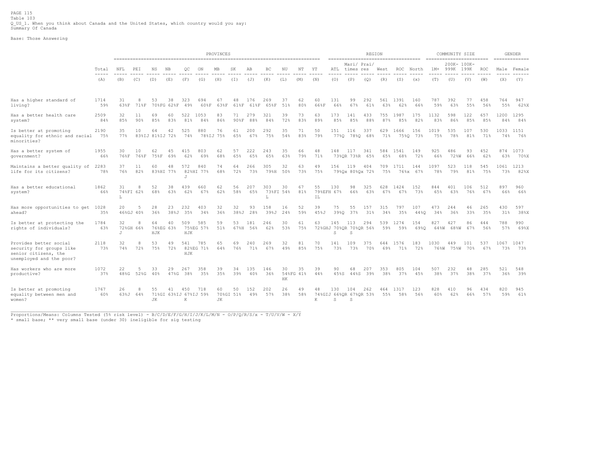#### Base: Those Answering

|                                                                                                        |             |            |                 |                        |                  |                                   |                  | PROVINCES       |                 |             |             |                 |                 |            |                   |                   | REGION                        |            | ------------------------------------- |                 | ------------------------ | COMMUNITY SIZE      |            |            |             | <b>GENDER</b> |
|--------------------------------------------------------------------------------------------------------|-------------|------------|-----------------|------------------------|------------------|-----------------------------------|------------------|-----------------|-----------------|-------------|-------------|-----------------|-----------------|------------|-------------------|-------------------|-------------------------------|------------|---------------------------------------|-----------------|--------------------------|---------------------|------------|------------|-------------|---------------|
|                                                                                                        | Total       | NFL        | PEI             | ΝS                     | NB               | QC                                | ON               | MB              | SK              | AВ          | BC          | ΝU              | NΤ              | ΥT         | ATL               | times res         | Mari/ Prai/                   | West       | <b>ROC</b>                            | North           | $1M+$                    | 200K- 100K-<br>999K | 199K       | ROC        |             | Male Female   |
|                                                                                                        | (A)         | (B)        | (C)             | (D)                    | (E)              | (F)                               | (G)              | (H)             | (T)             | (J)         | (K)         | (L)             | (M)             | (N)        | (0)               | (P)               | (Q)                           | (R)        | (S)                                   | (x)             | (T)                      | (U)                 | (V)        | (W)        | (X)         | (Y)           |
| Has a higher standard of<br>living?                                                                    | 1714<br>59% | 31<br>63%F | 8<br>71%F       | 53                     | 38<br>70%FG 62%F | 323<br>49%                        | 694<br>60%F      | 67<br>63%F      | 48<br>61%F      | 176<br>61%F | 269<br>65%F | 37<br>51%       | 62<br>80%       | 60<br>66%F | 131<br>66%        | 99<br>67%         | 292<br>61%                    | 561<br>63% | 1391<br>62%                           | 160<br>66%      | 787<br>59%               | 392<br>63%          | 77<br>55%  | 458<br>56% | 764<br>55%  | 947<br>62%X   |
| Has a better health care<br>system?                                                                    | 2509<br>84% | 32<br>85%  | 11<br>90%       | 69<br>85%              | 60<br>83%        | 522<br>81%                        | 1053<br>84%      | 83<br>86%       | 71<br>90%F      | 279<br>88%  | 321<br>84%  | 39<br>72%       | 73<br>83%       | 63<br>89%  | 173<br>85%        | 141<br>85%        | 433<br>88%                    | 755<br>87% | 1987<br>85%                           | 175<br>82%      | 1132<br>83%              | 598<br>86%          | 122<br>85% | 657<br>85% | 1200<br>84% | 1295<br>84%   |
| Is better at promoting<br>equality for ethnic and racial<br>minorities?                                | 2190<br>75% | 35<br>77%  | 10              | 64<br>83%IJ 81%IJ 72%  | 42               | 525<br>74%                        | 880              | 76<br>78%IJ 75% | 61<br>65%       | 200<br>67%  | 292<br>75%  | 35<br>54%       | 71<br>83%       | 50<br>79%  | 151               | 116               | 337<br>77%0 78%0 68%          | 629<br>71% | 1666                                  | 156<br>75%0 73% | 1019<br>75%              | 535<br>78%          | 107<br>81% | 530<br>71% | 1033<br>74% | 1151<br>76%   |
| Has a better system of<br>qovernment?                                                                  | 1955<br>66% | 30<br>76%F | 10<br>76%F      | 62<br>75%F             | 45<br>69%        | 415<br>62%                        | 803<br>69%       | 62<br>68%       | 57<br>65%       | 222<br>65%  | 243<br>65%  | 35<br>63%       | 66<br>79%       | 48<br>71%  | 148               | 117<br>73%OR 73%R | 341<br>65%                    | 584<br>65% | 1541<br>68%                           | 149<br>72%      | 925<br>66%               | 486<br><b>72%W</b>  | 93<br>66%  | 452<br>62% | 874<br>63%  | 1073<br>70%X  |
| Maintains a better quality of<br>life for its citizens?                                                | 2283<br>78% | 37<br>76%  | 11<br>82%       | 60                     | 48<br>83%HI 77%  | 572<br>$\tau$                     | 840<br>82%HI 77% | 74<br>68%       | 64<br>72%       | 266<br>73%  | 305<br>79%H | 32<br>50%       | 63<br>73%       | 49<br>75%  | 156               | 119               | 404<br>79%Qx 80%Qx 72%        | 709<br>75% | 1711<br>$76\$ $x$                     | 144<br>67%      | 1097<br>78%              | 523<br>79%          | 118<br>81% | 545<br>75% | 1061<br>73% | 1213<br>82%X  |
| Has a better educational<br>system?                                                                    | 1862<br>66% | 31<br>L    | 8<br>74%FI 62%  | 52<br>68%              | 38<br>63%        | 439<br>62%                        | 660<br>67%       | 62<br>62%       | 56<br>58%       | 207<br>65%  | 303<br>L    | 30<br>73%FI 54% | 67<br>81%       | 55<br>ΙL   | 130<br>79%EFH 67% | 98<br>66%         | 325<br>63%                    | 628<br>67% | 1424<br>67%                           | 152<br>73%      | 844<br>65%               | 401<br>63%          | 106<br>76% | 512<br>67% | 897<br>66%  | 960<br>66%    |
| Has more opportunities to get<br>ahead?                                                                | 1028<br>35% | 20         | -5<br>46%GJ 40% | 28<br>36%              | 23<br>38%J       | 232<br>35%                        | 403<br>34%       | 32<br>36%       | 32<br>38%J      | 93<br>28%   | 158<br>39%J | 16<br>24%       | 52<br>59%       | 39<br>45%J | 75<br>39%0        | 55<br>37%         | 157<br>31%                    | 315<br>34% | 797<br>35%                            | 107<br>44%0     | 473<br>34%               | 244<br>36%          | 46<br>33%  | 265<br>35% | 430<br>31%  | 597<br>38%X   |
| Is better at protecting the<br>rights of individuals?                                                  | 1784<br>63% | 32<br>J    | 8<br>72%GH 66%  | 64<br>76%EG 63%<br>HJK | 40               | 509<br>HJK                        | 585<br>75%EG 57% | 59<br>51%       | 53<br>67%H      | 181<br>56%  | 246<br>62%  | 30<br>53%       | 61<br>75%       | 63         | 145<br>S          | 113<br>S          | 294<br>72%GHJ 70%OR 70%OR 56% | 539<br>59% | 1274<br>59%                           | 154<br>69%0     | 827<br>64%W              | 427<br>68%W         | 86<br>67%  | 444<br>56% | 788<br>57%  | 990<br>69%X   |
| Provides better social<br>security for groups like<br>senior citizens, the<br>unemployed and the poor? | 2118<br>73% | 32<br>74%  | 8<br>72%        | 53<br>75%              | 49<br>72%        | 541<br>HJK                        | 785<br>82%EG 71% | 65<br>64%       | 69<br>76%       | 240<br>71%  | 269<br>67%  | 32<br>49%       | 81<br>85%       | 70<br>75%  | 141<br>73%        | 109<br>73%        | 375<br>70%                    | 644<br>69% | 1576<br>71%                           | 183<br>72%      | 1030<br>76%W             | 449<br>75%W         | 101<br>70% | 537<br>67% | 1067<br>73% | 1047<br>73%   |
| Has workers who are more<br>productive?                                                                | 1072<br>37% | 22<br>48%G | .5<br>52%G      | 33<br>40%              | 29<br>47%G       | 267<br>38%                        | 358<br>35%       | 39<br>35%       | 34<br>39%       | 135<br>40%  | 146<br>36%  | 30<br>HK        | 35<br>54%FG 41% | 39<br>44%  | 90<br>45%S        | 68<br>44%S        | 207<br>39%                    | 353<br>38% | 805<br>37%                            | 104<br>45%      | 507<br>38%               | 232<br>37%          | 48<br>38%  | 285<br>37% | 521<br>36%  | 548<br>39%    |
| Is better at promoting<br>equality between men and<br>women?                                           | 1767<br>60% | 26<br>63%J | 8<br>64%        | 55<br><b>JK</b>        | 41               | 450<br>71%GI 63%IJ 67%IJ 59%<br>K | 718              | 60<br>JК        | 50<br>70%GI 51% | 152<br>49%  | 202<br>57%  | 26<br>38%       | 49<br>58%       | 48<br>K    | 130<br>S          | 104<br>S          | 262<br>74%GIJ 66%OR 67%OR 53% | 464<br>55% | 1317<br>58%                           | 123<br>56%      | 828<br>60%               | 410<br>62%          | 96<br>66%  | 434<br>57% | 820<br>59%  | 945<br>61%    |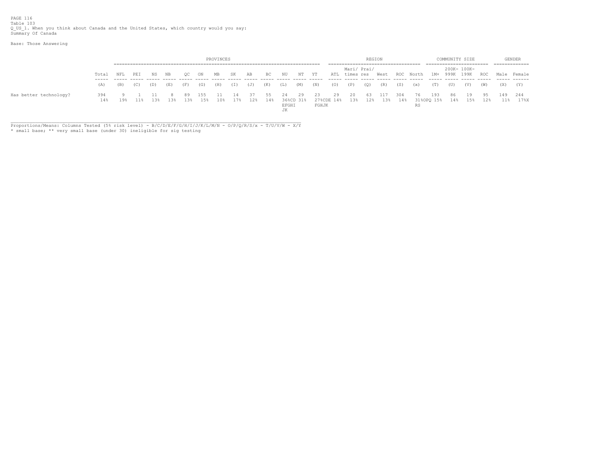Base: Those Answering

|                        |            |     |           |         |     |       |                | PROVINCES |     |               |           |             |                 |             |                  |             |     | REGION                 |     |          |     |     | COMMUNITY SIZE |                              |     | <b>GENDER</b>                                              |
|------------------------|------------|-----|-----------|---------|-----|-------|----------------|-----------|-----|---------------|-----------|-------------|-----------------|-------------|------------------|-------------|-----|------------------------|-----|----------|-----|-----|----------------|------------------------------|-----|------------------------------------------------------------|
|                        |            |     |           |         |     |       |                |           |     |               |           |             |                 |             |                  |             |     |                        |     |          |     |     |                |                              |     |                                                            |
|                        | Total NFL  |     | PEI NS NB |         |     | OC ON |                | MB        | SK  | AB            | BC        | NU          | NT YT           |             |                  | Mari/ Prai/ |     |                        |     |          |     |     | 200K- 100K-    |                              |     | ATL times res West ROC North 1M+ 999K 199K ROC Male Female |
|                        | (A)        | (B) | (C)       | (D) (E) |     | (F)   | (G)            | (H)       | (I) | (J) (K)       |           | (L)         | $(M)$ $(N)$     |             |                  | $(0)$ $(P)$ | (C) | $(R)$ $(S)$            |     | (x)      | (T) | (U) | (V)            | (W)                          |     | $(Y)$ $(Y)$                                                |
| Has better technology? | 394<br>14% | 19% | 11%       | 13%     | 13% | 89    | 155<br>13% 15% | 10%       | 14  | 37<br>17% 12% | 55<br>14% | 24<br>EFGHI | 29<br>36%CD 31% | 23<br>FGHJK | 29<br>27%CDE 14% | 20          | 63  | 117<br>13% 12% 13% 14% | 304 | 76<br>RS | 193 | 86  | 19             | 95<br>31%OPO 15% 14% 15% 12% | 149 | 244<br>11% 17%X                                            |
|                        |            |     |           |         |     |       |                |           |     |               |           | <b>JK</b>   |                 |             |                  |             |     |                        |     |          |     |     |                |                              |     |                                                            |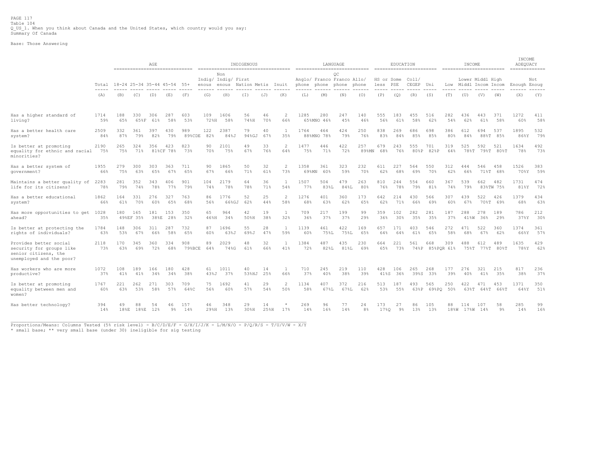PAGE 117 Table 104<br>Q\_US\_1. When you think about Canada and the United States, which country would you say:<br>Summary Of Canada

Base: Those Answering

|                                                                                                        |                        | AGE<br>----------------------------- |                  |             |                  |               |             | ----------------------------------  | INDIGENOUS         |            |                     |               |                   | LANGUAGE                                                    |              |                        | EDUCATION   |                |                        |            | INCOME                                |                       |                  | INCOME<br>ADEQUACY<br>============= |            |
|--------------------------------------------------------------------------------------------------------|------------------------|--------------------------------------|------------------|-------------|------------------|---------------|-------------|-------------------------------------|--------------------|------------|---------------------|---------------|-------------------|-------------------------------------------------------------|--------------|------------------------|-------------|----------------|------------------------|------------|---------------------------------------|-----------------------|------------------|-------------------------------------|------------|
|                                                                                                        | Total<br>$\frac{1}{2}$ | 18-24 25-34 35-44 45-54 55+          |                  |             |                  |               | enous       | Non<br>Indig/ Indig/ First<br>enous | Nation Metis Inuit |            |                     |               |                   | ОC<br>Anglo/ Franco Franco Allo/<br>phone phone phone phone |              | HS or Some<br>less PSE |             | Col1/<br>CEGEP | Uni                    | Low        | Lower Middl High<br>Middl Incom Incom |                       |                  | Enough Enoug                        | Not        |
|                                                                                                        | (A)                    | (B)                                  | (C)              | (D)         | (E)              | (F)           | (G)         | (H)                                 | (T)                | (J)        | (K)                 | (L)           | (M)               | (N)                                                         | (0)          | (P)                    | (Q)         | (R)            | (S)                    | (T)        | (U)                                   | (V)                   | (W)              | (X)                                 | (Y)        |
| Has a higher standard of<br>living?                                                                    | 1714<br>59%            | 188<br>65%                           | 330<br>65%F      | 306<br>61%  | 287<br>58%       | 603<br>53%    | 109<br>72%H | 1606<br>58%                         | 56<br>74%H         | 46<br>70%  | 2<br>66%            | 1285          | 280<br>65%MNO 46% | 247<br>45%                                                  | 140<br>46%   | 555<br>56%             | 183<br>61%  | 455<br>58%     | 516<br>62%             | 282<br>54% | 436<br>62%                            | 443<br>61%            | 371<br>58%       | 1272<br>60%                         | 411<br>58% |
| Has a better health care<br>system?                                                                    | 2509<br>84%            | 332<br>87%                           | 361<br>79%       | 397<br>82%  | 430<br>79%       | 989<br>89%CDE | 122<br>82%  | 2387<br>84%J                        | 79<br>94%GJ        | 40<br>67%  | $\mathbf{1}$<br>35% | 1764          | 464<br>88%MNO 78% | 424<br>79%                                                  | 250<br>76%   | 838<br>83%             | 269<br>84%  | 686<br>85%     | 698<br>85%             | 386<br>80% | 612<br>84%                            | 694                   | 537<br>88%T 85%  | 1895<br>86%Y                        | 532<br>79% |
| Is better at promoting<br>equality for ethnic and racial<br>minorities?                                | 2190<br>75%            | 265<br>75%                           | 324<br>71%       | 356         | 423<br>81%CF 78% | 823<br>73%    | 90<br>70%   | 2101<br>75%                         | 49<br>67%          | 33<br>76%  | 2<br>64%            | 1477<br>75%   | 446<br>71%        | 422<br>72%                                                  | 257<br>89%MN | 679<br>68%             | 243<br>76%  | 555<br>80%P    | 701<br>82%P            | 319<br>64% | 525<br>78%T                           | 592                   | 521<br>79%T 80%T | 1634<br>78%                         | 492<br>73% |
| Has a better system of<br>qovernment?                                                                  | 1955<br>66%            | 279<br>75%                           | 300<br>63%       | 303<br>65%  | 363<br>67%       | 711<br>65%    | 90<br>67%   | 1865<br>66%                         | 50<br>71%          | 32<br>61%  | 2<br>73%            | 1358<br>69%MN | 361<br>60%        | 323<br>59%                                                  | 232<br>70%   | 611<br>62%             | 227<br>68%  | 564<br>69%     | 550<br>70%             | 312<br>62% | 444<br>66%                            | 546                   | 458<br>71%T 68%  | 1526<br>70%Y                        | 383<br>59% |
| Maintains a better quality of<br>life for its citizens?                                                | 2283<br>78%            | 281<br>79%                           | 352<br>74%       | 343<br>78%  | 406<br>77%       | 901<br>79%    | 104<br>74%  | 2179<br>78%                         | 64<br>78%          | 36<br>71%  | $\mathbf{1}$<br>54% | 1507<br>77%   | 504<br>83%L       | 479<br>84%L                                                 | 263<br>80%   | 810<br>76%             | 244<br>78%  | 554<br>79%     | 660<br>81%             | 367<br>74% | 539<br>79%                            | 662                   | 482<br>83%TW 75% | 1731<br>81%Y                        | 474<br>72% |
| Has a better educational<br>system?                                                                    | 1862<br>66%            | 164<br>61%                           | 331<br>70%       | 276<br>60%  | 327<br>65%       | 763<br>68%    | 86<br>56%   | 1776<br>66%GJ                       | 52<br>62%          | 25<br>44%  | 2<br>58%            | 1276<br>689   | 401<br>63%        | 360<br>62%                                                  | 173<br>65%   | 642<br>62%             | 214<br>71%  | 430<br>66%     | 566<br>69%             | 307<br>60% | 439<br>67%                            | 522                   | 426<br>70%T 69%  | 1379<br>68%                         | 434<br>63% |
| Has more opportunities to get 1028<br>ahead?                                                           | 35%                    | 180                                  | 165<br>49%EF 35% | 181<br>38%E | 153<br>28%       | 350<br>32%    | 65<br>46%H  | 964<br>34%                          | 42<br>50%H         | 19<br>38%  | $\mathbf{1}$<br>32% | 709<br>36%    | 217<br>37%        | 199<br>37%                                                  | 99<br>29%    | 359<br>36%             | 102<br>30%  | 282<br>35%     | 281<br>35%             | 187<br>37% | 288<br>41%W                           | 278<br>36%            | 189<br>29%       | 786<br>37%Y                         | 212<br>30% |
| Is better at protecting the<br>rights of individuals?                                                  | 1784<br>63%            | 148<br>53%                           | 306<br>67%       | 311<br>66%  | 287<br>58%       | 732<br>65%    | 87<br>60%   | 1696<br>63%J                        | 55<br>69%J         | 28<br>47%  | $\mathbf{1}$<br>59% | 1139<br>60%   | 461<br>75%L       | 422<br>75%L                                                 | 169<br>65%   | 657<br>64%             | 171<br>64%  | 403<br>61%     | 546<br>65%             | 272<br>58% | 471<br>68%                            | 522<br>67%            | 360<br>62%       | 1374<br>66%Y                        | 361<br>57% |
| Provides better social<br>security for groups like<br>senior citizens, the<br>unemployed and the poor? | 2118<br>73%            | 170<br>63%                           | 345<br>69%       | 360<br>72%  | 334<br>68%       | 908<br>79%BCE | 89<br>64%   | 2029<br>74%G                        | 48<br>61%          | 32<br>66%  | $\mathbf{1}$<br>41% | 1384<br>72%   | 487<br>82%L       | 435<br>81%L                                                 | 230<br>69%   | 664<br>65%             | 221<br>73%  | 561            | 668<br>74%P 85%POR 61% | 309        | 488                                   | 612<br>75%T 77%T 80%T | 489              | 1635<br>78%Y                        | 429<br>62% |
| Has workers who are more<br>productive?                                                                | 1072<br>37%            | 108<br>41%                           | 189<br>41%       | 166<br>34%  | 180<br>34%       | 428<br>38%    | 61<br>43%J  | 1011<br>37%                         | 40<br>53%HJ        | 14<br>25%  | 1<br>66%            | 710<br>37%    | 245<br>40%        | 219<br>38%                                                  | 110<br>39%   | 428<br>41%S            | 106<br>36%  | 265<br>39%S    | 268<br>33%             | 177<br>39% | 276<br>40%                            | 321<br>41%            | 215<br>35%       | 817<br>38%                          | 236<br>37% |
| Is better at promoting<br>equality between men and<br>women?                                           | 1767<br>60%            | 221<br>63%                           | 262<br>53%       | 271<br>58%  | 303<br>57%       | 709<br>64%C   | 75<br>56%   | 1692<br>60%                         | 41<br>57%          | 29<br>54%  | 2<br>50%            | 1134<br>58%   | 407<br>67%L       | 372<br>67%L                                                 | 216<br>62%   | 513<br>53%             | 187<br>55%  | 493<br>63%P    | 565<br>69%PO 50%       | 250        | 422<br>63%T                           | 471                   | 453<br>64%T 66%T | 1371<br>64%Y                        | 350<br>51% |
| Has better technology?                                                                                 | 394<br>14%             | 49<br>$18\,$ <sub>8</sub> E          | 88<br>18%E       | 54<br>12%   | 46<br>9%         | 157<br>14%    | 46<br>29%H  | 348<br>13%                          | 29<br>30%H         | 14<br>25%H | $\star$<br>17%      | 269<br>14%    | 96<br>16%         | 77<br>14%                                                   | 24<br>8%     | 173<br>17%0            | 27<br>$9\%$ | 86<br>13%      | 105<br>13%             | 88         | 114<br>18%W 17%W 14%                  | 107                   | 58<br>$9\%$      | 285<br>14%                          | 99<br>16%  |

\_\_\_\_\_\_\_\_\_\_\_\_\_\_\_\_\_\_\_\_\_\_\_\_\_\_\_\_\_\_\_\_\_\_\_\_\_\_\_\_\_\_\_\_\_\_\_\_\_\_\_\_\_\_\_\_\_\_\_\_\_\_\_\_\_\_\_\_\_\_\_\_\_\_\_\_\_\_\_\_\_\_\_\_\_\_\_\_\_\_\_\_\_\_\_\_\_\_\_\_\_\_\_\_\_\_\_\_\_ Proportions/Means: Columns Tested (5% risk level) - B/C/D/E/F - G/H/I/J/K - L/M/N/O - P/Q/R/S - T/U/V/W - X/Y

\* small base; \*\* very small base (under 30) ineligible for sig testing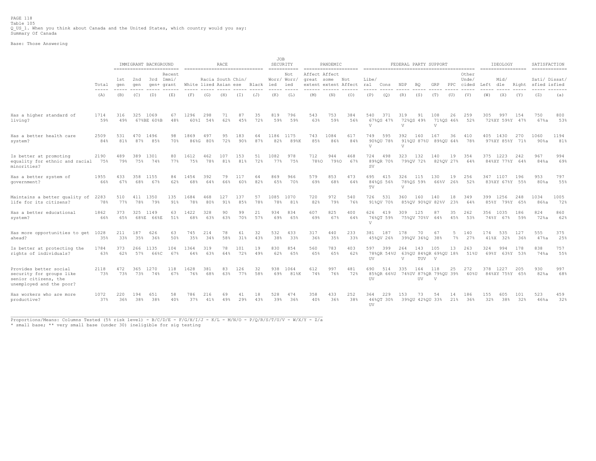PAGE 118 Table 105<br>Q\_US\_1. When you think about Canada and the United States, which country would you say:<br>Summary Of Canada

Base: Those Answering

|                                                                                                        |                        |            |            | IMMIGRANT BACKGROUND    | ------------------------- |                       |                   | RACE       |            | ------------------------------- | JOB<br>SECURITY  | $=$ = = = = = = = = = = = |                                                     | PANDEMIC    |            |                     |                   | FEDERAL PARTY SUPPORT   |                       |                                        |                      |                         |                 | IDEOLOGY<br>------------------ |            | SATISFACTION<br>============= |             |
|--------------------------------------------------------------------------------------------------------|------------------------|------------|------------|-------------------------|---------------------------|-----------------------|-------------------|------------|------------|---------------------------------|------------------|---------------------------|-----------------------------------------------------|-------------|------------|---------------------|-------------------|-------------------------|-----------------------|----------------------------------------|----------------------|-------------------------|-----------------|--------------------------------|------------|-------------------------------|-------------|
|                                                                                                        | Total<br>$\frac{1}{2}$ | 1st<br>qen | 2nd<br>qen | 3rd Immi/<br>gen+ grant | Recent                    | White lized Asian ese | Racia South Chin/ |            |            | Black                           | ied              | Not<br>Worr/ Worr/<br>ied | Affect Affect<br>great some<br>extent extent Affect |             | Not        | Libe/<br>ral        | Cons              | NDP                     | ВQ                    | GRP                                    | $_{\rm PPC}$         | Other<br>Unde/<br>cided | Left dle        | Mid/                           | Right      | Sati/ Dissat/<br>sfied isfied |             |
|                                                                                                        | (A)                    | (B)        | (C)        | (D)                     | (E)                       | (F)                   | (G)               | (H)        | (T)        | (J)                             | (K)              | (L)                       | (M)                                                 | (N)         | (0)        | (P)                 | (Q)               | (R)                     | (S)                   | (T)                                    | (U)                  | (V)                     | (W)             | (X)                            | (Y)        | (Z)                           | (a)         |
| Has a higher standard of<br>living?                                                                    | 1714<br>59%            | 316<br>49% | 325        | 1069<br>67%BE 60%B      | 67<br>48%                 | 1296<br>60%I          | 298<br>54%        | 71<br>62%  | 87<br>45%  | 35<br>72%                       | 819<br>59%       | 796<br>59%                | 543<br>63%                                          | 753<br>59%  | 384<br>56% | 540<br>$\mathbf{V}$ | 371<br>67%OS 47%  | 319<br>V                | 91<br>72%0S 49%       | 108<br>V                               | 26<br>71%0S 46%      | 259<br>52%              | 305             | 997<br>72%XY 59%Y 47%          | 154        | 750<br>$67$ %a                | 800<br>53%  |
| Has a better health care<br>system?                                                                    | 2509<br>84%            | 531<br>81% | 470<br>87% | 1496<br>85%             | 98<br>70%                 | 1869<br>86%G          | 497<br>80%        | 95<br>72%  | 183<br>90% | 64<br>87%                       | 1186 1175<br>82% | 89%K                      | 743<br>85%                                          | 1084<br>86% | 617<br>84% | 749<br>$\sqrt{ }$   | 595<br>90%OU 78%  | 392<br>V                | 160                   | 167<br>91%0U 87%U 89%0U 64%            | 36                   | 410<br>78%              |                 | 405 1430<br>97%XY 85%Y 71%     | 270        | 1060<br>$90$ %a               | 1194<br>81% |
| Is better at promoting<br>equality for ethnic and racial 75%<br>minorities?                            | 2190                   | 489<br>79% | 389<br>75% | 1301<br>74%             | 80<br>77%                 | 1612<br>75%           | 462<br>78%        | 107<br>81% | 153<br>81% | 51<br>72%                       | 1082<br>77%      | 978<br>75%                | 712<br>78%0                                         | 944<br>79%0 | 468<br>67% | 724<br>SV           | 498<br>89%OR 70%  | 323                     | 132<br>79%OV 72%      | 140                                    | 19<br>82%OV 27%      | 354<br>64%              |                 | 375 1223<br>84%XY 77%Y 64%     | 242        | 967<br>84%a                   | 994<br>69%  |
| Has a better system of<br>government?                                                                  | 1955<br>66%            | 433<br>67% | 358<br>68% | 1155<br>67%             | 84<br>62%                 | 1454<br>68%           | 392<br>64%        | 79<br>66%  | 117<br>60% | 64<br>82%                       | 869<br>65%       | 966<br>70%                | 579<br>69%                                          | 853<br>68%  | 473<br>64% | 695<br>TV           | 415<br>84%OS 56%  | 326 115<br>$\mathbf{V}$ | 78% QS 59%            | 130                                    | 19<br>66%V 26%       | 256<br>52%              |                 | 347 1107<br>83%XY 67%Y 55%     | 196        | 953<br>80 <sub>8a</sub>       | 797<br>55%  |
| Maintains a better quality of 2283<br>life for its citizens?                                           | 78%                    | 510<br>77% | 411<br>78% | 1350<br>79%             | 135<br>91%                | 1684<br>78%           | 468<br>80%        | 127<br>91% | 137<br>85% | 57<br>78%                       | 1085<br>78%      | 1070<br>81%               | 720<br>82%                                          | 972<br>79%  | 540<br>76% | 726                 | 531<br>91%OV 70%  | 360                     | 160                   | 140<br>85%QV 90%QV 82%V                | 18<br>23%            | 349<br>64%              |                 | 399 1256<br>85%Y 79%Y 65%      | 248        | 1034<br>86%a                  | 1005<br>72% |
| Has a better educational<br>system?                                                                    | 1862<br>66%            | 373<br>65% | 325        | 1149<br>68%E 66%E       | 63<br>51%                 | 1422<br>68%           | 328<br>63%        | 90<br>63%  | 99<br>70%  | 21<br>57%                       | 934<br>69%       | 834<br>65%                | 607<br>69%                                          | 825<br>67%  | 400<br>64% | 626<br>$\mathbf{V}$ | 419<br>76%OT 59%  | 309                     | 125<br>75%OV 70%V 64% | 87                                     | 35<br>45%            | 262<br>53%              |                 | 356 1035<br>74%Y 67%           | 186<br>59% | 824<br>72%a                   | 860<br>62%  |
| Has more opportunities to get<br>ahead?                                                                | 1028<br>35%            | 211<br>33% | 187<br>35% | 626<br>36%              | 63<br>50%                 | 745<br>35%            | 214<br>34%        | 78<br>58%  | 61<br>31%  | 32<br>43%                       | 532<br>38%       | 433<br>33%                | 317<br>36%                                          | 440<br>35%  | 233<br>33% | 381                 | 187<br>45%OV 26%  | 178                     | 70<br>39%OV 36%O 38%  | 67                                     | -5<br>$7\frac{6}{3}$ | 140<br>27%              | 174<br>$41\%$ X | 535<br>32%                     | 127<br>36% | 555<br>$47$ %a                | 375<br>25%  |
| Is better at protecting the<br>rights of individuals?                                                  | 1784<br>63%            | 373<br>62% | 266<br>57% | 1135<br>66%C            | 104<br>67%                | 1364<br>64%           | 319<br>63%        | 78<br>64%  | 101<br>72% | 19<br>49%                       | 830<br>62%       | 854<br>65%                | 560<br>65%                                          | 783<br>65%  | 403<br>62% | 597<br>UV           | 399<br>78%OR 54%U | 264<br>V                | 143<br>TUV            | 105<br>63%QU 84%QR 69%QU 18%<br>V      | 13                   | 263<br>51%U             | 324             | 994<br>69%Y 63%Y 53%           | 178        | 838<br>$74\$ a                | 757<br>55%  |
| Provides better social<br>security for groups like<br>senior citizens, the<br>unemployed and the poor? | 2118<br>73%            | 472<br>73% | 365<br>73% | 1270<br>74%             | 118<br>67%                | 1628<br>76%           | 381<br>68%        | 83<br>63%  | 126<br>77% | 32<br>58%                       | 938<br>69%       | 1064<br>81%K              | 612<br>74%                                          | 997<br>76%  | 481<br>72% | 690<br>UV           | 514<br>85%OR 66%U | 335                     | 164<br>UV             | 118<br>74%UV 87%QR 79%QU 39%<br>$\vee$ | 25                   | 272<br>60%U             | 378 1227        | 84%XY 75%Y 65%                 | 205        | 930<br>$82$ %a                | 997<br>68%  |
| Has workers who are more<br>productive?                                                                | 1072<br>37%            | 220<br>36% | 194<br>38% | 651<br>38%              | 58<br>40%                 | 786<br>37%            | 216<br>41%        | 69<br>49%  | 41<br>29%  | 18<br>43%                       | 528<br>39%       | 474<br>36%                | 358<br>40%                                          | 433<br>36%  | 252<br>38% | 364<br>UV           | 229<br>46%QT 30%  | 153                     | 73<br>39%QU 42%QU 33% | 54                                     | 14<br>21%            | 186<br>36%              | 155<br>32%      | 605<br>38%                     | 101<br>32% | 523<br>$46$ <sup>8</sup> a    | 459<br>32%  |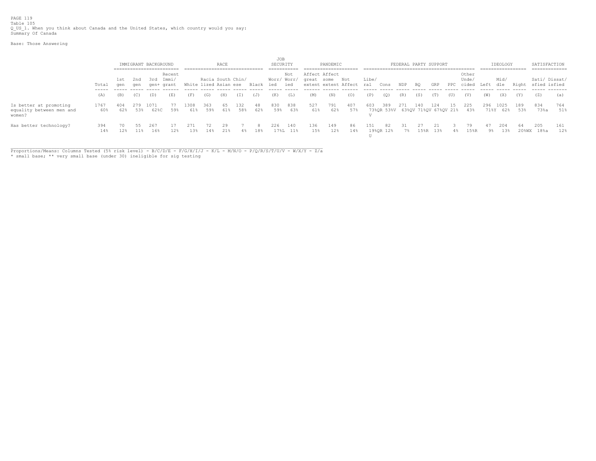PAGE 119 Table 105<br>Q\_US\_1. When you think about Canada and the United States, which country would you say:<br>Summary Of Canada

Base: Those Answering

|                                                              |             |     |         |                      |        |                       |                   |           |     |           | JOB         |                 |               |            |                          |       |                                         |          |     |                       |              |             |           |                 |            |                    |               |
|--------------------------------------------------------------|-------------|-----|---------|----------------------|--------|-----------------------|-------------------|-----------|-----|-----------|-------------|-----------------|---------------|------------|--------------------------|-------|-----------------------------------------|----------|-----|-----------------------|--------------|-------------|-----------|-----------------|------------|--------------------|---------------|
|                                                              |             |     |         | IMMIGRANT BACKGROUND |        |                       |                   | RACE      |     |           | SECURITY    |                 |               | PANDEMIC   |                          |       |                                         |          |     | FEDERAL PARTY SUPPORT |              |             |           | IDEOLOGY        |            | SATISFACTION       |               |
|                                                              |             |     |         |                      |        |                       |                   |           |     |           |             |                 |               |            |                          |       |                                         |          |     |                       |              |             |           |                 |            |                    | ============= |
|                                                              |             |     |         |                      | Recent |                       |                   |           |     |           |             | Not             | Affect Affect |            |                          |       |                                         |          |     |                       |              | Other       |           |                 |            |                    |               |
|                                                              |             |     | 1st 2nd | 3rd Immi/            |        |                       | Racia South Chin/ |           |     |           | Worr/ Worr/ |                 | great some    |            | Not                      | Libe/ |                                         |          |     |                       |              | Unde/       |           | Mid/            |            |                    | Sati/ Dissat/ |
|                                                              | Total       | qen | qen     | gen+ grant           |        | White lized Asian ese |                   |           |     | Black ied |             | ied             |               |            | extent extent Affect ral |       | Cons                                    | NDP      | BQ  | GRP                   | $_{\rm PPC}$ | cided       | Left      | dle             |            | Right sfied isfied |               |
|                                                              | (A)         | (B) | (C)     | (D)                  | (E)    | (F)                   | (G)               | (H)       | (T) | (J)       | (K)         | (L)             | (M)           | (N)        | (0)                      | (P)   | (Q)                                     | (R)      | (S) | (T)                   | (U)          | (V)         | (W)       | (X)             | (Y)        | (Z)                | (a)           |
| Is better at promoting<br>equality between men and<br>women? | 1767<br>60% | 62% | 53%     | 1071<br>62%C         | 59%    | 308<br>61%            | 363<br>59%        | 61%       | 58% | 48<br>62% | 830<br>59%  | 838<br>63%      | 527<br>61%    | 791<br>62% | 407<br>57%               | 603   | 389<br>73%OR 53%V 63%OV 71%OV 67%OV 21% | 271      | 140 | 124                   |              | 225<br>43%  | 296       | 025<br>71%Y 62% | 189<br>53% | 834<br>$73$ %a     | 764<br>51%    |
| Has better technology?                                       | 394<br>14%  | 12% | $11\%$  | 267<br>16%           | 12%    | 271<br>13%            | 72<br>14%         | 29<br>21% | 4 % | 8.<br>18% | 226         | 140<br>17%L 11% | 136<br>15%    | 149<br>12% | 86<br>14%                | 151   | 82<br>19%OR 12%                         | 31<br>7% | 27  | 21.<br>15%R 13%       | $4\%$        | 79.<br>15%R | -47<br>9% | 204<br>13%      | 64         | 205<br>20%WX 18%a  | 161<br>12%    |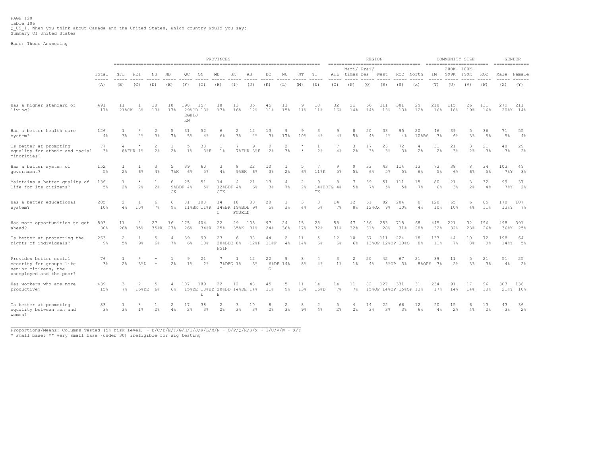Base: Those Answering

|                                                                                                        |                      |                    |                  |                     |           |                          |                                         | PROVINCES            |                                 |                         |                      |                         |                      |                      |                 | ==================================== | <b>REGION</b>        |                              |                      |             |            | COMMUNITY SIZE<br>------------------------ |            |                      |              | <b>GENDER</b><br>$=$ ============== |
|--------------------------------------------------------------------------------------------------------|----------------------|--------------------|------------------|---------------------|-----------|--------------------------|-----------------------------------------|----------------------|---------------------------------|-------------------------|----------------------|-------------------------|----------------------|----------------------|-----------------|--------------------------------------|----------------------|------------------------------|----------------------|-------------|------------|--------------------------------------------|------------|----------------------|--------------|-------------------------------------|
|                                                                                                        | Total                | NFL                | PEI              | NS.                 | ΝB        | OC                       | ON                                      | MB                   | SK                              | AB                      | BC                   | ΝU                      | NΤ                   | YT                   |                 | Mari/ Prai/<br>ATL times res         |                      | West                         | ROC                  | North       | $1M+$      | 200K- 100K-<br>999K                        | 199K       | <b>ROC</b>           |              | Male Female                         |
|                                                                                                        | (A)                  | (B)                | (C)              | (D)                 | (E)       | (F)                      | (G)                                     | (H)                  | (I)                             | (J)                     | (K)                  | (L)                     | (M)                  | (N)                  | (0)             | (P)                                  | (Q)                  | (R)                          | (S)                  | (x)         | (T)        | (U)                                        | (V)        | (W)                  | (X)          | (Y)                                 |
| Has a higher standard of<br>living?                                                                    | 491<br>17%           | 11                 | 21%CK 8%         | 10<br>13%           | 10<br>17% | 190<br>EGHIJ<br>$\rm KN$ | 157<br>29%CD 13%                        | 18<br>17%            | 13<br>16%                       | 35<br>12%               | 45<br>11%            | 11<br>15%               | 9<br>11 <sup>8</sup> | 10<br>11%            | 32<br>16%       | 21<br>14%                            | 66<br>14%            | 111<br>13%                   | 301<br>13%           | 29<br>12%   | 218<br>16% | 115<br>18%                                 | 26<br>19%  | 131<br>16%           | 279          | 211<br>20%Y 14%                     |
| Has a better health care<br>system?                                                                    | 126<br>$4\%$         | $3\%$              | 4%               | 2<br>3 <sup>°</sup> | $7\%$     | 31<br>$5\%$              | 52<br>4%                                | 6<br>6%              | 2<br>$3\frac{6}{5}$             | $12 \overline{ }$<br>4% | 13<br>3%             | 9<br>17%                | 9<br>10%             | 3<br>4%              | 9<br>4%         | 8<br>$5\%$                           | 20<br>$4\%$          | 33<br>4%                     | 95<br>$4\%$          | 20<br>10%RS | 46<br>3%   | 39<br>6%                                   | 5<br>$3\%$ | 36<br>5%             | 71<br>$5\%$  | 55<br>4%                            |
| Is better at promoting<br>equality for ethnic and racial<br>minorities?                                | 77<br>3 <sup>°</sup> | $\overline{4}$     | 8%FHK 1%         | 2<br>2%             | 2%        | 5<br>$1\%$               | 38<br>38F                               | 1<br>$1\%$           | 7                               | 9<br>7%FHK 3%F          | 9<br>2%              | 2<br>3%                 | $\star$              | 1<br>2 <sup>°</sup>  | 7<br>4%         | 3<br>$2\frac{6}{5}$                  | 17<br>3 <sup>°</sup> | 26<br>3%                     | 72<br>3 <sup>°</sup> | 4<br>2%     | 31<br>2%   | 21<br>3 <sup>°</sup>                       | 3<br>2%    | 21<br>3 <sup>°</sup> | 48<br>3%     | 29<br>2%                            |
| Has a better system of<br>government?                                                                  | 152<br>$5\%$         | 2%                 | 1<br>6%          | 3<br>4%             | 7%K       | 39<br>6%                 | 60<br>$5\%$                             | 3<br>4%              | 8<br>9%BK                       | 22<br>6%                | 10<br>3%             | 2%                      | 5<br>6%              | 7<br>11%K            | 9<br>$5\%$      | 9<br>5%                              | 33<br>6%             | 43<br>5%                     | 114<br>.5%           | 13<br>6%    | 73<br>5%   | 38<br>6%                                   | 8<br>$6\%$ | 34<br>5%             | 103<br>78Y   | 49<br>3%                            |
| Maintains a better quality of<br>life for its citizens?                                                | 136<br>5%            | $\mathbf{1}$<br>2% | $^{\star}$<br>2% | $\mathbf{1}$<br>2%  | 6<br>GK   | 25<br>9%BDF 4%           | 51<br>.5%                               | 14<br>GIK            | 4<br>12%BDF 4%                  | 21<br>6%                | 13<br>3 <sup>°</sup> | $\overline{4}$<br>$7\%$ | 2<br>2%              | 9<br>IK              | 8<br>14%BDFG 4% | $\overline{7}$<br>5%                 | 39<br>7%             | 51<br>5%                     | 111<br>5%            | 15<br>7%    | 80<br>6%   | 21<br>3 <sup>°</sup>                       | 3<br>2%    | 32<br>4%             | 99<br>$7\%Y$ | 37<br>2%                            |
| Has a better educational<br>system?                                                                    | 285<br>10%           | 2<br>4%            | 1<br>10%         | 6<br>7%             | 6<br>9%   | 81                       | 108<br>11%BK 11%K                       | 14<br>L              | 18<br>14%BK 19%BDE 9%<br>FGJKLN | 30                      | 20<br>$5\%$          | 3 <sup>°</sup>          | 3<br>4%              | 3<br>5%              | 14<br>$7\%$     | 12<br>8 <sup>°</sup>                 | 61<br>1280x          | 82<br>9%                     | 204<br>10%           | 8<br>$4\%$  | 128<br>10% | 65<br>10 <sup>8</sup>                      | 6<br>$4\%$ | 85<br>11%            | 178<br>13%Y  | 107<br>7%                           |
| Has more opportunities to get<br>ahead?                                                                | 893<br>30%           | 11<br>26%          | 4<br>35%         | 27<br>35%K          | 16<br>27% | 175<br>26%               | 404<br>34%K                             | 22<br>25%            | 29<br>35%K                      | 105<br>31%              | 97<br>24%            | 24<br>36%               | 15<br>17%            | 28<br>32%            | 58<br>31%       | 47<br>32%                            | 156<br>31%           | 253<br>28%                   | 718<br>31%           | 68<br>28%   | 445<br>32% | 221<br>32%                                 | 32<br>23%  | 196<br>26%           | 498          | 391<br>36%Y 25%                     |
| Is better at protecting the<br>rights of individuals?                                                  | 263<br>9%            | 2<br>5%            | 1<br>9%          | 5<br>6%             | $7\%$     | 39<br>6%                 | 99<br>10%                               | 23<br>FGIN           | 6<br>20%BDE 8%                  | 38<br>128F              | 44<br>118F           | 2<br>4%                 | 11<br>14%            | 5<br>6%              | 12<br>6%        | 10<br>6%                             | 67                   | 111<br>13%OP 12%OP 10%O      | 224                  | 18<br>8%    | 137<br>11% | 44<br>$7\%$                                | 10<br>8%   | 72<br>9%             | 198<br>148Y  | 64<br>5%                            |
| Provides better social<br>security for groups like<br>senior citizens, the<br>unemployed and the poor? | 76<br>3 <sup>8</sup> | 2%                 | 38D              | $\sim$              | 2%        | 9<br>$1\frac{6}{5}$      | 21<br>2 <sup>°</sup>                    | 7<br>$\top$          | 7%DFG 1%                        | 12<br>3 <sup>°</sup>    | 22<br>G              | 9<br>6%DF 14%           | 8<br>8 <sup>°</sup>  | $\overline{4}$<br>4% | 3<br>$1\%$      | 2<br>1 <sup>8</sup>                  | 20<br>$4\%$          | 42<br>5%OP                   | 67<br>3 <sup>8</sup> | 21<br>8%OPS | 39<br>3%   | 11<br>2 <sup>°</sup>                       | 5<br>$3\%$ | 21<br>3%             | 51<br>4%     | 25<br>2%                            |
| Has workers who are more<br>productive?                                                                | 439<br>15%           | 3<br>7%            | 2<br>168DE       | .5<br>6%            | 6%        | 107                      | 189<br>15%DE 18%BD 20%BD 14%DE 14%<br>E | 22<br>E              | 12                              | 48                      | 45<br>11%            | 5<br>$9\%$              | 11<br>13%            | 14<br>16%D           | 14<br>7%        | 11<br>$7\%$                          | 82                   | 127<br>15%OP 14%OP 15%OP 13% | 331                  | 31          | 234<br>17% | 91<br>14%                                  | 17<br>14%  | 96<br>13%            | 303          | 136<br>21%Y 10%                     |
| Is better at promoting<br>equality between men and<br>women?                                           | 83<br>3 <sup>8</sup> | 3 <sup>°</sup>     | $1\%$            | 2%                  | 4%        | 17<br>2%                 | 38<br>$3\frac{6}{9}$                    | $\overline{2}$<br>2% | 3<br>$3\frac{a}{b}$             | 10<br>3 <sup>°</sup>    | 8<br>2%              | 3 <sup>°</sup>          | 8<br>$9\%$           | $\overline{2}$<br>4% | 5<br>2%         | 2%                                   | 14<br>3 <sup>8</sup> | 22<br>$3\%$                  | 66<br>3 <sup>°</sup> | 12<br>6%    | 50<br>4%   | 15<br>2 <sup>°</sup>                       | 6<br>4%    | 13<br>2%             | 43<br>3%     | 36<br>2%                            |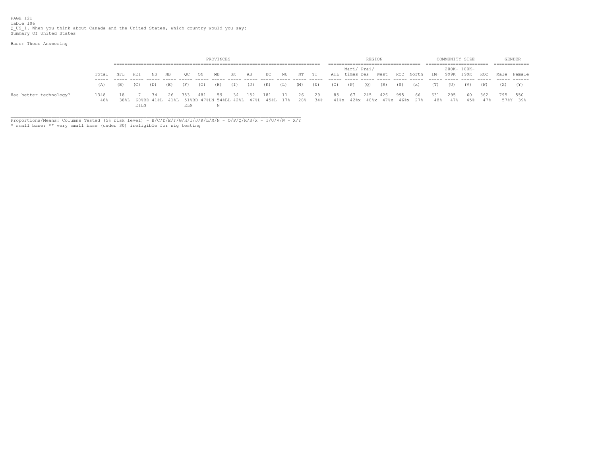PAGE 121 Table 106 Q\_US\_1. When you think about Canada and the United States, which country would you say: Summary Of United States

Base: Those Answering

|                        |             |     |      |     |     |                                                                                 |      | PROVINCES |     |     |     |     |       |               |      |              | REGION |                                     |     |                                  |            |     | COMMUNITY SIZE |        |             | GENDER              |
|------------------------|-------------|-----|------|-----|-----|---------------------------------------------------------------------------------|------|-----------|-----|-----|-----|-----|-------|---------------|------|--------------|--------|-------------------------------------|-----|----------------------------------|------------|-----|----------------|--------|-------------|---------------------|
|                        |             |     |      |     |     |                                                                                 |      |           |     |     |     |     |       |               |      |              |        |                                     |     |                                  |            |     |                |        |             |                     |
|                        |             |     |      |     |     |                                                                                 |      |           |     |     |     |     |       |               |      | Mari/ Prai/  |        |                                     |     |                                  |            |     | 200K- 100K-    |        |             |                     |
|                        | Total       | NFL | PEI  | NS  | NB  | OС                                                                              | - ON | MB        | SK. | AB  | BC  | NU  | NT YT | ATL times res |      |              |        |                                     |     | West ROC North 1M+ 999K 199K ROC |            |     |                |        | Male Female |                     |
|                        | (A)         | (B) | (C)  | (D) | (E) | (F)                                                                             | (G)  | (H)       | (I) | (J) | (K) | (L) | (M)   | (N)           | (0)  | $\Gamma$ (P) | (Q)    | (R)                                 | (S) | (x)                              | (T)        | (U) | (V)            | (W)    | (X)         | (Y)                 |
| Has better technology? | 1348<br>48% |     | EILN | 34  | -26 | 353<br>38%L 60%BD 41%L 41%L 51%BD 47%LN 54%BL 42%L 47%L 45%L 17% 28% 34%<br>ELN | 481  | 59        | -34 | 152 | 181 | 11  | 26    | 29            | 85 - | 67           | 245    | 426<br>41%x 42%x 48%x 47%x 46%x 27% | 995 | - 66                             | 631<br>48% | 295 | 47% 45% 47%    | 60 362 |             | 795 550<br>57%Y 39% |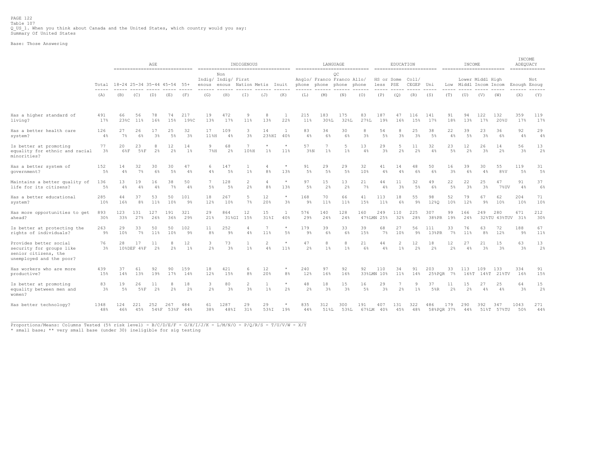PAGE 122 Table 107 Q\_US\_1. When you think about Canada and the United States, which country would you say: Summary Of United States

Base: Those Answering

|                                                                                                        |                             |             |                                                               | AGE                  |                      |                       |                              |                      | INDIGENOUS<br>------------------------------------ |                                  |                           |                                     | LANGUAGE             |                         |             |                        | EDUCATION               |                      |                      |           | INCOME               |                      |                     | INCOME<br>ADEQUACY<br>============= |                      |
|--------------------------------------------------------------------------------------------------------|-----------------------------|-------------|---------------------------------------------------------------|----------------------|----------------------|-----------------------|------------------------------|----------------------|----------------------------------------------------|----------------------------------|---------------------------|-------------------------------------|----------------------|-------------------------|-------------|------------------------|-------------------------|----------------------|----------------------|-----------|----------------------|----------------------|---------------------|-------------------------------------|----------------------|
|                                                                                                        | Total                       |             | ------------------------------<br>18-24 25-34 35-44 45-54 55+ |                      |                      |                       | Indig/ Indig/ First<br>enous | Non<br>enous         | Nation Metis                                       |                                  | Inuit                     | Anglo/ Franco Franco Allo/<br>phone |                      | OC<br>phone phone phone |             | HS or Some<br>less PSE |                         | Col1/<br>CEGEP       | Uni                  | Low       | Middl Incom Incom    | Lower Middl High     |                     | Enough Enoug                        | Not                  |
|                                                                                                        | $\sim$ $\sim$ $\sim$<br>(A) | (B)         | (C)<br>(D)                                                    |                      | (E)                  | (F)                   | (G)                          | (H)                  | (T)                                                | (J)                              | (K)                       | (L)                                 | (M)                  | (N)                     | (0)         | (P)                    | (Q)                     | (R)                  | (S)                  | (T)       | (U)                  | (V)                  | (W)                 | (X)                                 | (Y)                  |
| Has a higher standard of<br>living?                                                                    | 491<br>17%                  | 66<br>23%C  | 56<br>11%                                                     | 78<br>16%            | 74<br>15%            | 217<br>19%C           | 19<br>13%                    | 472<br>17%           | 9<br>11%                                           | 8<br>13%                         | $\mathbf{1}$<br>22%       | 215<br>11%                          | 183<br>30%L          | 175<br>32%L             | 83<br>27%L  | 187<br>19%             | 47<br>16%               | 116<br>15%           | 141<br>17%           | 91<br>18% | 94<br>13%            | 122<br>17%           | 132<br>20%U         | 359<br>17%                          | 119<br>17%           |
| Has a better health care<br>system?                                                                    | 126<br>4%                   | 27<br>7%    | 26<br>6%                                                      | 17<br>3 <sup>°</sup> | 25<br>5%             | 32<br>3 <sup>°</sup>  | 17<br>11%H                   | 109<br>4%            | 3<br>3 <sup>°</sup>                                | 14<br>23%HI                      | $\mathbf{1}$<br>40%       | 83<br>4%                            | 34<br>6%             | 30<br>6%                | 8<br>3%     | 54<br>5%               | 8<br>3%                 | 25<br>3 <sup>°</sup> | 38<br>5%             | 22<br>4%  | 39<br>$5\%$          | 23<br>3%             | 36<br>6%            | 92<br>4%                            | 29<br>4%             |
| Is better at promoting<br>equality for ethnic and racial<br>minorities?                                | 77<br>3 <sup>8</sup>        | 20<br>6%F   | 23<br>58F                                                     | 8<br>2 <sup>°</sup>  | 12<br>2 <sup>°</sup> | 14<br>1%              | Q<br>$7\%H$                  | 68<br>2 <sup>°</sup> | 7<br>10%H                                          | $\star$<br>$1\%$                 | $\star$<br>11%            | 57<br>38N                           | 7<br>$1\%$           | -5<br>$1\%$             | 13<br>4%    | 29<br>3 <sup>8</sup>   | 5<br>2%                 | 11<br>2%             | 32<br>4%             | 23<br>5%  | 12<br>2 <sup>°</sup> | 26<br>3%             | 14<br>2%            | 56<br>3 <sup>8</sup>                | 13<br>2 <sup>°</sup> |
| Has a better system of<br>qovernment?                                                                  | 152<br>$5\%$                | 14<br>4%    | 32<br>7%                                                      | 30<br>6%             | 30<br>5%             | 47<br>4%              | 6<br>4%                      | 147<br>5%            | $1\%$                                              | $\overline{4}$<br>8%             | $\star$<br>13%            | 91<br>5%                            | 29<br>5 <sup>°</sup> | 29<br>5%                | 32<br>10%   | 41<br>4%               | 14<br>4%                | 48<br>6%             | 50<br>6%             | 16<br>3%  | 39<br>6%             | 30<br>4%             | 55<br>8%V           | 119<br>5%                           | 31<br>5%             |
| Maintains a better quality of<br>life for its citizens?                                                | 136<br>$5\%$                | 13<br>4%    | 19<br>4%                                                      | 16<br>4%             | 38<br>7%             | 50<br>4%              | $\overline{7}$<br>$5\%$      | 128<br>5%            | 2<br>2%                                            | $\overline{4}$<br>8 <sup>°</sup> | $\star$<br>13%            | 97<br>5%                            | 15<br>2 <sup>°</sup> | 13<br>2%                | 21<br>7%    | 44<br>4%               | 11<br>3%                | 32<br>5%             | 49<br>6%             | 22<br>5%  | 22<br>3 <sup>°</sup> | 25<br>3%             | 47<br>7%UV          | 91<br>4%                            | 37<br>6%             |
| Has a better educational<br>system?                                                                    | 285<br>10%                  | 44<br>16%   | 37<br>8 <sup>°</sup>                                          | 53<br>11%            | 50<br>10%            | 101<br>9%             | 18<br>12%                    | 267<br>10%           | 5<br>7%                                            | 12<br>20%                        | $^{\star}$<br>3%          | 168<br>9%                           | 70<br>11%            | 66<br>11%               | 41<br>15%   | 113<br>11%             | 18<br>6%                | 55<br>$9\%$          | 98<br>12%Q           | 52<br>10% | 79<br>12%            | 67<br>9%             | 62<br>10%           | 204<br>10%                          | 71<br>10%            |
| Has more opportunities to get<br>ahead?                                                                | 893<br>30%                  | 123<br>33%  | 131<br>27%                                                    | 127<br>26%           | 191<br>36%           | 321<br>29%            | 29<br>21%                    | 864<br>31%GI         | 12<br>15%                                          | 15<br>$31\$ I                    | $\mathbf{1}$<br>40%       | 576<br>29%                          | 140<br>24%           | 128<br>24%              | 160         | 249<br>47%LMN 25%      | 110<br>32%              | 225<br>28%           | 307<br>38%PR         | 99<br>19% | 166<br>24%           | 249                  | 280<br>32%TU 43%TUV | 671<br>31%                          | 212<br>30%           |
| Is better at protecting the<br>rights of individuals?                                                  | 263<br>9%                   | 29<br>10%   | 33<br>7%                                                      | 50<br>11%            | 50<br>10%            | 102<br>9 <sup>°</sup> | 11<br>8 <sup>°</sup>         | 252<br>9%            | 4<br>4%                                            | $\overline{7}$<br>11%            | $\star$<br>$5\%$          | 179<br>9 <sup>°</sup>               | 39<br>6%             | 33<br>6%                | 39<br>15%   | 68<br>7%               | 27<br>10%               | 56<br>9 <sup>°</sup> | 111<br>13%PR         | 33<br>7%  | 76<br>11%            | 63<br>8 <sup>°</sup> | 72<br>12%           | 188<br>9 <sup>°</sup>               | 67<br>11%            |
| Provides better social<br>security for groups like<br>senior citizens, the<br>unemployed and the poor? | 76<br>3%                    | 28          | 17<br>10%DEF 4%F                                              | 11<br>2%             | 8<br>2%              | 12<br>1%              | 3<br>2%                      | 73<br>3%             | $1\%$                                              | $\overline{c}$<br>4%             | 11%                       | 47<br>2%                            | 8<br>$1\%$           | 8<br>$1\%$              | 21<br>6%    | 44<br>4%               | $\overline{c}$<br>$1\%$ | 12<br>2%             | 18<br>$2\frac{6}{5}$ | 12<br>2%  | 27<br>4%             | 21<br>3%             | 15<br>3%            | 63<br>3 <sup>8</sup>                | 13<br>2 <sup>°</sup> |
| Has workers who are more<br>productive?                                                                | 439<br>15%                  | 37<br>14%   | 61<br>13%                                                     | 92<br>19%            | 90<br>17%            | 159<br>14%            | 18<br>12%                    | 421<br>15%           | 6<br>8 <sup>°</sup>                                | 12<br>20%                        | $\star$<br>8 <sup>°</sup> | 240<br>12%                          | 97<br>16%            | 92<br>16%               | 92          | 110<br>33%LMN 10%      | 34<br>11%               | 91<br>14%            | 203<br>$25$ & PQR    | 33<br>7%  | 113<br>168T          | 109                  | 133<br>14%T 21%TV   | 334<br>16%                          | 91<br>15%            |
| Is better at promoting<br>equality between men and<br>women?                                           | 83<br>$3\frac{6}{9}$        | 19<br>$5\%$ | 26<br>5%F                                                     | 11<br>2 <sup>°</sup> | 8<br>2%              | 18<br>2 <sup>°</sup>  | 3<br>2%                      | 80<br>3%             | 2<br>3 <sup>°</sup>                                | $\mathbf{1}$<br>$1\%$            | $\star$<br>2%             | 48<br>2%                            | 18<br>3 <sup>°</sup> | 15<br>3 <sup>°</sup>    | 16<br>$5\%$ | 29<br>3 <sup>°</sup>   | 7<br>2%                 | 9<br>$1\%$           | 37<br>5%R            | 11<br>2%  | 15<br>2 <sup>°</sup> | 27<br>4%             | 25<br>4%            | 64<br>3%                            | 15<br>2%             |
| Has better technology?                                                                                 | 1348<br>48%                 | 124<br>46%  | 221<br>45%                                                    | 252                  | 267<br>54%F 53%F 44% | 484                   | 61<br>38%                    | 1287<br>48%I         | 29<br>31%                                          | 29<br>53%I                       | 19%                       | 835<br>44%                          | 312<br>51%L          | 300<br>53%L             | 191         | 407<br>67%LM 40%       | 131<br>45%              | 322<br>48%           | 486<br>58%POR 37%    | 179       | 290<br>44%           | 392                  | 347<br>51%T 57%TU   | 1043<br>50%                         | 271<br>44%           |

\_\_\_\_\_\_\_\_\_\_\_\_\_\_\_\_\_\_\_\_\_\_\_\_\_\_\_\_\_\_\_\_\_\_\_\_\_\_\_\_\_\_\_\_\_\_\_\_\_\_\_\_\_\_\_\_\_\_\_\_\_\_\_\_\_\_\_\_\_\_\_\_\_\_\_\_\_\_\_\_\_\_\_\_\_\_\_\_\_\_\_\_\_\_\_\_\_\_\_\_\_\_\_\_\_\_\_\_\_ Proportions/Means: Columns Tested (5% risk level) - B/C/D/E/F - G/H/I/J/K - L/M/N/O - P/Q/R/S - T/U/V/W - X/Y

\* small base; \*\* very small base (under 30) ineligible for sig testing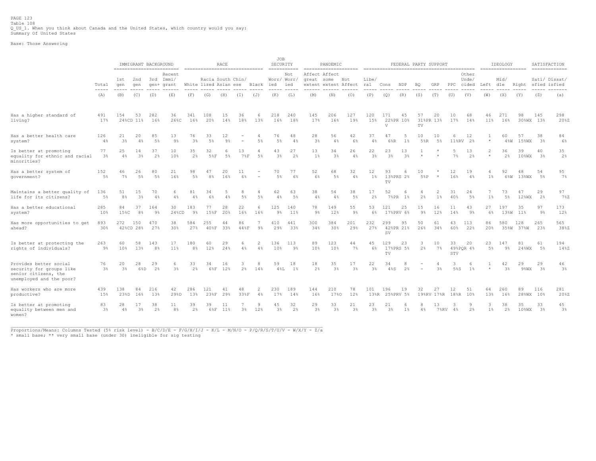PAGE 123 Table 108 Q\_US\_1. When you think about Canada and the United States, which country would you say: Summary Of United States

Base: Those Answering

|                                                                                                        |                        |                      | IMMIGRANT BACKGROUND |                       | ==========================        | =============================== |                      | <b>RACE</b> |                |                      | JOB<br>SECURITY<br>$=$ =========== |                      |                             | PANDEMIC             |                      |                      |                            | FEDERAL PARTY SUPPORT |                          |                  |               |                 |                           | IDEOLOGY<br>------------------ |                    | SATISFACTION     | $\begin{array}{cccccccccccccc} \multicolumn{2}{c}{} & \multicolumn{2}{c}{} & \multicolumn{2}{c}{} & \multicolumn{2}{c}{} & \multicolumn{2}{c}{} & \multicolumn{2}{c}{} & \multicolumn{2}{c}{} & \multicolumn{2}{c}{} & \multicolumn{2}{c}{} & \multicolumn{2}{c}{} & \multicolumn{2}{c}{} & \multicolumn{2}{c}{} & \multicolumn{2}{c}{} & \multicolumn{2}{c}{} & \multicolumn{2}{c}{} & \multicolumn{2}{c}{} & \multicolumn{2}{c}{} & \multicolumn{2}{c}{} & \multicolumn{2}{c}{} & \$ |
|--------------------------------------------------------------------------------------------------------|------------------------|----------------------|----------------------|-----------------------|-----------------------------------|---------------------------------|----------------------|-------------|----------------|----------------------|------------------------------------|----------------------|-----------------------------|----------------------|----------------------|----------------------|----------------------------|-----------------------|--------------------------|------------------|---------------|-----------------|---------------------------|--------------------------------|--------------------|------------------|----------------------------------------------------------------------------------------------------------------------------------------------------------------------------------------------------------------------------------------------------------------------------------------------------------------------------------------------------------------------------------------------------------------------------------------------------------------------------------------|
|                                                                                                        | Total<br>$\frac{1}{2}$ | 1st<br>qen           | 2nd<br>qen           |                       | Recent<br>3rd Immi/<br>gen+ grant | White lized Asian ese           | Racia South Chin/    |             |                | Black                | Worr/ Worr,<br>ied                 | Not<br>ied           | Affect Affect<br>great some | extent extent Affect | Not                  | Libe/<br>ral         | Cons                       | NDP                   | <b>BQ</b>                | GRP              | PPC cided     | Other<br>Unde/  | Left dle                  | Mid/                           | Right sfied isfied |                  | Sati/ Dissat/                                                                                                                                                                                                                                                                                                                                                                                                                                                                          |
|                                                                                                        | (A)                    | (B)                  | (C)                  | (D)                   | (E)                               | (F)                             | (G)                  | (H)         | (T)            | (J)                  | (K)                                | (L)                  | (M)                         | (N)                  | (0)                  | (P)                  | (Q)                        | (R)                   | (S)                      | (T)              | (U)           | (V)             | (W)                       | (X)                            | (Y)                | (Z)              | (a)                                                                                                                                                                                                                                                                                                                                                                                                                                                                                    |
| Has a higher standard of<br>living?                                                                    | 491<br>17%             | 154                  | 53<br>24%CD 11%      | 282<br>16%            | 36<br>26%C                        | 341<br>16%                      | 108<br>20%           | 15<br>14%   | 36<br>18%      | 6<br>13%             | 218<br>16%                         | 240<br>18%           | 145<br>17%                  | 206<br>16%           | 127<br>19%           | 120<br>15%           | 171<br>V                   | 45<br>22%PR 10%       | 57<br>TV                 | 20<br>31%PR 13%  | 10<br>17%     | 68<br>14%       | 46<br>11%                 | 271<br>16%                     | 98                 | 145<br>30%WX 13% | 298<br>20%Z                                                                                                                                                                                                                                                                                                                                                                                                                                                                            |
| Has a better health care<br>system?                                                                    | 126<br>4%              | 21<br>3%             | 20<br>4%             | 85<br>5%              | 13<br>$9\%$                       | 76<br>3 <sup>°</sup>            | 33<br>$5\%$          | 12<br>9%    | $\overline{a}$ | 4<br>5%              | 76<br>5%                           | 48<br>4%             | 28<br>3 <sup>8</sup>        | 56<br>4%             | 42<br>6%             | 37<br>4%             | 47<br>6%R                  | $1\%$                 | 10<br>$5$ <sup>8</sup> R | 10<br>5%         | 6<br>$11$ %RV | 12<br>2%        | $\star$                   | 60<br>48W                      | 57<br>15%WX        | 38<br>3%         | 84<br>$6\%$                                                                                                                                                                                                                                                                                                                                                                                                                                                                            |
| Is better at promoting<br>equality for ethnic and racial<br>minorities?                                | 77<br>3%               | 25<br>$4\%$          | 14<br>3%             | 37<br>2%              | 10<br>10%                         | 35<br>2%                        | 32<br>58F            | 5%          | 13<br>7%F      | 4<br>$5\%$           | 43<br>3 <sup>°</sup>               | 27<br>2%             | 13<br>$1\%$                 | 34<br>3 <sup>°</sup> | 26<br>$4\%$          | 22<br>3 <sup>°</sup> | 23<br>3 <sup>°</sup>       | 13<br>3 <sup>°</sup>  | $\star$                  |                  | 5<br>7%       | 13<br>2%        | $\overline{2}$<br>$\star$ | 36<br>2 <sup>°</sup>           | 39<br>$10$ %WX     | 40<br>3%         | 35<br>2%                                                                                                                                                                                                                                                                                                                                                                                                                                                                               |
| Has a better system of<br>government?                                                                  | 152<br>$5\%$           | 46<br>$7\%$          | 26<br>5%             | 80<br>5%              | 21<br>16%                         | 98<br>$5\%$                     | 47<br>8 <sup>°</sup> | 20<br>16%   | 11<br>6%       |                      | 70<br>5%                           | 77<br>6%             | 52<br>$6\%$                 | 68<br>$5\%$          | 32<br>$4\%$          | 12<br>$1\%$          | 93<br>TV                   | 13%PRS 2%             | 10<br>5%P                | $\star$          | 12<br>16%     | 19<br>4%        | $1\%$                     | 92<br>6%W                      | 48<br>13%WX        | 54<br>5%         | 95<br>7%                                                                                                                                                                                                                                                                                                                                                                                                                                                                               |
| Maintains a better quality of<br>life for its citizens?                                                | 136<br>$5\%$           | 51<br>8 <sup>°</sup> | 15<br>3 <sup>°</sup> | 70<br>4%              | 6<br>4%                           | 81<br>4%                        | 34<br>6%             | 4%          | 8<br>$5\%$     | 4<br>5%              | 62<br>4%                           | 63<br>5%             | 38<br>4%                    | 54<br>4%             | 38<br>$5\%$          | 17<br>2%             | 52<br>$7$ % PR             | 1%                    | 2%                       | 2<br>1%          | 31<br>40%     | 24<br>5%        | $1\%$                     | 73<br>5%                       | 47<br>12%WX        | 29<br>2%         | 97<br>7%Z                                                                                                                                                                                                                                                                                                                                                                                                                                                                              |
| Has a better educational<br>system?                                                                    | 285<br>10%             | 84<br>15%C           | 37<br>8 <sup>°</sup> | 164<br>9%             | 30<br>24%CD                       | 183<br>9%                       | 77<br>15%F           | 28<br>20%   | 22<br>16%      | 6<br>16%             | 125<br>$9\%$                       | 140<br>11%           | 78<br>$9\%$                 | 149<br>12%           | 55<br>$9\%$          | 53<br>6%             | 121                        | 25<br>17%PRV 6%       | 15<br>$9\%$              | 16<br>12%        | 11<br>14%     | 43<br>$9\%$     | 27<br>6%                  | 197                            | 35<br>13%W 11%     | 97<br>9%         | 173<br>12%                                                                                                                                                                                                                                                                                                                                                                                                                                                                             |
| Has more opportunities to get<br>ahead?                                                                | 893<br>30%             | 272                  | 150<br>42%CD 28%     | 470<br>27%            | 38<br>30%                         | 584<br>27%                      | 255<br>40%F          | 44<br>33%   | 86<br>44%F     | 7<br>$9\%$           | 410<br>29%                         | 441<br>33%           | 300<br>34%                  | 384<br>30%           | 201<br>29%           | 232<br>27%           | 299<br><b>SV</b>           | 95<br>42%PR 21%       | 50<br>26%                | 61<br>34%        | 43<br>60%     | 113<br>22%      | 86<br>20%                 | 580                            | 128<br>35%W 37%W   | 265<br>23%       | 565<br>38%Z                                                                                                                                                                                                                                                                                                                                                                                                                                                                            |
| Is better at protecting the<br>rights of individuals?                                                  | 263<br>$9\%$           | 60<br>10%            | 58<br>13%            | 143<br>8 <sup>°</sup> | 17<br>11%                         | 180<br>8 <sup>°</sup>           | 60<br>12%            | 29<br>24%   | 6<br>4%        | $\overline{2}$<br>4% | 136<br>10%                         | 113<br>9%            | 89<br>10%                   | 123<br>10%           | 44<br>$7\%$          | 45<br>6%             | 129<br>$\operatorname{TV}$ | 23<br>17%PRS 5%       | 3<br>$2\frac{6}{5}$      | 10<br>$7\%$      | 33<br>STV     | 20<br>49%POR 4% | 23<br>$5\%$               | 147<br>$9\%$                   | 81<br>24%WX        | 61<br>5%         | 194<br>14%Z                                                                                                                                                                                                                                                                                                                                                                                                                                                                            |
| Provides better social<br>security for groups like<br>senior citizens, the<br>unemployed and the poor? | 76<br>3%               | 20<br>3 <sup>°</sup> | 28<br>6%D            | 29<br>2%              | 6<br>3 <sup>°</sup>               | 33<br>2 <sup>°</sup>            | 34<br>6%F            | 16<br>12%   | 3<br>2%        | 8<br>14%             | 59<br>48L                          | 18<br>1%             | 18<br>$2\frac{6}{5}$        | 35<br>3 <sup>°</sup> | 17<br>3 <sup>°</sup> | 22<br>3%             | 34<br>$4\$ S               | 2%                    |                          | 3%               | 3<br>5%S      | 6<br>$1\%$      |                           | 42<br>3%                       | 29<br>9%WX         | 29<br>3%         | 46<br>3%                                                                                                                                                                                                                                                                                                                                                                                                                                                                               |
| Has workers who are more<br>productive?                                                                | 439<br>15%             | 138<br>23%D          | 84<br>16%            | 216<br>13%            | 42<br>29%D                        | 286<br>13%                      | 121<br>23%F          | 41<br>29%   | 48<br>33%F     | 2<br>4%              | 230<br>17%                         | 189<br>14%           | 144<br>16%                  | 210<br>17%0          | 78<br>12%            | 101                  | 196                        | 19<br>13%R 25%PRV 5%  | 32                       | 27<br>19%RV 17%R | 12<br>18%R    | 51<br>10%       | 64<br>13%                 | 260<br>16%                     | 89                 | 116<br>28%WX 10% | 281<br>20%Z                                                                                                                                                                                                                                                                                                                                                                                                                                                                            |
| Is better at promoting<br>equality between men and<br>women?                                           | 83<br>$3\frac{6}{9}$   | 28<br>4%             | 17<br>3 <sup>°</sup> | 38<br>2 <sup>°</sup>  | 11<br>8 <sup>°</sup>              | 39<br>2 <sup>°</sup>            | 39<br>6%F            | 11<br>11%   | 3%             | 9<br>12%             | 45<br>3 <sup>°</sup>               | 32<br>2 <sup>°</sup> | 29<br>$3\frac{6}{5}$        | 33<br>3 <sup>°</sup> | 21<br>3 <sup>°</sup> | 23<br>$3\frac{a}{b}$ | 21<br>3 <sup>°</sup>       | $1\%$                 | 8<br>$4\%$               | 13<br>$7$ %RV    | -3<br>4%      | 9<br>2%         | 3<br>1 <sup>°</sup>       | 38<br>2%                       | 35<br>$10$ %WX     | 33<br>3%         | 45<br>$3\%$                                                                                                                                                                                                                                                                                                                                                                                                                                                                            |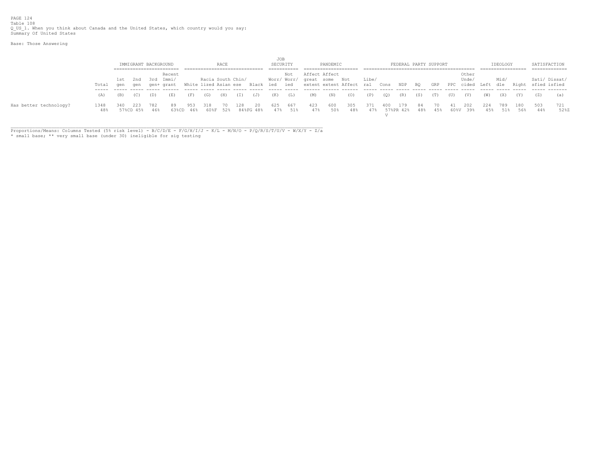PAGE 124 Table 108<br>Q\_US\_1. When you think about Canada and the United States, which country would you say:<br>Summary Of United States

Base: Those Answering

|                        |             |              | IMMIGRANT BACKGROUND |     |                               |     |                                            | RACE            |     |                 | JOB<br>SECURITY |            |                                        | PANDEMIC   |                                 |       |      | FEDERAL PARTY SUPPORT |           |      |      |                                      |            | IDEOLOGY   |            | SATISFACTION                        |             |
|------------------------|-------------|--------------|----------------------|-----|-------------------------------|-----|--------------------------------------------|-----------------|-----|-----------------|-----------------|------------|----------------------------------------|------------|---------------------------------|-------|------|-----------------------|-----------|------|------|--------------------------------------|------------|------------|------------|-------------------------------------|-------------|
|                        |             |              |                      |     |                               |     |                                            |                 |     |                 |                 |            |                                        |            |                                 |       |      |                       |           |      |      |                                      |            |            |            | ============                        |             |
|                        | Total       | 1st -<br>qen | 2nd<br>qen           | 3rd | Recent<br>Immi/<br>gen+ grant |     | Racia South Chin/<br>White lized Asian ese |                 |     | Black ied       |                 | Not<br>ied | Affect Affect<br>Worr/Worr/ qreat some |            | Not<br>extent extent Affect ral | Libe/ | Cons | NDP                   | BQ        | GRP  |      | Other<br>Unde,<br>PPC cided Left dle |            | Mid/       |            | Sati/ Dissat/<br>Right sfied isfied |             |
|                        | (A)         | (B)          |                      | (D) | (E)                           | (F) | (G)                                        | (H)             | (I) | (J)             | (K)             | (L)        | (M)                                    | (N)        | (0)                             | (P)   | (0)  | (R)                   | (S)       | (T)  | (U)  | (V)                                  | (W)        | (X)        | (Y)        | (Z)                                 | (a)         |
| Has better technology? | 1348<br>48% |              | 223<br>57%CD 45%     | 46% | 6.3%CD                        | 46% | 318                                        | 70.<br>60%F 52% | .28 | 20<br>84%FG 48% | 625<br>47%      | 667<br>51% | 423<br>47%                             | 600<br>50% | 305<br>48%                      | 47%   |      | . 79<br>57%PR 42%     | 84<br>48% | 4.5% | 60%V | 202<br>39%                           | 224<br>45% | 789<br>518 | 180<br>56% | 503<br>44%                          | 721<br>52%Z |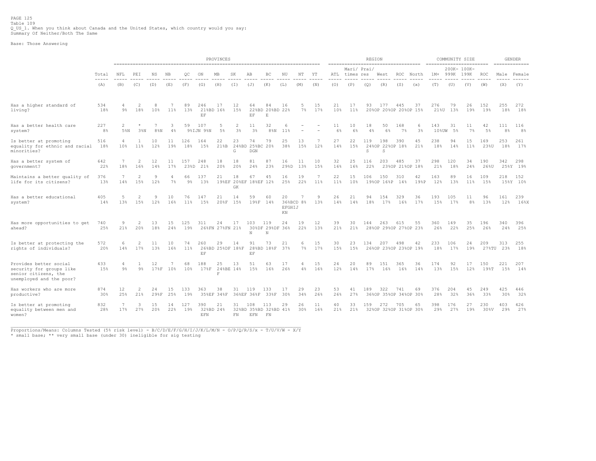Base: Those Answering

|                                                                                                        |                       |                     |                                 |            |           |                       |                                                      | PROVINCES                                  |                                   |                                     |                             |                    |                |           |           | ------------------------------------ | <b>REGION</b> |                              |                        |            | ========================= | COMMUNITY SIZE      |           |              |            | <b>GENDER</b><br>$=$ ============== |
|--------------------------------------------------------------------------------------------------------|-----------------------|---------------------|---------------------------------|------------|-----------|-----------------------|------------------------------------------------------|--------------------------------------------|-----------------------------------|-------------------------------------|-----------------------------|--------------------|----------------|-----------|-----------|--------------------------------------|---------------|------------------------------|------------------------|------------|---------------------------|---------------------|-----------|--------------|------------|-------------------------------------|
|                                                                                                        | Total                 | NFL                 | PEI                             | ΝS         | NB        | OС                    | ON                                                   | MВ                                         | SK                                | AB                                  | BC                          | ΝU                 | NΤ             | ΥT        | ATL       | Mari/ Prai/<br>times res             |               | West                         | ROC                    | North      | $1M+$                     | 200K- 100K-<br>999K | 199K      | ROC          |            | Male Female                         |
|                                                                                                        | -----<br>(A)          | (B)                 | (C)                             | (D)        | (E)       | (F)                   | (G)                                                  | (H)                                        | (I)                               | (J)                                 | (K)                         | (L)                | (M)            | (N)       | (0)       | (P)                                  | (Q)           | (R)                          | (S)                    | (x)        | (T)                       | (U)                 | (V)       | (W)          | (X)        | (Y)                                 |
| Has a higher standard of<br>living?                                                                    | 534<br>18%            | $9\%$               | 2<br>18%                        | 8<br>10%   | 11%       | 89<br>13%             | 246<br>21%BD 16%<br>$\to \hspace{-0.5mm} \mathbb{F}$ | 17                                         | 12<br>15%                         | 64<br>EF                            | 84<br>22%BD 20%BD 22%<br>F. | 16                 | .5<br>$7\%$    | 15<br>17% | 21<br>10% | 17<br>11%                            | 93            | 177<br>20%OP 20%OP 20%OP 15% | 445                    | 37         | 276<br>21%U               | 79<br>13%           | 26<br>19% | 152<br>19%   | 255<br>18% | 272<br>18%                          |
| Has a better health care<br>system?                                                                    | 227<br>8 <sup>°</sup> | 2<br>5%N            | 3%                              | 7<br>8%N   | 3<br>4%   | 59                    | 107<br>9%IJN 9%N                                     | 5<br>5%                                    | 2<br>3 <sup>°</sup>               | 11<br>3 <sup>8</sup>                | 32<br>$8\,$ % $N$           | 11%                |                |           | 11<br>6%  | 10<br>6%                             | 18<br>4%      | 50<br>6%                     | 168<br>$7\%$           | 6<br>3%    | 143<br>$10$ %UW           | 31<br>5%            | 11<br>7%  | 42<br>5%     | 111<br>8%  | 116<br>8 <sup>°</sup>               |
| Is better at promoting<br>equality for ethnic and racial<br>minorities?                                | 516<br>18%            | 4<br>10%            | 11%                             | 10<br>12%  | 11<br>19% | 126<br>18%            | 164<br>15%                                           | 22<br>21%B                                 | 23<br>G                           | 74<br>24%BD 25%BC 20%<br>DGN        | 79                          | 25<br>38%          | 13<br>15%      | 7<br>12%  | 27<br>14% | 22<br>15%                            | 119<br>S      | 198<br>24%OP 22%OP 18%<br>S. | 390                    | 45<br>21%  | 238<br>18%                | 94<br>14%           | 15<br>11% | 169<br>23%U  | 253<br>18% | 261<br>17%                          |
| Has a better system of<br>government?                                                                  | 642<br>22%            | 7<br>18%            | $\overline{c}$<br>16%           | 12<br>14%  | 11<br>17% | 157<br>23%D           | 248<br>21%                                           | 18<br>20%                                  | 18<br>20%                         | 81<br>24%                           | 87<br>23%                   | 16<br>29%D         | 11<br>13%      | 10<br>15% | 32<br>16% | 25<br>16%                            | 116<br>22%    | 203                          | 485<br>23%OP 21%OP 18% | 37         | 298<br>21%                | 120<br>18%          | 34<br>24% | 190<br>26%U  | 342        | 298<br>25%Y 19%                     |
| Maintains a better quality of<br>life for its citizens?                                                | 376<br>13%            | 7<br>14%            | 2<br>15%                        | 9<br>12%   | 7%        | 66<br>9%              | 137<br>13%                                           | 21                                         | 18<br>19%EF 20%EF 18%EF 12%<br>GK | 67                                  | 45                          | 16<br>25%          | 19<br>22%      | 7<br>11%  | 22<br>11% | 15<br>10%                            | 106           | 150<br>19%OP 16%P            | 310<br>14%             | 42<br>19%P | 163<br>12%                | 89<br>13%           | 16<br>11% | 109<br>15%   | 218        | 152<br>15%Y 10%                     |
| Has a better educational<br>system?                                                                    | 405<br>14%            | 5<br>13%            | 2<br>15%                        | 9<br>12%   | 10<br>16% | 76<br>$11\%$          | 147<br>15%                                           | 21<br>208F                                 | 14<br>15%                         | 59<br>198F                          | 60<br>14%                   | 20<br>EFGHIJ<br>ΚN | 7<br>36%BCD 8% | 9<br>13%  | 26<br>14% | 21<br>14%                            | 94<br>18%     | 154<br>17%                   | 329<br>16%             | 36<br>17%  | 193<br>15%                | 105<br>17%          | 11<br>8%  | 96<br>13%    | 161<br>12% | 239<br>16%                          |
| Has more opportunities to get<br>ahead?                                                                | 740<br>25%            | 9<br>21%            | $\overline{\phantom{a}}$<br>20% | 13<br>18%  | 15<br>24% | 125<br>19%            | 311                                                  | 24<br>26%FN 27%FN 21%                      | 17                                | 103<br>N                            | 119<br>30%DF 29%DF 36%<br>N | 24                 | 19<br>22%      | 12<br>13% | 39<br>21% | 30<br>21%                            | 144           | 263<br>28%OP 29%OP 27%OP 23% | 615                    | 55         | 360<br>26%                | 149<br>22%          | 35<br>25% | 196<br>26%   | 340<br>24% | 396<br>25%                          |
| Is better at protecting the<br>rights of individuals?                                                  | 572<br>20%            | 6<br>14%            | 2<br>17%                        | 11<br>13%  | 10<br>16% | 74<br>11 <sup>8</sup> | 260<br>$\operatorname{EF}$                           | 29                                         | 14<br>26%BD 25%DF 18%F            | 91<br>$\operatorname{EF}$           | 73<br>28%BD 18%F            | 21<br>37%          | 6<br>7%        | 15<br>17% | 30<br>15% | 23<br>15%                            | 134           | 207<br>26%OP 23%OP 23%OP 19% | 498                    | 42         | 233<br>18%                | 106<br>17%          | 24<br>19% | 209<br>27%TU | 313<br>23% | 255<br>18%                          |
| Provides better social<br>security for groups like<br>senior citizens, the<br>unemployed and the poor? | 433<br>15%            | 4<br>9 <sup>°</sup> | $9\%$                           | 12<br>178F | 10%       | 68<br>10%             | 188<br>178F                                          | 25<br>24%BE 14%<br>$\overline{\mathbf{F}}$ | 13                                | 51<br>15%                           | 63<br>16%                   | 17<br>26%          | 4%             | 15<br>16% | 24<br>12% | 20<br>14%                            | 89<br>17%     | 151<br>16%                   | 365<br>16%             | 36<br>14%  | 174<br>13%                | 92<br>15%           | 17<br>12% | 150<br>198T  | 221<br>15% | 207<br>14%                          |
| Has workers who are more<br>productive?                                                                | 874<br>30%            | 12<br>25%           | 2<br>21%                        | 24<br>298F | 15<br>25% | 133<br>19%            | 363                                                  | 38<br>35%EF 34%F                           | 31                                | 119<br>36%EF 36%F                   | 133<br>33%F                 | 17<br>30%          | 29<br>34%      | 23<br>26% | 53<br>26% | 41<br>27%                            | 189           | 322<br>36%OP 35%OP 34%OP 30% | 741                    | 69         | 376<br>28%                | 204<br>32%          | 45<br>36% | 249<br>33%   | 425<br>30% | 446<br>32%                          |
| Is better at promoting<br>equality between men and<br>women?                                           | 832<br>28%            | 7<br>17%            | 3<br>27%                        | 15<br>20%  | 14<br>22% | 127<br>19%            | 390<br>32%BD 24%<br>EFN                              | 21                                         | 31<br>FN                          | 108<br>32%BD 35%BD 32%BD 41%<br>EFN | 113<br>FN                   | 29                 | 26<br>30%      | 11<br>16% | 40<br>21% | 33<br>21%                            | 159           | 272<br>32%OP 32%OP 31%OP 30% | 705                    | 65         | 398<br>29%                | 176<br>27%          | 27<br>19% | 230<br>30%V  | 403<br>29% | 426<br>27%                          |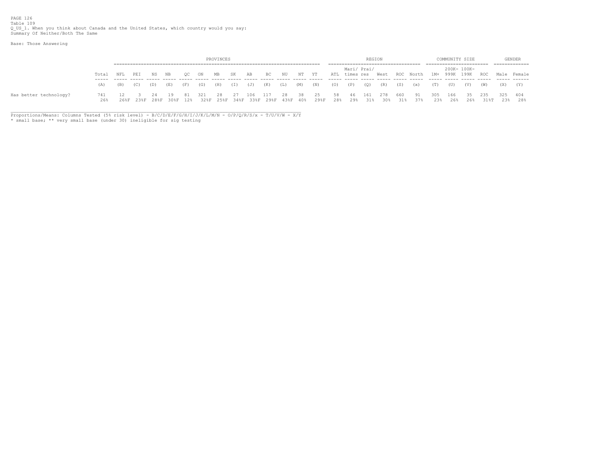Base: Those Answering

|                        |            |     |     |       |      |      |        | PROVINCES |     |     |              |     |       |                                                                    |    |             | REGION |                    |     |                              |            |            | COMMUNITY SIZE  |                   |         | GENDER       |
|------------------------|------------|-----|-----|-------|------|------|--------|-----------|-----|-----|--------------|-----|-------|--------------------------------------------------------------------|----|-------------|--------|--------------------|-----|------------------------------|------------|------------|-----------------|-------------------|---------|--------------|
|                        |            |     |     |       |      |      |        |           |     |     |              |     |       |                                                                    |    | Mari/ Prai/ |        |                    |     |                              |            |            | 200K- 100K-     |                   |         | ------------ |
|                        | Total      | NFL | PEI | NS NB |      | - OC | ON     | MB        | SK  | AB  | BC           | NU  | NT YT |                                                                    |    |             |        |                    |     | ATL times res West ROC North |            |            |                 | 1M+ 999K 199K ROC |         | Male Female  |
|                        | (A)        | (B) | (C) | (D)   | (E)  | (F)  | (G)    | (H)       | (I) | (J) | $\cdot$ (K), | (L) | (M)   | (N)                                                                |    | $(0)$ $(P)$ | (Q)    | (R)                | (S) | (x)                          | (T)        | (U)        | (V)             | (W)               |         | $(Y)$ $(Y)$  |
| Has better technology? | 741<br>26% |     |     | 24    | - 19 | -81  | 321 28 |           | 27  | 106 | 117          | 28  | 38 25 | 26%F 23%F 28%F 30%F 12% 32%F 25%F 34%F 33%F 29%F 43%F 40% 29%F 28% | 58 | -46<br>29%  | 161    | 278<br>31% 30% 31% | 660 | - 91<br>37%                  | 305<br>23% | 166<br>26% | 35 235<br>26% - | 31%T              | 325 404 | 23% 28%      |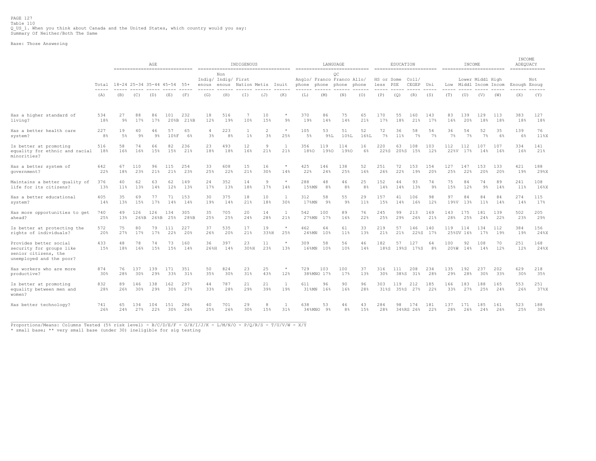PAGE 127 Table 110 Q\_US\_1. When you think about Canada and the United States, which country would you say: Summary Of Neither/Both The Same

Base: Those Answering

|                                                                                                        |                                                                                                                                                                                                                                                                                                                                                                                                     |                             |            | AGE           | ------------------------------ |                                                                                                                                                                                                                                                                                                                                                                                                     |                              |                | INDIGENOUS         |           | ----------------------------------- |                     |                 | LANGUAGE                                                    |           |                        | EDUCATION  |                    |                | ========================== | INCOME          |                                           |            | INCOME<br>ADEQUACY<br>============= |                                                                                                                                                                                                                                                                                                                                                                                                     |
|--------------------------------------------------------------------------------------------------------|-----------------------------------------------------------------------------------------------------------------------------------------------------------------------------------------------------------------------------------------------------------------------------------------------------------------------------------------------------------------------------------------------------|-----------------------------|------------|---------------|--------------------------------|-----------------------------------------------------------------------------------------------------------------------------------------------------------------------------------------------------------------------------------------------------------------------------------------------------------------------------------------------------------------------------------------------------|------------------------------|----------------|--------------------|-----------|-------------------------------------|---------------------|-----------------|-------------------------------------------------------------|-----------|------------------------|------------|--------------------|----------------|----------------------------|-----------------|-------------------------------------------|------------|-------------------------------------|-----------------------------------------------------------------------------------------------------------------------------------------------------------------------------------------------------------------------------------------------------------------------------------------------------------------------------------------------------------------------------------------------------|
|                                                                                                        | Total                                                                                                                                                                                                                                                                                                                                                                                               | 18-24 25-34 35-44 45-54 55+ |            |               |                                |                                                                                                                                                                                                                                                                                                                                                                                                     | Indig/ Indig/ First<br>enous | Non<br>enous   | Nation Metis Inuit |           |                                     |                     |                 | ОC<br>Anglo/ Franco Franco Allo/<br>phone phone phone phone |           | HS or Some<br>less PSE |            | Col1/<br>CEGEP Uni |                |                            |                 | Lower Middl High<br>Low Middl Incom Incom |            | Enough Enoug                        | Not                                                                                                                                                                                                                                                                                                                                                                                                 |
|                                                                                                        | $\frac{1}{2} \frac{1}{2} \frac{1}{2} \frac{1}{2} \frac{1}{2} \frac{1}{2} \frac{1}{2} \frac{1}{2} \frac{1}{2} \frac{1}{2} \frac{1}{2} \frac{1}{2} \frac{1}{2} \frac{1}{2} \frac{1}{2} \frac{1}{2} \frac{1}{2} \frac{1}{2} \frac{1}{2} \frac{1}{2} \frac{1}{2} \frac{1}{2} \frac{1}{2} \frac{1}{2} \frac{1}{2} \frac{1}{2} \frac{1}{2} \frac{1}{2} \frac{1}{2} \frac{1}{2} \frac{1}{2} \frac{$<br>(A) | (B)                         | (C)        | (D)           | (E)                            | $\frac{1}{2} \frac{1}{2} \frac{1}{2} \frac{1}{2} \frac{1}{2} \frac{1}{2} \frac{1}{2} \frac{1}{2} \frac{1}{2} \frac{1}{2} \frac{1}{2} \frac{1}{2} \frac{1}{2} \frac{1}{2} \frac{1}{2} \frac{1}{2} \frac{1}{2} \frac{1}{2} \frac{1}{2} \frac{1}{2} \frac{1}{2} \frac{1}{2} \frac{1}{2} \frac{1}{2} \frac{1}{2} \frac{1}{2} \frac{1}{2} \frac{1}{2} \frac{1}{2} \frac{1}{2} \frac{1}{2} \frac{$<br>(F) | (G)                          | (H)            | (T)                | (J)       | (K)                                 | (L)                 | (M)             | (N)                                                         | (0)       | (P)                    | (0)        | (R)                | -----<br>(S)   | $- - -$<br>(T)             | (U)             | (V)                                       | (W)        | (X)                                 | $\frac{1}{2} \frac{1}{2} \frac{1}{2} \frac{1}{2} \frac{1}{2} \frac{1}{2} \frac{1}{2} \frac{1}{2} \frac{1}{2} \frac{1}{2} \frac{1}{2} \frac{1}{2} \frac{1}{2} \frac{1}{2} \frac{1}{2} \frac{1}{2} \frac{1}{2} \frac{1}{2} \frac{1}{2} \frac{1}{2} \frac{1}{2} \frac{1}{2} \frac{1}{2} \frac{1}{2} \frac{1}{2} \frac{1}{2} \frac{1}{2} \frac{1}{2} \frac{1}{2} \frac{1}{2} \frac{1}{2} \frac{$<br>(Y) |
| Has a higher standard of                                                                               | 534                                                                                                                                                                                                                                                                                                                                                                                                 | 27                          | 88         | 86            | 101                            | 232                                                                                                                                                                                                                                                                                                                                                                                                 | 18                           | 516            | -7                 | 10        | $\star$                             | 370                 | 86              | 75                                                          | 65        | 170                    | 55         | 160                | 143            | 83                         | 139             | 129                                       | 113        | 383                                 | 127                                                                                                                                                                                                                                                                                                                                                                                                 |
| living?                                                                                                | 18%                                                                                                                                                                                                                                                                                                                                                                                                 | $9\%$                       | 17%        | 17%           | 208B                           | 21%B                                                                                                                                                                                                                                                                                                                                                                                                | 12%                          | 19%            | 10%                | 15%       | $9\%$                               | 19%                 | 14%             | 14%                                                         | 21%       | 17%                    | 18%        | 21%                | 17%            | 16%                        | 20%             | 18%                                       | 18%        | 18%                                 | 18%                                                                                                                                                                                                                                                                                                                                                                                                 |
| Has a better health care                                                                               | 227                                                                                                                                                                                                                                                                                                                                                                                                 | 19                          | 40         | 46            | 57                             | 65                                                                                                                                                                                                                                                                                                                                                                                                  | $\overline{4}$               | 223            | $1\%$              | 2         | $\star$                             | 105                 | 53              | 51                                                          | 52        | 72                     | 36         | 58                 | 54             | 36                         | 54              | 52                                        | 35         | 139                                 | 76                                                                                                                                                                                                                                                                                                                                                                                                  |
| system?                                                                                                | 8%                                                                                                                                                                                                                                                                                                                                                                                                  | $5\%$                       | $9\%$      | $9\%$         | 108F                           | 6%                                                                                                                                                                                                                                                                                                                                                                                                  | 3 <sup>°</sup>               | 8 <sup>°</sup> |                    | 3%        | 25%                                 | $5\%$               | 9%L             | 10%L                                                        | 16%L      | $7\%$                  | 11%        | 7%                 | $7\%$          | 7%                         | 7%              | $7\%$                                     | 6%         | 6%                                  | 11%X                                                                                                                                                                                                                                                                                                                                                                                                |
| Is better at promoting<br>equality for ethnic and racial<br>minorities?                                | 516<br>18%                                                                                                                                                                                                                                                                                                                                                                                          | 58<br>16%                   | 74<br>16%  | 66<br>15%     | 82<br>15%                      | 236<br>21%                                                                                                                                                                                                                                                                                                                                                                                          | 23<br>18%                    | 493<br>18%     | 12<br>16%          | 9<br>21%  | 1<br>21%                            | 356<br>18%0         | 119<br>19%0     | 114<br>19%0                                                 | 16<br>6%  | 220<br>22%S            | 63         | 108<br>20%S 15%    | 103<br>12%     | 112                        | 112<br>22%V 17% | 107<br>14%                                | 107<br>16% | 334<br>16%                          | 141<br>21%                                                                                                                                                                                                                                                                                                                                                                                          |
| Has a better system of                                                                                 | 642                                                                                                                                                                                                                                                                                                                                                                                                 | 67                          | 110        | 96            | 115                            | 254                                                                                                                                                                                                                                                                                                                                                                                                 | 33                           | 608            | 15                 | 16        | $\star$                             | 425                 | 146             | 138                                                         | 52        | 251                    | 72         | 153                | 154            | 127                        | 147             | 153                                       | 133        | 421                                 | 188                                                                                                                                                                                                                                                                                                                                                                                                 |
| government?                                                                                            | 22%                                                                                                                                                                                                                                                                                                                                                                                                 | 18%                         | 23%        | 21%           | 21%                            | 23%                                                                                                                                                                                                                                                                                                                                                                                                 | 25%                          | 22%            | 21%                | 30%       | 14%                                 | 22%                 | 24%             | 25%                                                         | 16%       | 26%                    | 22%        | 19%                | 20%            | 25%                        | 22%             | 20%                                       | 20%        | 19%                                 | 29%X                                                                                                                                                                                                                                                                                                                                                                                                |
| Maintains a better quality of                                                                          | 376                                                                                                                                                                                                                                                                                                                                                                                                 | 40                          | 62         | 63            | 62                             | 149                                                                                                                                                                                                                                                                                                                                                                                                 | 24                           | 352            | 14                 | 9         | $\star$                             | 288                 | 48              | 46                                                          | 25        | 152                    | 44         | 93                 | 74             | 75                         | 84              | 74                                        | 89         | 241                                 | 108                                                                                                                                                                                                                                                                                                                                                                                                 |
| life for its citizens?                                                                                 | 13%                                                                                                                                                                                                                                                                                                                                                                                                 | 11 <sup>8</sup>             | 13%        | 14%           | 12%                            | 13%                                                                                                                                                                                                                                                                                                                                                                                                 | 17%                          | 13%            | 18%                | 17%       | 14%                                 | 15%MN               | 8 <sup>°</sup>  | 8 <sup>°</sup>                                              | 8%        | 14%                    | 14%        | 13%                | 9 <sup>°</sup> | 15%                        | 12%             | $9\%$                                     | 14%        | 11%                                 | 16%X                                                                                                                                                                                                                                                                                                                                                                                                |
| Has a better educational                                                                               | 405                                                                                                                                                                                                                                                                                                                                                                                                 | 35                          | 69         | 77            | 71                             | 153                                                                                                                                                                                                                                                                                                                                                                                                 | 30                           | 375            | 18                 | 10        | $\mathbf{1}$                        | 312                 | 58              | 55                                                          | 29        | 157                    | 41         | 106                | 98             | 97                         | 84              | 84                                        | 84         | 274                                 | 115                                                                                                                                                                                                                                                                                                                                                                                                 |
| system?                                                                                                | 14%                                                                                                                                                                                                                                                                                                                                                                                                 | 13%                         | 15%        | 17%           | 14%                            | 14%                                                                                                                                                                                                                                                                                                                                                                                                 | 19%                          | 14%            | 21%                | 18%       | 30%                                 | 17%MN               | 9%              | 9 <sub>3</sub>                                              | 11%       | 15%                    | 14%        | 16%                | 12%            | 19%V                       | 13%             | 11%                                       | 14%        | 14%                                 | 17%                                                                                                                                                                                                                                                                                                                                                                                                 |
| Has more opportunities to get                                                                          | 740                                                                                                                                                                                                                                                                                                                                                                                                 | 49                          | 126        | 126           | 134                            | 305                                                                                                                                                                                                                                                                                                                                                                                                 | 35                           | 705            | 20                 | 14        | $\mathbf{1}$                        | 542                 | 100             | 89                                                          | 76        | 245                    | 99         | 213                | 169            | 143                        | 175             | 181                                       | 139        | 502                                 | 205                                                                                                                                                                                                                                                                                                                                                                                                 |
| ahead?                                                                                                 | 25%                                                                                                                                                                                                                                                                                                                                                                                                 | 13%                         | 268B       | $26$ %B       | 25%                            | 28%B                                                                                                                                                                                                                                                                                                                                                                                                | 25%                          | 25%            | 24%                | 28%       | 21%                                 | $27$ % $M$ N        | 17%             | 16%                                                         | 22%       | 25%                    | 29%        | 26%                | 21%            | 28%                        | 25%             | 24%                                       | 22%        | 23%                                 | 29%                                                                                                                                                                                                                                                                                                                                                                                                 |
| Is better at protecting the                                                                            | 572                                                                                                                                                                                                                                                                                                                                                                                                 | 75                          | 80         | 79            | 111                            | 227                                                                                                                                                                                                                                                                                                                                                                                                 | 37                           | 535            | 17                 | 19        | $\star$                             | 462                 | 64              | 61                                                          | 33        | 219                    | 57         | 146                | 140            | 119                        | 114             | 134                                       | 112        | 384                                 | 156                                                                                                                                                                                                                                                                                                                                                                                                 |
| rights of individuals?                                                                                 | 20%                                                                                                                                                                                                                                                                                                                                                                                                 | 27%                         | 17%        | 17%           | 22%                            | 20%                                                                                                                                                                                                                                                                                                                                                                                                 | 26%                          | 20%            | 21%                | 33%H      | 25%                                 | 24%MN               | 10%             | 11%                                                         | 13%       | 21%                    | 21%        | 22%S               | 17%            |                            | 25%UV 16%       | 17%                                       | 19%        | 19%                                 | 24%X                                                                                                                                                                                                                                                                                                                                                                                                |
| Provides better social<br>security for groups like<br>senior citizens, the<br>unemployed and the poor? | 433<br>15%                                                                                                                                                                                                                                                                                                                                                                                          | 48<br>18%                   | 78<br>16%  | 74<br>15%     | 73<br>15%                      | 160<br>14%                                                                                                                                                                                                                                                                                                                                                                                          | 36<br>26%H                   | 397<br>14%     | 23<br>30%H         | 11<br>23% | $\star$<br>13%                      | 309<br>$16$ % $M$ N | 58<br>10%       | 56<br>10%                                                   | 46<br>14% | 182<br>18%S            | 57<br>19%S | 127<br>17%S        | 64<br>8%       | 100<br>20%W                | 92<br>14%       | 108<br>14%                                | 70<br>12%  | 251<br>12%                          | 168<br>24%X                                                                                                                                                                                                                                                                                                                                                                                         |
| Has workers who are more                                                                               | 874                                                                                                                                                                                                                                                                                                                                                                                                 | 76                          | 137        | 139           | 171                            | 351                                                                                                                                                                                                                                                                                                                                                                                                 | 50                           | 824            | 23                 | 25        | $\star$                             | 729                 | 103             | 100                                                         | 37        | 316                    | 111        | 208                | 234            | 135                        | 192             | 237                                       | 202        | 629                                 | 218                                                                                                                                                                                                                                                                                                                                                                                                 |
| productive?                                                                                            | 30 <sup>8</sup>                                                                                                                                                                                                                                                                                                                                                                                     | 28%                         | 30%        | 29%           | 33%                            | 31%                                                                                                                                                                                                                                                                                                                                                                                                 | 35%                          | 30%            | 31%                | 43%       | 12%                                 |                     | 38%MNO 17%      | 17%                                                         | 13%       | 30%                    | 38%S       | 31%                | 28%            | 29%                        | 28%             | 30%                                       | 33%        | 30 <sup>8</sup>                     | 35%                                                                                                                                                                                                                                                                                                                                                                                                 |
| Is better at promoting<br>equality between men and<br>women?                                           | 832<br>28%                                                                                                                                                                                                                                                                                                                                                                                          | 89<br>26%                   | 146<br>30% | 138<br>29%    | 162<br>30%                     | 297<br>27%                                                                                                                                                                                                                                                                                                                                                                                          | 44<br>33%                    | 787<br>28%     | 21<br>29%          | 21<br>39% | 1<br>19%                            | 611<br>$31$ % $M$ N | 96<br>16%       | 90<br>16%                                                   | 96<br>28% | 303<br>31%S            | 119        | 212<br>35%S 27%    | 185<br>22%     | 166<br>33%                 | 183<br>27%      | 188<br>25%                                | 165<br>24% | 553<br>26%                          | 251<br>37%X                                                                                                                                                                                                                                                                                                                                                                                         |
| Has better technology?                                                                                 | 741<br>26%                                                                                                                                                                                                                                                                                                                                                                                          | 65<br>24%                   | 134<br>27% | 104<br>$22\%$ | 151<br>30%                     | 286<br>26%                                                                                                                                                                                                                                                                                                                                                                                          | 40<br>25%                    | 701<br>26%     | 29<br>30%          | 8<br>15%  | 1<br>31%                            | 638                 | 53<br>34%MNO 9% | 46<br>$8\%$                                                 | 43<br>15% | 284<br>28%             | 98         | 174<br>34%RS 26%   | 181<br>22%     | 137<br>28%                 | 171<br>26%      | 185<br>24%                                | 161<br>26% | 523<br>25%                          | 188<br>30%                                                                                                                                                                                                                                                                                                                                                                                          |

\_\_\_\_\_\_\_\_\_\_\_\_\_\_\_\_\_\_\_\_\_\_\_\_\_\_\_\_\_\_\_\_\_\_\_\_\_\_\_\_\_\_\_\_\_\_\_\_\_\_\_\_\_\_\_\_\_\_\_\_\_\_\_\_\_\_\_\_\_\_\_\_\_\_\_\_\_\_\_\_\_\_\_\_\_\_\_\_\_\_\_\_\_\_\_\_\_\_\_\_\_\_\_\_\_\_\_\_\_ Proportions/Means: Columns Tested (5% risk level) - B/C/D/E/F - G/H/I/J/K - L/M/N/O - P/Q/R/S - T/U/V/W - X/Y

\* small base; \*\* very small base (under 30) ineligible for sig testing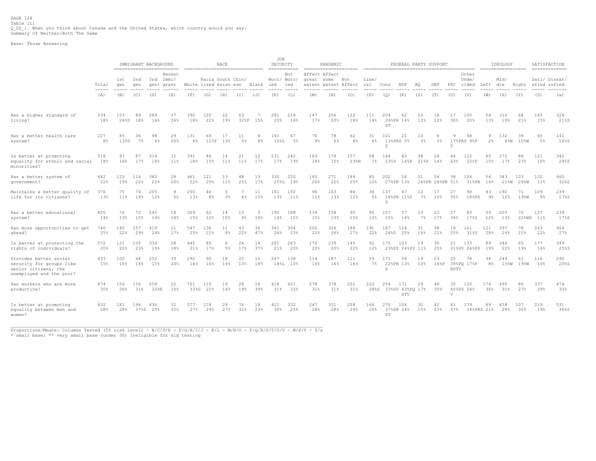PAGE 128 Table 111 Q\_US\_1. When you think about Canada and the United States, which country would you say: Summary Of Neither/Both The Same

Base: Those Answering

|                                                                                                        |                               |              | IMMIGRANT BACKGROUND |             | ==========================    | ================================ |                      | <b>RACE</b>          |             |            | JOB<br>SECURITY                 | $=$ = = = = = = = = = = =                  |                             | PANDEMIC             |                      |              |             | FEDERAL PARTY SUPPORT              |                       |                       |                    |                             |                     | IDEOLOGY<br>------------------ |                  | SATISFACTION<br>=============       |             |
|--------------------------------------------------------------------------------------------------------|-------------------------------|--------------|----------------------|-------------|-------------------------------|----------------------------------|----------------------|----------------------|-------------|------------|---------------------------------|--------------------------------------------|-----------------------------|----------------------|----------------------|--------------|-------------|------------------------------------|-----------------------|-----------------------|--------------------|-----------------------------|---------------------|--------------------------------|------------------|-------------------------------------|-------------|
|                                                                                                        | Total<br>$\cdots\cdots\cdots$ | 1st<br>qen   | 2nd<br>qen           | 3rd         | Recent<br>Immi/<br>gen+ grant | White lized Asian ese            | Racia South Chin/    |                      |             | Black      | ied<br>-----                    | Not<br>Worr/ Worr/<br>ied<br>$\frac{1}{2}$ | Affect Affect<br>great some | extent extent Affect | Not                  | Libe/<br>ral | Cons        | NDP                                | BO                    | GRP                   |                    | Other<br>Unde/<br>PPC cided | Left dle            | Mid/                           |                  | Sati/ Dissat/<br>Right sfied isfied |             |
|                                                                                                        | (A)                           | (B)          | (C)                  | (D)         | (E)                           | (F)                              | (G)                  | (H)                  | (T)         | (J)        | (K)                             | (L)                                        | (M)                         | (N)                  | (0)                  | (P)          | (Q)         | (R)                                | (S)                   | (T)                   | (U)                | (V)                         | (W)                 | (X)                            | (Y)              | (Z)                                 | (a)         |
| Has a higher standard of<br>living?                                                                    | 534<br>18%                    | 153<br>24%D  | 89<br>18%            | 289<br>16%  | 37<br>26%                     | 390<br>18%                       | 120<br>22%           | 22<br>19%            | 63<br>328F  | 15%        | 281<br>20%                      | 219<br>16%                                 | 147<br>17%                  | 256<br>20%           | 122<br>18%           | 111<br>14%   | 204<br>ST   | 62<br>26%PR 14%                    | 22<br>12%             | 18<br>12%             | 17<br>30%          | 100<br>20%                  | 54<br>13%           | 310<br>19%                     | 68<br>21%        | 165<br>15%                          | 324<br>21%Z |
| Has a better health care<br>system?                                                                    | 227<br>8%                     | 85<br>13%D   | 36<br>7%             | 98<br>6%    | 29<br>20%                     | 131<br>6%                        | 69<br>11%F           | 17<br>13%            | 11<br>$5\%$ | 6<br>$8\%$ | 141<br>$10\text{\textdegree L}$ | 67<br>5%                                   | 76<br>$9\%$                 | 78<br>6%             | 62<br>8 <sup>°</sup> | 31<br>4%     | 101<br>T.   | 21<br>13%PRS 5%                    | 10<br>$5\%$           | 6<br>3 <sup>8</sup>   | -9<br>T.           | 48<br>17%PRS 9%P            | 9<br>$2\frac{6}{5}$ | 132<br>$8\%W$                  | 39<br>$10\%$ W   | 65<br>$5\%$                         | 141<br>10%Z |
| Is better at promoting<br>equality for ethnic and racial<br>minorities?                                | 516<br>18%                    | 97<br>16%    | 87<br>17%            | 314<br>18%  | 11<br>11%                     | 391<br>18%                       | 86<br>15%            | 14<br>11%            | 21<br>11%   | 12<br>17%  | 231<br>17%                      | 242<br>19%                                 | 163<br>18%                  | 174<br>15%           | 157<br>23%N          | 58<br>$7\%$  | 164<br>23%P | 65<br>168P                         | 38<br>218P            | 24<br>14%             | 44<br>63%          | 122<br>22%P                 | 65<br>15%           | 272<br>17%                     | 86<br>23%        | 121<br>10%                          | 342<br>24%Z |
| Has a better system of<br>government?                                                                  | 642<br>22%                    | 123<br>19%   | 116<br>22%           | 382<br>22%  | 28<br>20%                     | 461<br>22%                       | 121<br>20%           | 13<br>11%            | 48<br>25%   | 13<br>17%  | 330                             | 255<br>25%L 19%                            | 165<br>20%                  | 271<br>22%           | 184<br>25%           | 85<br>10%    | 202         | 56<br>27%PR 13%                    | 51                    | 54<br>26%PR 28%PR 51% | 38                 | 154<br>31%PR                | 56<br>14%           | 343                            | 103<br>21%W 29%W | 132<br>11%                          | 460<br>32%Z |
| Maintains a better quality of<br>life for its citizens?                                                | 376<br>13%                    | 75<br>$11\%$ | 74<br>14%            | 205<br>12%  | 8<br>$5\%$                    | 290<br>13%                       | 46<br>8 <sup>°</sup> | 5<br>3 <sup>°</sup>  | 7<br>4%     | 11<br>15%  | 181<br>13%                      | 150<br>11%                                 | 96<br>11 <sup>8</sup>       | 163<br>13%           | 86<br>12%            | 38<br>5%     | 137<br>S.   | 47<br>18%PR 11%P                   | 12<br>$7\%$           | 17<br>10 <sup>8</sup> | 27<br>35%          | 98<br>18%PS                 | 43<br>9%            | 190<br>12%                     | 71<br>19%W       | 109<br>9%                           | 239<br>17%Z |
| Has a better educational<br>system?                                                                    | 405<br>14%                    | 76<br>13%    | 72<br>15%            | 245<br>14%  | 18<br>14%                     | 309<br>15%                       | 62<br>12%            | 14<br>10%            | 13<br>$9\%$ | 5<br>14%   | 190<br>14%                      | 188<br>15%                                 | 134<br>15%                  | 158<br>13%           | 95<br>15%            | 95<br>12%    | 107<br>15%  | 57<br>14%                          | 13<br>$7\%$           | 23<br>17%             | 27<br>34%          | 83<br>17%S                  | 59<br>12%           | 203<br>13%                     | 70               | 127<br>22%WX 11%                    | 239<br>17%Z |
| Has more opportunities to get<br>ahead?                                                                | 740<br>25%                    | 140<br>22%   | 157<br>29%           | 419<br>24%  | 21<br>17%                     | 547<br>25%                       | 136<br>22%           | 11<br>8 <sup>°</sup> | 43<br>22%   | 36<br>47%  | 361<br>26%                      | 304<br>23%                                 | 200<br>22%                  | 326<br>26%           | 188<br>27%           | 191<br>22%   | 187<br>26%S | 114<br>25%                         | 31<br>16%             | 38<br>22%             | 18<br>25%          | 161<br>31%S                 | 121<br>28%          | 397<br>24%                     | 78<br>22%        | 263<br>22%                          | 404<br>27%  |
| Is better at protecting the<br>rights of individuals?                                                  | 572<br>20%                    | 121<br>20%   | 105<br>23%           | 336<br>19%  | 28<br>18%                     | 445<br>21%                       | 85<br>17%            | -6<br>5%             | 24<br>17%   | 14<br>37%  | 281<br>21%                      | 263<br>20%                                 | 172<br>20%                  | 239<br>20%           | 145<br>22%           | 92<br>12%    | 175         | 103<br>23%PS 24%PS 11%             | 19                    | 30<br>20%             | 21                 | 133<br>31%PS 26%PS          | 89<br>19%           | 346<br>22%                     | 65<br>19%        | 177<br>16%                          | 349<br>25%Z |
| Provides better social<br>security for groups like<br>senior citizens, the<br>unemployed and the poor? | 433<br>15%                    | 102<br>16%   | 68<br>14%            | 252<br>15%  | 35<br>20%                     | 292<br>14%                       | 90<br>16%            | 18<br>14%            | 22<br>13%   | 10<br>18%  | 247                             | 138<br>18%L 10%                            | 114<br>14%                  | 187<br>14%           | 111<br>16%           | 59<br>$7\%$  | 171<br>S.   | 58<br>22%PR 13%                    | 19<br>10 <sub>8</sub> | 23<br>16%P            | 25<br><b>RSTV</b>  | 78<br>39%PO 17%P            | 38<br>8%            | 249                            | 61<br>15%W 19%W  | 116<br>10%                          | 290<br>20%Z |
| Has workers who are more<br>productive?                                                                | 874<br>30%                    | 156<br>26%   | 156<br>31%           | 558<br>32%E | 22<br>15%                     | 701<br>33%G                      | 115<br>22%           | 19<br>14%            | 28<br>19%   | 16<br>39%  | 418<br>31%                      | 421<br>32%                                 | 278<br>31%                  | 378<br>31%           | 202<br>31%           | 222          | 254         | 171<br>28%S 33%SV 43%PO 17%<br>STV | 29                    | 48<br>30%             | 30<br>$\mathbf{V}$ | 120<br>45%PS 24%            | 174<br>36%          | 495<br>31%                     | 86<br>27%        | 337<br>29%                          | 474<br>33%  |
| Is better at promoting<br>equality between men and<br>women?                                           | 832<br>28%                    | 181<br>28%   | 196<br>37%D          | 436<br>25%  | 32<br>25%                     | 577<br>27%                       | 178<br>29%           | 29<br>27%            | 74<br>32%   | 18<br>23%  | 421<br>30%                      | 332<br>25%                                 | 247<br>28%                  | 351<br>28%           | 208<br>29%           | 166<br>20%   | 270<br>ST   | 104<br>37%PR 24%                   | 30<br>15%             | 42<br>23%             | 41<br>57%          | 179                         | 89<br>34%PRS 21%    | 458<br>28%                     | 107<br>30%       | 219<br>19%                          | 531<br>36%Z |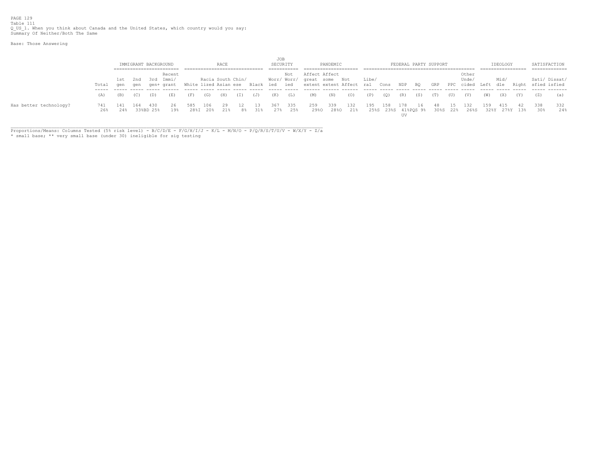PAGE 129 Table 111 Q\_US\_1. When you think about Canada and the United States, which country would you say: Summary Of Neither/Both The Same

Base: Those Answering

|                        |       |      |     |                      |            |                       |     |                   |     |           | JOB      |      |                           |          |          |       |      |     |     |                       |              |                                                 |      |          |     |                    |     |
|------------------------|-------|------|-----|----------------------|------------|-----------------------|-----|-------------------|-----|-----------|----------|------|---------------------------|----------|----------|-------|------|-----|-----|-----------------------|--------------|-------------------------------------------------|------|----------|-----|--------------------|-----|
|                        |       |      |     | IMMIGRANT BACKGROUND |            |                       |     | RACE              |     |           | SECURITY |      |                           | PANDEMIC |          |       |      |     |     | FEDERAL PARTY SUPPORT |              |                                                 |      | IDEOLOGY |     | SATISFACTION       |     |
|                        |       |      |     |                      |            |                       |     |                   |     |           |          |      |                           |          |          |       |      |     |     |                       |              |                                                 |      |          |     | ------------       |     |
|                        |       |      |     |                      | Recent     |                       |     |                   |     |           |          | Not  | Affect Affect             |          |          |       |      |     |     |                       |              | Other                                           |      |          |     |                    |     |
|                        |       | 1st  | 2nd | 3rd                  | Immi/      |                       |     | Racia South Chin/ |     |           |          |      | Worr/Worr/ great some Not |          |          | Libe/ |      |     |     |                       |              | Unde/                                           |      | Mid/     |     | Sati/ Dissat/      |     |
|                        | Total | aen  | qen |                      | qen+ qrant | White lized Asian ese |     |                   |     | Black ied |          | ied  | extent extent Affect ral  |          |          |       | Cons | NDP | BQ  | GRP                   | $_{\rm PPC}$ | cided                                           | Left | dle      |     | Right sfied isfied |     |
|                        |       |      |     |                      |            |                       |     |                   |     |           |          |      |                           |          |          |       |      |     |     |                       |              |                                                 |      |          |     |                    |     |
|                        | (A)   | (B). | (C) | (D)                  | (E)        | (F)                   | (G) | (H)               | (I) | (J)       | (K)      | (L)  | (M)                       | (N)      | (0)      | (P)   | (0)  | (R) | (S) | (T)                   | (U)          | (V)                                             | (W)  | (X)      | (Y) | (Z)                | (a) |
|                        |       |      |     |                      |            |                       |     |                   |     |           |          |      |                           |          |          |       |      |     |     |                       |              |                                                 |      |          |     |                    |     |
| Has better technology? |       |      | 164 | 430                  | 26.        |                       | 106 | 29                |     |           | 367      | -335 | 259                       | 339      | 132      | 195   | 158  | 178 | 16  |                       | -15          | 132                                             | 159  | 415      |     | 338                | 332 |
|                        | 26%   | 2.4% |     | 33%BD 25%            | 19%        |                       |     | 28%I 20% 21%      | 8%  | 31%       | 27%      | 25%  | 29%0                      |          | 28%0 21% |       |      |     |     |                       |              | 25%S 23%S 41%POS 9% 30%S 22% 26%S 32%Y 27%Y 13% |      |          |     | 30%                | 24% |
|                        |       |      |     |                      |            |                       |     |                   |     |           |          |      |                           |          |          |       |      |     |     |                       |              |                                                 |      |          |     |                    |     |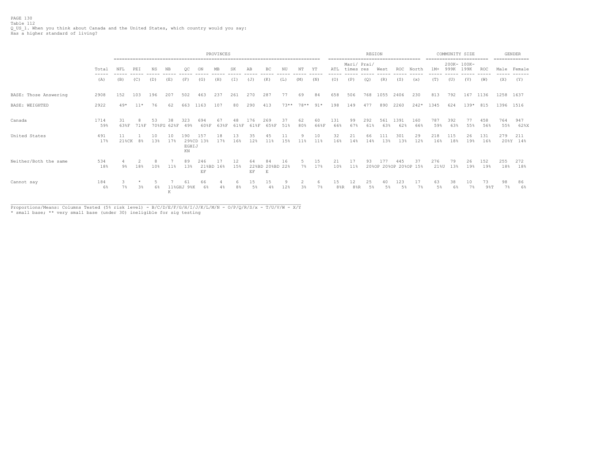PAGE 130 Table 112 Q\_US\_1. When you think about Canada and the United States, which country would you say: Has a higher standard of living?

|                       |               |                |          |           |                  |                    |                             | PROVINCES  |           |                                    |                                       |                 |          |            |            |                              | REGION     |            | ------------------------------------ |            | ========================= | COMMUNITY SIZE |                     |            |             | <b>GENDER</b><br>============== |
|-----------------------|---------------|----------------|----------|-----------|------------------|--------------------|-----------------------------|------------|-----------|------------------------------------|---------------------------------------|-----------------|----------|------------|------------|------------------------------|------------|------------|--------------------------------------|------------|---------------------------|----------------|---------------------|------------|-------------|---------------------------------|
|                       | Total<br>---- | NFL            | PEI      | NS.       | NΒ               |                    | ÓN                          | MB         | SK        | AB                                 | BC                                    | NU              | NΤ       | ΥT         | ATL        | Mari/ Prai/<br>times res     |            | West       | <b>ROC</b>                           | North      | $1M+$                     | 999K           | 200K- 100K-<br>199K | ROC        |             | Male Female                     |
|                       | (A)           | (B)            | (C)      | (D)       | (E)              | (F)                | (G)                         | (H)        | (T)       | (J)                                | (K)                                   | (L)             | (M)      | (N)        | (0)        | (P)                          | (Q)        | (R)        | (S)                                  | (x)        | (T)                       | (U)            | (V)                 | (W)        | (X)         | (Y)                             |
| BASE: Those Answering | 2908          | 152            | 103      | 196       | 207              | 502                | 463                         | 237        | 261       | 270                                | 287                                   | 77              | 69       | 84         | 658        | 506                          | 768        | 1055       | 2406                                 | 230        | 813                       | 792            | 167                 | 1136       | 1258 1637   |                                 |
| BASE: WEIGHTED        | 2922          | $49*$          | $11*$    | 76        | 62               | 663                | 1163                        | 107        | 80        | 290                                | 413                                   | $73***$         | 78** 91* |            | 198        | 149                          | 477        | 890        | 2260                                 | 242* 1345  |                           | 624            | $139*$              | 815        | 1396 1516   |                                 |
| Canada                | 1714<br>59%   | 31<br>63%F     | 71%F     | 53        | 38<br>70%FG 62%F | 323<br>49%         | 694<br>60%F                 | 67<br>63%F | 61%F      | 76.<br>61%F                        | 269<br>65%F                           | 37<br>51%       | 80%      | 60<br>66%F | 131<br>66% | 99<br>67%                    | 292<br>61% | 561<br>63% | 391<br>62%                           | 160<br>66% | 787<br>59%                | 392<br>63%     | 55%                 | 458<br>56% | 764<br>55%  | 947<br>62%X                     |
| United States         | 491<br>17%    | 11             | 21%CK 8% | 10<br>13% | 10<br>17%        | 190<br>EGHIJ<br>ΚN | 157<br>29%CD 13%            | 18<br>17%  | 13<br>16% | 35<br>12%                          | 45<br>11%                             | 11<br>15%       | 11%      | 10<br>11%  | 32<br>16%  | 21<br>14%                    | 66<br>14%  | 13%        | 301<br>13%                           | 29<br>12%  | 218<br>16%                | 115<br>18%     | 26<br>19%           | 131<br>16% | 279         | 211<br>20%Y 14%                 |
| Neither/Both the same | 534<br>18%    | 9 <sup>°</sup> | 18%      | 8<br>10%  | 11%              | 89<br>13%          | 246<br>21%BD 16%<br>$\to$ F |            | 12<br>15% | 64<br>22%BD<br>$\operatorname{EF}$ | 20%BD 22%<br>$\mathop{}\mathopen{} E$ | 16              | $7\%$    | 15<br>17%  | 21<br>10%  | 17<br>11%                    | 93         | 177        | 445<br>20%OP 20%OP 20%OP 15%         | 37         | 276<br>21%U               | 79<br>13%      | 26<br>19%           | 152<br>19% | 255<br>18%  | 272<br>18%                      |
| Cannot say            | 184<br>6%     | 7%             | 3%       | 6%        | 11%GHJ<br>K      | 61<br>$9$ $%$ K    | 66<br>6%                    |            |           | 15<br>5 <sup>o</sup>               | 15                                    | 12 <sup>8</sup> | 3%       | 6<br>7%    | 15<br>8%R  | 12<br>$8\,$ <sub>8</sub> $R$ | 25<br>5%   | 40<br>5%   | 123<br>.5%                           | 17<br>7%   | 63<br>5%                  | 38<br>6%       | 10<br>7%            | 73<br>98T  | 98<br>$7\%$ | 86<br>6%                        |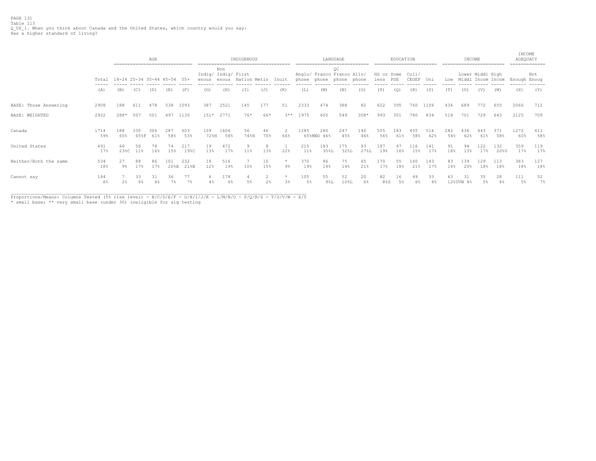PAGE 131 Table 113<br>Q\_US\_1. When you think about Canada and the United States, which country would you say:<br>Has a higher standard of living?

|                       |             |                             | ------------------------------- | AGE        |             |             |                              |              | INDIGENOUS   |                |                  |            | ----------------------------                    | LANGUAGE    |            |                    | EDUCATION  | ========================= |            |            | INCOME          | ------------------------ |                   | INCOME<br>ADEQUACY | -------------- |
|-----------------------|-------------|-----------------------------|---------------------------------|------------|-------------|-------------|------------------------------|--------------|--------------|----------------|------------------|------------|-------------------------------------------------|-------------|------------|--------------------|------------|---------------------------|------------|------------|-----------------|--------------------------|-------------------|--------------------|----------------|
|                       | Total       | 18-24 25-34 35-44 45-54 55+ |                                 |            |             |             | Indig/ Indig/ First<br>enous | Non<br>enous | Nation Metis |                | Inuit            | phone      | Anglo/ Franco Franco Allo/<br>phone phone phone | OC          |            | HS or Some<br>less | PSE        | Col1/<br>CEGEP            | Uni        | Low        |                 | Lower Middl High         | Middl Incom Incom | Enough Enoug       | Not            |
|                       | (A)         | (B)                         | (C)                             | (D)        | (E)         | (F)         | (G)                          | (H)          | (T)          | (J)            | (K)              | (L)        | (M)                                             | (N)         | (0)        | (P)                | (Q)        | (R)                       | (S)        | (T)        | (U)             | (V)                      | (W)               | (X)                | (Y)            |
| BASE: Those Answering | 2908        | 188                         | 611                             | 478        | 538         | 1093        | 387                          | 2521         | 145          | 177            | 51               | 2333       | 474                                             | 388         | 82         | 622                | 395        | 760                       | 1106       | 436        | 689             | 772                      | 655               | 2066               | 712            |
| BASE: WEIGHTED        | 2922        | 288*                        | 507                             | 501        | 497         | 1130        | $151*$                       | 2771         | 76*          | 66*            |                  | $3**$ 1975 | 605                                             | 549         | $308*$     | 993                | 301        | 780                       | 834        | 518        | 701             | 729                      | 643               | 2125               | 709            |
| Canada                | 1714<br>59% | 188<br>65%                  | 330<br>65%F                     | 306<br>61% | 287<br>58%  | 603<br>53%  | 109<br>72%H                  | 1606<br>58%  | 56<br>74%H   | 46<br>70%      | 66%              | 1285       | 280<br>65%MNO 46%                               | 247<br>45%  | 140<br>46% | 555<br>56%         | 183<br>61% | 455<br>58%                | 516<br>62% | 282<br>54% | 436<br>62%      | 443<br>61%               | 371<br>58%        | 1272<br>60%        | 411<br>58%     |
| United States         | 491<br>17%  | 66<br>23%C                  | 56<br>11%                       | 78<br>16%  | 74<br>15%   | 217<br>19%C | 19<br>13%                    | 472<br>17%   | q<br>11%     | 13%            | 22%              | 215<br>11% | 183<br>30%L                                     | 175<br>32%L | 27%L       | 187<br>19%         | 16%        | 116<br>15%                | 141<br>17% | 18%        | 94<br>13%       | 122<br>17%               | 132<br>20%U       | 359<br>17%         | 119<br>17%     |
| Neither/Both the same | 534<br>18%  | 27<br>୨୫                    | 88<br>17%                       | 86<br>17%  | 101<br>20%B | 232<br>21%B | 18<br>12%                    | 516<br>19%   | 10%          | 10<br>15%      | $\star$<br>$9\%$ | 370<br>19% | 86<br>14%                                       | 75<br>14%   | 65<br>21%  | 170<br>17%         | 55<br>18%  | 160<br>21%                | 143<br>17% | 83<br>16%  | 139<br>20%      | 129<br>18%               | 113<br>18%        | 383<br>18%         | 127<br>18%     |
| Cannot say            | 184<br>6%   |                             | 33<br>6%                        | 31<br>6%   | 36          | 77<br>7%    |                              | 178<br>6%    | 5%           | 2 <sup>8</sup> | $\star$<br>3%    | 105<br>5%  | 55<br>98L                                       | 52<br>10%L  | 20<br>6%   | 82<br>8%S          | 16<br>5%   | 49<br>6%                  | 33         | 63         | 31<br>12%UVW 4% | 35<br>5%                 | 28<br>4%          | 111<br>.5%         | 52<br>7%       |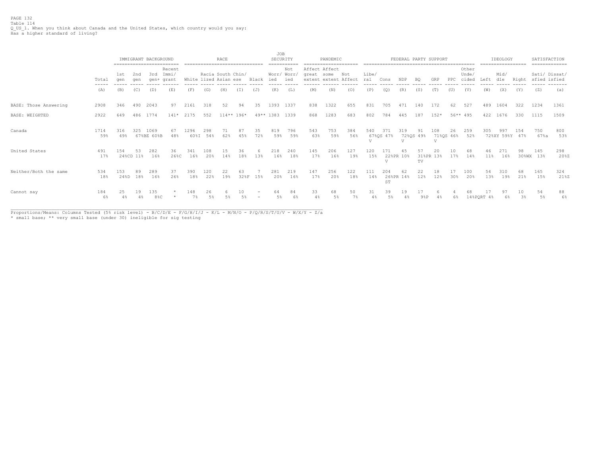PAGE 132 Table 114 Q\_US\_1. When you think about Canada and the United States, which country would you say: Has a higher standard of living?

|                       |                                                                                                                                                                                                                                                                                                                                                                                                                                                                                     | ------------------------- |            | IMMIGRANT BACKGROUND |                          |                       |                   | RACE         |           |           | JOB<br>SECURITY             |                      |                             | PANDEMIC             |            |                       |                             |                       |                 | FEDERAL PARTY SUPPORT              |          |                         |            | IDEOLOGY<br>============= |       | SATISFACTION<br>============= |             |
|-----------------------|-------------------------------------------------------------------------------------------------------------------------------------------------------------------------------------------------------------------------------------------------------------------------------------------------------------------------------------------------------------------------------------------------------------------------------------------------------------------------------------|---------------------------|------------|----------------------|--------------------------|-----------------------|-------------------|--------------|-----------|-----------|-----------------------------|----------------------|-----------------------------|----------------------|------------|-----------------------|-----------------------------|-----------------------|-----------------|------------------------------------|----------|-------------------------|------------|---------------------------|-------|-------------------------------|-------------|
|                       | Total<br>$\frac{1}{2} \left( \frac{1}{2} \right) \left( \frac{1}{2} \right) \left( \frac{1}{2} \right) \left( \frac{1}{2} \right) \left( \frac{1}{2} \right) \left( \frac{1}{2} \right) \left( \frac{1}{2} \right) \left( \frac{1}{2} \right) \left( \frac{1}{2} \right) \left( \frac{1}{2} \right) \left( \frac{1}{2} \right) \left( \frac{1}{2} \right) \left( \frac{1}{2} \right) \left( \frac{1}{2} \right) \left( \frac{1}{2} \right) \left( \frac{1}{2} \right) \left( \frac$ | 1st<br>qen                | 2nd<br>aen | 3rd<br>gen+          | Recent<br>Immi/<br>grant | White lized Asian ese | Racia South Chin/ |              |           | Black     | Worr/ Worr/<br>ied<br>----- | Not<br>ied<br>------ | Affect Affect<br>great some | extent extent Affect | Not        | Libe/<br>ral<br>----- | Cons                        | NDP<br>-----          | BC              | GRP                                | PPC      | Other<br>Unde/<br>cided | Left       | Mid/<br>dle               | Right | Sati/ Dissat/<br>sfied isfied | -------     |
|                       | (A)                                                                                                                                                                                                                                                                                                                                                                                                                                                                                 | (B)                       | (C)        | (D)                  | (E)                      | (F)                   | (G)               | (H)          | (T)       | (J)       | (K)                         | (L)                  | (M)                         | (N)                  | (0)        | (P)                   | (O)                         | (R)                   | (S)             | (T)                                | (U)      | (V)                     | (W)        | (X)                       | (Y)   | (Z)                           | (a)         |
| BASE: Those Answering | 2908                                                                                                                                                                                                                                                                                                                                                                                                                                                                                | 346                       | 490        | 2043                 | 97                       | 2161                  | 318               | 52           | 94        | 35        | 1393                        | 1337                 | 838                         | 1322                 | 655        | 831                   | 705                         | 471                   | 140             | 172                                | 62       | 527                     | 489        | 1604                      | 322   | 1234                          | 1361        |
| <b>BASE: WEIGHTED</b> | 2922                                                                                                                                                                                                                                                                                                                                                                                                                                                                                | 649                       | 486        | 1774                 | $141*$                   | 2175                  | 552               | $114**$ 196* |           |           | 49** 1383 1339              |                      | 868                         | 1283                 | 683        | 802                   | 784                         | 445                   | 187             | $152*$                             | 56** 495 |                         | 422        | 1676                      | 330   | 1115                          | 1509        |
| Canada                | 1714<br>59%                                                                                                                                                                                                                                                                                                                                                                                                                                                                         | 316<br>49%                | 325        | 1069<br>67%BE 60%B   | 48%                      | 1296<br>60%I          | 298<br>54%        | 62%          | 45%       | 35<br>72% | 819<br>59%                  | 796<br>59%           | 543<br>63%                  | 753<br>59%           | 384<br>56% | 540<br>77             | 67%OS 47%                   | 319<br>$\overline{V}$ | 91<br>72%QS 49% | 108<br>71%QS 46%<br>$\overline{V}$ | 26       | 259<br>52%              | 305        | 991<br>72%XY 59%Y 47%     |       | 750<br>67%a                   | 800<br>53%  |
| United States         | 491<br>17%                                                                                                                                                                                                                                                                                                                                                                                                                                                                          | 154<br>24%CD 11%          | 53         | 282<br>16%           | 36<br>26%C               | 341<br>16%            | 108<br>20%        | 14%          | 36<br>18% | 13%       | 218<br>16%                  | 240<br>18%           | 145<br>17%                  | 206<br>16%           | 127<br>19% | 120<br>15%            | 22%PR 10%<br>$\overline{U}$ |                       | TV              | 31%PR 13%                          | 17%      | 14%                     | 11%        | 16%                       | 30%WX | 145<br>13%                    | 298<br>20%Z |
| Neither/Both the same | 534<br>18%                                                                                                                                                                                                                                                                                                                                                                                                                                                                          | 153<br>24%D               | 89<br>18%  | 289<br>16%           | 26%                      | 390<br>18%            | 120<br>22%        | 22<br>19%    | 32%F      | 15%       | 281<br>20%                  | 219<br>16%           | 147<br>17%                  | 256<br>20%           | 122<br>18% | 111<br>14%            | 204<br>26%PR 14%<br>ST      | 62                    | 22<br>12%       | 12%                                | 30%      | 100<br>20%              | 54<br>13%  | 19%                       | 21%   | 165<br>15%                    | 324<br>21%Z |
| Cannot say            | 184<br>6%                                                                                                                                                                                                                                                                                                                                                                                                                                                                           | 25                        | 19         | 135<br>$88$ C        |                          | 148<br>7%             | 26<br>5%          |              | 10        |           |                             | 68                   | 33<br>4%                    | 68<br>$5\%$          | 50<br>7%   | 31                    | 39                          | 19                    | 98P             |                                    | 6%       |                         | 14%PQRT 4% |                           | $3\%$ | 54<br>5%                      | 88<br>6%    |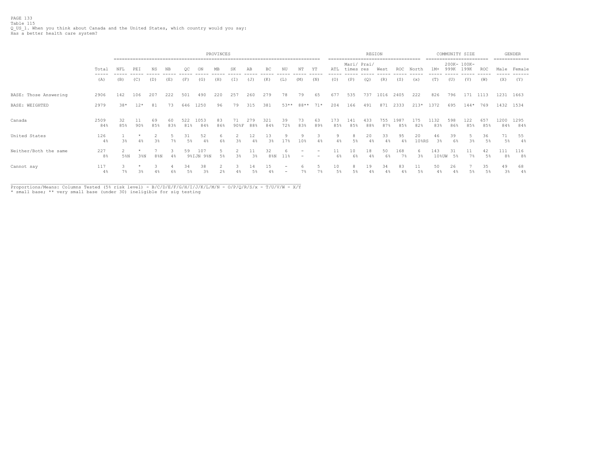PAGE 133 Table 115 Q\_US\_1. When you think about Canada and the United States, which country would you say: Has a better health care system?

|                       |              |           |        |           |           |            |                     | PROVINCES |                           |            |                |           |                   |                          |             |                          | REGION     |             |              |                     |              | COMMUNITY SIZE      |            |             |             | <b>GENDER</b><br>------------- |
|-----------------------|--------------|-----------|--------|-----------|-----------|------------|---------------------|-----------|---------------------------|------------|----------------|-----------|-------------------|--------------------------|-------------|--------------------------|------------|-------------|--------------|---------------------|--------------|---------------------|------------|-------------|-------------|--------------------------------|
|                       | Total        | NFL       | PEI    | NS.       | NΒ        | ОC         | ON                  | MВ        | SK                        | AB         | BC             | ΝU        | NΤ                | ΥT                       | ATL         | Mari/ Prai/<br>times res |            | West        | <b>ROC</b>   | North               | 1M+          | 200K- 100K-<br>999K | 199K       | ROC         |             | Male Female                    |
|                       | (A)          | (B)       | (C)    | (D)       | (E)       | (F)        | (G)                 | (H)       | (I)                       | (J)        | (K)            | (L)       | (M)               | (N)                      | (0)         | (P)                      | (Q)        | (R)         | (S)          | (x)                 | (T)          | (U)                 | (V)        | (W)         | (X)         | (Y)                            |
| BASE: Those Answering | 2906         | 142       | 106    | 207       | 222       | 501        | 490                 | 220       | 257                       | 260        | 279            | 78        | 79                | 65                       | 677         | 535                      | 737        | 1016        | 2405         | 222                 | 826          | 796                 | 171        | 1113        |             | 1231 1663                      |
| BASE: WEIGHTED        | 2979         | $38*$     | $12*$  | 81        | 73        | 646        | 1250                | 96        | 79                        | 315        | 381            | $53**$    | 88**              | $71*$                    | 204         | 166                      | 491        | 871         | 2333         | $213*$              | 1372         | 695                 | $144*$     | 769         |             | 1432 1534                      |
| Canada                | 2509<br>84%  | 32<br>85% | $90\%$ | 69<br>85% | 60<br>83% | 522<br>81% | 1053<br>84%         | 83<br>86% | 71<br>$90$ <sup>8</sup> F | 279<br>88% | 321<br>84%     | 39<br>72% | 73<br>83%         | 63<br>89%                | 173<br>85%  | 141<br>85%               | 433<br>88% | 755<br>87%  | 1987<br>85%  | 175<br>82%          | 1132<br>83%  | 598<br>86%          | 122<br>85% | 657<br>85%  | 1200<br>84% | 1295<br>84%                    |
| United States         | 126<br>$4\%$ | 3%        | 4%     | 3%        | 7%        | 31<br>5%   | 52<br>4%            | 6%        | 3%                        | 4%         | 13<br>3%       | 17%       | $^{\circ}$<br>10% | $4\%$                    |             | 5%                       | 20         | 33<br>4%    | 95<br>$4\%$  | 20<br>10%RS         | 46<br>3%     | 39<br>6%            | 3%         | 36<br>5%    | 71<br>$5\%$ | 55<br>4%                       |
| Neither/Both the same | 227<br>8%    | 5%N       | 38N    | $8\,$ %N  | 4%        | 59         | 107<br>98N<br>9%IJN | 5%        | $3\%$                     | 3%         | 32<br>$8\,$ %N | 11%       |                   | $\overline{\phantom{0}}$ | 11<br>$6\%$ | 10<br>6%                 | 18<br>4%   | 50<br>$6\%$ | 168<br>$7\%$ | $\epsilon$<br>$3\%$ | 143<br>10%UW | 31<br>5%            | 7%         | 42<br>$5\%$ | 111<br>8%   | 116<br>8%                      |
| Cannot say            | 117<br>$4\%$ | $7\%$     | $3\%$  |           |           | 34         | 38<br>3%            | $2\,$     |                           | 14         | 15<br>4%       |           |                   | 7%                       | 10<br>5%    | $5\%$                    | 19         | 34          | 83<br>$4\%$  | 5%                  | 50           | 26                  | 5%         | 35<br>$5\%$ | 49<br>3%    | 68<br>4%                       |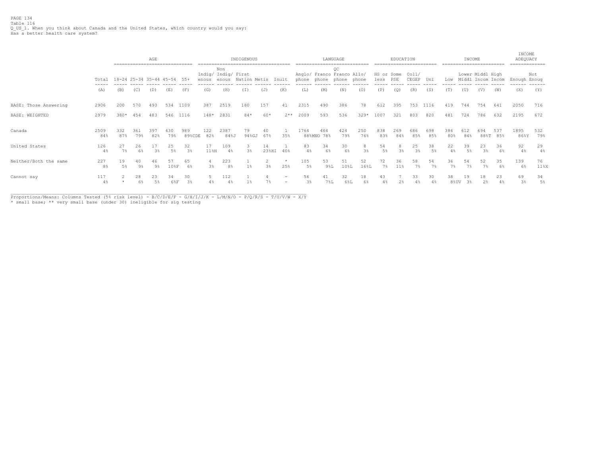|                       |                       |             |             | AGE<br>----------------------------- |            |               |               |                                     | INDIGENOUS   |                     |                                    |           |                   | LANGUAGE                                  |            |                    | EDUCATION  |                      |            |             | INCOME      |                                       |            | INCOME<br>ADEQUACY | ============ |
|-----------------------|-----------------------|-------------|-------------|--------------------------------------|------------|---------------|---------------|-------------------------------------|--------------|---------------------|------------------------------------|-----------|-------------------|-------------------------------------------|------------|--------------------|------------|----------------------|------------|-------------|-------------|---------------------------------------|------------|--------------------|--------------|
|                       | Total                 |             |             | 18-24 25-34 35-44 45-54              |            | - 55+         | enous         | Non<br>Indig/ Indig/ First<br>enous | Nation Metis |                     | Inuit                              |           | phone phone       | OC<br>Anglo/ Franco Franco Allo/<br>phone | phone      | HS or Some<br>less | PSE        | Col1/<br>CEGEP       | Uni        | Low         |             | Lower Middl High<br>Middl Incom Incom |            | Enough Enoug       | Not          |
|                       | (A)                   | (B)         | (C)         | (D)                                  | (E)        | (F)           | (G)           | (H)                                 | (I)          | (J)                 | (K)                                | (L)       | (M)               | (N)                                       | (0)        | (P)                | (Q)        | (R)                  | (S)        | (T)         | (U)         | (V)                                   | (W)        | (X)                | (Y)          |
| BASE: Those Answering | 2906                  | 200         | 570         | 493                                  | 534        | 1109          | 387           | 2519                                | 180          | 157                 | 41                                 | 2315      | 490               | 386                                       | 78         | 612                | 395        | 753                  | 1116       | 419         | 744         | 754                                   | 641        | 2050               | 716          |
| BASE: WEIGHTED        | 2979                  | 380*        | 454         | 483                                  |            | 546 1116      | $148*$        | 2831                                | $84*$        | 60*                 | $2**$                              | 2009      | 593               | 536                                       | $329*$     | 1007               | 321        | 803                  | 820        | 481         | 724         | 786                                   | 632        | 2195               | 672          |
| Canada                | 2509<br>84%           | 332<br>87%  | 361<br>79%  | 397<br>82%                           | 430<br>79% | 989<br>89%CDE | 122<br>82%    | 2387<br>84%J                        | 79<br>94%GJ  | 40<br>67%           | 35%                                | 1764      | 464<br>88%MNO 78% | 424<br>79%                                | 250<br>76% | 838<br>83%         | 269<br>84% | 686<br>85%           | 698<br>85% | 386<br>80%  | 612<br>84%  | 694<br>$88\%$ T                       | 537<br>85% | 1895<br>86%Y       | 532<br>79%   |
| United States         | 126<br>4%             | 27<br>7%    | 26<br>6%    | 3 <sup>°</sup>                       | 25<br>5%   | 32<br>3%      | 17<br>$11\$ H | 109<br>4%                           | 3%           | 14<br>$23$ %HI      | 40%                                | 83<br>4%  | 34<br>6%          | 30<br>6%                                  | 8<br>$3\%$ | 54<br>$5\%$        | $3\%$      | 25<br>3 <sup>°</sup> | 38<br>5%   | 22<br>$4\%$ | 39<br>$5\%$ | 23<br>3%                              | 36<br>6%   | 92<br>$4\%$        | 29<br>4%     |
| Neither/Both the same | 227<br>8 <sup>°</sup> | 19<br>$5\%$ | 40<br>$9\%$ | 46<br>$9\%$                          | 57<br>108F | 65<br>6%      | 3%            | 223<br>8 <sup>°</sup>               | $1\%$        | 2<br>$3\frac{6}{9}$ | $\star$<br>25%                     | 105<br>5% | 53<br>98L         | 51<br>10%L                                | 52<br>16%L | 72<br>$7\%$        | 36<br>11%  | 58<br>7%             | 54<br>7%   | 36<br>7%    | 54<br>7%    | 52<br>7%                              | 35<br>6%   | 139<br>6%          | 76<br>11%X   |
| Cannot say            | 117<br>$4\%$          |             | 28<br>6%    | 23<br>5%                             | 34<br>6%F  | 30<br>3%      |               | 112                                 |              | 7%                  | $\sim$<br>$\overline{\phantom{0}}$ | 56<br>3%  | 41<br><b>7%L</b>  | 32<br>6%L                                 | 18<br>6%   | 43                 |            | 33                   | 30         | 38<br>8%UV  | 19<br>3%    | 18<br>2%                              | 23<br>4%   | 69<br>3%           | 34<br>$5\%$  |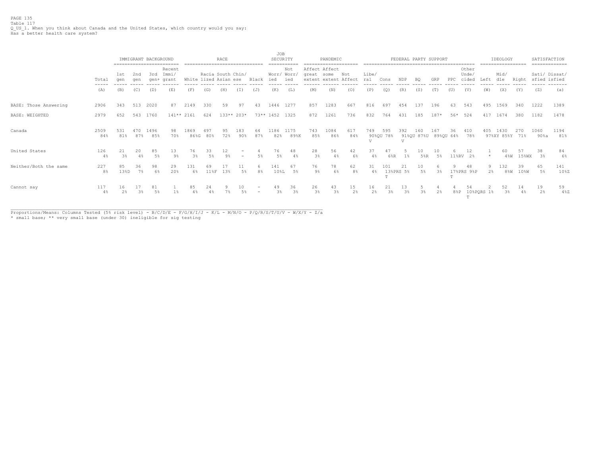PAGE 135 Table 117 Q\_US\_1. When you think about Canada and the United States, which country would you say: Has a better health care system?

|                       |                                                                                                                                                                                                                                                                                                                                                                                                                                                                                     |                      |             | IMMIGRANT BACKGROUND |                               |                       |                   | RACE                                |                                    |       | JOB<br>SECURITY |                                    |                             | PANDEMIC             |                      |              |                  |                       |           | FEDERAL PARTY SUPPORT       |                           |                         |                     | IDEOLOGY               |             |              | SATISFACTION              |
|-----------------------|-------------------------------------------------------------------------------------------------------------------------------------------------------------------------------------------------------------------------------------------------------------------------------------------------------------------------------------------------------------------------------------------------------------------------------------------------------------------------------------|----------------------|-------------|----------------------|-------------------------------|-----------------------|-------------------|-------------------------------------|------------------------------------|-------|-----------------|------------------------------------|-----------------------------|----------------------|----------------------|--------------|------------------|-----------------------|-----------|-----------------------------|---------------------------|-------------------------|---------------------|------------------------|-------------|--------------|---------------------------|
|                       | Total<br>$\frac{1}{2} \left( \frac{1}{2} \right) \left( \frac{1}{2} \right) \left( \frac{1}{2} \right) \left( \frac{1}{2} \right) \left( \frac{1}{2} \right) \left( \frac{1}{2} \right) \left( \frac{1}{2} \right) \left( \frac{1}{2} \right) \left( \frac{1}{2} \right) \left( \frac{1}{2} \right) \left( \frac{1}{2} \right) \left( \frac{1}{2} \right) \left( \frac{1}{2} \right) \left( \frac{1}{2} \right) \left( \frac{1}{2} \right) \left( \frac{1}{2} \right) \left( \frac$ | 1st<br>gen           | 2nd<br>aen  | 3rd                  | Recent<br>Immi/<br>gen+ grant | White lized Asian ese | Racia South Chin/ |                                     |                                    | Black | ied             | Not<br>Worr/ Worr/<br>ied<br>----- | Affect Affect<br>great some | extent extent Affect | Not                  | Libe/<br>ral | Cons             | NDP                   | BQ        | GRP                         | PPC                       | Other<br>Unde/<br>cided | Left                | Mid/<br>dle            | Right       | sfied isfied | Sati/ Dissat/<br>-------- |
|                       | (A)                                                                                                                                                                                                                                                                                                                                                                                                                                                                                 | (B)                  | (C)         | (D)                  | (E)                           | (F)                   | (G)               | (H)                                 | (1)                                | (J)   | (K)             | (L)                                | (M)                         | (N)                  | (0)                  | (P)          | (Q)              | (R)                   | (S)       | (T)                         | (U)                       | (V)                     | (W)                 | (X)                    | (Y)         | (Z)          | (a)                       |
| BASE: Those Answering | 2906                                                                                                                                                                                                                                                                                                                                                                                                                                                                                | 343                  | 513         | 2020                 | 87                            | 2149                  | 330               | 59                                  | 97                                 | 43    |                 | 1446 1277                          | 857                         | 1283                 | 667                  | 816          | 697              | 454                   | 137       | 196                         | 63                        | 543                     | 495                 | 1569                   | 340         | 1222         | 1389                      |
| BASE: WEIGHTED        | 2979                                                                                                                                                                                                                                                                                                                                                                                                                                                                                | 652                  | 543         | 1760                 | $141**2161$                   |                       | 624               | 133** 203*                          |                                    |       | 73** 1452 1325  |                                    | 872                         | 1261                 | 736                  | 832          | 764              | 431                   | 185       | $187*$                      | 56*                       | 524                     | 417                 | 1674                   | 380         | 1182         | 1478                      |
| Canada                | 2509<br>84%                                                                                                                                                                                                                                                                                                                                                                                                                                                                         | 531<br>81%           | 470<br>87%  | 1496<br>85%          | 98<br>70%                     | 1869<br>86%G          | 497<br>80%        | 95<br>72%                           | 183<br>90%                         | 64    | 1186<br>82%     | 1175<br>89%K                       | 743<br>85%                  | 1084<br>86%          | 617<br>84%           | 749<br>77    | 595<br>90%QU 78% | 392<br>$\overline{V}$ | 160       | 167<br>91%QU 87%U 89%QU 64% | 36                        | 410<br>78%              | 405                 | 1430<br>97%XY 85%Y 71% | 270         | 1060<br>90%a | 1194<br>81%               |
| United States         | 126<br>4%                                                                                                                                                                                                                                                                                                                                                                                                                                                                           | 21<br>3 <sup>°</sup> | 20<br>4%    | 85<br>.5%            | 13<br>$9\%$                   | 76<br>3%              | 33<br>.5%         | $12 \overline{ }$<br>9 <sup>°</sup> | $\sim$<br>$\overline{\phantom{a}}$ | 5%    | 76<br>5%        | 48                                 | 28<br>3 <sup>8</sup>        | 56<br>$4\%$          | 42<br>6%             | 37<br>4%     | 47<br>$6\$ R     | 1%                    | 10<br>5%R | 10<br>$5\%$                 | $11$ %RV                  | 12<br>2%                |                     | 60<br>48W              | 57<br>15%WX | 38<br>3%     | 84<br>6%                  |
| Neither/Both the same | 227<br>8%                                                                                                                                                                                                                                                                                                                                                                                                                                                                           | 85<br>13%D           | 36<br>$7\%$ | 98<br>6%             | 29<br>20%                     | 131<br>6%             | 69<br>118F        | 13%                                 | 11<br>5%                           | 8%    | 141<br>10%L     | 67<br>5%                           | 76<br>9%                    | 78<br>6%             | 62<br>8 <sup>°</sup> | 31<br>$4\%$  | 101              | 21<br>13%PRS 5%       | 10<br>.5% | 3%                          |                           | 48<br>17%PRS 9%P        | 9<br>$2\frac{6}{5}$ | 132<br>$8\%W$          | 39<br>10%W  | 65<br>5%     | 141<br>108Z               |
| Cannot say            | 117<br>$4\%$                                                                                                                                                                                                                                                                                                                                                                                                                                                                        | 16<br>2%             | $3\%$       | .5%                  |                               | 85                    | 24                |                                     | 10                                 |       |                 | 36<br>3%                           | 26<br>$3\frac{a}{b}$        | 43<br>$3\%$          | 15<br>$2\frac{6}{9}$ | 16<br>2%     | 3%               | 3 <sup>8</sup>        | 3%        | 2%                          | $8\,$ <sub>8</sub> $\,$ P |                         | 10%PQRS 1%          | 3%                     | $4\%$       | 19<br>2%     | 59<br>48Z                 |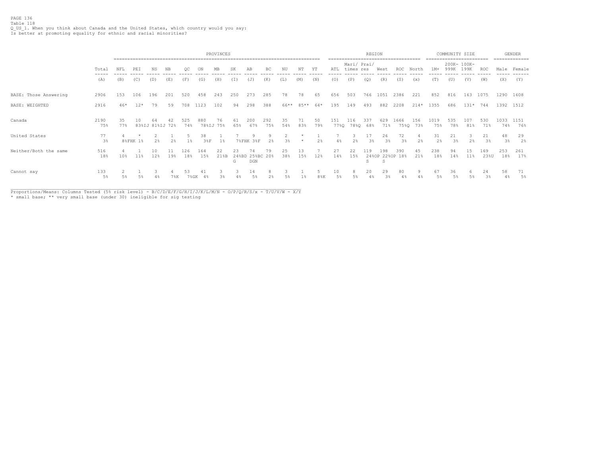|                       |             |           |          |                       |        |            |              | PROVINCES  |                  |                    |            |           |           |                      |              |                          | REGION            |            | ---------------------- |                 | $- - - -$   | COMMUNITY SIZE      | -------------------- |             |             | <b>GENDER</b><br>-------------- |
|-----------------------|-------------|-----------|----------|-----------------------|--------|------------|--------------|------------|------------------|--------------------|------------|-----------|-----------|----------------------|--------------|--------------------------|-------------------|------------|------------------------|-----------------|-------------|---------------------|----------------------|-------------|-------------|---------------------------------|
|                       | Total       | NFL       | PEI      | ΝS                    | NΒ     | oc         |              | <b>MB</b>  |                  | AΒ                 | BC.        | NU        | NΊ        |                      | ATL<br>----- | Mari/ Prai/<br>times res |                   | West       | ROC                    | North           | $1M+$       | 200K- 100K-<br>999K | 199K                 | ROC         |             | Male Female                     |
|                       | (A)         | (B)       | (C)      | (D)                   | (E)    | (F)        | (G)          | (H)        | (I)              | (J)                | (K)        | (L)       | (M)       | (N)                  | (0)          | (P)                      | (Q)               | (R)        | (S)                    | (x)             | (T)         | (U)                 | (V)                  | (W)         | (X)         | (Y)                             |
| BASE: Those Answering | 2906        | 153       | 106      | 196                   | 201    | 520        | 458          | 243        | 250              | 273                | 285        | 78        | 78        | 65                   | 656          | 503                      | 766               | 1051       | 2386                   | 221             | 852         | 816                 | 163                  | 1075        |             | 1290 1608                       |
| BASE: WEIGHTED        | 2916        | $46*$     | $12*$    | 79                    | 59     | 708        | 1123         | 102        | 94               | 298                | 388        | 66**      | 85**      | $64*$                | 195          | 149                      | 493               | 882        | 2208                   | $214*$          | 1355        | 686                 |                      | $131*$ 744  | 1392 1512   |                                 |
| Canada                | 2190<br>75% | 35<br>77% | 10       | 64<br>83%IJ 81%IJ 72% | 42     | 525<br>74% | 880<br>78%IJ | 76<br>75%  | 61<br>65%        | 200<br>67%         | 292<br>75% | 35<br>54% | 71<br>83% | 50<br>79%            | 151<br>77%Q  | 116                      | 337<br>78%Q 68%   | 629<br>71% | 1666                   | 156<br>75%Q 73% | 1019<br>75% | 535<br>78%          | 107<br>81%           | 530<br>71%  | 1033<br>74% | 1151<br>76%                     |
| United States         | 77<br>3%    |           | 8%FHK 1% | 2%                    | 2%     | $1\%$      | 38<br>38F    | $1\%$      |                  | 7%FHK 3%F          | Q<br>2%    | 2<br>3%   |           | 2%                   | 4%           | 2%                       | 17<br>$3\%$       | 26<br>3%   | 72<br>3%               | 2%              | 31<br>2%    | 21<br>$3\%$         | 2%                   | 21<br>3%    | 48<br>$3\%$ | 29<br>2%                        |
| Neither/Both the same | 516<br>18%  | 10%       | 11%      | 10<br>12%             | 19%    | 126<br>18% | 164<br>15%   | 22<br>21%B | 23<br>248BD<br>G | 74<br>25%BC<br>DGN | 79<br>20%  | 25<br>38% | 13<br>15% | 12%                  | 27<br>14%    | 22<br>15%                | L19<br>24%OP<br>s | 198<br>S   | 390<br>22%OP 18%       | 45<br>21%       | 238<br>18%  | 94<br>14%           | 11%                  | 169<br>23%U | 253<br>18%  | 261<br>17%                      |
| Cannot say            | 133<br>5%   | $5\%$     | $5\%$    | $4\%$                 | $7\%K$ | 53<br>7%GK | 4%           | 3%         |                  | 14                 | 2%         | 5%        |           | $8\,$ <sub>%</sub> K | 10<br>5%     | .5%                      | 20<br>4%          | 29         | 80<br>$4\%$            | Q               | 67<br>$5\%$ | 36<br>$5\%$         |                      | 24<br>$3\%$ | 58<br>$4\%$ | 71<br>5%                        |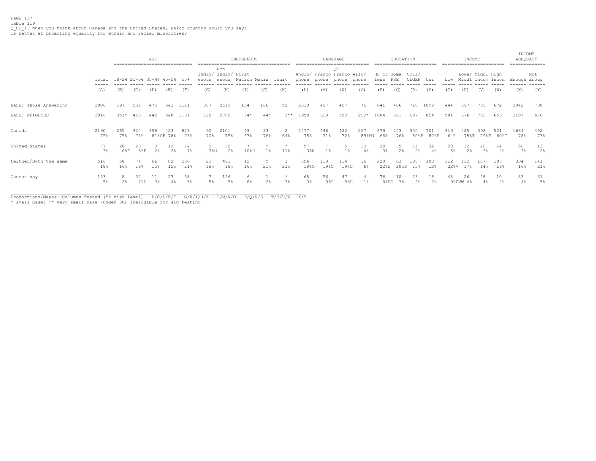## PAGE 137 Table 119 Q\_US\_1. When you think about Canada and the United States, which country would you say: Is better at promoting equality for ethnic and racial minorities?

|                       |                      | ------------------------------ |            | AGE            |                      |             |           |                                     | INDIGENOUS   |           |               |                                                       |             | LANGUAGE       |              |                              | EDUCATION  |             |             |             | INCOME               |                                       |                  | INCOME<br>ADEQUACY<br>------------- |            |
|-----------------------|----------------------|--------------------------------|------------|----------------|----------------------|-------------|-----------|-------------------------------------|--------------|-----------|---------------|-------------------------------------------------------|-------------|----------------|--------------|------------------------------|------------|-------------|-------------|-------------|----------------------|---------------------------------------|------------------|-------------------------------------|------------|
|                       | Total                | 18-24 25-34 35-44 45-54 55+    |            |                |                      |             | enous     | Non<br>Indig/ Indig/ First<br>enous | Nation Metis |           | Inuit         | Anglo/ Franco Franco Allo/<br>phone phone phone phone |             | QC             |              | HS or Some Coll/<br>less PSE |            | CEGEP Uni   |             | Low         |                      | Lower Middl High<br>Middl Incom Incom |                  | Enough Enoug                        | Not        |
|                       | (A)                  | (B)                            | (C)        | (D)            | (E)                  | (F)         | (G)       | (H)                                 | (I)          | (J)       | (K)           | (L)                                                   | (M)         | (N)            | (0)          | (P)                          | (Q)        | (R)         | (S)         | (T)         | (U)                  | (V)                                   | (W)              | (X)                                 | (Y)        |
| BASE: Those Answering | 2906                 | 197                            | 582        | 475            | 541                  | 1111        | 387       | 2519                                | 154          | 166       | 52            | 2310                                                  | 497         | 407            | 76           | 641                          | 406        | 728         | 1099        | 444         | 697                  | 759                                   | 672              | 2042                                | 730        |
| BASE: WEIGHTED        | 2916                 | $351*$                         | 453        | 442            | 540                  | 1131        | 128       | 2788                                | $74*$        | $44*$     |               | $3**$ 1958                                            | 629         | 588            | $290*$       | 1004                         | 321        | 697         | 854         | 501         | 676                  | 752                                   | 653              | 2107                                | 676        |
| Canada                | 2190<br>75%          | 265<br>75%                     | 324<br>71% | 356            | 423<br>81%CF 78%     | 823<br>73%  | 90<br>70% | 2101<br>75%                         | 49<br>67%    | 33<br>76% | 2<br>64%      | 1477<br>75%                                           | 446<br>71%  | 422<br>72%     | 257<br>89%MN | 679<br>68%                   | 243<br>76% | 555<br>80%P | 701<br>82%P | 319<br>64%  | 525<br>78%T          | 592                                   | 521<br>79%T 80%T | 1634<br>78%                         | 492<br>73% |
| United States         | 77<br>$3\frac{6}{5}$ | 20<br>6%F                      | 23<br>5%F  | 2 <sup>°</sup> | 12<br>2 <sup>°</sup> | 14<br>$1\%$ | 9<br>7%H  | 68<br>2%                            | 10%H         | $1\%$     | 11%           | 57<br>38N                                             | $1\%$       | 1 <sup>8</sup> | 13<br>4%     | 29<br>3%                     | -5<br>2%   | 11<br>2%    | 32<br>4%    | 23<br>$5\%$ | 12<br>2 <sup>°</sup> | 26<br>3%                              | 14<br>2%         | 56<br>3 <sup>°</sup>                | 13<br>2%   |
| Neither/Both the same | 516<br>18%           | 58<br>16%                      | 74<br>16%  | 66<br>15%      | 82<br>15%            | 236<br>21%  | 23<br>18% | 493<br>18%                          | 12<br>16%    | 21%       | 21%           | 356<br>18%0                                           | 119<br>19%0 | 114<br>19%0    | 16<br>6%     | 220<br>22%S                  | 63<br>20%S | 108<br>15%  | 103<br>12%  | 112<br>22%V | 112<br>17%           | 107<br>14%                            | 107<br>16%       | 334<br>16%                          | 141<br>21% |
| Cannot say            | 133<br>5%            | 2%                             | 32<br>7%D  | 11<br>3%       | 23<br>4%             | 58<br>5%    | 5%        | 126<br>$5\%$                        | 6<br>8%      | 2%        | $\star$<br>3% | 68<br>3%                                              | 56<br>98L   | 47<br>$8\,$ %L | $1\%$        | 76<br>8's RS                 | 10<br>3%   | 23<br>3%    | 18<br>2%    | 48          | 26<br>9%UVW 4%       | 28                                    | 10<br>2%         | 83<br>4%                            | 31<br>5%   |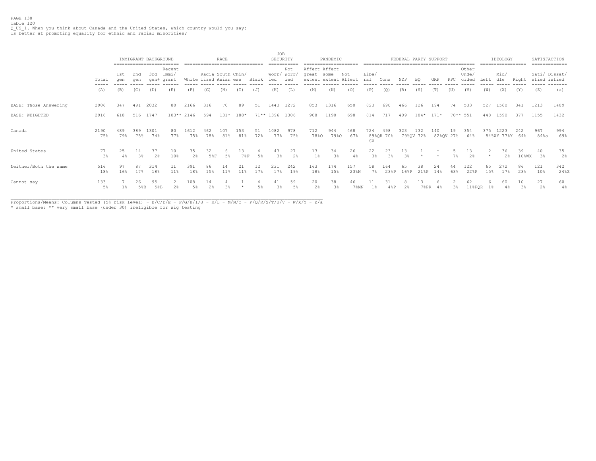## PAGE 138 Table 120 Q\_US\_1. When you think about Canada and the United States, which country would you say: Is better at promoting equality for ethnic and racial minorities?

|                       |                        |            |            | IMMIGRANT BACKGROUND |                          |                       |                   | RACE        |            |           | JOB<br>SECURITY    |            |                        | PANDEMIC                     |             |                      |                      |             |                  | FEDERAL PARTY SUPPORT |                 |                         |           | IDEOLOGY               |                | SATISFACTION<br>============= |             |
|-----------------------|------------------------|------------|------------|----------------------|--------------------------|-----------------------|-------------------|-------------|------------|-----------|--------------------|------------|------------------------|------------------------------|-------------|----------------------|----------------------|-------------|------------------|-----------------------|-----------------|-------------------------|-----------|------------------------|----------------|-------------------------------|-------------|
|                       | Total<br>$- - - - - -$ | 1st<br>qen | 2nd<br>aen | 3rd<br>aen+          | Recent<br>Immi/<br>grant | White lized Asian ese | Racia South Chin/ |             |            | Black     | Worr/ Worr/<br>ied | Not<br>ied | Affect Affect<br>great | some<br>extent extent Affect | Not         | Libe/<br>ral         | Cons                 | NDP         |                  | GRP                   | PPC             | Other<br>Unde/<br>cided | Left      | Mid/<br>dle            | Right          | Sati/ Dissat/<br>sfied isfied |             |
|                       | (A)                    | (B)        | (C)        | (D)                  | (E)                      | (F)                   | (G)               | (H)         | (T)        | (J)       | (K)                | (L)        | (M)                    | (N)                          | (0)         | (P)                  | (O)                  | (R)         | (S)              | (T)                   | (U)             | (V)                     | (W)       | (X)                    | (Y)            | (Z)                           | (a)         |
| BASE: Those Answering | 2906                   | 347        | 491        | 2032                 | 80                       | 2166                  | 316               | 70          | 89         | 51        | 1443               | 1272       | 853                    | 1316                         | 650         | 823                  | 690                  | 466         | 126              | 194                   | 74              | 533                     | 527       | 1560                   | 341            | 1213                          | 1409        |
| BASE: WEIGHTED        | 2916                   | 618        | 516        | 1747                 | $103**$ 2146             |                       | 594               | $131* 188*$ |            |           | 71** 1396          | 1306       | 908                    | 1190                         | 698         | 814                  | 717                  | 409         | $184* 171*$      |                       |                 | $70***$ 551             | 448       | 1590                   | 377            | 1155                          | 1432        |
| Canada                | 2190<br>75%            | 489<br>79% | 389<br>75% | 1301<br>74%          | 80<br>77%                | 1612<br>75%           | 462<br>78%        | 107<br>81%  | 153<br>81% | 51<br>72% | 1082<br>77%        | 978<br>75% | 712<br>78%0            | 944<br>79%0                  | 468<br>67%  | 724<br><b>SV</b>     | 498<br>89%QR 70%     | 323         | 132<br>79%OV 72% | 140                   | 19<br>82%QV 27% | 354<br>64%              | 375       | 1223<br>84%XY 77%Y 64% | 242            | 967<br>84%a                   | 994<br>69%  |
| United States         | 77<br>3%               | 25<br>4%   | 14<br>3%   | 37<br>2%             | 10<br>10%                | 35<br>2%              | 32<br>5%F         | 5%          | 13<br>78F  | 5%        | 43<br>3%           | 27<br>2.8  | 13<br>$1\%$            | 34<br>3 <sup>°</sup>         | 26<br>4%    | 22<br>$3\frac{a}{b}$ | 23<br>$3\frac{6}{9}$ | 13<br>$3\%$ |                  |                       | 7%              | 13<br>2%                |           | 36<br>2%               | 39<br>$10$ %WX | 40<br>3%                      | 35<br>2%    |
| Neither/Both the same | 516<br>18%             | 97<br>16%  | 87<br>17%  | 314<br>18%           | 11<br>11%                | 391<br>18%            | 86<br>15%         | 11%         | 21<br>11%  | 12<br>17% | 231<br>17%         | 242<br>19% | 163<br>18%             | 174<br>15%                   | 157<br>23%N | 58<br>$7\%$          | 164<br>23%P          | 65<br>168P  | 38<br>218P       | 24<br>14%             | 63%             | 122<br>22%P             | 65<br>15% | 272<br>17%             | 86<br>23%      | 121<br>10%                    | 342<br>24%Z |
| Cannot say            | 133<br>$5\%$           | $1\%$      | 26<br>5%B  | 95<br>5%B            |                          | 108<br>$5\%$          | 14                |             |            | 5%        | 3%                 | 59<br>5%   | 20<br>2%               | 38<br>3%                     | 46<br>7%MN  | $1\%$                | 31<br>4%P            | 2%          | 13<br>7%PR       | 4%                    | $3\%$           | 62<br>$11$ %PQR         |           | 60                     | 10<br>$3\%$    | 27<br>2%                      | 60<br>4%    |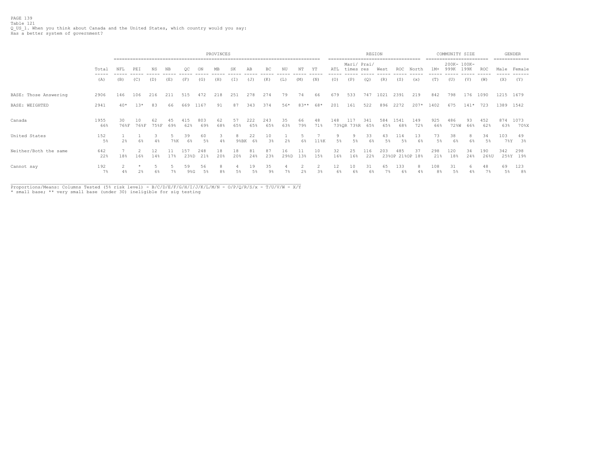PAGE 139 Table 121 Q\_US\_1. When you think about Canada and the United States, which country would you say: Has a better system of government?

|                       |                |            |            |            |           |             |            | PROVINCES |                 |            |                      |            |           |           |                         |                          | REGION     |            |                        |            |                       | COMMUNITY SIZE      |           |             |               | <b>GENDER</b><br>-------------- |
|-----------------------|----------------|------------|------------|------------|-----------|-------------|------------|-----------|-----------------|------------|----------------------|------------|-----------|-----------|-------------------------|--------------------------|------------|------------|------------------------|------------|-----------------------|---------------------|-----------|-------------|---------------|---------------------------------|
|                       | Total<br>----- | NFL        | PEI        | NS         | NB.       | OС          | ON         | MB        | SK              | AB         | BC                   | NU         | NΤ        | ΥT        | ATL                     | Mari/ Prai/<br>times res |            | West       | ROC                    | North      | $1M+$                 | 200K- 100K-<br>999K | 199K      | ROC         | Male          | Female                          |
|                       | (A)            | (B)        | (C)        | (D)        | (E)       | (F)         | (G)        | (H)       | (T)             | (J)        | (K)                  | (L)        | (M)       | (N)       | (0)                     | (P)                      | (Q)        | (R)        | (S)                    | (x)        | (T)                   | (U)                 | (V)       | (W)         | (X)           | (Y)                             |
| BASE: Those Answering | 2906           | 146        | 106        | 216        | 211       | 515         | 472        | 218       | 251             | 278        | 274                  | 79         | 74        | 66        | 679                     | 533                      | 747        | 1021       | 2391                   | 219        | 842                   | 798                 | 176       | 1090        |               | 1215 1679                       |
| BASE: WEIGHTED        | 2941           | $40*$      | $13*$      | 83         | 66        | 669         | 1167       | 91        | 87              | 343        | 374                  | 56*        | 83**      | 68*       | 201                     | 161                      | 522        | 896        | 2272                   | $207*$     | 1402                  | 675                 | $141*$    | 723         |               | 1389 1542                       |
| Canada                | 1955<br>66%    | 30<br>76%F | 10<br>76%F | 62<br>75%F | 45<br>69% | 415<br>62%  | 803<br>69% | 62<br>68% | 57<br>65%       | 222<br>65% | 243<br>65%           | 35<br>63%  | 66<br>79% | 48<br>71% | 148                     | 117<br>73%QR 73%R 65%    | 341        | 584<br>65% | 1541<br>68%            | 149<br>72% | 925<br>66%            | 486<br>72%W         | 93<br>66% | 452<br>62%  | 63%           | 874 1073<br>70%X                |
| United States         | 152<br>$5\%$   | 2%         | 6%         | 4%         | 7%K       | 39<br>6%    | 60<br>5%   | 4%        | 8<br>$9$ % $BK$ | 22<br>6%   | 10<br>3%             | $2\%$      | 6%        | $11\%K$   | 9<br>$5\%$              | 5%                       | 33<br>6%   | 43<br>5%   | 114<br>.5%             | 13<br>6%   | 73<br>5%              | 38<br>6%            | 6%        | 34<br>5%    | 103<br>$7\%Y$ | 49<br>3%                        |
| Neither/Both the same | 642<br>22%     | 18%        | 16%        | 12<br>14%  | 17%       | 157<br>23%D | 248<br>21% | 18<br>20% | 18<br>20%       | 81<br>24%  | 87<br>23%            | 16<br>29%D | 11<br>13% | 10<br>15% | 32<br>16%               | 25<br>16%                | 116<br>22% | 203        | 485<br>23%OP 21%OP 18% | 37         | 298<br>21%            | 120<br>18%          | 34<br>24% | 190<br>26%U | 342           | 298<br>25%Y 19%                 |
| Cannot say            | 192<br>$7\%$   | 4%         | 2%         | 6%         |           | 59<br>98G   | 56<br>5%   |           | 5%              | 19         | 35<br>9 <sup>°</sup> | 7%         | 2%        | 2<br>3%   | $12 \overline{ }$<br>6% | 10<br>6%                 | 31<br>6%   | 65         | 133<br>6%              |            | 108<br>8 <sup>°</sup> | 31<br>5%            | 6.        | 48<br>7%    | 69<br>5%      | 123<br>8 <sup>°</sup>           |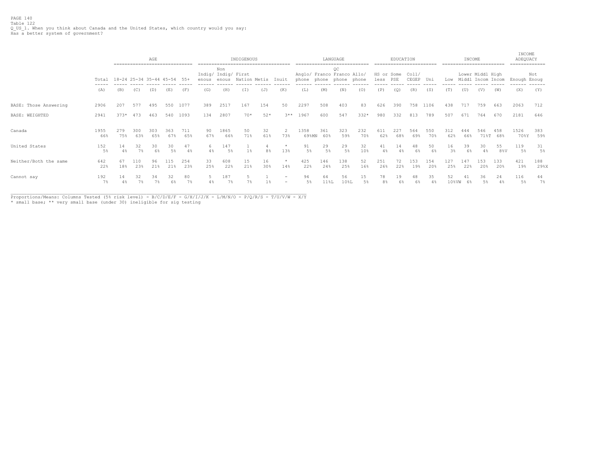|                       |                |             |                      | AGE<br>---------------------------- |             |            |           |                                     | INDIGENOUS     |                       |                                    |                                           |            | LANGUAGE    |            |                    | EDUCATION  |                |            |             | INCOME     |                                       |                | INCOME<br>ADEQUACY | ------------ |
|-----------------------|----------------|-------------|----------------------|-------------------------------------|-------------|------------|-----------|-------------------------------------|----------------|-----------------------|------------------------------------|-------------------------------------------|------------|-------------|------------|--------------------|------------|----------------|------------|-------------|------------|---------------------------------------|----------------|--------------------|--------------|
|                       | Total<br>----- |             |                      | 18-24 25-34 35-44 45-54             |             | 55+        | enous     | Non<br>Indig/ Indig/ First<br>enous | Nation Metis   |                       | Inuit                              | Anglo/ Franco Franco Allo/<br>phone phone |            | ОC<br>phone | phone      | HS or Some<br>less | PSE        | Col1/<br>CEGEP | Uni        | Low         |            | Lower Middl High<br>Middl Incom Incom |                | Enough Enoug       | Not          |
|                       | (A)            | (B)         | (C)                  | (D)                                 | (E)         | (F)        | (G)       | (H)                                 | (I)            | (J)                   | (K)                                | (L)                                       | (M)        | (N)         | (0)        | (P)                | (Q)        | (R)            | (S)        | (T)         | (U)        | (V)                                   | (W)            | (X)                | (Y)          |
| BASE: Those Answering | 2906           | 207         | 577                  | 495                                 | 550         | 1077       | 389       | 2517                                | 167            | 154                   | 50                                 | 2297                                      | 508        | 403         | 83         | 626                | 390        | 758            | 1106       | 438         | 717        | 759                                   | 663            | 2063               | 712          |
| BASE: WEIGHTED        | 2941           | $373*$      | 473                  | 463                                 | 540         | 1093       | 134       | 2807                                | $70*$          | $52*$                 | $3***$                             | 1967                                      | 600        | 547         | $332*$     | 980                | 332        | 813            | 789        | 507         | 671        | 764                                   | 670            | 2181               | 646          |
| Canada                | 1955<br>66%    | 279<br>75%  | 300<br>63%           | 303<br>65%                          | 363<br>67%  | 711<br>65% | 90<br>67% | 1865<br>66%                         | 50<br>71%      | 32<br>61%             | $\overline{2}$<br>73%              | 1358<br>69%MN                             | 361<br>60% | 323<br>59%  | 232<br>70% | 611<br>62%         | 227<br>68% | 564<br>69%     | 550<br>70% | 312<br>62%  | 444<br>66% | 546<br>$71\%$ T                       | 458<br>68%     | 1526<br>70%Y       | 383<br>59%   |
| United States         | 152<br>$5\%$   | 14<br>$4\%$ | 32<br>$7\frac{6}{5}$ | 30<br>6%                            | 30<br>$5\%$ | 47<br>4%   | $4\%$     | 147<br>5%                           | $1\frac{6}{3}$ | 8 <sup>°</sup>        | $\star$<br>13%                     | 91<br>$5\%$                               | 29<br>5%   | 29<br>5%    | 32<br>10%  | 41<br>$4\%$        | 14<br>4%   | 48<br>6%       | 50<br>6%   | 16<br>3%    | 39<br>6%   | 30<br>4%                              | 55<br>$8\,$ %V | 119<br>5%          | 31<br>5%     |
| Neither/Both the same | 642<br>22%     | 67<br>18%   | 110<br>23%           | 96<br>21%                           | 115<br>21%  | 254<br>23% | 33<br>25% | 608<br>22%                          | 15<br>21%      | 16<br>30 <sup>8</sup> | $\star$<br>14%                     | 425<br>22%                                | 146<br>24% | 138<br>25%  | 52<br>16%  | 251<br>26%         | 22%        | 153<br>19%     | 154<br>20% | 127<br>25%  | 147<br>22% | 153<br>20%                            | 133<br>20%     | 421<br>19%         | 188<br>29%X  |
| Cannot say            | 192<br>$7\%$   | 14<br>$4\%$ | $7\%$                | 34<br>7%                            | 32<br>6%    | 80<br>7%   |           | 187<br>7%                           |                | $1\%$                 | $\sim$<br>$\overline{\phantom{0}}$ | 94<br>5%                                  | 64<br>11%L | 56<br>10%L  | 15<br>5%   | 78                 | 19         |                | 35<br>4%   | 52<br>10%VW | 6%         | 36<br>5%                              | 24             | 116<br>5%          | 44<br>$7\%$  |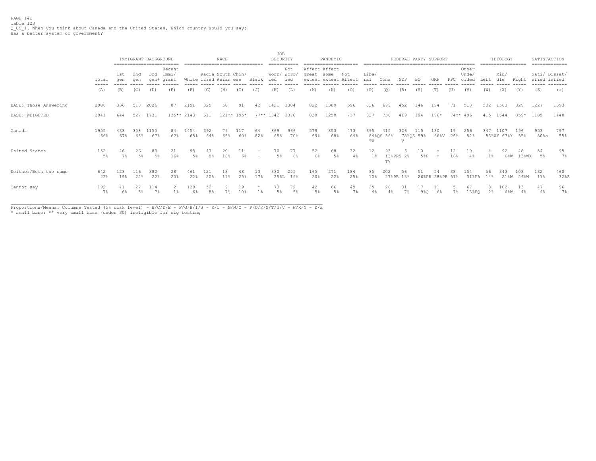PAGE 141 Table 123 Q\_US\_1. When you think about Canada and the United States, which country would you say: Has a better system of government?

|                       |               |             |            | IMMIGRANT BACKGROUND | ==========================    |                       | ------------------------------ | RACE |            |                                               | <b>JOB</b><br>SECURITY          | ----------                |             | PANDEMIC                              |             |                       |           |                 | FEDERAL PARTY SUPPORT |                       |            |                         |           | IDEOLOGY<br>================== |             |                | SATISFACTION<br>============= |
|-----------------------|---------------|-------------|------------|----------------------|-------------------------------|-----------------------|--------------------------------|------|------------|-----------------------------------------------|---------------------------------|---------------------------|-------------|---------------------------------------|-------------|-----------------------|-----------|-----------------|-----------------------|-----------------------|------------|-------------------------|-----------|--------------------------------|-------------|----------------|-------------------------------|
|                       | Total         | 1st<br>aen  | 2nd<br>aen | 3rd                  | Recent<br>Immi/<br>gen+ grant | White lized Asian ese | Racia South Chin/              |      |            | Black                                         | ied                             | Not<br>Worr/ Worr/<br>ied | great some  | Affect Affect<br>extent extent Affect | Not         | Libe/<br>ral          | Cons      | NDP             | BQ.                   | GRP                   | PPC        | Other<br>Unde/<br>cided | Left      | Mid/<br>dle                    | Right       |                | Sati/ Dissat/<br>sfied isfied |
|                       | ------<br>(A) | (B)         | (C)        | (D)                  | (E)                           | (F)                   | (G)                            | (H)  | (T)        | (J)                                           | (K)                             | (L)                       | (M)         | (N)                                   | (0)         | (P)                   | (0)       | (R)             | (S)                   | (T)                   | (U)        | (V)                     | (W)       | (X)                            | (Y)         | (Z)            | (a)                           |
| BASE: Those Answering | 2906          | 336         | 510        | 2026                 | 87                            | 2151                  | 325                            | 58   | 91         | 42                                            | 1421                            | 1304                      | 822         | 1309                                  | 696         | 826                   | 699       | 452             | 146                   | 194                   | 71         | 518                     | 502       | 1563                           | 329         | 1227           | 1393                          |
| BASE: WEIGHTED        | 2941          | 644         | 527        | 1731                 | $135**2143$                   |                       | 611                            |      | 121** 195* |                                               | 77** 1342 1370                  |                           | 838         | 1258                                  | 737         | 827                   | 736       | 419             | 194                   | $196*$                | 74** 496   |                         |           | 415 1644                       | $359*$      | 1185           | 1448                          |
| Canada                | 1955<br>66%   | 433<br>67%  | 358<br>68% | 1155<br>67%          | 84<br>62%                     | 1454<br>68%           | 392<br>64%                     | 66%  | 60%        | 64<br>82%                                     | 869<br>65%                      | 966<br>70%                | 579<br>69%  | 853<br>68%                            | 473<br>64%  | 695<br>TV             | 84%QS 56% | 326<br>$\tau$   | 115<br>78%QS 59%      | 130<br>66%V           | 19.<br>26% | 256<br>52%              | 347       | 1107<br>83%XY 67%Y 55%         | 196         | 953<br>$80\$ a | 797<br>55%                    |
| United States         | 152<br>5%     | 46<br>$7\%$ | 26<br>5%   | 80<br>5%             | 21<br>16%                     | 98<br>5%              | 8%                             | 16%  | 11<br>6%   | $\qquad \qquad =$<br>$\overline{\phantom{a}}$ | 70<br>5%                        | 77<br>6%                  | 52<br>6%    | 68<br>$5\%$                           | 32<br>4%    | 12<br>$1\%$           | 93<br>TV  | 13%PRS 2%       | 10<br>5%P             |                       | 12<br>16%  | 19<br>4%                | $1\%$     | 6%W                            | 13%WX       | 54<br>5%       | 95<br>7%                      |
| Neither/Both the same | 642<br>22%    | 123<br>19%  | 116<br>22% | 382<br>22%           | 28<br>20%                     | 461<br>22%            | 121<br>20%                     | 11%  | 48<br>25%  | 13<br>17%                                     | 330<br>$25\text{\textdegree L}$ | 255<br>19%                | 165<br>20%  | 271<br>22%                            | 184<br>25%  | 85<br>10 <sup>8</sup> | 202       | 56<br>27%PR 13% |                       | 54<br>26%PR 28%PR 51% | 38         | 154<br>31%PR            | 56<br>14% | 343<br>21%W                    | 103<br>29%W | 132<br>11%     | 460<br>32%Z                   |
| Cannot say            | 192<br>$7\%$  | 6%          | 5%         | 114                  |                               | 129<br>68             | 52                             |      | 19         |                                               | 73<br>58                        | 72<br>5%                  | 42<br>$5\%$ | 66<br>$5\%$                           | 49<br>$7\%$ | 35<br>4%              | 26        | 31              | 9%0                   | 6%                    |            | 67<br>13%PO             | 2%        | 102<br>6%W                     | 13<br>48    | 47<br>4%       | 96<br>7%                      |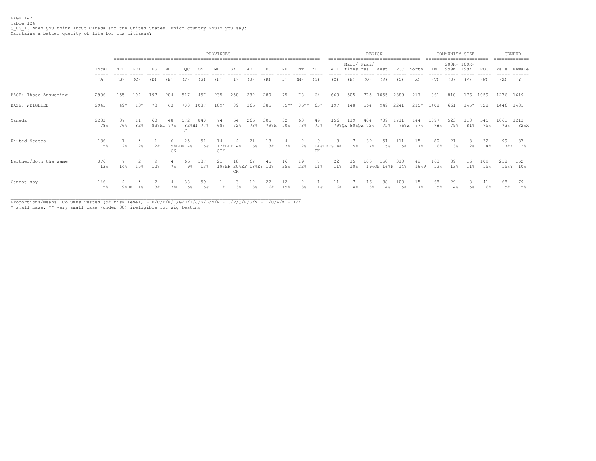# PAGE 142 Table 124 Q\_US\_1. When you think about Canada and the United States, which country would you say: Maintains a better quality of life for its citizens?

|                       |              |                | PROVINCES |       |           |                |                  |           |                   |            |             |           |           |           |                 |                          | REGION       |             | -------------------------------------- |                 | ======================== | COMMUNITY SIZE      |            |            |              | <b>GENDER</b><br>-------------- |
|-----------------------|--------------|----------------|-----------|-------|-----------|----------------|------------------|-----------|-------------------|------------|-------------|-----------|-----------|-----------|-----------------|--------------------------|--------------|-------------|----------------------------------------|-----------------|--------------------------|---------------------|------------|------------|--------------|---------------------------------|
|                       | Total        | NFL            | PEI       | NS.   | NB        | OC             | ON               | MB        | SK                | AB         | ВC          | ΝU        | NΤ        | ΥT        | ATL             | Mari/ Prai/<br>times res |              | West        | ROC.                                   | North           | $1M+$                    | 200K- 100K-<br>999K | 199K       | ROC        |              | Male Female                     |
|                       | (A)          | (B)            | (C)       | (D)   | (E)       | (F)            | (G)              | (H)       | (T)               | (J)        | (K)         | (L)       | (M)       | (N)       | (0)             | (P)                      | (Q)          | (R)         | (S)                                    | (x)             | (T)                      | (U)                 | (V)        | (W)        | (X)          | (Y)                             |
| BASE: Those Answering | 2906         | 155            | 104       | 197   | 204       | 517            | 457              | 235       | 258               | 282        | 280         | 75        | 78        | 64        | 660             | 505                      | 775          | 1055        | 2389                                   | 217             | 861                      | 810                 | 176        | 1059       | 1276 1619    |                                 |
| BASE: WEIGHTED        | 2941         | $49*$          | $1.3*$    | 73    | 63        | 700            | 1087             | $109*$    | 89                | 366        | 385         | 65**      | 86**      | 65*       | 197             | 148                      | 564          | 949         | 2241                                   | $215*$          | 1408                     | 661                 | $145*$     | 728        | 1446 1481    |                                 |
| Canada                | 2283<br>78%  | 37<br>76%      | 11<br>82% | 60    | 83%HI 77% | 572            | 840<br>82%HI 77% | 74<br>68% | 64<br>72%         | 266<br>73% | 305<br>79%H | 32<br>50% | 63<br>73% | 49<br>75% | 156             | 119<br>79%Qx 80%Qx 72%   | 404          | 709<br>75%  | .711                                   | 144<br>76%x 67% | 1097<br>78%              | 523<br>79%          | 118<br>81% | 545<br>75% | 1061<br>73%  | 1213<br>82%X                    |
| United States         | 136<br>$5\%$ | $2\frac{a}{b}$ | 2%        | 2%    | 6<br>GK   | 25<br>9%BDF 4% | 51<br>5%         | 14<br>GIK | 12%BDF 4%         | 21<br>6%   | 13<br>3%    | $7\%$     | 2%        | 9<br>IΚ   | 8<br>14%BDFG 4% | $5\%$                    | 39<br>$7\%$  | 51<br>$5\%$ | 111<br>5%                              | 15<br>$7\%$     | 80<br>6%                 | 21<br>$3\%$         | 2%         | 32<br>4%   | 99<br>$7\%Y$ | 37<br>2%                        |
| Neither/Both the same | 376<br>13%   | 14%            | 15%       | 12%   | 7%        | 66<br>9%       | 137<br>13%       | 198EF     | 18<br>208EF<br>GK | 188EF      | 12%         | 16<br>25% | 19<br>22% | 11%       | 22<br>$11\%$    | 10%                      | 106<br>19%OP | 50<br>16%P  | 310<br>14%                             | 19%P            | 163<br>12%               | 89<br>13%           | 11%        | 109<br>15% | 218          | 152<br>15%Y 10%                 |
| Cannot say            | 146<br>$5\%$ | 9%HN           | $1\%$     | $3\%$ | $7\%H$    | 38<br>5%       | 59               |           | 3%                | 3%         | 22<br>6%    | 19%       |           |           |                 |                          | 16<br>3%     | 38          | 108<br>5%                              | 15<br>7%        | 68<br>5%                 | 29                  | 5%         | 6%         | 68<br>5%     | 79<br>5%                        |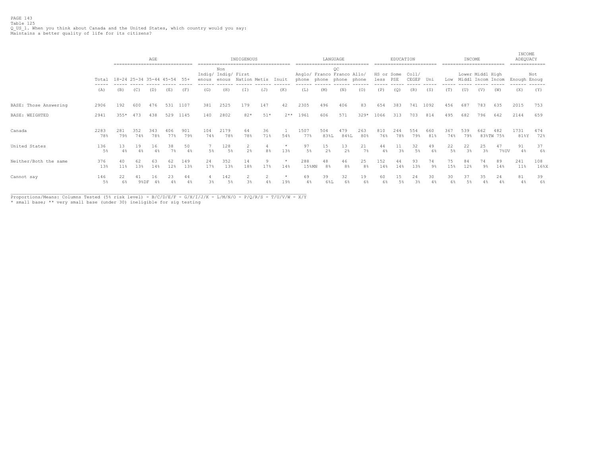# PAGE 143 Table 125 Q\_US\_1. When you think about Canada and the United States, which country would you say: Maintains a better quality of life for its citizens?

|                       |              | ------------------------------ |            | AGE        |            |            |             |                            | INDIGENOUS          |                |                |                                                       |                      | LANGUAGE             |            |                        | EDUCATION   |                      |            |             | INCOME                |                  |                  | INCOME<br>ADEQUACY<br>============= |            |
|-----------------------|--------------|--------------------------------|------------|------------|------------|------------|-------------|----------------------------|---------------------|----------------|----------------|-------------------------------------------------------|----------------------|----------------------|------------|------------------------|-------------|----------------------|------------|-------------|-----------------------|------------------|------------------|-------------------------------------|------------|
|                       | Total        | 18-24 25-34 35-44 45-54 55+    |            |            |            |            | enous enous | Non<br>Indig/ Indig/ First | Nation Metis        |                | Inuit          | Anglo/ Franco Franco Allo/<br>phone phone phone phone |                      | ОC                   |            | HS or Some<br>less PSE |             | Col1/<br>CEGEP Uni   |            |             | Low Middl Incom Incom | Lower Middl High |                  | Enough Enoug                        | Not        |
|                       | (A)          | (B)                            | (C)        | (D)        | (E)        | (F)        | (G)         | (H)                        | (T)                 | (J)            | (K)            | (L)                                                   | (M)                  | (N)                  | (0)        | (P)                    | (Q)         | (R)                  | (S)        | (T)         | (U)                   | (V)              | (W)              | (X)                                 | (Y)        |
| BASE: Those Answering | 2906         | 192                            | 600        | 476        | 531        | 1107       | 381         | 2525                       | 179                 | 147            | 42             | 2305                                                  | 496                  | 406                  | 83         | 654                    | 383         | 741                  | 1092       | 456         | 687                   | 783              | 635              | 2015                                | 753        |
| BASE: WEIGHTED        | 2941         | $355*$                         | 473        | 438        | 529        | 1145       | 140         | 2802                       | $82*$               | $51*$          | $2**$          | 1961                                                  | 606                  | 571                  | $329*$     | 1066                   | 313         | 703                  | 814        | 495         | 682                   | 796              | 642              | 2144                                | 659        |
| Canada                | 2283<br>78%  | 281<br>79%                     | 352<br>74% | 343<br>78% | 406<br>77% | 901<br>79% | 104<br>74%  | 2179<br>78%                | 64<br>78%           | 36<br>71%      | 54%            | 1507<br>77%                                           | 504<br>83%L          | 479<br>84%L          | 263<br>80% | 810<br>76%             | 244<br>78%  | 554<br>79%           | 660<br>81% | 367<br>74%  | 539<br>79%            | 662              | 482<br>83%TW 75% | 1731<br>81%Y                        | 474<br>72% |
| United States         | 136<br>$5\%$ | 13<br>4%                       | 19<br>4%   | 16<br>4%   | 38<br>7%   | 50<br>4%   | 5%          | 128<br>5%                  | 2<br>$2\frac{6}{5}$ | 8 <sup>°</sup> | $\star$<br>13% | 97<br>5%                                              | 15<br>2%             | 13<br>2 <sup>°</sup> | 21<br>7%   | 44<br>4%               | 11<br>$3\%$ | 32<br>5 <sup>°</sup> | 49<br>6%   | 22<br>$5\%$ | 22<br>3 <sup>°</sup>  | 25<br>3%         | 47<br>7%UV       | 91<br>4%                            | 37<br>6%   |
| Neither/Both the same | 376<br>13%   | 40<br>$11\%$                   | 62<br>13%  | 63<br>14%  | 62<br>12%  | 149<br>13% | 24<br>17%   | 352<br>13%                 | 14<br>18%           | q<br>17%       | $\ast$<br>14%  | 288<br>$15$ % $M$ N                                   | 48<br>8 <sup>°</sup> | 46<br>8%             | 25<br>8%   | 152<br>14%             | 44<br>14%   | 93<br>13%            | 74<br>9%   | 75<br>15%   | 84<br>12%             | 74<br>$9\%$      | 89<br>14%        | 241<br>$11\%$                       | 108<br>16% |
| Cannot say            | 146<br>5%    | 22<br>6%                       | 41<br>9%DF | 16<br>4%   | 23<br>4%   | 44<br>4%   | 3%          | 142<br>5%                  | 2<br>$3\frac{6}{9}$ |                | $\star$<br>19% | 69<br>4%                                              | 39<br>6%L            | 32<br>6%             | 19<br>6%   | 60                     | 15          | 24<br>3%             | 30         | 30<br>6%    | 37<br>5%              | 35<br>4%         | 24<br>4%         | 81<br>4%                            | 39<br>6%   |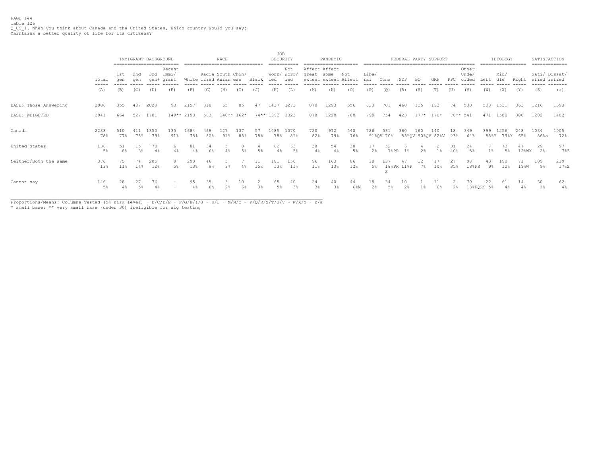PAGE 144 Table 126 Q\_US\_1. When you think about Canada and the United States, which country would you say: Maintains a better quality of life for its citizens?

|                       |                                                                                                                                                                                                                                                                                                                                                                                                                                                                                     |                      |            | IMMIGRANT BACKGROUND | ------------------------- |                       |            | RACE<br>------------------------------ |              |           | <b>JOB</b><br>===== | SECURITY                  |                      | PANDEMIC<br>---------------------     |             |              |                  |                  |                | FEDERAL PARTY SUPPORT   |           |                         |                | IDEOLOGY<br>================== |             | SATISFACTION | ============= |
|-----------------------|-------------------------------------------------------------------------------------------------------------------------------------------------------------------------------------------------------------------------------------------------------------------------------------------------------------------------------------------------------------------------------------------------------------------------------------------------------------------------------------|----------------------|------------|----------------------|---------------------------|-----------------------|------------|----------------------------------------|--------------|-----------|---------------------|---------------------------|----------------------|---------------------------------------|-------------|--------------|------------------|------------------|----------------|-------------------------|-----------|-------------------------|----------------|--------------------------------|-------------|--------------|---------------|
|                       | Total<br>$\frac{1}{2} \left( \frac{1}{2} \right) \left( \frac{1}{2} \right) \left( \frac{1}{2} \right) \left( \frac{1}{2} \right) \left( \frac{1}{2} \right) \left( \frac{1}{2} \right) \left( \frac{1}{2} \right) \left( \frac{1}{2} \right) \left( \frac{1}{2} \right) \left( \frac{1}{2} \right) \left( \frac{1}{2} \right) \left( \frac{1}{2} \right) \left( \frac{1}{2} \right) \left( \frac{1}{2} \right) \left( \frac{1}{2} \right) \left( \frac{1}{2} \right) \left( \frac$ | 1st<br>aen           | 2nd<br>aen | 3rd<br>qen+          | Recent<br>Immi/<br>grant  | White lized Asian ese |            | Racia South Chin/                      |              | Black     | ied                 | Not<br>Worr/ Worr/<br>ied | great some           | Affect Affect<br>extent extent Affect | Not         | Libe/<br>ral | Cons             | NDP              | BQ             | GRP                     | PPC.      | Other<br>Unde/<br>cided | Left           | Mid/<br>dle                    | Right       | sfied isfied | Sati/ Dissat/ |
|                       | (A)                                                                                                                                                                                                                                                                                                                                                                                                                                                                                 | (B)                  | (C)        | (D)                  | (E)                       | (F)                   | (G)        | (H)                                    | (T)          | (J)       | (K)                 | (L)                       | (M)                  | (N)                                   | (0)         | (P)          | (O)              | (R)              | (S)            | (T)                     | (U)       | (V)                     | (W)            | (X)                            | (Y)         | (Z)          | (a)           |
| BASE: Those Answering | 2906                                                                                                                                                                                                                                                                                                                                                                                                                                                                                | 355                  | 487        | 2029                 | 93                        | 2157                  | 318        | 65                                     | 85           | 47        | 1437                | 1273                      | 870                  | 1293                                  | 656         | 823          | 701              | 460              | 125            | 193                     | 74        | 530                     | 508            | 1531                           | 363         | 1216         | 1393          |
| BASE: WEIGHTED        | 2941                                                                                                                                                                                                                                                                                                                                                                                                                                                                                | 664                  | 527        | 1701                 | 149** 2150                |                       | 583        |                                        | $140**$ 162* |           | 74** 1392           | 1323                      | 878                  | 1228                                  | 708         | 798          | 754              | 423              |                | $177* 170*$             |           | 78** 541                | 471            | 1580                           | 380         | 1202         | 1402          |
| Canada                | 2283<br>78%                                                                                                                                                                                                                                                                                                                                                                                                                                                                         | 510<br>77%           | 78%        | 1350<br>79%          | 135<br>91%                | 1684<br>78%           | 468<br>80% | 127<br>91%                             | 137<br>85%   | 57<br>78% | 1085<br>78%         | 1070<br>81%               | 720<br>82%           | 972<br>79%                            | 540<br>76%  | 726          | 531<br>91%QV 70% | 360              | 160            | 140<br>85%QV 90%QV 82%V | 18<br>23% | 349<br>64%              | 399<br>85%Y    | 1256<br>79%Y                   | 248<br>65%  | 1034<br>86%a | 1005<br>72%   |
| United States         | 136<br>5%                                                                                                                                                                                                                                                                                                                                                                                                                                                                           | 51<br>8 <sup>°</sup> | 15<br>3%   | 70                   | 6.<br>4%                  | 81<br>4%              | 34<br>6%   |                                        | 8<br>5%      | 4<br>5%   | 62<br>4%            | 63<br>5%                  | 38<br>4%             | 54<br>4%                              | 38<br>$5\%$ | 17<br>2%     | 52<br>$7$ % PR   | 1%               | $2\frac{a}{b}$ | $\overline{2}$<br>$1\%$ | 31<br>40% | 24<br>5%                | 1 <sup>8</sup> | 73<br>5%                       | 47<br>12%WX | 29<br>2%     | 97<br>7%Z     |
| Neither/Both the same | 376<br>13%                                                                                                                                                                                                                                                                                                                                                                                                                                                                          | 75<br>11%            | 74<br>14%  | 205<br>12%           | 8.<br>5%                  | 290<br>13%            | 46<br>8%   | 3%                                     | 4%           | 11<br>15% | 181<br>13%          | 150<br>11%                | 96<br>$11\%$         | 163<br>13%                            | 86<br>12%   | 38<br>5%     | 137<br>5         | 47<br>18%PR 11%P | $7\%$          | 10 <sup>8</sup>         | 27<br>35% | 98<br>18%PS             | 43<br>9%       | 190<br>12%                     | 71<br>19%W  | 109<br>9%    | 239<br>17%Z   |
| Cannot say            | 146<br>5%                                                                                                                                                                                                                                                                                                                                                                                                                                                                           | 4%                   | .5%        | 76                   | $\overline{\phantom{0}}$  | 95                    | 35         |                                        | 10<br>6%     | 3%        | 65<br>5%            | 40<br>3%                  | 24<br>$3\frac{6}{6}$ | 40<br>3 <sup>°</sup>                  | 44<br>6%M   | 18<br>2%     | 5%               | 10<br>2%         | 1%             | 6%                      | 2%        |                         | 13%PQRS 5%     | 4%                             | $4\%$       | 30<br>2%     | 62<br>4%      |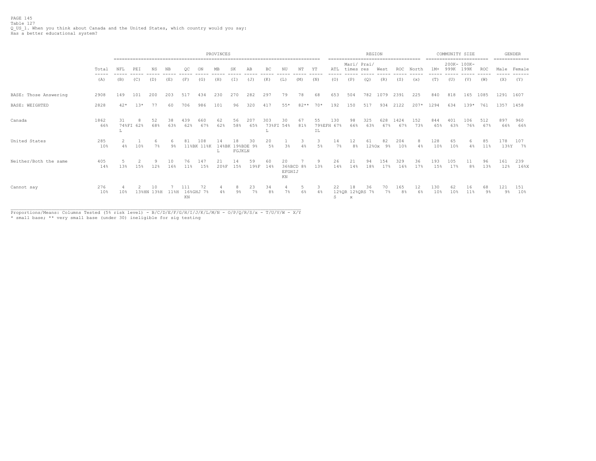PAGE 145 Table 127 Q\_US\_1. When you think about Canada and the United States, which country would you say: Has a better educational system?

|                       |             |       | PROVINCES |                  |           |                    |                   |            |                |                  |                      |                                 |                  |          |                   |                            | REGION      |              | ------------------------------------ |            | ========================= | COMMUNITY SIZE |                      |            |             | <b>GENDER</b><br>============== |
|-----------------------|-------------|-------|-----------|------------------|-----------|--------------------|-------------------|------------|----------------|------------------|----------------------|---------------------------------|------------------|----------|-------------------|----------------------------|-------------|--------------|--------------------------------------|------------|---------------------------|----------------|----------------------|------------|-------------|---------------------------------|
|                       | Total       | NFL   | PEI       | ΝS               | NB        |                    |                   | MB         | SK             | ΑB               | BC                   | NU                              | $_{\mathrm{NT}}$ | ΥT       | ATL               | Mari/ Prai/<br>times res   |             | West         | <b>ROC</b>                           | North      | $1M+$                     | 999K           | 200K- 100K-<br>199K  | ROC        | Male        | Female                          |
|                       | (A)         | (B)   | (C)       | (D)              | (E)       | (F)                | (G)               | (H)        | (I)            | (J)              | (K)                  | (L)                             | (M)              | (N)      | (0)               | (P)                        | (Q)         | (R)          | (S)                                  | (x)        | (T)                       | (U)            | (V)                  | (W)        | (X)         | (Y)                             |
| BASE: Those Answering | 2908        | 149   | 101       | 200              | 203       | 517                | 434               | 230        | 270            | 282              | 297                  | 79                              | 78               | 68       | 653               | 504                        | 782         | 1079         | 2391                                 | 225        | 840                       | 818            | 165                  | 1085       |             | 1291 1607                       |
| BASE: WEIGHTED        | 2828        | $42*$ | $13*$     | 77               | 60        | 706                | 986               | 101        | 96             | 320              | 417                  | $55*$                           | $82**$           | $70*$    | 192               | 150                        | 517         | 934          | 2122                                 | $207*$     | 1294                      | 634            | $139*$               | 761        |             | 1357 1458                       |
| Canada                | 1862<br>66% | 31    | 74%FI 62% | 52<br>68%        | 38<br>63% | 439<br>62%         | 660<br>67%        | 62<br>62%  | 56<br>58%      | 207<br>65%       | 303                  | 30<br>73%FI 54%                 | 67<br>81%        | 55<br>ΙL | 130<br>79%EFH 67% | 98<br>66%                  | 325<br>63%  | 628<br>67%   | 1424<br>67%                          | 152<br>73% | 844<br>65%                | 401<br>63%     | 106<br>76%           | 512<br>67% | 897<br>66%  | 960<br>66%                      |
| United States         | 285<br>10%  | $4\%$ | 10%       | 7%               | $9\%$     |                    | 108<br>11%BK 11%K | 148BK      | 1 ອ<br>FGJKLN  | 30.<br>19%BDE 9% | 20<br>5%             | 3%                              |                  | 5%       | 14<br>7%          | 12<br>8 <sup>°</sup>       | 61<br>1280x | 82<br>$9\%$  | 204<br>10%                           | 8<br>4%    | 128<br>10%                | 65<br>10%      | 6.<br>4%             | 85<br>11%  | 178<br>13%Y | 107<br>7%                       |
| Neither/Both the same | 405<br>14%  | 13%   | 15%       | 12%              | 10<br>16% | 76<br>11%          | 147<br>15%        | 21<br>208F | 14<br>15%      | 59<br>19%F       | 60<br>14%            | 20<br>36%BCD 8%<br>EFGHIJ<br>KN |                  | 9<br>13% | 26<br>14%         | 21<br>14%                  | 94<br>18%   | 154<br>17%   | 329<br>16%                           | 36<br>17%  | 193<br>15%                | 105<br>17%     | 11<br>8 <sup>°</sup> | 96<br>13%  | 161<br>12%  | 239<br>16%                      |
| Cannot say            | 276<br>10%  | 10%   |           | 10<br>13%HN 13%H | $11\%$ H  | 16%GHJ<br>$\rm KN$ | 72<br>7%          | 4%         | 9 <sup>°</sup> | 23<br>7%         | 34<br>8 <sup>°</sup> | $7\%$                           | 6%               | 4%       | 22<br>S           | 18<br>12%QR 12%QRS 7%<br>x | 36          | 70.<br>$7\%$ | 165<br>8 <sup>°</sup>                | 12<br>6%   | 130<br>10%                | 62<br>10%      | 16<br>11%            | 68<br>9%   | 121<br>9%   | 151<br>10%                      |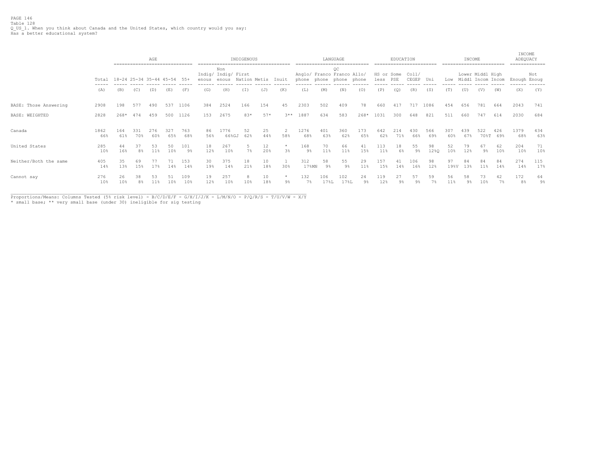|                       |             | ------------------------------- |                      | AGE        |            |            | ----------- |                                     | INDIGENOUS   |           |                  |                 |             | LANGUAGE                                        | ---------------------------- |                    | EDUCATION  | ========================= |            |            | INCOME               | ------------------------              |             | INCOME<br>ADEQUACY<br>-------------- |            |
|-----------------------|-------------|---------------------------------|----------------------|------------|------------|------------|-------------|-------------------------------------|--------------|-----------|------------------|-----------------|-------------|-------------------------------------------------|------------------------------|--------------------|------------|---------------------------|------------|------------|----------------------|---------------------------------------|-------------|--------------------------------------|------------|
|                       | Total       | 18-24 25-34 35-44 45-54         |                      |            |            | 55+        | enous       | Non<br>Indig/ Indig/ First<br>enous | Nation Metis |           | Inuit            | phone           |             | OC<br>Anglo/ Franco Franco Allo/<br>phone phone | phone                        | HS or Some<br>less | PSE        | Col1/<br>CEGEP            | Uni        | Low        |                      | Lower Middl High<br>Middl Incom Incom |             | Enough Enoug                         | Not        |
|                       | (A)         | (B)                             | (C)                  | (D)        | (E)        | (F)        | (G)         | (H)                                 | (I)          | (J)       | (K)              | (L)             | (M)         | (N)                                             | (0)                          | (P)                | (Q)        | (R)                       | (S)        | (T)        | (U)                  | (V)                                   | (W)         | (X)                                  | (Y)        |
| BASE: Those Answering | 2908        | 198                             | 577                  | 490        | 537        | 1106       | 384         | 2524                                | 166          | 154       | 45               | 2303            | 502         | 409                                             | 78                           | 660                | 417        | 717                       | 1086       | 454        | 656                  | 781                                   | 664         | 2043                                 | 741        |
| BASE: WEIGHTED        | 2828        | 268*                            | 474                  | 459        | 500        | 1126       | 153         | 2675                                | 83*          | $57*$     | $3**$            | 1887            | 634         | 583                                             | $268*$                       | 1031               | 300        | 648                       | 821        | 511        | 660                  | 747                                   | 614         | 2030                                 | 684        |
| Canada                | 1862<br>66% | 164<br>61%                      | 331<br>70%           | 276<br>60% | 327<br>65% | 763<br>68% | 86<br>56%   | 1776<br>66%GJ                       | 52<br>62%    | 25<br>44% | 58%              | 1276<br>68%     | 401<br>63%  | 360<br>62%                                      | 173<br>65%                   | 642<br>62%         | 214<br>71% | 430<br>66%                | 566<br>69% | 307<br>60% | 439<br>67%           | 522<br>70%T                           | 426<br>69%  | 1379<br>68%                          | 434<br>63% |
| United States         | 285<br>10%  | 44<br>16%                       | 37<br>8%             | 53<br>11%  | 50<br>10%  | 101<br>9%  | 18<br>12%   | 267<br>10%                          | 5<br>7%      | 12<br>20% | $\star$<br>3%    | 168<br>$9\%$    | 70<br>11%   | 66<br>11%                                       | 41<br>15%                    | 11%                | 18<br>6%   | 55<br>9%                  | 98<br>12%Q | 52<br>10%  | 79<br>12%            | 67<br>9%                              | 62<br>10%   | 204<br>10%                           | 71<br>10%  |
| Neither/Both the same | 405<br>14%  | 35<br>13%                       | 69<br>15%            | 77<br>17%  | 14%        | 153<br>14% | 30<br>19%   | 375<br>14%                          | 18<br>21%    | 10<br>18% | 30%              | 312<br>$17$ %MN | 58<br>$9\%$ | 55<br>9 <sup>°</sup>                            | 29<br>11%                    | 157<br>15%         | 14%        | 106<br>16%                | 98<br>12%  | 97<br>19%V | 84<br>13%            | 11%                                   | 84<br>14%   | 274<br>14%                           | 115<br>17% |
| Cannot say            | 276<br>10%  | 26<br>10%                       | 38<br>8 <sup>°</sup> | 53<br>11%  | 10%        | 109<br>10% | 19<br>12%   | 257<br>10%                          | 10%          | 10<br>18% | $\star$<br>$9\%$ | 132<br>7%       | 106<br>178L | 102<br>17%L                                     | 24<br>9 <sup>°</sup>         | 119<br>12%         | 27<br>9%   | 57<br>9 <sup>°</sup>      | 59<br>7%   | 56<br>11%  | 58<br>9 <sup>°</sup> | 10%                                   | 42<br>$7\%$ | 172<br>8%                            | 64<br>୨୫   |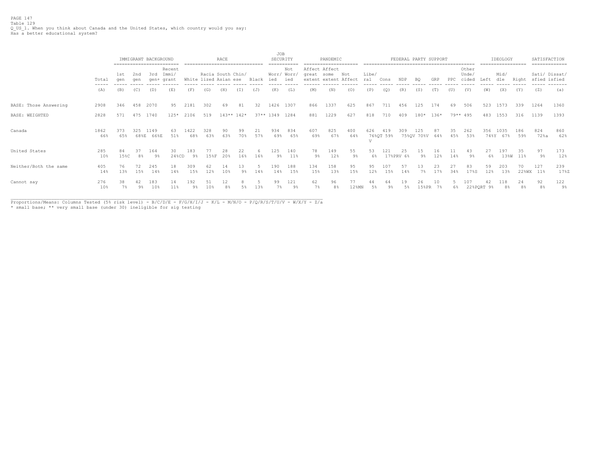PAGE 147 Table 129 Q\_US\_1. When you think about Canada and the United States, which country would you say: Has a better educational system?

|                       |                                        |             |             | IMMIGRANT BACKGROUND | ------------------------- |             |                                            | RACE      |              |       | <b>JOB</b>  | SECURITY                            |                             | PANDEMIC             |             |               |                  |                 | FEDERAL PARTY SUPPORT |           |           |                         |                  | IDEOLOGY    |                | SATISFACTION<br>============= |             |
|-----------------------|----------------------------------------|-------------|-------------|----------------------|---------------------------|-------------|--------------------------------------------|-----------|--------------|-------|-------------|-------------------------------------|-----------------------------|----------------------|-------------|---------------|------------------|-----------------|-----------------------|-----------|-----------|-------------------------|------------------|-------------|----------------|-------------------------------|-------------|
|                       | Total<br>$\cdots \cdots \cdots \cdots$ | 1st<br>aen  | 2nd<br>aen  | 3rd<br>qen+          | Recent<br>Immi,<br>qrant  |             | Racia South Chin/<br>White lized Asian ese |           |              | Black | ied         | Not<br>Worr/ Worr,<br>ied<br>------ | Affect Affect<br>great some | extent extent Affect | Not         | Libe/<br>ral  | Cons             | NDP<br>------   | BQ                    | GRP       | PPC       | Other<br>Unde/<br>cided | Left<br>-----    | Mid/<br>dle | Right          | Sati/ Dissat/<br>sfied isfied |             |
|                       | (A)                                    | (B)         | (C)         | (D)                  | (E)                       | (F)         | (G)                                        | (H)       | (T)          | (J)   | (K)         | (L)                                 | (M)                         | (N)                  | (0)         | (P)           | (O)              | (R)             | (S)                   | (T)       | (U)       | (V)                     | (W)              | (X)         | (Y)            | (Z)                           | (a)         |
| BASE: Those Answering | 2908                                   | 346         | 458         | 2070                 | 95                        | 2181        | 302                                        | 69        | 81           | 32    | 1426        | 1307                                | 866                         | 1337                 | 625         | 867           | 711              | 456             | 125                   | 174       | 69        | 506                     | 523              | 1573        | 339            | 1264                          | 1360        |
| BASE: WEIGHTED        | 2828                                   | 571         | 475         | 1740                 | $125*$                    | 2106        | 519                                        |           | $143**$ 142* |       | $37**$ 1349 | 1284                                | 881                         | 1229                 | 627         | 818           | 710              | 409             | $180*$                | $136*$    | 79** 495  |                         | 483              | 1553        | 316            | 1139                          | 1393        |
| Canada                | 1862<br>66%                            | 373<br>65%  | 325<br>68%E | 1149<br>66%E         | 63<br>51%                 | 1422<br>68% | 328<br>63%                                 | 90<br>63% | 99<br>70%    | 57%   | 934<br>69%  | 834<br>65%                          | 607<br>69%                  | 825<br>67%           | 400<br>64%  | 626<br>$\tau$ | 419<br>76%QT 59% | 309             | 125<br>75%QV 70%V     | 87<br>64% | 35<br>45% | 262<br>53%              | 356<br>74%Y      | 1035<br>67% | 186<br>59%     | 824<br>$72$ %a                | 860<br>62%  |
| United States         | 285<br>10 <sub>8</sub>                 | 84<br>15%C  | 8%          | 164<br>$9\%$         | 30<br>24%CD               | 183<br>9%   | 15%F                                       | 20%       | 22<br>16%    | 16%   | 125<br>9%   | 140<br>11%                          | 78<br>9%                    | 149<br>12%           | 55<br>$9\%$ | 53<br>6%      | 121              | 25<br>17%PRV 6% | 15<br>9%              | 16<br>12% | 14%       | 43<br>9%                | 27<br>6%         | 197         | 35<br>13%W 11% | 97<br>$9\%$                   | 173<br>12%  |
| Neither/Both the same | 405<br>14%                             | 76<br>13%   | 15%         | 245<br>14%           | 18<br>14%                 | 309<br>15%  | 62<br>12%                                  | 10%       | 13           | 14%   | 190<br>14%  | 188<br>15%                          | 134<br>15%                  | 158<br>13%           | 95<br>15%   | 95<br>12%     | 107<br>15%       | 57<br>14%       | 13<br>7%              | 17%       | 34%       | 83<br>17%S              | 59<br>12%        | 203<br>13%  | 22%WX          | 127<br>11%                    | 239<br>17%Z |
| Cannot say            | 276<br>10%                             | 38<br>$7\%$ | 42<br>$9\%$ | 183<br>10%           | 14<br>$11\%$              | 192         |                                            |           |              | 13%   | 99          | 121<br>9%                           | 62<br>7%                    | 96<br>8 <sup>°</sup> | 77<br>12%MN | $5\%$         |                  | 19<br>5%        | 26<br>$158$ PR        | 10<br>7%  | 6%        |                         | 42<br>22%PQRT 9% | 118<br>8%   | 24<br>8%       | 92<br>8 <sup>°</sup>          | 122<br>9%   |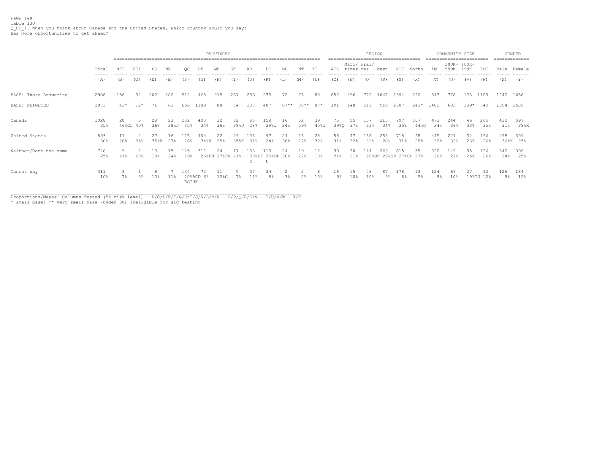PAGE 148 Table 130 Q\_US\_1. When you think about Canada and the United States, which country would you say: Has more opportunities to get ahead?

|                       |             |                 | PROVINCES |           |            |               |             |                 |            |                     |            |           |           |            |            |                          | REGION     |             |                              |             | --------------------------- | COMMUNITY SIZE |                     |                 |            | <b>GENDER</b><br>============= |
|-----------------------|-------------|-----------------|-----------|-----------|------------|---------------|-------------|-----------------|------------|---------------------|------------|-----------|-----------|------------|------------|--------------------------|------------|-------------|------------------------------|-------------|-----------------------------|----------------|---------------------|-----------------|------------|--------------------------------|
|                       | Total       | NFL             | PEI       | <b>NS</b> | NB.        | OC            | ON          | MB              | SK         | AB                  | BC         | NU        | NT        | ΥT         | ATL        | Mari/ Prai/<br>times res |            | West        | <b>ROC</b>                   | North       | $1M+$                       | 999K           | 200K- 100K-<br>199K | ROC             |            | Male Female                    |
|                       | (A)         | (B)             | (C)       | (D)       | (E)        | (F)           | (G)         | (H)             | (T)        | (J)                 | (K)        | (L)       | (M)       | (N)        | (0)        | (P)                      | (Q)        | (R)         | (S)                          | (x)         | (T)                         | (U)            | (V)                 | (W)             | (X)        | (Y)                            |
| BASE: Those Answering | 2908        | 156             | 92        | 202       | 202        | 514           | 465         | 215             | 261        | 296                 | 275        | 72        | 75        | 83         | 652        | 496                      | 772        | 1047        | 2394                         | 230         | 843                         | 778            | 178                 | 1109            |            | 1240 1658                      |
| BASE: WEIGHTED        | 2973        | $43*$           | $12*$     | 76        | 61         | 666           | 1189        | 88              | 84         | 338                 | 407        | $67**$    | 88**      | 87*        | 191        | 148                      | 511        | 918         | 2307                         | $243*$      | 1402                        | 683            | $139*$              | 749             |            | 1394 1569                      |
| Canada                | 1028<br>35% | 20<br>46%GJ 40% |           | 28<br>36% | 23<br>38%J | 232<br>35%    | 34%         | 32<br>36%       | 32<br>38%J | 93<br>28%           | 39%J       | 16<br>24% | 59%       | 39<br>45%J | 75<br>39%Q | 55<br>37%                | 57ء<br>31% | 31 P<br>34% | 797<br>35%                   | 107<br>44%0 | 473<br>34%                  | 244<br>36%     | 33%                 | 265<br>35%      | 430<br>31% | 597<br>38%X                    |
| United States         | 893<br>30%  | 11<br>26%       | 35%       | 35%K      | 16<br>27%  | 26%           | 404<br>34%K | 22<br>25%       | 29<br>35%K | 105<br>31%          | 97<br>24%  | 24<br>36% | 15<br>17% | 28<br>32%  | 58<br>31%  | 47<br>32%                | 156<br>31% | 253<br>28%  | 718<br>31%                   | 68<br>28%   | 445<br>32%                  | 221<br>32%     | 32<br>23%           | 196<br>26%      | 498        | 391<br>36%Y 25%                |
| Neither/Both the same | 740<br>25%  | 21%             | 20%       | 18%       | 24%        | 125<br>19%    | 311         | 26%FN 27%FN 21% |            | 1 N 3<br>308DF<br>N | 298DF<br>N | 24<br>368 | 19<br>22% | 12<br>13%  | 39<br>21%  | 30<br>21%                | 44         | 263         | 615<br>28%OP 29%OP 27%OP 23% | 55          | 360<br>26%                  | 149<br>22%     | 35<br>25%           | 196<br>26%      | 340<br>24% | 396<br>25%                     |
| Cannot say            | 311<br>10%  | $7\%$           | 5%        | 10%       | 11%        | - 34<br>EGIJK | 20%BCD 6%   | 12%G            | 7%         | 37<br>11%           | 34<br>8%   | 3%        | 2%        | 10%        | 18<br>9%   | 15<br>10%                | 53<br>10%  | 9%          | 178<br>8%                    | 13<br>5%    | 124<br>9%                   | 69<br>10%      |                     | 92<br>19%TU 12% | 126<br>9%  | 184<br>12%                     |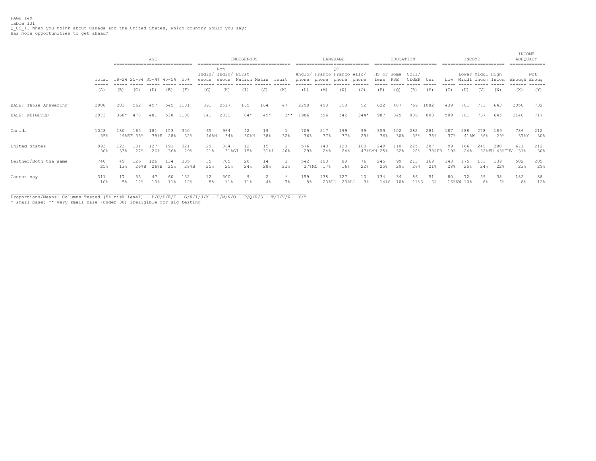|                       |             |                             |                  | AGE<br>----------------------------- |             |             |            |                                                  | INDIGENOUS |            |        |                       |              | LANGUAGE                                                    |           |                    | EDUCATION  |                |              |            | INCOME          |                                       |                     | INCOME<br>ADEQUACY<br>------------- |            |
|-----------------------|-------------|-----------------------------|------------------|--------------------------------------|-------------|-------------|------------|--------------------------------------------------|------------|------------|--------|-----------------------|--------------|-------------------------------------------------------------|-----------|--------------------|------------|----------------|--------------|------------|-----------------|---------------------------------------|---------------------|-------------------------------------|------------|
|                       | Total       | 18-24 25-34 35-44 45-54 55+ |                  |                                      |             |             | enous      | Non<br>Indig/ Indig/ First<br>enous Nation Metis |            |            | Inuit  |                       |              | QC<br>Anglo/ Franco Franco Allo/<br>phone phone phone phone |           | HS or Some<br>less | PSE        | Coll/<br>CEGEP | Uni          | Low        |                 | Lower Middl High<br>Middl Incom Incom |                     | Enough Enoug                        | Not        |
|                       | (A)         | (B)                         | (C)              | (D)                                  | (E)         | (F)         | (G)        | (H)                                              | (T)        | (J)        | (K)    | (L)                   | (M)          | (N)                                                         | (0)       | (P)                | (Q)        | (R)            | (S)          | (T)        | (U)             | (V)                                   | (W)                 | (X)                                 | (Y)        |
| BASE: Those Answering | 2908        | 203                         | 562              | 497                                  | 545         | 1101        | 391        | 2517                                             | 165        | 164        | 47     | 2298                  | 498          | 399                                                         | 92        | 622                | 407        | 769            | 1082         | 439        | 701             | 771                                   | 643                 | 2050                                | 732        |
| <b>BASE: WEIGHTED</b> | 2973        | $368*$                      | 478              | 481                                  | 538         | 1108        | 141        | 2832                                             | $84*$      | $49*$      | $3***$ | 1986                  | 596          | 542                                                         | $344*$    | 987                | 345        | 806            | 808          | 509        | 701             | 767                                   | 645                 | 2140                                | 717        |
| Canada                | 1028<br>35% | 180                         | 165<br>49%EF 35% | 181<br>38%E                          | 1.53<br>28% | 350<br>32%  | 65<br>46%H | 964<br>34%                                       | 42<br>50%H | 19<br>38%  | 32%    | 709<br>36%            | 217<br>37%   | 199<br>37%                                                  | 99<br>29% | 359<br>36%         | 102<br>30% | 282<br>35%     | 281<br>35%   | 187<br>37% | 288<br>41%W     | 278<br>36%                            | 189<br>29%          | 786<br>37%Y                         | 212<br>30% |
| United States         | 893<br>30%  | 123<br>33%                  | 131<br>27%       | 127<br>26%                           | 191<br>36%  | 321<br>29%  | 29<br>21%  | 864<br>$31%$ GI                                  | 12<br>15%  | 15<br>31%I | 40%    | 576<br>29%            | 140<br>24%   | 128<br>24%                                                  | 160       | 249<br>47%LMN 25%  | 110<br>32% | 225<br>28%     | 307<br>38%PR | 99<br>19%  | 166<br>24%      | 249                                   | 280<br>32%TU 43%TUV | 671<br>31%                          | 212<br>30% |
| Neither/Both the same | 740<br>25%  | 49<br>13%                   | 126<br>26%B      | 126<br>$26$ <sup>8</sup> B           | 134<br>25%  | 305<br>28%B | 35<br>25%  | 705<br>25%                                       | 20<br>24%  | 14<br>28%  | 21%    | 542<br>27%MN          | 100<br>17%   | 89<br>16%                                                   | 76<br>22% | 245<br>25%         | 99<br>29%  | 213<br>26%     | 169<br>21%   | 143<br>28% | 175<br>25%      | 181<br>24%                            | 139<br>22%          | 502<br>23%                          | 205<br>29% |
| Cannot say            | 311<br>10%  | 5%                          | 12%              | 47<br>10%                            | 60<br>11%   | 132<br>12%  | 12<br>8%   | 300<br>11%                                       | 9<br>11%   | 4%         | $7\%$  | 159<br>8 <sup>°</sup> | 138<br>23%LO | 127<br>23%LO                                                | 10<br>3%  | 134<br>14%S        | 34<br>10%  | 86<br>11%S     | 51<br>6%     | 80         | 72<br>16%VW 10% | 59<br>8%                              | 38<br>6%            | 182<br>8 <sup>°</sup>               | 88<br>12%  |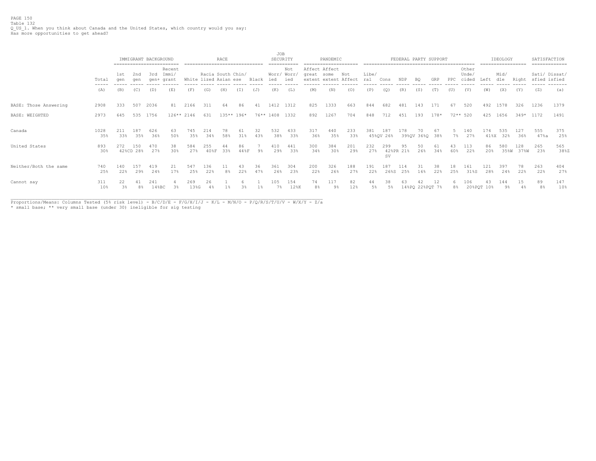PAGE 150 Table 132 Q\_US\_1. When you think about Canada and the United States, which country would you say: Has more opportunities to get ahead?

|                       |                        |            |                                                                                   | IMMIGRANT BACKGROUND |             |             |                                            | RACE                 |              |           | JOB        | SECURITY                  |                        | PANDEMIC                     |            |              |                  | FEDERAL PARTY SUPPORT |                       |           |           |                         |                  | IDEOLOGY    |             | SATISFACTION<br>============= |             |
|-----------------------|------------------------|------------|-----------------------------------------------------------------------------------|----------------------|-------------|-------------|--------------------------------------------|----------------------|--------------|-----------|------------|---------------------------|------------------------|------------------------------|------------|--------------|------------------|-----------------------|-----------------------|-----------|-----------|-------------------------|------------------|-------------|-------------|-------------------------------|-------------|
|                       | Total<br>$- - - - - -$ | 1st<br>aen | Recent<br>2nd<br>3rd<br>Immi/<br>aen<br>aen+<br>grant<br>(B)<br>(C)<br>(E)<br>(D) |                      |             |             | Racia South Chin/<br>White lized Asian ese |                      |              | Black     | ied        | Not<br>Worr/ Worr/<br>ied | Affect Affect<br>great | some<br>extent extent Affect | Not        | Libe/<br>ral | Cons             | NDP                   | B <sub>0</sub>        | GRP       | PPC       | Other<br>Unde/<br>cided | Left             | Mid/<br>dle | Right       | Sati/ Dissat/<br>sfied isfied | --------    |
|                       | (A)                    |            |                                                                                   |                      |             | (F)         | (G)                                        | (H)                  | (T)          | (J)       | (K)        | (L)                       | (M)                    | (N)                          | (0)        | (P)          | (O)              | (R)                   | (S)                   | (T)       | (U)       | (V)                     | (W)              | (X)         | (Y)         | (Z)                           | (a)         |
| BASE: Those Answering | 2908                   | 333        | 507                                                                               | 2036                 | 81          | 2166        | 311                                        | 64                   | 86           | 41        | 1412       | 1312                      | 825                    | 1333                         | 663        | 844          | 682              | 481                   | 143                   | 171       | 67        | 520                     | 492              | 1578        | 326         | 1236                          | 1379        |
| BASE: WEIGHTED        | 2973                   | 645        | 535                                                                               | 1756                 | $126**2146$ |             | 631                                        |                      | $135**$ 196* |           | 76** 1408  | 1332                      | 892                    | 1267                         | 704        | 848          | 712              | 451                   | 193                   | $178*$    |           | $72**$ 520              | 425              | 1656        | $349*$      | 1172                          | 1491        |
| Canada                | 1028<br>35%            | 211<br>33% | 187<br>35%                                                                        | 626<br>36%           | 63<br>50%   | 745<br>35%  | 214<br>34%                                 | 58%                  | 61<br>31%    | 32<br>43% | 532<br>38% | 433<br>33%                | 317<br>36%             | 440<br>35%                   | 233<br>33% | 381          | 187<br>45%QV 26% | ⊥78                   | 70<br>39%QV 36%Q 38%  | -67       | 7%        | 140<br>27%              | 174<br>41%X      | 535<br>32%  | 127<br>36%  | 555<br>47%a                   | 375<br>25%  |
| United States         | 893<br>30%             | 272        | 150<br>42%CD 28%                                                                  | 470<br>27%           | 38<br>30%   | 584<br>27%  | 255<br>40%F                                | 33%                  | 86<br>44%F   | 9%        | 410<br>29% | 441<br>33%                | 300<br>34%             | 384<br>30%                   | 201<br>29% | 232<br>27%   | 299<br>SV        | 95<br>42%PR 21%       | 50<br>26%             | 61<br>34% | 60%       | 113<br>22%              | 86<br>20%        | 580<br>35%W | 128<br>37%W | 265<br>23%                    | 565<br>38%Z |
| Neither/Both the same | 740<br>25%             | 140<br>22% | 157<br>29%                                                                        | 419<br>24%           | 21<br>17%   | 547<br>25%  | 136<br>22%                                 | 11<br>8 <sup>°</sup> | 43<br>22%    | 36<br>47% | 361<br>26% | 304<br>23%                | 200<br>22%             | 326<br>26%                   | 188<br>27% | 191<br>22%   | 187<br>26%S      | 114<br>25%            | 31<br>16%             | 38<br>22% | 18<br>25% | 161<br>31%S             | 121<br>28%       | 397<br>24%  | 78.<br>22%  | 263<br>22%                    | 404<br>27%  |
| Cannot say            | 311<br>10%             | $3\%$      | 41<br>8%                                                                          | 241<br>148BC         | 3%          | 269<br>13%G | 26                                         |                      |              |           | 105<br>7%  | 154<br>12%K               | 74<br>8 <sup>°</sup>   | 117<br>$9\%$                 | 82<br>12%  | 44<br>5%     | 38<br>-5%        |                       | 42<br>14%PQ 22%PQT 7% | 12        | 8%        | 106                     | 43<br>20%PQT 10% | 144<br>9%   | 15          | 89<br>8%                      | 147<br>10%  |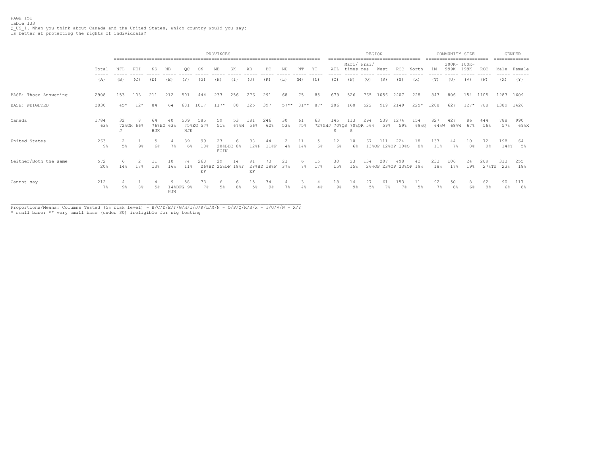|                       |                |          | PROVINCES |           |           |                 |                  |                        |                |            |                      |           |            |           |                      |                                     | <b>REGION</b><br>----------------- |            | =================            |                      | $- - - - - - -$ | COMMUNITY SIZE<br>.================= |           |                      |                  | <b>GENDER</b><br>============= |
|-----------------------|----------------|----------|-----------|-----------|-----------|-----------------|------------------|------------------------|----------------|------------|----------------------|-----------|------------|-----------|----------------------|-------------------------------------|------------------------------------|------------|------------------------------|----------------------|-----------------|--------------------------------------|-----------|----------------------|------------------|--------------------------------|
|                       | Total<br>----- | NFL      | PEI       | NS        | NB        | OC              |                  |                        | SK             | AΒ         | BC                   |           | NΤ         | ΥT        | ATL                  | Mari/ Prai/<br>times res            |                                    | West       | ROC                          | North                | $1M+$           | 200K- 100K-<br>999K                  | 199K      | ROC                  | Male             | Female                         |
|                       | (A)            | (B)      | (C)       | (D)       | (E)       | (F)             | (G)              | (H)                    | (T)            | (J)        | (K)                  | (L)       | (M)        | (N)       | (0)                  | (P)                                 | (Q)                                | (R)        | (S)                          | (x)                  | (T)             | (U)                                  | (V)       | (W)                  | (X)              | (Y)                            |
| BASE: Those Answering | 2908           | 153      | 103       | 211       | 212       | 501             | 444              | 233                    | 256            | 276        | 291                  | 68        | 75         | 85        | 679                  | 526                                 | 765                                | 1056       | 2407                         | 228                  | 843             | 806                                  | 154       | 1105                 | 1283 1609        |                                |
| BASE: WEIGHTED        | 2830           | $45*$    | $12*$     | 84        | 64        | 681             | 1017             | $117*$                 | 80             | 325        | 397                  | $57**$    | $81**$     | $87*$     | 206                  | 160                                 | 522                                | 919        | 2149                         | $225*$               | 1288            | 627                                  | $127*$    | 788                  | 1389 1426        |                                |
| Canada                | 1784<br>63%    | 32       | 72%GH 66% | 64<br>HJK | 76%EG 63% | 509<br>HJK      | 585<br>75%EG 57% | 59<br>51%              | 53<br>67%H     | 181<br>56% | 246<br>62%           | 30<br>53% | 61<br>75%  | 63        | 145<br>S             | 113<br>72%GHJ 70%QR 70%QR 56%<br>.S | 294                                | 539<br>59% | 1274<br>59%                  | 154<br>69%Q          | 827<br>64%W     | 427<br>68%W                          | 86<br>67% | 444<br>56%           | 788<br>57%       | 990<br>69%X                    |
| United States         | 263<br>$9\%$   | 5%       | $9\%$     | 6%        | 7%        | 39<br>6%        | 99<br>10%        | 20%BDE 8%<br>FGIN      |                | 38<br>12%F | 11%F                 | 4%        | 14%        | 6%        | 12<br>6%             | 10<br>6%                            |                                    |            | 224<br>13%OP 12%OP 10%O      | 18<br>8%             | 137<br>11%      | 44<br>$7\%$                          | 8%        | 72<br>9%             | 198<br>148Y      | 64<br>5%                       |
| Neither/Both the same | 572<br>20%     | 6<br>14% | 17%       | 13%       | 10<br>16% | 74<br>11%       | 260<br>EF        | 29<br>26%BD 25%DF 18%F | 14             | 91<br>EF   | 28%BD 18%F           | 21<br>37% | 6<br>$7\%$ | 15<br>17% | 30<br>15%            | 23<br>15%                           | 134                                | 207        | 498<br>26%OP 23%OP 23%OP 19% | 42                   | 233<br>18%      | 106<br>17%                           | 24<br>19% | 209                  | 313<br>27%TU 23% | 255<br>18%                     |
| Cannot say            | 212<br>$7\%$   | $9\%$    | 8%        | $5\%$     | HJN       | 58<br>14%DFG 9% | 73<br>7%         | 6<br>5%                | 8 <sup>°</sup> | 15<br>5%   | 34<br>9 <sup>°</sup> |           |            |           | 18<br>9 <sup>°</sup> | 14<br>9 <sup>°</sup>                | 27<br>5%                           | 61<br>7%   | 153<br>7%                    | 11<br>5 <sup>°</sup> | 92<br>7%        | 50<br>8 <sup>°</sup>                 | 6%        | 62<br>8 <sup>°</sup> | 90<br>6%         | 117<br>8%                      |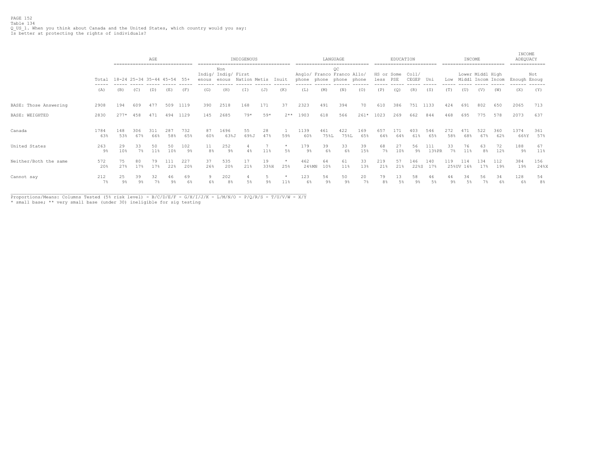PAGE 152 Table 134 Q\_US\_1. When you think about Canada and the United States, which country would you say: Is better at protecting the rights of individuals?

|                       |                                        | ------------------------------ |                      | AGE       |                      |                       |                      |                            | INDIGENOUS<br>------------------------------------ |                |                |                                                       |                      | LANGUAGE             |            |            | EDUCATION        | ------------------------- |              |             | INCOME           | ========================                  |            | INCOME<br>ADEQUACY<br>=============       |                      |
|-----------------------|----------------------------------------|--------------------------------|----------------------|-----------|----------------------|-----------------------|----------------------|----------------------------|----------------------------------------------------|----------------|----------------|-------------------------------------------------------|----------------------|----------------------|------------|------------|------------------|---------------------------|--------------|-------------|------------------|-------------------------------------------|------------|-------------------------------------------|----------------------|
|                       | Total<br>$\cdots \cdots \cdots \cdots$ | 18-24 25-34 35-44 45-54 55+    |                      |           |                      |                       | enous enous          | Non<br>Indig/ Indig/ First | Nation Metis                                       |                | Inuit          | Anglo/ Franco Franco Allo/<br>phone phone phone phone |                      | ОC                   |            | less PSE   | HS or Some Coll/ | CEGEP Uni                 |              |             |                  | Lower Middl High<br>Low Middl Incom Incom |            | Enough Enoug<br>. _ _ _ _ _ _ _ _ _ _ _ _ | Not                  |
|                       | (A)                                    | (B)                            | (C)                  | (D)       | (E)                  | (F)                   | (G)                  | (H)                        | (I)                                                | (J)            | (K)            | (L)                                                   | (M)                  | (N)                  | (0)        | (P)        | (Q)              | (R)                       | (S)          | (T)         | (U)              | (V)                                       | (W)        | (X)                                       | (Y)                  |
| BASE: Those Answering | 2908                                   | 194                            | 609                  | 477       | 509                  | 1119                  | 390                  | 2518                       | 168                                                | 171            | 37             | 2323                                                  | 491                  | 394                  | 70         | 610        | 386              | 751                       | 1133         | 424         | 691              | 802                                       | 650        | 2065                                      | 713                  |
| BASE: WEIGHTED        | 2830                                   | $277*$                         | 458                  | 471       | 494                  | 1129                  | 145                  | 2685                       | $79*$                                              | $59*$          | $2**$          | 1903                                                  | 618                  | 566                  | $261*$     | 1023       | 269              | 662                       | 844          | 468         | 695              | 775                                       | 578        | 2073                                      | 637                  |
| Canada                | 1784<br>63%                            | 148<br>53%                     | 306<br>67%           | 66%       | 287<br>58%           | 732<br>65%            | 87<br>60%            | 1696<br>63%J               | 55<br>69%J                                         | 28<br>47%      | 59%            | 1139<br>60%                                           | 461<br>75%L          | 422<br>75%L          | 169<br>65% | 657<br>64% | 64%              | 403<br>61%                | 546<br>65%   | 272<br>58%  | 471<br>68%       | 522<br>67%                                | 360<br>62% | 1374<br>66%Y                              | 361<br>57%           |
| United States         | 263<br>9%                              | 29<br>10%                      | 33<br>$7\%$          | 50<br>11% | 50<br>10%            | 102<br>9 <sup>8</sup> | 11<br>8 <sup>°</sup> | 252<br>$9\%$               | 4%                                                 | 11%            | $\star$<br>5%  | 179<br>$9\%$                                          | 39<br>6%             | 33<br>6%             | 39<br>15%  | 68<br>7%   | 10%              | 56<br>$9\%$               | 111<br>13%PR | 33<br>$7\%$ | 76<br>11%        | 63<br>8 <sup>°</sup>                      | 72<br>12%  | 188<br>$9\%$                              | 67<br>11%            |
| Neither/Both the same | 572<br>20%                             | 75<br>27%                      | 80<br>17%            | 79<br>17% | 22%                  | 227<br>20%            | 37<br>26%            | 535<br>20%                 | 17<br>21%                                          | 19<br>33%H     | 25%            | 462<br>24%MN                                          | 64<br>10%            | 61<br>11%            | 33<br>13%  | 219<br>21% | 57<br>21%        | 146<br>22%S               | 140<br>17%   | 119         | 114<br>25%UV 16% | 134<br>17%                                | 112<br>19% | 384<br>19%                                | 156<br>24%X          |
| Cannot say            | 212<br>$7\%$                           | 25<br>$9\%$                    | 39<br>9 <sup>°</sup> | 32<br>7%  | 46<br>9 <sup>°</sup> | 69<br>6%              | 9                    | 202<br>8 <sup>°</sup>      | 5%                                                 | 9 <sub>8</sub> | $\star$<br>11% | 123<br>6%                                             | 54<br>9 <sup>°</sup> | 50<br>9 <sup>°</sup> | 20<br>7%   | 79         | 13               | 58<br>9 <sup>°</sup>      | 46<br>5%     | 44<br>$9\%$ | 34<br>.5%        | 56                                        | 34         | 128<br>6%                                 | 54<br>8 <sup>°</sup> |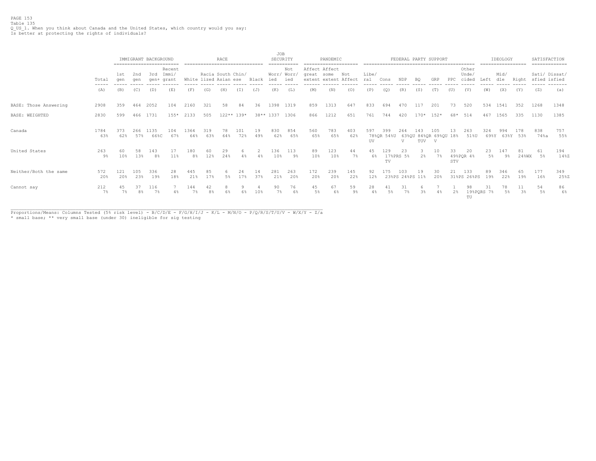PAGE 153 Table 135 Q\_US\_1. When you think about Canada and the United States, which country would you say: Is better at protecting the rights of individuals?

|                       |                                                                                                                                                                                                                                                                                                                                                                                                                                                                                     |             |            | IMMIGRANT BACKGROUND  | ========================== |                       | -------------------------------            | RACE      |              |           | <b>JOB</b> | SECURITY<br>----------    |                             | PANDEMIC<br>===================== |             |              |                              |                        |                | FEDERAL PARTY SUPPORT               |           |                         |                  | IDEOLOGY<br>================== |                 | SATISFACTION | ============= |
|-----------------------|-------------------------------------------------------------------------------------------------------------------------------------------------------------------------------------------------------------------------------------------------------------------------------------------------------------------------------------------------------------------------------------------------------------------------------------------------------------------------------------|-------------|------------|-----------------------|----------------------------|-----------------------|--------------------------------------------|-----------|--------------|-----------|------------|---------------------------|-----------------------------|-----------------------------------|-------------|--------------|------------------------------|------------------------|----------------|-------------------------------------|-----------|-------------------------|------------------|--------------------------------|-----------------|--------------|---------------|
|                       | Total<br>$\frac{1}{2} \left( \frac{1}{2} \right) \left( \frac{1}{2} \right) \left( \frac{1}{2} \right) \left( \frac{1}{2} \right) \left( \frac{1}{2} \right) \left( \frac{1}{2} \right) \left( \frac{1}{2} \right) \left( \frac{1}{2} \right) \left( \frac{1}{2} \right) \left( \frac{1}{2} \right) \left( \frac{1}{2} \right) \left( \frac{1}{2} \right) \left( \frac{1}{2} \right) \left( \frac{1}{2} \right) \left( \frac{1}{2} \right) \left( \frac{1}{2} \right) \left( \frac$ | 1st<br>qen  | 2nd<br>qen | 3rd<br>qen+           | Recent<br>Immi/<br>grant   |                       | Racia South Chin/<br>White lized Asian ese |           |              | Black     | ied        | Not<br>Worr/ Worr,<br>ied | Affect Affect<br>great some | extent extent Affect              | Not         | Libe/<br>ral | Cons                         | NDP                    | BQ             | GRP                                 | PPC       | Other<br>Unde,<br>cided | Left             | Mid/<br>dle                    | Right           | sfied isfied | Sati/ Dissat/ |
|                       | (A)                                                                                                                                                                                                                                                                                                                                                                                                                                                                                 | (B)         | (C)        | (D)                   | (E)                        | (F)                   | (G)                                        | (H)       | (I)          | (J)       | (K)        | (L)                       | (M)                         | (N)                               | (0)         | (P)          | $\left( \mathcal{Q} \right)$ | (R)                    | (S)            | (T)                                 | (U)       | (V)                     | (W)              | (X)                            | (Y)             | (Z)          | (a)           |
| BASE: Those Answering | 2908                                                                                                                                                                                                                                                                                                                                                                                                                                                                                | 359         | 464        | 2052                  | 104                        | 2160                  | 321                                        | 58        | 84           | 36        | 1398       | 1319                      | 859                         | 1313                              | 647         | 833          | 694                          | 470.                   | 117            | 201                                 | 73        | 520                     | 534              | 1541                           | 352             | 1268         | 1348          |
| BASE: WEIGHTED        | 2830                                                                                                                                                                                                                                                                                                                                                                                                                                                                                | 599         | 466        | 1731                  | $155*$                     | 2133                  | 505                                        |           | $122**$ 139* |           | 38** 1337  | 1306                      | 866                         | 1212                              | 651         | 761          | 744                          | 420                    |                | $170* 152*$                         | 68*       | 514                     | 467              | 1565                           | 335             | 1130         | 1385          |
| Canada                | 1784<br>63%                                                                                                                                                                                                                                                                                                                                                                                                                                                                         | 373<br>62%  | 266<br>57% | 1135<br>66%C          | 104<br>67%                 | 1364<br>64%           | 319<br>63%                                 | 64%       | 101<br>72%   | 19<br>49% | 830<br>62% | 854<br>65%                | 560<br>65%                  | 783<br>65%                        | 403<br>62%  | 597<br>UV    | 399<br>78%OR 54%U            | 264<br>V               | 143<br>TUV     | 105<br>63%QU 84%QR 69%QU 18%<br>- V |           | 263<br>51%U             | 324<br>69%Y      | 994                            | 178<br>63%Y 53% | 838<br>74%a  | 757<br>55%    |
| United States         | 263<br>9%                                                                                                                                                                                                                                                                                                                                                                                                                                                                           | 60<br>10%   | 58<br>13%  | 143<br>8 <sup>°</sup> | 11%                        | 180<br>8 <sup>°</sup> | 60<br>12%                                  | 29<br>24% | 6            | 2<br>4%   | 136<br>10% | 113<br>9%                 | 89<br>10%                   | 123<br>10%                        | 44<br>$7\%$ | 45<br>6%     | 129<br>TV                    | 23<br>17%PRS 5%        | $2\frac{6}{5}$ | 10<br>$7\%$                         | 33<br>STV | 20<br>49%PQR 4%         | 23<br>5%         | 147<br>9%                      | 81<br>24%WX     | 61<br>5%     | 194<br>14%Z   |
| Neither/Both the same | 572<br>20%                                                                                                                                                                                                                                                                                                                                                                                                                                                                          | 121<br>20%  | 105<br>23% | 336<br>19%            | 28<br>18%                  | 445<br>21%            | 85<br>17%                                  | 5%        | 17%          | 14<br>37% | 281<br>21% | 263<br>20%                | 172<br>20%                  | 239<br>20%                        | 145<br>22%  | 92<br>12%    | 175                          | 103<br>23%PS 24%PS 11% | 19             | 30<br>20%                           | 21        | 133<br>31%PS 26%PS      | 89<br>19%        | 346<br>22%                     | 65<br>19%       | 177<br>16%   | 349<br>25%Z   |
| Cannot say            | 212<br>7%                                                                                                                                                                                                                                                                                                                                                                                                                                                                           | 45<br>$7\%$ | 37<br>8%   | 116<br>7%             |                            | 144                   | 42<br>8 <sup>°</sup>                       |           |              | 1 0 ៖     | 90         | 76<br>6%                  | 45<br>5 <sup>°</sup>        | 67<br>6%                          | 59<br>9%    | 28<br>4%     | 5%                           |                        | 3%             | 4%                                  | 2%        | 98<br>TU                | 31<br>19%PQRS 7% | 78<br>5%                       | $3\%$           | 54<br>$5\%$  | 86<br>6%      |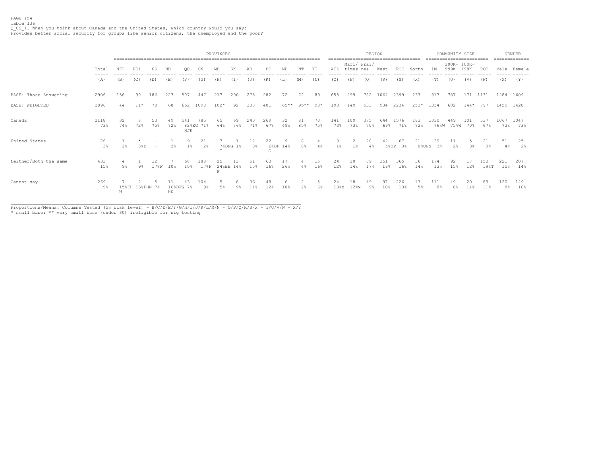|                       |             |           | PROVINCES<br>======== |           |           |            |                  |           |                 |                          |            |           |            |           |            |                     | REGION     |             |                              |                       |                       | COMMUNITY SIZE |            |             |             | <b>GENDER</b>        |
|-----------------------|-------------|-----------|-----------------------|-----------|-----------|------------|------------------|-----------|-----------------|--------------------------|------------|-----------|------------|-----------|------------|---------------------|------------|-------------|------------------------------|-----------------------|-----------------------|----------------|------------|-------------|-------------|----------------------|
|                       | Total       | NFL       | PEI                   | SK        | AB        |            | NΤ               | ΥT        | ATL             | Mari/ Prai/<br>times res |            | West      | <b>ROC</b> | North     | $1M+$      | 200K- 100K-<br>999K | 199K       | ROC         |                              | ======<br>Male Female |                       |                |            |             |             |                      |
|                       | (A)         | (B)       | (C)                   | (D)       | (E)       | (F)        | (G)              | (H)       | (T)             | $(\mathbb{J})$           | (K)        | (L)       | (M)        | (N)       | (0)        | (P)                 | (Q)        | (R)         | (S)                          | (x)                   | (T)                   | (U)            | (V)        | (W)         | (X)         | (Y)                  |
| BASE: Those Answering | 2906        | 156       | 90                    | 186       | 223       | 507        | 447              | 217       | 290             | 275                      | 282        | 72        | 72         | 89        | 655        | 499                 | 782        | 1064        | 2399                         | 233                   | 817                   | 787            | 171 1131   |             | 1284 1609   |                      |
| <b>BASE: WEIGHTED</b> | 2896        | 44        | $11*$                 | 70        | 68        | 662        | 1098             | $102*$    | 92              | 338                      | 401        | 65**      | $95**$     | $93*$     | 193        | 149                 | 533        | 934         | 2234                         | $253*$                | 1354                  | 602            | $144*$     | 797         | 1459 1428   |                      |
| Canada                | 2118<br>73% | 32<br>74% | 72%                   | 53<br>75% | 49<br>72% | 541<br>HJK | 785<br>82%EG 71% | 65<br>64% | 69<br>76%       | 240<br>71%               | 269<br>67% | 32<br>49% | 81<br>8.5% | 70<br>75% | 141<br>73% | 109<br>73%          | 375<br>70% | 644<br>69%  | 1576<br>71%                  | 183<br>72%            | 1030<br>76%W          | 449<br>75%W    | 101<br>70% | 537<br>67%  | 1067<br>73% | 1047<br>73%          |
| United States         | 76<br>3%    | 2%        | 38D                   | $\sim$    | 2%        | $1\%$      | 2%               |           | 7%DFG 1%        | $3\frac{a}{b}$           | 22<br>G    | 6%DF 14%  | 8%         | 4%        | $1\%$      | 1%                  | 20<br>4%   |             | 61<br>3 <sup>°</sup><br>5%OP | 21<br>8%OPS           | 39<br>3%              | 2%             | 3%         | 21<br>3%    | 51<br>4%    | 25<br>$2\frac{6}{9}$ |
| Neither/Both the same | 433<br>15%  | 9%        | $9\%$                 | 178F      | 10%       | 68<br>10%  | 188<br>178F      | 25        | 13<br>24%BE 14% | 15%                      | 63<br>16%  | 17<br>26% | 4%         | 15<br>16% | 24<br>12%  | 20<br>14%           | 89<br>17%  | 151<br>16%  | 365<br>16%                   | 36<br>14%             | 174<br>13%            | 92<br>15%      | 12%        | 150<br>198T | 221<br>15%  | 207<br>14%           |
| Cannot say            | 269<br>9%   |           | 15%FH 16%FHN 7%       |           | HN        | 16%DFG 7%  | 104<br>$9\%$     |           | 9 <sup>°</sup>  | 36                       | 48<br>12%  | 1 በ %     | 2%         | 6%        | 24<br>138x | 18<br>$12\$ $x$     | 49<br>9%   | 97<br>$10*$ | 226<br>10%                   | 13<br>.5%             | 111<br>8 <sup>°</sup> | 49<br>8%       | 20<br>14%  | 89<br>11%   | 120<br>8%   | 149<br>10%           |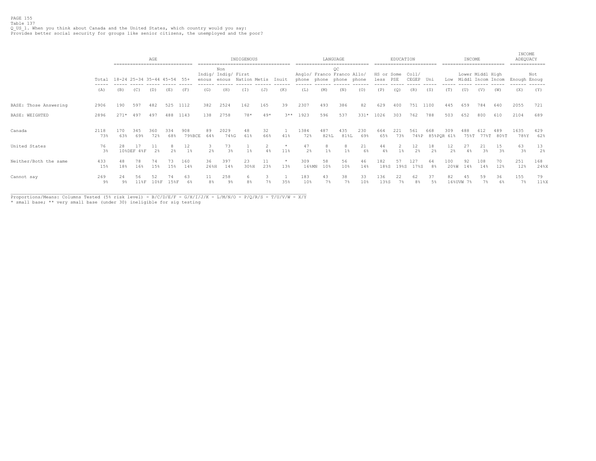|                       |               |                         | ----------------------------- | AGE                  |            |               |                      |                                     | INDIGENOUS   |           |                |                                           |             | LANGUAGE    |             |                    | EDUCATION  |                      |                      |                       | INCOME      |                                       |                  | INCOME<br>ADEQUACY   | ------------         |
|-----------------------|---------------|-------------------------|-------------------------------|----------------------|------------|---------------|----------------------|-------------------------------------|--------------|-----------|----------------|-------------------------------------------|-------------|-------------|-------------|--------------------|------------|----------------------|----------------------|-----------------------|-------------|---------------------------------------|------------------|----------------------|----------------------|
|                       | Total<br>---- | 18-24 25-34 35-44 45-54 |                               |                      |            | 55+           | enous                | Non<br>Indig/ Indig/ First<br>enous | Nation Metis |           | Inuit          | Anglo/ Franco Franco Allo/<br>phone phone |             | OC<br>phone | phone       | HS or Some<br>less | PSE        | Col1/<br>CEGEP Uni   |                      | Low                   |             | Lower Middl High<br>Middl Incom Incom |                  | Enough Enoug         | Not                  |
|                       | (A)           | (B)                     | (C)                           | (D)                  | (E)        | (F)           | (G)                  | (H)                                 | (I)          | (J)       | (K)            | (L)                                       | (M)         | (N)         | (0)         | (P)                | (Q)        | (R)                  | (S)                  | (T)                   | (U)         | (V)                                   | (W)              | (X)                  | (Y)                  |
| BASE: Those Answering | 2906          | 190                     | 597                           | 482                  | 525        | 1112          | 382                  | 2524                                | 162          | 165       | 39             | 2307                                      | 493         | 386         | 82          | 629                | 400        | 751                  | 1100                 | 445                   | 659         | 784                                   | 640              | 2055                 | 721                  |
| BASE: WEIGHTED        | 2896          | $271*$                  | 497                           | 497                  | 488        | 1143          | 138                  | 2758                                | 78*          | $49*$     | $3***$         | 1923                                      | 596         | 537         | $331*$      | 1026               | 303        | 762                  | 788                  | 503                   | 652         | 800                                   | 610              | 2104                 | 689                  |
| Canada                | 2118<br>73%   | 170<br>63%              | 345<br>69%                    | 360<br>72%           | 334<br>68% | 908<br>79%BCE | 89<br>64%            | 2029<br>74%G                        | 48<br>61%    | 32<br>66% | 41%            | 1384<br>72%                               | 487<br>82%L | 435<br>81%L | 230<br>69%  | 664<br>65%         | 221<br>73% | 561<br>74%P          | 668<br>85%POR 61%    | 309                   | 488<br>75%T | 612                                   | 489<br>77%T 80%T | 1635<br>78%Y         | 429<br>62%           |
| United States         | 76<br>3%      | 28                      | 10%DEF 4%F                    | 11<br>$2\frac{6}{3}$ | 2%         | 12<br>$1\%$   | 2%                   | 73<br>3%                            | $1\%$        | 4%        | 11%            | 47<br>2 <sup>°</sup>                      | $1\%$       | $1\%$       | 21<br>$6\%$ | 44<br>4%           | $1\%$      | 12<br>$2\frac{a}{b}$ | 18<br>2 <sup>°</sup> | 12 <sub>2</sub><br>2% | 27<br>4%    | 21<br>3%                              | 15<br>3%         | 63<br>3 <sup>°</sup> | 13<br>2 <sup>°</sup> |
| Neither/Both the same | 433<br>15%    | 48<br>18%               | 78<br>16%                     | 74<br>15%            | 73<br>15%  | 160<br>14%    | 36<br>26%H           | 397<br>14%                          | 23<br>30%H   | 11<br>23% | $\star$<br>13% | 309<br>$16$ %MN                           | 58<br>10%   | 56<br>10%   | 46<br>14%   | 182<br>18%S        | 57<br>19%S | 127<br>17%S          | 64<br>8%             | 100<br>20%W           | 92<br>14%   | 108<br>14%                            | 70<br>12%        | 251<br>12%           | 168<br>24%X          |
| Cannot say            | 269<br>9%     | 24<br>9%                | 118F                          | 108F                 | 158F       | 63<br>6%      | 11<br>8 <sup>°</sup> | 258<br>9%                           |              | 7%        | 35%            | 183<br>10%                                | 43<br>7%    | 38<br>7%    | 33<br>10%   | 136<br>13%S        | 22<br>7%   | 62<br>8 <sup>°</sup> | 37<br>5%             | 82<br>16%UVW          | 45<br>7%    | 59                                    | 36<br>6%         | 155<br>7%            | 79<br>11%            |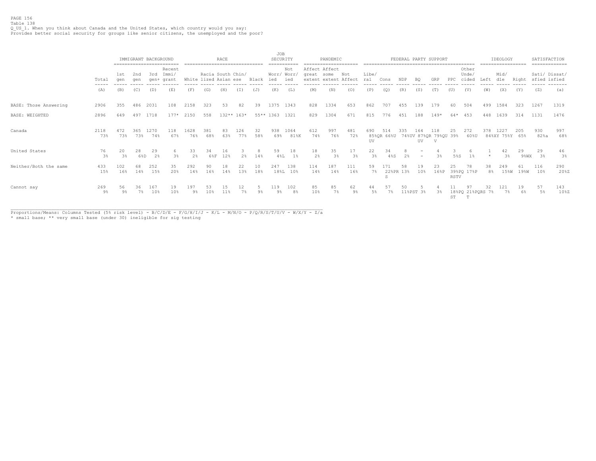### PAGE 156 Table 138

Q\_US\_1. When you think about Canada and the United States, which country would you say: Provides better social security for groups like senior citizens, the unemployed and the poor?

|                       |                                        |                      |            | IMMIGRANT BACKGROUND | -------------------------     |             |                                            | RACE      |              |                | JOB                   | SECURITY                  |                             | PANDEMIC             |             |              |              |                 |                       | FEDERAL PARTY SUPPORT                        |            |                             |          | IDEOLOGY<br>================== |             |              | SATISFACTION<br>============= |
|-----------------------|----------------------------------------|----------------------|------------|----------------------|-------------------------------|-------------|--------------------------------------------|-----------|--------------|----------------|-----------------------|---------------------------|-----------------------------|----------------------|-------------|--------------|--------------|-----------------|-----------------------|----------------------------------------------|------------|-----------------------------|----------|--------------------------------|-------------|--------------|-------------------------------|
|                       | Total<br>$\cdots \cdots \cdots \cdots$ | 1st<br>qen           | 2nd<br>aen | 3rd                  | Recent<br>Immi/<br>gen+ grant |             | Racia South Chin/<br>White lized Asian ese |           |              | Black          | ied                   | Not<br>Worr/ Worr/<br>ied | Affect Affect<br>great some | extent extent Affect | Not         | Libe/<br>ral | Cons         | NDP             | BQ                    | GRP                                          | PPC        | Other<br>Unde/<br>cided     | Left     | Mid/<br>dle                    | Right       | sfied isfied | Sati/ Dissat/<br>--------     |
|                       | (A)                                    | (B)                  | (C)        | (D)                  | (E)                           | (F)         | (G)                                        | (H)       | (T)          | (J)            | (K)                   | (L)                       | (M)                         | (N)                  | (0)         | (P)          | (Q)          | (R)             | (S)                   | (T)                                          | (U)        | (V)                         | (W)      | (X)                            | (Y)         | (Z)          | (a)                           |
| BASE: Those Answering | 2906                                   | 355                  | 486        | 2031                 | 108                           | 2158        | 323                                        | 53        | 82           | 39             | 1375                  | 1343                      | 828                         | 1334                 | 653         | 862          | 707          | 455             | 139                   | 179                                          | 60         | 504                         | 499      | 1584                           | 323         | 1267         | 1319                          |
| BASE: WEIGHTED        | 2896                                   | 649                  | 497        | 1718                 | $177*$                        | 2150        | 558                                        |           | $132**$ 163* |                | $55***$ 1363          | 1321                      | 829                         | 1304                 | 671         | 815          | 776          | 451             | 188                   | $149*$                                       | 64*        | 453                         | 448      | 1639                           | 314         | 1131         | 1476                          |
| Canada                | 2118<br>73%                            | 472<br>73%           | 365<br>73% | 1270<br>74%          | 118<br>67 *                   | 1628<br>76% | 381<br>68%                                 | 83<br>63% | 126<br>77%   | 32<br>58%      | 938<br>69%            | 1064<br>81%K              | 612<br>74%                  | 997<br>76%           | 481<br>72%  | 690<br>UV    | 514          | 335             | 164<br>UV             | 118<br>85%QR 66%U 74%UV 87%QR 79%QU 39%<br>V | 25         | 272<br>60%U                 | 378      | 1227<br>84%XY 75%Y 65%         | 205         | 930<br>82%a  | 997<br>68%                    |
| United States         | 76<br>3%                               | 20<br>$3\frac{6}{5}$ | 28<br>6%D  | 29<br>2%             | 6.<br>3%                      | 33<br>2%    | 34<br>68F                                  | 16<br>12% | 2%           | 8<br>14%       | 59<br>48L             | 18<br>$1\%$               | 18<br>2%                    | 35<br>3%             | 17<br>3%    | 22<br>3%     | 34<br>$4\$ S | 2%              |                       | 3%                                           | 5%S        |                             |          | 42<br>3%                       | 29<br>9%WX  | 29<br>3%     | 46<br>$3\%$                   |
| Neither/Both the same | 433<br>15%                             | 102<br>16%           | 68<br>14%  | 252<br>15%           | 35<br>20%                     | 292<br>14%  | 90<br>16%                                  | 18<br>14% | 22<br>13%    | 10<br>18%      | 247                   | 138<br>18%L 10%           | 114<br>14%                  | 187<br>14%           | 111<br>16%  | 59<br>$7\%$  | 171          | 58<br>22%PR 13% | 19<br>10 <sup>8</sup> | 23<br>16%P                                   | 25<br>RSTV | 78<br>39%PQ 17%P            | 38<br>8% | 249<br>15%W                    | 61<br>19%W  | 116<br>10%   | 290<br>20%Z                   |
| Cannot say            | 269<br>9%                              | 56<br>9%             | 36<br>7%   | 167<br>10%           | 19<br>10%                     | 197<br>9%   | 53<br>10%                                  | 15        | 12           | 9 <sup>°</sup> | 119<br>9 <sup>°</sup> | 102<br>8 <sup>°</sup>     | 85<br>10%                   | 85<br>7%             | 62<br>$9\%$ | 5%           | 7%           | 50              | 11%PST 3%             | 3%                                           | ST         | 97<br>18%PQ 21%PQRS 7%<br>T | 32       | 121<br>7%                      | 19<br>$6\%$ | 57<br>5%     | 143<br>10%Z                   |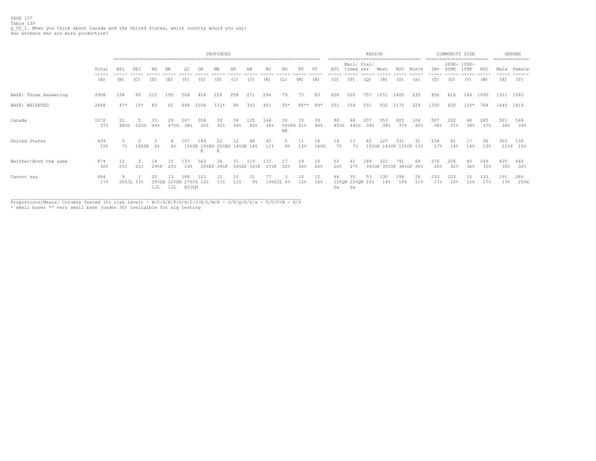PAGE 157 Table 139 Q\_US\_1. When you think about Canada and the United States, which country would you say: Has workers who are more productive?

|                       |                |            |           |                     |                    | PROVINCES    |                                         |                  |           |            |             |                       |           |           | REGION      |                                  | ------------------------------------ |            | ========================     | COMMUNITY SIZE |            |                     |           | <b>GENDER</b><br>============== |            |                 |
|-----------------------|----------------|------------|-----------|---------------------|--------------------|--------------|-----------------------------------------|------------------|-----------|------------|-------------|-----------------------|-----------|-----------|-------------|----------------------------------|--------------------------------------|------------|------------------------------|----------------|------------|---------------------|-----------|---------------------------------|------------|-----------------|
|                       | Total<br>----- | NFL        | PEI       | NS.                 | NB.                |              | ON                                      | MB               | SK        | AB         | ВC          | NU                    | NΤ        | YΤ        | ATL         | Mari/ Prai/<br>times res         |                                      | West       | <b>ROC</b>                   | North          | $1M+$      | 200K- 100K-<br>999K | 199K      | ROC                             |            | Male Female     |
|                       | (A)            | (B)        | (C)       | (D)                 | (E)                | (F)          | (G)                                     | (H)              | (T)       | (J)        | (K)         | (L)                   | (M)       | (N)       | (0)         | (P)                              | (0)                                  | (R)        | (S)                          | (x)            | (T)        | (U)                 | (V)       | (W)                             | (X)        | (Y)             |
| BASE: Those Answering | 2908           | 158        | 90        | 215                 | 195                | 508          | 456                                     | 228              | 258       | 271        | 294         | 79                    | 73        | 83        | 658         | 500                              | 757                                  | 1051       | 2400                         | 235            | 856        | 818                 | 144       | 1090                            | 1311 1583  |                 |
| <b>BASE: WEIGHTED</b> | 2868           | $47*$      | $10*$     | 83                  | 61                 | 694          | 1034                                    | $111*$           | 86        | 333        | 401         | $55*$                 | 85**      | 89*       | 201         | 154                              | 531                                  | 932        | 2175                         | 229            | 1350       | 629                 | $125*$    | 764                             | 1440 1416  |                 |
| Canada                | 1072<br>37%    | 22<br>48%G | 52%G      | 33<br>40%           | 29<br>47%G         | 267<br>38%   | 358<br>35%                              | 39<br>35%        | 34<br>39% | 135<br>40% | 146<br>36%  | 30<br>54%FG 41%<br>HK | 35        | 39<br>44% | 90<br>45%S  | 68<br>44%S                       | 207<br>39%                           | 353<br>38% | 805<br>37%                   | 104<br>45%     | 507<br>38% | 232<br>37%          | 48<br>38% | 285<br>37%                      | 521<br>36% | 548<br>39%      |
| United States         | 439<br>15%     | $7\%$      | 168DE     | 6%                  | 6%                 | ר חו         | 189<br>15%DE 18%BD 20%BD 14%DE 14%<br>E | E                |           |            | 45<br>11%   | 9%                    | 13%       | 16%D      | 14<br>$7\%$ | $7\%$                            | 82                                   | 127        | 331<br>15%OP 14%OP 15%OP 13% | 31             | 234<br>17% | 91<br>14%           | 14%       | 96<br>13%                       | 303        | 136<br>21%Y 10% |
| Neither/Both the same | 874<br>30%     | 12<br>25%  | 21%       | 24<br>29%F          | 25%                | 133<br>19%   | 363                                     | 38<br>35%EF 34%F |           | 36%EF 36%F | L33<br>33%F | 30%                   | 29<br>34% | 23<br>26% | 53<br>26%   | 41<br>27%                        | 189                                  | 322        | 741<br>36%OP 35%OP 34%OP 30% | 69             | 376<br>28% | 204<br>32%          | 45<br>36% | 249<br>33%                      | 425<br>30% | 446<br>32%      |
| Cannot say            | 484<br>17%     | 9          | 20%JL 11% | 20.<br>25%GH<br>IJL | 13<br>22%GH<br>IJL | 186<br>HIJLN | 123.<br>27%CG 12%                       | 12<br>11%        | 10<br>11% | 31<br>9%   | 19%GJL 6%   |                       | 10<br>12% | 12<br>14% | 44<br>Sx.   | 35<br>22%QR 22%QR 10%<br>$S_{X}$ | 53                                   | 130<br>14% | 298<br>14%                   | 26<br>11%      | 233<br>17% | 103<br>16%          | 12%       | 133<br>17%                      | 191<br>13% | 286<br>$20$ %X  |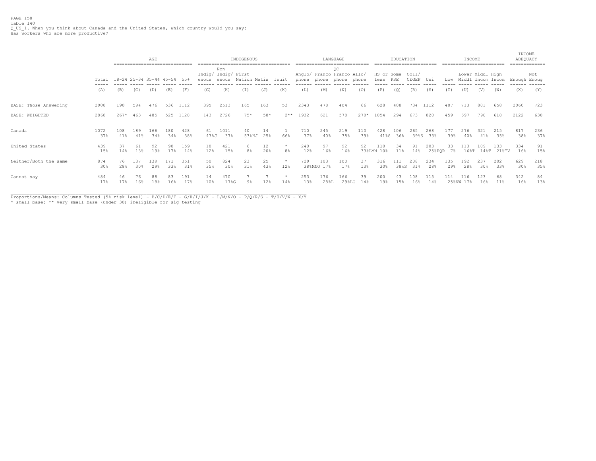|                       |                        | -----------------------------          |            | AGE        |            |            |                              |             | INDIGENOUS          |           |                           |            |                   | LANGUAGE                                                    |            |                    | EDUCATION   |                |               |              | INCOME      |                                       |                   | INCOME<br>ADEQUACY | .============ |
|-----------------------|------------------------|----------------------------------------|------------|------------|------------|------------|------------------------------|-------------|---------------------|-----------|---------------------------|------------|-------------------|-------------------------------------------------------------|------------|--------------------|-------------|----------------|---------------|--------------|-------------|---------------------------------------|-------------------|--------------------|---------------|
|                       | Total                  | $18 - 24$ 25 - 34 35 - 44 45 - 54 55 + |            |            |            |            | Indig/ Indig/ First<br>enous | Non         | enous Nation Metis  |           | Inuit                     |            |                   | QC<br>Anglo/ Franco Franco Allo/<br>phone phone phone phone |            | HS or Some<br>less | PSE         | Coll/<br>CEGEP | Uni           | Low          |             | Lower Middl High<br>Middl Incom Incom |                   | Enough Enoug       | Not           |
|                       | (A)                    | (B)                                    | (C)        | (D)        | (E)        | (F)        | (G)                          | (H)         | (T)                 | (J)       | (K)                       | (L)        | (M)               | (N)                                                         | (0)        | (P)                | (Q)         | (R)            | (S)           | (T)          | (U)         | (V)                                   | (W)               | (X)                | (Y)           |
| BASE: Those Answering | 2908                   | 190                                    | 594        | 476        | 536        | 1112       | 395                          | 2513        | 165                 | 163       | 53                        | 2343       | 478               | 404                                                         | 66         | 628                | 408         | 734            | 1112          | 407          | 713         | 801                                   | 658               | 2060               | 723           |
| BASE: WEIGHTED        | 2868                   | $267*$                                 | 463        | 485        |            | 525 1128   | 143                          | 2726        | $75*$               | 58*       | $2**$                     | 1932       | 621               | 578                                                         | $278*$     | 1054               | 294         | 673            | 820           | 459          | 697         | 790                                   | 618               | 2122               | 630           |
| Canada                | 1072<br>37%            | 108<br>41%                             | 189<br>41% | 166<br>34% | 180<br>34% | 428<br>38% | 61<br>43%J                   | 1011<br>37% | 40<br>53%HJ         | 14<br>25% | 66%                       | 710<br>37% | 245<br>40%        | 219<br>38%                                                  | 110<br>39% | 428<br>41%S        | 106<br>36%  | 265<br>39%S    | 268<br>33%    | 177<br>39%   | 276<br>40%  | 321<br>41%                            | 215<br>35%        | 817<br>38%         | 236<br>37%    |
| United States         | 439<br>15%             | 37<br>14%                              | 61<br>13%  | 92<br>19%  | 90<br>17%  | 159<br>14% | 18<br>12%                    | 421<br>15%  | 6<br>8 <sup>°</sup> | 12<br>20% | $\star$<br>8 <sup>°</sup> | 240<br>12% | 97<br>16%         | 92<br>16%                                                   | 92         | 110<br>33%LMN 10%  | 34<br>11%   | 91<br>14%      | 203<br>25%POR | 33<br>7%     | 113<br>168T | 109                                   | 133<br>14%T 21%TV | 334<br>16%         | 91<br>15%     |
| Neither/Both the same | 874<br>30 <sub>8</sub> | 76<br>28%                              | 137<br>30% | 139<br>29% | 171<br>33% | 351<br>31% | 50<br>35%                    | 824<br>30%  | 23<br>31%           | 25<br>43% | $\star$<br>12%            | 729        | 103<br>38%MNO 17% | 100<br>17%                                                  | 37<br>13%  | 316<br>30%         | 111<br>38%S | 208<br>31%     | 234<br>28%    | 135<br>29%   | 192<br>28%  | 237<br>30%                            | 202<br>33%        | 629<br>30%         | 218<br>35%    |
| Cannot say            | 484<br>17%             | 17%                                    | 16%        | 88<br>18%  | 16%        | 191<br>17% | 14<br>10%                    | 470<br>17%G | 9%                  | 12%       | $\star$<br>14%            | 253<br>13% | L76<br>28%L       | 166<br>29%LO                                                | 39<br>14%  | 200<br>19%         | 15%         | 108<br>16%     | 115<br>14%    | 114<br>25%VW | 116<br>17%  | 123<br>16%                            | 68<br>11%         | 342<br>16%         | 84<br>13%     |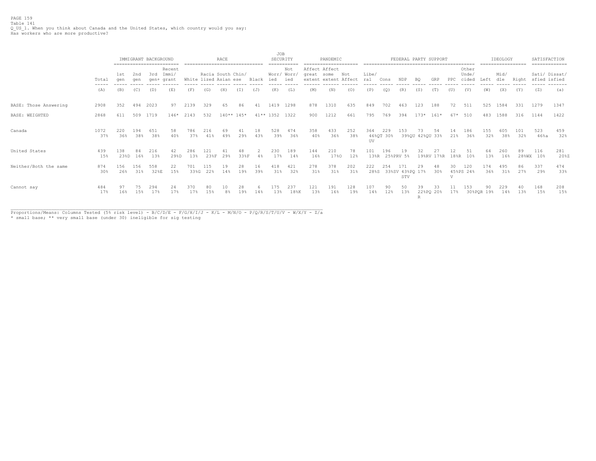PAGE 159 Table 141<br>Q\_US\_1. When you think about Canada and the United States, which country would you say:<br>Has workers who are more productive?

|                       |                                        |             |            | IMMIGRANT BACKGROUND | ==========================    |             |                                            | RACE         |            |           | <b>JOB</b><br>SECURITY |                                     |            | PANDEMIC                              |            |              |                  |                               |                       | FEDERAL PARTY SUPPORT |              | -------                 |                  | IDEOLOGY<br>================== |            | SATISFACTION     | =============            |
|-----------------------|----------------------------------------|-------------|------------|----------------------|-------------------------------|-------------|--------------------------------------------|--------------|------------|-----------|------------------------|-------------------------------------|------------|---------------------------------------|------------|--------------|------------------|-------------------------------|-----------------------|-----------------------|--------------|-------------------------|------------------|--------------------------------|------------|------------------|--------------------------|
|                       | Total<br>$\cdots \cdots \cdots \cdots$ | 1st<br>aen  | 2nd<br>aen | 3rd                  | Recent<br>Immi/<br>gen+ grant |             | Racia South Chin/<br>White lized Asian ese |              |            | Black     | ied                    | Not<br>Worr/ Worr,<br>ied<br>------ | great some | Affect Affect<br>extent extent Affect | Not        | Libe/<br>ral | Cons             | NDP                           | BQ.                   | GRP                   | PPC          | Other<br>Unde/<br>cided | Left             | Mid/<br>dle                    | Right      | sfied isfied     | Sati/ Dissat/<br>------- |
|                       | (A)                                    | (B)         | (C)        | (D)                  | (E)                           | (F)         | (G)                                        | (H)          | (I)        | (J)       | (K)                    | (L)                                 | (M)        | (N)                                   | (0)        | (P)          | (Q)              | (R)                           | (S)                   | (T)                   | (U)          | (V)                     | (W)              | (X)                            | (Y)        | (Z)              | (a)                      |
| BASE: Those Answering | 2908                                   | 352         | 494        | 2023                 | 97                            | 2139        | 329                                        | 65           | 86         | 41        | 1419                   | 1298                                | 878        | 1310                                  | 635        | 849          | 702              | 463                           | 123                   | 188                   | 72           | 511                     | 525              | 1584                           | 331        | 1279             | 1347                     |
| BASE: WEIGHTED        | 2868                                   | 611         | 509        | 1719                 | $146*$                        | 2143        | 532                                        | $140**$ 145* |            |           | 41** 1352              | 1322                                | 900        | 1212                                  | 661        | 795          | 769              | 394                           | $173*$                | $161*$                | 67*          | 510                     | 483              | 1588                           | 316        | 1144             | 1422                     |
| Canada                | 1072<br>37%                            | 220<br>36%  | 194<br>38% | 651<br>38%           | 58<br>40%                     | 786<br>37%  | 216<br>41%                                 | 69<br>49%    | 41<br>29%  | 18<br>43% | 528<br>39%             | 474<br>36%                          | 358<br>40% | 433<br>36%                            | 252<br>38% | 364<br>UV    | 229<br>46%QT 30% | 153                           | 73<br>39%QU 42%QU 33% | 54                    | 14<br>21%    | 186<br>36%              | 155<br>32%       | 605<br>38%                     | 101<br>32% | 523<br>46%a      | 459<br>32%               |
| United States         | 439<br>15%                             | 138<br>23%D | 84<br>16%  | 216<br>13%           | 42<br>29%D                    | 286<br>13%  | 121<br>23%F                                | 41<br>29%    | 48<br>33%F | 4%        | 230<br>17%             | 189<br>14%                          | 144<br>16% | 210<br>17%0                           | 78<br>12%  | 101<br>13%R  | 196              | 19<br>25%PRV 5%               | 32                    | 27<br>19%RV 17%R      | 12<br>18%R   | 51<br>10%               | 64<br>13%        | 260<br>16%                     | 89         | 116<br>28%WX 10% | 281<br>20%Z              |
| Neither/Both the same | 874<br>30%                             | 156<br>26%  | 156<br>31% | 558<br>32%E          | 22<br>15%                     | 701<br>33%G | 115<br>22%                                 | 19<br>14%    | 28<br>19%  | 16<br>39% | 418<br>31%             | 421<br>32%                          | 278<br>31% | 378<br>31%                            | 202<br>31% | 222<br>28%S  | 254              | 171<br>33%SV 43%PQ 17%<br>STV | 29                    | 48<br>$30\%$          | 30<br>$\tau$ | 120<br>45%PS 24%        | 174<br>36%       | 495<br>31%                     | 86<br>27%  | 337<br>29%       | 474<br>33%               |
| Cannot say            | 484<br>17%                             | 16%         | 75<br>15%  | 294<br>17%           | 24<br>17%                     | 370<br>17%  | 80<br>15%                                  |              | 28<br>19%  | 14 S      | 175<br>13%             | 237<br>18%K                         | 121<br>13% | 191<br>16%                            | 128<br>19% | 107<br>14%   | 90<br>12%        | 50<br>13%                     | 39<br>R               | 33<br>22%PQ 20%       | 17%          | 153                     | 90<br>30%POR 19% | 229<br>14%                     | 13%        | 168<br>15%       | 208<br>15%               |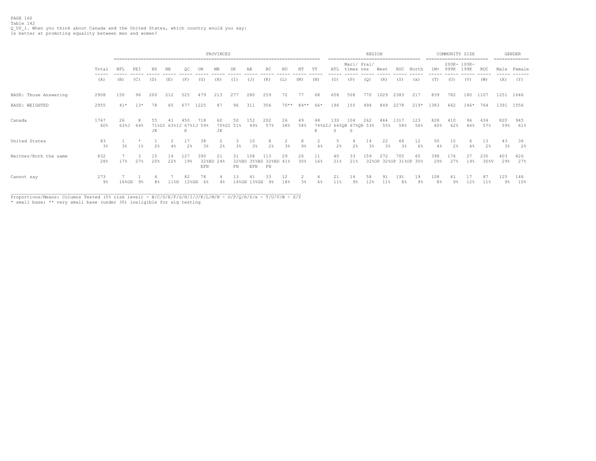PAGE 160 Table 142 Q\_US\_1. When you think about Canada and the United States, which country would you say: Is better at promoting equality between men and women?

|                       |             |            | PROVINCES                                                                                                                         |                   |           |            |                         |          |                  |            |                                    |           |           |           |                                     |           | REGION             |            |                              |            |            | COMMUNITY SIZE      |           |             |            | <b>GENDER</b><br>-------------- |
|-----------------------|-------------|------------|-----------------------------------------------------------------------------------------------------------------------------------|-------------------|-----------|------------|-------------------------|----------|------------------|------------|------------------------------------|-----------|-----------|-----------|-------------------------------------|-----------|--------------------|------------|------------------------------|------------|------------|---------------------|-----------|-------------|------------|---------------------------------|
|                       | Total       | NFL        | NS<br>NΤ<br>PEI<br>NB<br>SF<br>AB<br>BC<br>(E)<br>(F)<br>(H)<br>(T)<br>(K)<br>(M)<br>(N)<br>(C)<br>(D)<br>(G)<br>(J)<br>$(\perp)$ |                   |           |            |                         |          |                  |            |                                    |           |           |           |                                     |           | Mari/ Prai/<br>res | West       | ROC                          | North      | $1M+$      | 200K- 100K-<br>999K | 199K      | ROC         |            | Male Female                     |
|                       | (A)         | (B)        |                                                                                                                                   |                   |           |            |                         |          |                  |            |                                    |           |           |           | (0)                                 | (P)       | (Q)                | (R)        | (S)                          | (x)        | (T)        | (U)                 | (V)       | (W)         | (X)        | (Y)                             |
| BASE: Those Answering | 2908        | 150        | 96                                                                                                                                | 200               | 212       | 525        | 479                     | 213      | 277              | 280        | 259                                | 72        | 77        | 68        | 658                                 | 508       | 770                | 1029       | 2383                         | 217        | 839        | 782                 | 180       | 1107        |            | 1251 1646                       |
| BASE: WEIGHTED        | 2955        | $41*$      | $13*$                                                                                                                             | 78                | 65        | 677        | 1225                    | 87       | 96               | 311        | 356                                | $70**$    | $84***$   | 66*       | 196                                 | 155       | 494                | 849        | 2278                         | $219*$     | 1383       | 662                 | $146*$    | 764         |            | 1391 1556                       |
| Canada                | 1767<br>60% | 26<br>63%J | R<br>64%                                                                                                                          | 55<br>71%GI<br>JK | 63%IJ     | К          | 718<br>67%IJ 59%        | 60<br>JК | 50<br>70%GI 51%  | 152<br>49% | 202<br>57%                         | 26<br>38% | 49<br>58% | 48<br>к   | 130<br>74%GIJ 66%QR 67%QR 53%<br>S. | 104<br>.S | 262                | 464<br>55% | 1317<br>58%                  | 123<br>56% | 828<br>60% | 410<br>62%          | 96<br>66% | 434<br>57%  | 820<br>59% | 945<br>61%                      |
| United States         | 83<br>3%    | $3\%$      |                                                                                                                                   |                   |           |            | 38                      | 2%       | 3 <sup>8</sup>   | 10<br>3%   | 2.8                                | 3%        |           |           | 2%                                  | 2%        | 14<br>3%           | 22<br>3%   | 66<br>$3*$                   | 12<br>6%   | 50         | 15<br>2%            |           | 13<br>2%    | 43<br>3%   | 36<br>2%                        |
| Neither/Both the same | 832<br>28%  | 17%        | 27%                                                                                                                               | 15<br>20%         | 14<br>22% | 127<br>19% | 390<br>32%BD 24%<br>EFN | 21       | 31<br>${\rm FN}$ | 108<br>EFN | 113<br>32%BD 35%BD 32%BD 41%<br>FN | 29        | 26<br>30% | 11<br>16% | 40<br>21%                           | 33<br>21% | 159                | 272        | 705<br>32%OP 32%OP 31%OP 30% | 65         | 398<br>29% | 176<br>27%          | 27<br>19% | 230<br>30%V | 403<br>29% | 426<br>27%                      |
| Cannot say            | 273<br>9%   | $16\%$ GH  | 9%                                                                                                                                | 8%                | 11%H      | 12%GH      | 78<br>6%                | $4\%$    | ۱۹<br>$14\%$ GH  | $13%$ GH   | 33<br>9%                           | 12<br>18% | 3%        | 6%        | 21<br>11%                           | 9%        | 58<br>12%          |            | 191<br>8%                    | 19<br>9%   | 108<br>8%  | 9%                  | 12%       | 87<br>11%   | 125<br>9%  | 148<br>10%                      |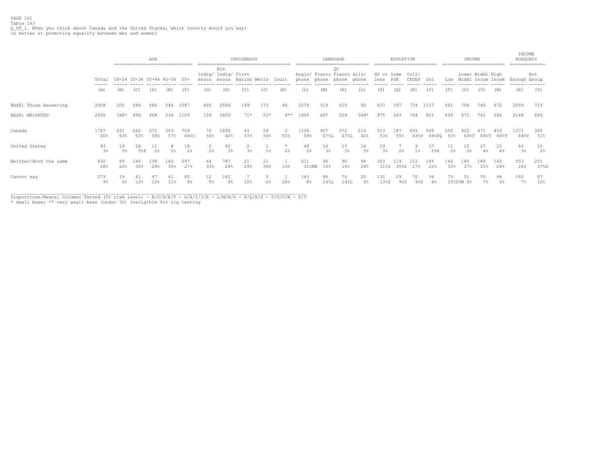PAGE 161 Table 143 Q\_US\_1. When you think about Canada and the United States, which country would you say: Is better at promoting equality between men and women?

|                       |             |                             |            | AGE<br>========================== |            |                      |             |                            | INDIGENOUS          |           |                      |                                                       |                      | LANGUAGE    |            |                        | EDUCATION   |                    |                  |              | INCOME                |                  |             | INCOME<br>ADEQUACY<br>.============ |             |
|-----------------------|-------------|-----------------------------|------------|-----------------------------------|------------|----------------------|-------------|----------------------------|---------------------|-----------|----------------------|-------------------------------------------------------|----------------------|-------------|------------|------------------------|-------------|--------------------|------------------|--------------|-----------------------|------------------|-------------|-------------------------------------|-------------|
|                       | Total       | 18-24 25-34 35-44 45-54 55+ |            |                                   |            |                      | enous enous | Non<br>Indig/ Indig/ First | Nation Metis        |           | Inuit                | Anglo/ Franco Franco Allo/<br>phone phone phone phone |                      | OC          |            | HS or Some<br>less PSE |             | Coll/<br>CEGEP Uni |                  |              | Low Middl Incom Incom | Lower Middl High |             | Enough Enoug                        | Not         |
|                       | (A)         | (B)                         | (C)        | (D)                               | (E)        | (F)                  | (G)         | (H)                        | (T)                 | (J)       | (K)                  | (L)                                                   | (M)                  | (N)         | (0)        | (P)                    | (Q)         | (R)                | (S)              | (T)          | (U)                   | (V)              | (W)         | (X)                                 | (Y)         |
| BASE: Those Answering | 2908        | 205                         | 586        | 486                               | 544        | 1087                 | 400         | 2508                       | 169                 | 173       | 46                   | 2276                                                  | 519                  | 410         | 92         | 637                    | 397         | 734                | 1107             | 441          | 704                   | 740              | 672         | 2059                                | 715         |
| BASE: WEIGHTED        | 2955        | $348*$                      | 496        | 468                               | 534        | 1109                 | 134         | 2820                       | $71*$               | 53*       | $4**$                | 1956                                                  | 607                  | 554         | $348*$     | 975                    | 343         | 784                | 821              | 499          | 671                   | 741              | 686         | 2148                                | 683         |
| Canada                | 1767<br>60% | 221<br>63%                  | 262<br>53% | 271<br>58%                        | 303<br>57% | 709<br>64%C          | 75<br>56%   | 1692<br>60%                | 41<br>57%           | 29<br>54% | $\mathcal{D}$<br>50% | 1134<br>58%                                           | 407<br>67%L          | 372<br>67%L | 216<br>62% | 513<br>53%             | 187<br>55%  | 493<br>63%P        | 565<br>69%PQ 50% | 250          | 422<br>63%T           | 471<br>64%T      | 453<br>66%T | 1371<br>64%Y                        | 350<br>51%  |
| United States         | 83<br>3%    | 19<br>$5\%$                 | 26<br>58F  | 11<br>2%                          | 8<br>2%    | 18<br>2 <sup>8</sup> | 2%          | 80<br>3%                   | 2<br>$3\frac{a}{b}$ | $1\%$     | 2%                   | 48<br>2%                                              | 18<br>$3\frac{6}{3}$ | 15<br>3%    | 16<br>5%   | 29<br>$3\%$            | 2%          | $1\%$              | 37<br>$5$ $8$ R  | 2%           | 15<br>2%              | 27<br>4%         | 25<br>4%    | 64<br>$3\%$                         | 15<br>2%    |
| Neither/Both the same | 832<br>28%  | 89<br>26%                   | 146<br>30% | 138<br>29%                        | 162<br>30% | 297<br>27%           | 44<br>33%   | 787<br>28%                 | 21<br>29%           | 21<br>39% | 19%                  | 611<br>31%MN                                          | 96<br>16%            | 90<br>16%   | 96<br>28%  | 303<br>31%S            | 119<br>35%S | 212<br>27%         | 185<br>22%       | 166<br>33%   | 183<br>27%            | 188<br>25%       | 165<br>24%  | 553<br>26%                          | 251<br>37%X |
| Cannot say            | 273<br>9%   | 19<br>6%                    | 61<br>12%  | 10%                               | 61<br>11%  | 85<br>8%             | 12<br>9%    | 262<br>9%                  | 10%                 | 6%        | 28%                  | 163<br>8%                                             | 86<br>14%L           | 76<br>14%L  | 20<br>6%   | 130<br>13%S            | 29<br>9%S   | 70<br>9%S          | 34               | 73<br>15%UVW | 51                    | 55               | 44          | 160<br>$7\%$                        | 67<br>10%   |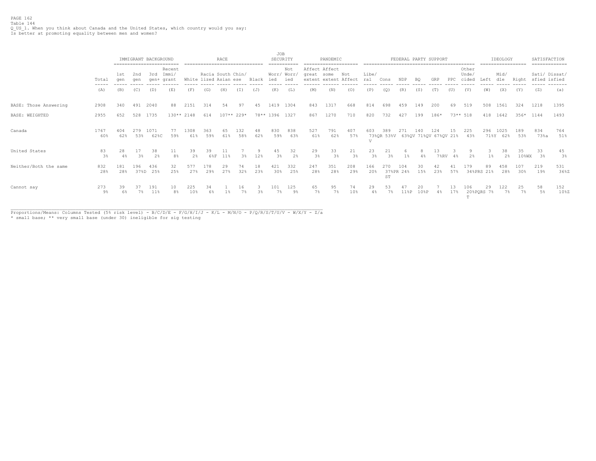PAGE 162 Table 144 Q\_US\_1. When you think about Canada and the United States, which country would you say: Is better at promoting equality between men and women?

|                       |                                                                                                                                                                                                                                                                                                                                                                                                                                                                                     |             |             | IMMIGRANT BACKGROUND | ==========================         |             | ------------------------------             | RACE        |            |           | JOB            | SECURITY                            |                             | PANDEMIC             |                       |                       |                                         |                  |            | FEDERAL PARTY SUPPORT<br>------------------------------------ |           |                         |                  | IDEOLOGY<br>------------------ |                | SATISFACTION                  | =============  |
|-----------------------|-------------------------------------------------------------------------------------------------------------------------------------------------------------------------------------------------------------------------------------------------------------------------------------------------------------------------------------------------------------------------------------------------------------------------------------------------------------------------------------|-------------|-------------|----------------------|------------------------------------|-------------|--------------------------------------------|-------------|------------|-----------|----------------|-------------------------------------|-----------------------------|----------------------|-----------------------|-----------------------|-----------------------------------------|------------------|------------|---------------------------------------------------------------|-----------|-------------------------|------------------|--------------------------------|----------------|-------------------------------|----------------|
|                       | Total<br>$\frac{1}{2} \left( \frac{1}{2} \right) \left( \frac{1}{2} \right) \left( \frac{1}{2} \right) \left( \frac{1}{2} \right) \left( \frac{1}{2} \right) \left( \frac{1}{2} \right) \left( \frac{1}{2} \right) \left( \frac{1}{2} \right) \left( \frac{1}{2} \right) \left( \frac{1}{2} \right) \left( \frac{1}{2} \right) \left( \frac{1}{2} \right) \left( \frac{1}{2} \right) \left( \frac{1}{2} \right) \left( \frac{1}{2} \right) \left( \frac{1}{2} \right) \left( \frac$ | 1st<br>aen  | 2nd<br>aen  | 3rd<br>qen+          | Recent<br>Immi/<br>grant<br>------ |             | Racia South Chin/<br>White lized Asian ese |             |            | Black     | ied            | Not<br>Worr/ Worr,<br>ied<br>------ | Affect Affect<br>great some | extent extent Affect | Not                   | Libe/<br>ral<br>----- | Cons                                    | NDP              | BQ         | GRP                                                           | PPC       | Other<br>Unde,<br>cided | Left             | Mid/<br>dle<br>------          | Right          | Sati/ Dissat/<br>sfied isfied | ------ ------- |
|                       | (A)                                                                                                                                                                                                                                                                                                                                                                                                                                                                                 | (B)         | (C)         | (D)                  | (E)                                | (F)         | (G)                                        | (H)         | (T)        | (J)       | (K)            | (L)                                 | (M)                         | (N)                  | (0)                   | (P)                   | (Q)                                     | (R)              | (S)        | (T)                                                           | (U)       | (V)                     | (W)              | (X)                            | (Y)            | (Z)                           | (a)            |
| BASE: Those Answering | 2908                                                                                                                                                                                                                                                                                                                                                                                                                                                                                | 340         | 491         | 2040                 | 88                                 | 2151        | 314                                        | 54          | 97         | 45        | 1419           | 1304                                | 843                         | 1317                 | 668                   | 814                   | 698                                     | 459              | 149        | 200                                                           | 69        | 519                     | 508              | 1561                           | 324            | 1218                          | 1395           |
| <b>BASE: WEIGHTED</b> | 2955                                                                                                                                                                                                                                                                                                                                                                                                                                                                                | 652         | 528         | 1735                 |                                    | $130**2148$ | 614                                        | $107**229*$ |            |           | 78** 1396 1327 |                                     | 867                         | 1270                 | 710                   | 820                   | 732                                     | 427              | 199        | 186*                                                          |           | $73***$ 518             | 418              | 1642                           | $356*$         | 1144                          | 1493           |
| Canada                | 1767<br>60%                                                                                                                                                                                                                                                                                                                                                                                                                                                                         | 404<br>62%  | 279<br>53%  | 1071<br>62%C         | -77<br>59%                         | 1308<br>61% | 363<br>59%                                 | 61%         | L32<br>58% | 48<br>62% | 830<br>59%     | 838<br>63%                          | 527<br>61%                  | 791<br>62%           | 407<br>57%            | 603                   | 389<br>73%QR 53%V 63%QV 71%QV 67%QV 21% | 271              | 140        | 124                                                           | 15        | 225<br>43%              | 296<br>71%Y      | 1025<br>62%                    | 189<br>53%     | 834<br>73%a                   | 764<br>51%     |
| United States         | 83<br>3%                                                                                                                                                                                                                                                                                                                                                                                                                                                                            | 28<br>$4\%$ | 17<br>3%    | 38<br>2%             | 11<br>8 <sup>°</sup>               | 39<br>2%    | 39<br>68F                                  | 11<br>11%   | 3%         | 9<br>12%  | 45<br>3%       | 32<br>2%                            | 29<br>3%                    | 33<br>3%             | 21<br>3 <sup>°</sup>  | 23<br>3 <sup>°</sup>  | 21<br>3%                                |                  | 4%         | 13<br>$7$ % $RV$                                              |           | 2%                      |                  | 38<br>2%                       | 35<br>$10$ %WX | 33<br>3%                      | 45<br>$3\%$    |
| Neither/Both the same | 832<br>28%                                                                                                                                                                                                                                                                                                                                                                                                                                                                          | 181<br>28%  | 196<br>37%D | 436<br>25%           | 32<br>25%                          | 577<br>27%  | 178<br>29%                                 | 29<br>27%   | 74<br>32%  | 18<br>23% | 421<br>30%     | 332<br>25%                          | 247<br>28%                  | 351<br>28%           | 208<br>29%            | 166<br>20%            | ST                                      | 104<br>37%PR 24% | 30<br>15%  | 42<br>23%                                                     | 57%       | 179                     | 89<br>34%PRS 21% | 458<br>28%                     | 107<br>30%     | 219<br>19%                    | 531<br>36%Z    |
| Cannot say            | 273<br>9%                                                                                                                                                                                                                                                                                                                                                                                                                                                                           | 39<br>6%    | 37<br>7%    | 191<br>11%           | 10<br>8 <sup>°</sup>               | 225<br>10%  | 34<br>6%                                   |             | 16         | 3%        | 101<br>7%      | 125<br>୍ରବ                          | 65<br>7%                    | 95<br>7%             | 74<br>10 <sub>3</sub> | 29<br>4%              | 53<br>7%                                | 118P             | 20<br>10%P | 4%                                                            | 13<br>17% | 106<br>$\mathbf{m}$     | 29<br>20%PQRS 7% | 122<br>7%                      | 25<br>$7\%$    | 58<br>5%                      | 152<br>108Z    |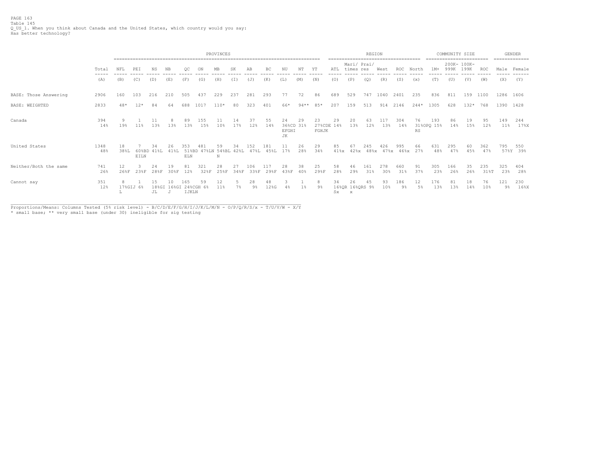PAGE 163 Table 145<br>Q\_US\_1. When you think about Canada and the United States, which country would you say:<br>Has better technology?

|                       |                |            | PROVINCES     |                   |                 |                              |                               |            |           |              |             |                                 |           |                           |                 |                                       | REGION                 |                        | -------------------------------------- |           |                   | COMMUNITY SIZE<br>------------------------ |                     |             |              | <b>GENDER</b><br>============= |
|-----------------------|----------------|------------|---------------|-------------------|-----------------|------------------------------|-------------------------------|------------|-----------|--------------|-------------|---------------------------------|-----------|---------------------------|-----------------|---------------------------------------|------------------------|------------------------|----------------------------------------|-----------|-------------------|--------------------------------------------|---------------------|-------------|--------------|--------------------------------|
|                       | Total<br>----- | NFL        | PEI           | NS                | NB              | OС                           |                               | MB         | SK        | AB           | BC          | ΝU                              | NT        | ΥT                        | ATL             | Mari/ Prai/<br>times res              |                        | West                   | <b>ROC</b>                             | North     | $1M+$             | 999K                                       | 200K- 100K-<br>199K | <b>ROC</b>  |              | Male Female                    |
|                       | (A)            | (B)        | (C)           | (D)               | (E)             | (F)                          | (G)                           | (H)        | (I)       | (J)          | (K)         | (L)                             | (M)       | (N)                       | (0)             | (P)                                   | (Q)                    | (R)                    | (S)                                    | (x)       | (T)               | (U)                                        | (V)                 | (W)         | (X)          | (Y)                            |
| BASE: Those Answering | 2906           | 160        | 103           | 216               | 210             | 505                          | 437                           | 229        | 237       | 281          | 293         | 77                              | 72        | 86                        | 689             | 529                                   | 747                    | 1040                   | 2401                                   | 235       | 836               | 811                                        | 159                 | 1100        | 1286 1606    |                                |
| BASE: WEIGHTED        | 2833           | $48*$      | $12*$         | 84                | 64              | 688                          | 1017                          | $110*$     | 80        | 323          | 401         | 66*                             | $94**$    | 85*                       | 207             | 159                                   | 513                    | 914                    | 2146                                   | $244*$    | 1305              | 628                                        | $132*$              | 768         | 1390 1428    |                                |
| Canada                | 394<br>14%     | 19%        | 11%           | 11<br>13%         | 13%             | 13%                          | 1.5.5<br>15%                  | 11<br>10%  | 14<br>17% | 12%          | 55<br>149   | 2.4<br>36%CD 31%<br>EFGHI<br>JК | 29        | 23<br>27%CDE 14%<br>FGHJK | 29              | 20<br>13%                             | 63<br>12%              | 13%                    | 304<br>14%                             | 76<br>RS  | 193<br>31%OPQ 15% | 86<br>14%                                  | 19<br>15%           | 95<br>12%   | 149<br>11%   | 244<br>$17\%$ X                |
| United States         | 1348<br>48%    | 18<br>38%L | 60%BD<br>EILN | 34<br>$41\$ L     | 26.<br>41%L     | २६२<br>ELN                   | 48.<br>51%BD 47%LN 54%BL 42%L | 59<br>N    | 34        | 1.52<br>47%L | 181<br>45%L | 11<br>17%                       | 26<br>28% | 29<br>34%                 | 85<br>$41\$ $x$ | 67                                    | 245<br>$42\$ x $48\$ x | 426                    | 995<br>$47\%x$ $46\%x$                 | 66<br>27% | 631<br>48%        | 295<br>47%                                 | 60<br>45%           | 362<br>47%  | 795          | 550<br>57%Y 39%                |
| Neither/Both the same | 741<br>26%     | 12<br>26%F | 23%F          | 24<br>28%F        | 19<br>308F      | 81<br>12%                    | 321<br>32%F                   | 28<br>25%F | 34%F      | 06<br>33%F   | 29%F        | 28<br>438F                      | 38<br>40% | 25<br>29%F                | 58<br>28%       | 46<br>29%                             | 161<br>31%             | 278<br>30 <sup>8</sup> | 660<br>31%                             | 91<br>37% | 305<br>23%        | 166<br>26%                                 | 35<br>26%           | 235<br>31%T | 325<br>23%   | 404<br>28%                     |
| Cannot say            | 351<br>12%     |            | 17%GIJ 6%     | 15<br>18%GI<br>JL | 10<br>$\cdot$ T | 165<br>16%GI 24%CGH<br>IJKLN | 59<br>6%                      | 12<br>11%  | $7\%$     | 28<br>9%     | 48<br>12%G  | 4%                              | $1\%$     | 9%                        | 34<br>Sx        | 26<br>16%QR 16%QRS 9%<br>$\mathbf{x}$ | 45                     | 93<br>10%              | 186<br>9%                              | 12<br>5%  | 176<br>13%        | 81<br>13%                                  | 18<br>14%           | 76<br>10%   | 121<br>$9\%$ | 230<br>16%                     |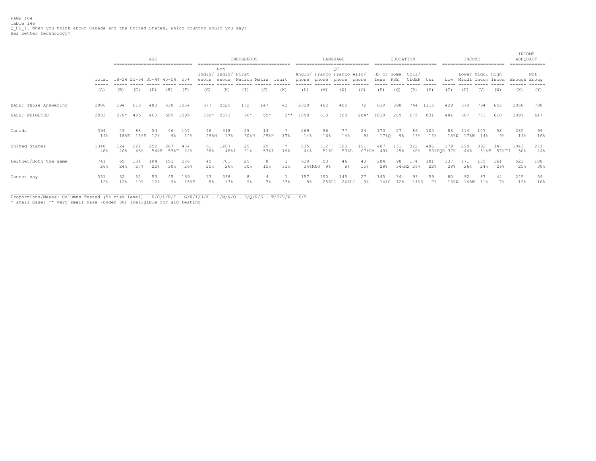PAGE 164 Table 146<br>Q\_US\_1. When you think about Canada and the United States, which country would you say:<br>Has better technology?

|                       |             | ------------------------------- |                       | AGE        |            |                      |                              |              | INDIGENOUS<br>------------------------------------- |            |                | ----------------------------        |              | LANGUAGE                |           |                        | EDUCATION<br>========================= |                |            | ------------------------ | INCOME     |                  |                   | INCOME<br>ADEQUACY | -------------- |
|-----------------------|-------------|---------------------------------|-----------------------|------------|------------|----------------------|------------------------------|--------------|-----------------------------------------------------|------------|----------------|-------------------------------------|--------------|-------------------------|-----------|------------------------|----------------------------------------|----------------|------------|--------------------------|------------|------------------|-------------------|--------------------|----------------|
|                       | Total       | 18-24 25-34 35-44 45-54 55+     |                       |            |            |                      | Indig/ Indig/ First<br>enous | Non<br>enous | Nation Metis                                        |            | Inuit          | Anglo/ Franco Franco Allo/<br>phone |              | OC<br>phone phone phone |           | HS or Some<br>less PSE |                                        | Col1/<br>CEGEP | Uni        | Low                      |            | Lower Middl High | Middl Incom Incom | Enough Enoug       | Not            |
|                       | (A)         | (B)                             | (C)                   | (D)        | (E)        | (F)                  | (G)                          | (H)          | (I)                                                 | (J)        | (K)            | (L)                                 | (M)          | (N)                     | (0)       | (P)                    | (Q)                                    | (R)            | (S)        | (T)                      | (U)        | (V)              | (W)               | (X)                | (Y)            |
| BASE: Those Answering | 2906        | 194                             | 615                   | 483        | 530        | 1084                 | 377                          | 2529         | 172                                                 | 147        | 43             | 2328                                | 482          | 402                     | 72        | 619                    | 398                                    | 744            | 1115       | 429                      | 670        | 794              | 655               | 2068               | 708            |
| BASE: WEIGHTED        | 2833        | $270*$                          | 495                   | 463        | 509        | 1095                 | $160*$                       | 2673         | $96*$                                               | $55*$      | $2**$          | 1898                                | 610          | 568                     | 284*      | 1010                   | 289                                    | 675            | 831        | 484                      | 667        | 771              | 610               | 2097               | 617            |
| Canada                | 394<br>14%  | 49<br>$18\,$ <sub>8</sub> E     | 88<br>18%E            | 54<br>12%  | 46<br>9%   | 157<br>14%           | 46<br>29%H                   | 348<br>13%   | 29<br>30%H                                          | 14<br>25%H | 17%            | 269<br>14%                          | 96<br>16%    | 77<br>14%               | 24<br>8%  | 173<br>17%Q            | 27<br>9%                               | 86<br>13%      | 105<br>13% | 88<br>18%W               | 114        | 107<br>17%W 14%  | 58<br>9%          | 285<br>14%         | 99<br>16%      |
| United States         | 1348<br>48% | 124<br>46%                      | 221<br>45%            | 252        | 267        | 484<br>54%F 53%F 44% | 61<br>38%                    | 1287<br>48%I | 29<br>31%                                           | 29<br>53%I | $\star$<br>19% | 835<br>44%                          | 312<br>51%L  | 300<br>53%L             | 191       | 67%LM 40%              | 131<br>45%                             | 322<br>48%     | 486        | 179<br>58%POR 37%        | 290<br>44% | 392<br>518T      | 347<br>57%TU      | 1043<br>50%        | 271<br>44%     |
| Neither/Both the same | 741<br>26%  | 65<br>24%                       | 134<br>27%            | 104<br>22% | 151<br>30% | 286<br>26%           | 40<br>25%                    | 701<br>26%   | 29<br>30%                                           | 15%        | 31%            | 638<br>34%MNO                       | 53<br>9%     | 46<br>8%                | 43<br>15% | 284<br>28%             | 98<br>34%RS                            | 174<br>26%     | 181<br>22% | 137<br>28%               | 171<br>26% | 185<br>24%       | 161<br>26%        | 523<br>25%         | 188<br>30%     |
| Cannot say            | 351<br>12%  | 32<br>12%                       | 52<br>10 <sub>3</sub> | 53<br>12%  | 45<br>9%   | 169<br>15%E          | 13<br>8 <sup>°</sup>         | 338<br>13%   | 8<br>9 <sup>°</sup>                                 | 7%         | 33%            | 157<br>8 <sup>°</sup>               | 150<br>25%LO | 145<br>26%LO            | 27<br>9%  | 145<br>14%S            | 34<br>12%                              | 93<br>14%S     | 59<br>7%   | 80<br>16%W               | 92<br>14%W | 87<br>11%        | 44<br>7%          | 245<br>12%         | 59<br>10%      |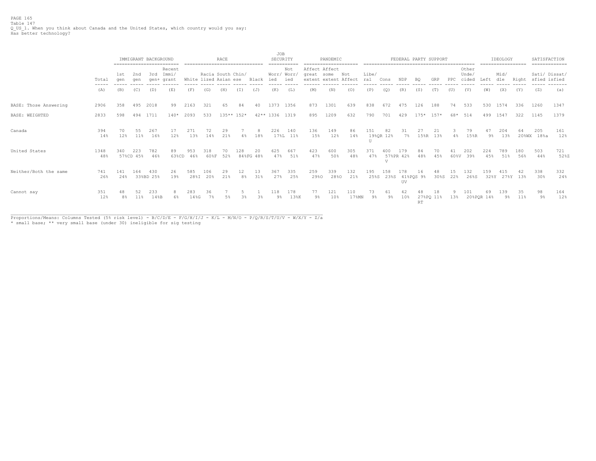PAGE 165 Table 147<br>Q\_US\_1. When you think about Canada and the United States, which country would you say:<br>Has better technology?

|                       |                                        |            | IMMIGRANT BACKGROUND |                  |                          |             |                                            | RACE      |                  |           | JOB<br>SECURITY    |                 |                                                     | PANDEMIC    |                     |              |                 | FEDERAL PARTY SUPPORT |             |                 |           |                         |                  | IDEOLOGY    |            | SATISFACTION<br>============= |             |
|-----------------------|----------------------------------------|------------|----------------------|------------------|--------------------------|-------------|--------------------------------------------|-----------|------------------|-----------|--------------------|-----------------|-----------------------------------------------------|-------------|---------------------|--------------|-----------------|-----------------------|-------------|-----------------|-----------|-------------------------|------------------|-------------|------------|-------------------------------|-------------|
|                       | Total<br>$\cdots \cdots \cdots \cdots$ | 1st<br>aen | 2nd<br>aen           | 3rd<br>qen+      | Recent<br>Immi/<br>grant |             | Racia South Chin/<br>White lized Asian ese |           |                  | Black     | Worr/ Worr,<br>ied | Not<br>ied      | Affect Affect<br>great some<br>extent extent Affect |             | Not                 | Libe/<br>ral | Cons            | NDP                   | BQ          | GRP             | PPC       | Other<br>Unde/<br>cided | Left             | Mid/<br>dle | Right      | Sati/ Dissat/<br>sfied isfied |             |
|                       | (A)                                    | (B)        | (C)                  | (D)              | (E)                      | (F)         | (G)                                        | (H)       | (T)              | (J)       | (K)                | (L)             | (M)                                                 | (N)         | (0)                 | (P)          | (Q)             | (R)                   | (S)         | (T)             | (U)       | (V)                     | (W)              | (X)         | (Y)        | (Z)                           | (a)         |
| BASE: Those Answering | 2906                                   | 358        | 495                  | 2018             | 99                       | 2163        | 321                                        | 65        | 84               | 40        | 1373               | 1356            | 873                                                 | 1301        | 639                 | 838          | 672             | 475                   | 126         | 188             | 74        | 533                     | 530              | 1574        | 336        | 1260                          | 1347        |
| <b>BASE: WEIGHTED</b> | 2833                                   | 598        | 494                  | 1711             | $140*$                   | 2093        | 533                                        |           | 135** 152*       |           | 42** 1336 1319     |                 | 895                                                 | 1209        | 632                 | 790          | 701             | 429                   | $175*$ 157* |                 | 68*       | 514                     |                  | 499 1547    | 322        | 1145                          | 1379        |
| Canada                | 394<br>14%                             | 70<br>12%  | $11\%$               | 267<br>16%       | 12%                      | 271<br>13%  | 14%                                        | 29<br>21% | 4%               | 18%       | 226                | 140<br>17%L 11% | 136<br>15%                                          | 149<br>12%  | 86<br>14%           | 151<br>U     | 82<br>19%QR 12% | 31<br>$7\%$           | 27          | 21<br>15%R 13%  | $4\%$     | 7 c<br>$15$ %R          | 9%               | 204<br>13%  |            | 205<br>20%WX 18%a             | 161<br>12%  |
| United States         | 1348<br>48%                            | 340        | 223<br>57%CD 45%     | 782<br>46%       | 89<br>63%CD              | 953<br>46%  | 318<br>60%F                                | 70<br>52% | 128<br>84%FG 48% | 20        | 625<br>47%         | 667<br>51%      | 423<br>47%                                          | 600<br>50%  | 305<br>48%          | 371<br>47%   | 400<br>T        | 179<br>57%PR 42%      | 84<br>48%   | 70<br>45%       | 60%V      | 202<br>39%              | 224<br>45%       | 789<br>51%  | 180<br>56% | 503<br>44%                    | 721<br>52%Z |
| Neither/Both the same | 741<br>26%                             | 141<br>24% | 164                  | 430<br>33%BD 25% | 26<br>19%                | 585<br>28%I | 106<br>20%                                 | 21%       | 12<br>8%         | 13<br>31% | 367<br>27%         | 335<br>25%      | 259<br>29%0                                         | 339<br>28%0 | 132<br>21%          | 195<br>25%S  | 158<br>23%S     | 78<br>41%PQS 9%<br>UV | 16          | 30%S            | 15<br>22% | 132<br>26%S             | 159<br>32%Y      | 415         | 27%Y 13%   | 338<br>30%                    | 332<br>24%  |
| Cannot say            | 351<br>12%                             | 8%         | 52<br>$11\%$         | 233<br>14%B      | 6%                       | 283<br>14%G | 36<br>7 %                                  |           |                  | 3%        | 118<br>9%          | 178<br>13%K     | 77<br>9%                                            | 121<br>10%  | 110<br>$17$ % $M$ N | 73<br>9%     | 9%              | 42<br>10%             | RT          | 18<br>27%PQ 11% | 13%       | 101                     | 69<br>20%POR 14% | 139<br>9%   | 35<br>11%  | 98<br>9%                      | 164<br>12%  |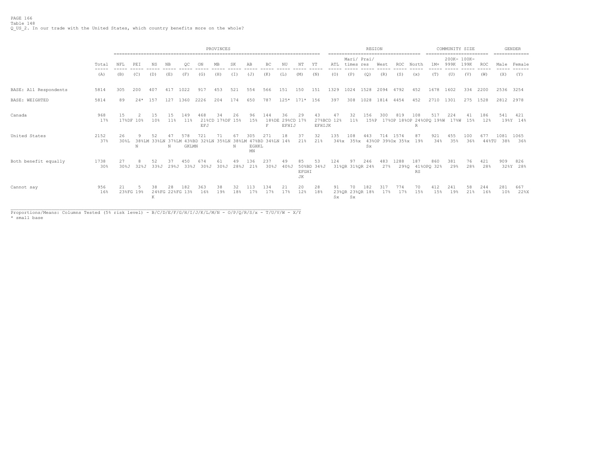|                       |                |            |                                                           |            |                              |              |                                | PROVINCES             |            |                    |                        |                                |                   |                  |                  |           | <b>REGION</b>            |            |                                            |                  | ======================== | COMMUNITY SIZE      |            |                  |                  | <b>GENDER</b><br>-------------- |
|-----------------------|----------------|------------|-----------------------------------------------------------|------------|------------------------------|--------------|--------------------------------|-----------------------|------------|--------------------|------------------------|--------------------------------|-------------------|------------------|------------------|-----------|--------------------------|------------|--------------------------------------------|------------------|--------------------------|---------------------|------------|------------------|------------------|---------------------------------|
|                       | Total<br>----- | NFL        | NB<br>SK<br>NΤ<br>PEI<br>NS<br>ОC<br>MB<br>AB<br>BC<br>ΥT |            |                              |              |                                |                       |            |                    |                        |                                |                   |                  |                  |           | Mari/ Prai/<br>times res | West       | ROC                                        | North            | $1M+$                    | 200K- 100K-<br>999K | 199K       | ROC              |                  | Male Female                     |
|                       | (A)            | (B)        | (C)                                                       | (D)        | (E)                          | (F)          | (G)                            | (H)                   | (T)        | (J)                | (K)                    | (L)                            | (M)               | (N)              | (0)              | (P)       | (Q)                      | (R)        | (S)                                        | (x)              | (T)                      | (U)                 | (V)        | (W)              | (X)              | (Y)                             |
| BASE: All Respondents | 5814           | 305        | 200                                                       | 407        | 417                          | 1022         | 917                            | 453                   | 521        | 554                | 566                    | 151                            | 150               | 151              | 1329             | 1024      | 1528                     | 2094 4792  |                                            | 452              | 1678                     | 1602                | 334        | 2200             | 2536 3254        |                                 |
| BASE: WEIGHTED        | 5814           | 89         | $24*$                                                     | 157        | 127 1360                     |              | 2226                           | 204                   | 174        | 650                | 787                    | 125* 171* 156                  |                   |                  | 397              | 308       |                          |            | 1028 1814 4454                             | 452              | 2710 1301                |                     | 275 1528   |                  | 2812 2978        |                                 |
| Canada                | 968<br>17%     | 15         | 17%DF 10%                                                 | 15<br>10%  | 1.5<br>11%                   | 149<br>11%   | 468<br>EFJ                     | 34<br>21%CD 17%DF 15% | 26         | 96<br>15%          | 144<br>F               | 36<br>18%DE 29%CD 17%<br>EFHIJ | 29                | 43<br>EFHIJK     | 47<br>27%BCD 12% | 32<br>11% | 156                      | 300        | 819<br>15%P 17%OP 18%OP 24%OPQ 19%W 17%W   | 108<br>R         | 517                      | 224                 | 41<br>15%  | 186<br>12%       | 541              | 421<br>19%Y 14%                 |
| United States         | 2152<br>37%    | 26<br>30%L | N                                                         | 52         | 47<br>38%LM 33%LN 37%LM<br>N | 578<br>GKLMN | 721<br>43%BD 32%LN 35%LN 38%LM | 71                    | 67<br>N    | 305<br>EGHKL<br>MN | 271<br>47%BD 34%LN 14% | 18                             | 37<br>21%         | 32<br>21%        | 135              | 108       | 443<br><b>Sx</b>         |            | 714 1574<br>34%x 35%x 43%OP 39%Ox 35%x 19% | 87               | 921<br>34%               | 455<br>35%          | 100<br>36% | 677<br>$44\,$ TU | 1081 1065<br>38% | 36%                             |
| Both benefit equally  | 1738<br>30%    | 27<br>308J | 32%J                                                      | 52<br>33%J | 37<br>29%J                   | 450<br>33%J  | 674<br>30%J                    | 61<br>30%J            | 49<br>28%J | 136<br>21%         | 237                    | 49<br>30%J 40%J                | 85<br>EFGHI<br>JК | 53<br>50%BD 34%J | 124              | 97        | 246<br>31%OR 31%OR 24%   | 483<br>27% | 1288                                       | 187<br><b>RS</b> | 860<br>29%0 41%OPO 32%   | 381<br>29%          | 76<br>28%  | 421<br>28%       | 909              | 826<br>32%Y 28%                 |
| Cannot say            | 956<br>16%     | 21         | 23%FG 19%                                                 | 38<br>K    | 28<br>24%FG 22%FG 13%        | 182          | 363<br>16%                     | 38<br>19%             | 32<br>18%  | 113<br>17%         | 134<br>17%             | 21<br>17%                      | 20<br>12%         | 28<br>18%        | 91<br>Sx         | 70<br>Sx  | 182<br>23%QR 23%QR 18%   | 317<br>17% | 774<br>17%                                 | 70<br>15%        | 412<br>15%               | 241<br>19%          | 58<br>21%  | 244<br>16%       | 281<br>10%       | 667<br>22%X                     |

Proportions/Means: Columns Tested (5% risk level) - B/C/D/E/F/G/H/I/J/K/L/M/N - O/P/Q/R/S/x - T/U/V/W - X/Y<br>\* small base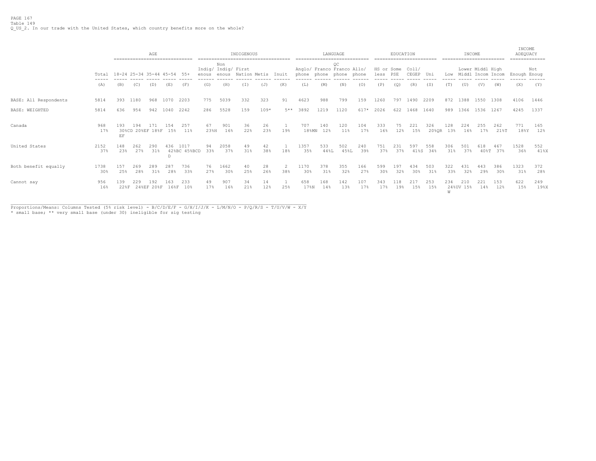|                       |                |                                                                            |            | AGE<br>------------------------------ |            |                      |            |              | INDIGENOUS<br>------------------------------------- |           |                       |             |                  | LANGUAGE<br>----------------------------                    |            |                        | EDUCATION  | ======================== |                  |            | INCOME<br>------------------------ |                  |             | INCOME<br>ADEQUACY | ============= |
|-----------------------|----------------|----------------------------------------------------------------------------|------------|---------------------------------------|------------|----------------------|------------|--------------|-----------------------------------------------------|-----------|-----------------------|-------------|------------------|-------------------------------------------------------------|------------|------------------------|------------|--------------------------|------------------|------------|------------------------------------|------------------|-------------|--------------------|---------------|
|                       | Total          | 18-24 25-34 35-44 45-54<br>55+<br>enous<br>(B)<br>(E)<br>(F)<br>(C)<br>(D) |            |                                       |            |                      |            | Non<br>enous | Indig/ Indig/ First<br>Nation Metis                 |           | Inuit                 |             |                  | OC<br>Anglo/ Franco Franco Allo/<br>phone phone phone phone |            | HS or Some<br>less PSE |            | Coll/<br>CEGEP Uni       |                  |            | Low Middl Incom Incom              | Lower Middl High |             | Enough Enoug       | Not           |
|                       | (A)            |                                                                            |            |                                       |            |                      | (G)        | (H)          | (I)                                                 | (J)       | (K)                   | (L)         | (M)              | (N)                                                         | (0)        | (P)                    | (Q)        | (R)                      | (S)              | (T)        | (U)                                | (V)              | (W)         | (X)                | (Y)           |
| BASE: All Respondents | 5814           | 393                                                                        | 1180       | 968                                   | 1070       | 2203                 | 775        | 5039         | 332                                                 | 323       | 91                    | 4623        | 988              | 799                                                         | 159        | 1260                   | 797        | 1490                     | 2209             |            | 872 1388                           | 1550             | 1308        | 4106               | 1446          |
| <b>BASE: WEIGHTED</b> | 5814           | 636                                                                        | 954        | 942                                   | 1040       | 2242                 | 286        | 5528         | 159                                                 | $109*$    | 5**                   | 3892        | 1219             | 1120                                                        | 617*       | 2026                   | 622        | 1468                     | 1640             | 989        | 1366 1536 1267                     |                  |             | 4245               | 1337          |
| Canada                | 968<br>17%     | 193<br>EF                                                                  | 194        | 171<br>30%CD 20%EF 18%F 15%           | 154        | 257<br>11%           | 67<br>23%H | 901<br>16%   | 36<br>22%                                           | 26<br>23% | 1<br>19%              | 707         | 140<br>18%MN 12% | 120<br>11%                                                  | 104<br>17% | 333<br>16%             | 75<br>12%  | 221<br>15%               | 326<br>20%OR 13% | 128        | 224<br>16%                         | 255<br>17%       | 262<br>21%T | 771<br>18%Y        | 165<br>12%    |
| United States         | 2152<br>37%    | 148<br>23%                                                                 | 262<br>27% | 290<br>31%                            | 436<br>D   | 1017<br>42%BC 45%BCD | 94<br>33%  | 2058<br>37%  | 49<br>31%                                           | 42<br>38% | 18%                   | 1357<br>35% | 533<br>44%L      | 502<br>45%L                                                 | 240<br>39% | 751<br>37%             | 231<br>37% | 597<br>41%S              | 558<br>34%       | 306<br>31% | 501<br>37%                         | 618<br>408T      | 467<br>37%  | 1528<br>36%        | 552<br>41%X   |
| Both benefit equally  | 1738<br>$30\%$ | 157<br>25%                                                                 | 269<br>28% | 289<br>31%                            | 287<br>28% | 736<br>33%           | 76<br>27%  | 1662<br>30%  | 40<br>25%                                           | 28<br>26% | $\mathfrak{D}$<br>38% | 1170<br>30% | 378<br>31%       | 355<br>32%                                                  | 166<br>27% | 599<br>30%             | 197<br>32% | 434<br>30%               | 503<br>31%       | 322<br>33% | 431<br>32%                         | 443<br>29%       | 386<br>30%  | 1323<br>31%        | 372<br>28%    |
| Cannot say            | 956<br>16%     | 139<br>228F                                                                | 229        | 192<br>24%EF 20%F                     | 163        | 233<br>16%F 10%      | 49<br>17%  | 907<br>16%   | 34<br>21%                                           | 14<br>12% | 25%                   | 658<br>17%N | 168<br>14%       | 142<br>13%                                                  | 107<br>17% | 343<br>17%             | 118<br>19% | 217<br>15%               | 253<br>15%       | 234<br>W   | 210<br>24%UV 15%                   | 221<br>14%       | 153<br>12%  | 622<br>15%         | 249<br>198X   |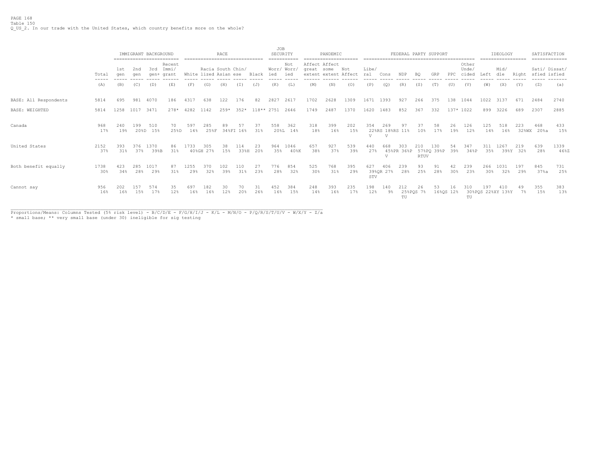PAGE 168 Table 150 Q\_US\_2. In our trade with the United States, which country benefits more on the whole?

|                       |                |            | IMMIGRANT BACKGROUND |              | ========================== |             | -------------------------------            | <b>RACE</b> |                 |            | <b>JOB</b><br>SECURITY | ===========     |            | PANDEMIC<br>=====================     |            |              |                                          | FEDERAL PARTY SUPPORT |                    |                       |                 |                         |            | IDEOLOGY<br>================== |                 | SATISFACTION<br>============= |              |
|-----------------------|----------------|------------|----------------------|--------------|----------------------------|-------------|--------------------------------------------|-------------|-----------------|------------|------------------------|-----------------|------------|---------------------------------------|------------|--------------|------------------------------------------|-----------------------|--------------------|-----------------------|-----------------|-------------------------|------------|--------------------------------|-----------------|-------------------------------|--------------|
|                       | Total<br>----- | 1st<br>qen | 2nd<br>qen           | 3rd<br>qen+  | Recent<br>Immi,<br>grant   |             | Racia South Chin/<br>White lized Asian ese |             |                 | Black      | Worr/ Worr/<br>ied     | Not<br>ied      | great some | Affect Affect<br>extent extent Affect | Not        | Libe/<br>ral | Cons                                     | NDP                   | BQ.                | GRP                   | $_{\rm PPC}$    | Other<br>Unde/<br>cided | Left       | Mid/<br>dle                    | Right           | Sati/ Dissat/<br>sfied isfied |              |
|                       | (A)            | (B)        | (C)                  | (D)          | (E)                        | (F)         | (G)                                        | (H)         | (T)             | (J)        | (K)                    | (L)             | (M)        | (N)                                   | (0)        | (P)          | (O)                                      | (R)                   | (S)                | (T)                   | (U)             | (V)                     | (W)        | (X)                            | (Y)             | (Z)                           | (a)          |
| BASE: All Respondents | 5814           | 695        | 981                  | 4070         | 186                        | 4317        | 638                                        | 122         | 176             | 82         | 2827                   | 2617            | 1702       | 2628                                  | 1309       | 1671         | 1393                                     | 927                   | 266                | 375                   | 138             | 1044                    | 1022       | 3137                           | 671             | 2484                          | 2740         |
| <b>BASE: WEIGHTED</b> | 5814           | 1258       | 1017                 | 3471         | $278*$                     | 4282        | 1142                                       | $259*$      | $352*$          | 118** 2751 |                        | 2646            | 1749       | 2487                                  | 1370       | 1620         | 1483                                     | 852                   | 367                | 332                   | 137* 1022       |                         | 899        | 3226                           | 689             | 2307                          | 2885         |
| Canada                | 968<br>17%     | 240<br>19% | 199<br>20%D          | 510<br>15%   | 70<br>25%D                 | 597<br>14%  | 285<br>25%F                                | 89          | 57<br>34%FI 16% | 37<br>31%  | 558                    | 362<br>20%L 14% | 318<br>18% | 399<br>16%                            | 202<br>15% | 354<br>V     | 269<br>22%RS 18%RS 11%<br>$\overline{V}$ | 97                    | 37<br>10%          | 58<br>17%             | 26<br>19%       | 126<br>12%              | 125<br>14% | 518<br>16%                     | 223<br>32%WX    | 468<br>20%a                   | 433<br>15%   |
| United States         | 2152<br>37%    | 393<br>31% | 376<br>37%           | 1370<br>39%B | 86<br>31%                  | 1733        | 305<br>40%GH 27%                           | 38<br>15%   | 114<br>33%H     | 23<br>20%  | 964<br>35%             | 1046<br>40%K    | 657<br>38% | 927<br>37%                            | 539<br>39% | 440<br>27%   | 668<br>57                                | 303<br>45%PR 36%P     | 210<br><b>RTUV</b> | 130<br>57%PQ 39%P 39% | 54              | 347<br>34%P             | 311<br>35% | 1267                           | 219<br>39%Y 32% | 639<br>28%                    | 1339<br>46%Z |
| Both benefit equally  | 1738<br>30%    | 423<br>34% | 285<br>28%           | 1017<br>29%  | 87<br>31%                  | 1255<br>29% | 370<br>32%                                 | 102<br>39%  | 110<br>31%      | 27<br>23%  | 776<br>28%             | 854<br>32%      | 525<br>30% | 768<br>31%                            | 395<br>29% | 627<br>STV   | 406<br>39%QR 27%                         | 239<br>28%            | 93<br>25%          | 91<br>28%             | 42<br>30%       | 239<br>23%              | 266<br>30% | 1031<br>32%                    | 197<br>29%      | 845<br>$37\$ a                | 731<br>25%   |
| Cannot say            | 956<br>16%     | 202<br>16% | 157<br>15%           | 574<br>17%   | 35<br>12%                  | 697<br>16%  | 182<br>16%                                 | 30<br>12%   | 70.<br>20%      | 31<br>26%  | 452<br>16%             | 384<br>15%      | 248<br>14% | 393<br>16%                            | 235<br>17% | 198<br>12%   | 140<br>9%                                | 212<br>TU             | 26<br>25%POS 7%    | 53                    | 16<br>16%OS 12% | 310<br>TU               | 197        | 410<br>30%POS 22%XY 13%Y       | 7%              | 355<br>15%                    | 383<br>13%   |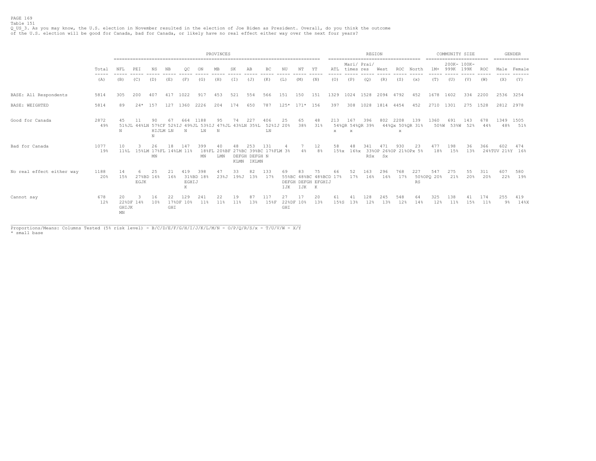### PAGE 169 Table 151

Q\_US\_3. As you may know, the U.S. election in November resulted in the election of Joe Biden as President. Overall, do you think the outcome<br>of the U.S. election will be good for Canada, bad for Canada, or likely have no r

|                           |                                        |                   |                            |                     |           |                   |                                                                    | PROVINCES  |            |                               |                                          |                 |           |                                                    |                     | -------------------- | REGION                 |            |                              |           | ========================= | COMMUNITY SIZE |                     |            |                        | <b>GENDER</b>            |
|---------------------------|----------------------------------------|-------------------|----------------------------|---------------------|-----------|-------------------|--------------------------------------------------------------------|------------|------------|-------------------------------|------------------------------------------|-----------------|-----------|----------------------------------------------------|---------------------|----------------------|------------------------|------------|------------------------------|-----------|---------------------------|----------------|---------------------|------------|------------------------|--------------------------|
|                           | Total<br>$\cdots \cdots \cdots \cdots$ | NFL               | PEI                        | ΝS                  | NB        |                   |                                                                    |            |            | AB                            | BC                                       |                 |           | ΥT<br>------                                       | ATL<br>-----        | times res            | Mari/ Prai/            | West       | ------------------<br>ROC    | North     | 1M+                       | 999K           | 200K- 100K-<br>199K | ROC.       | Male<br>-----          | ==============<br>Female |
|                           | (A)                                    | ------<br>(B)     | (C)                        | (D)                 | (E)       | (F)               | (G)                                                                | (H)        | (T)        | (J)                           | (K)                                      | (L)             | (M)       | (N)                                                | (0)                 | (P)                  | (Q)                    | (R)        | (S)                          | (x)       | (T)                       | (U)            | (V)                 | (W)        | (X)                    | (Y)                      |
| BASE: All Respondents     | 5814                                   | 305               | 200                        | 407                 | 417       | 1022              | 917                                                                | 453        | 521        | 554                           | 566                                      | 151             | 150       | 151                                                | 1329                | 1024                 | 1528                   |            | 2094 4792                    | 452       | 1678                      | 1602           | 334                 | 2200       | 2536 3254              |                          |
| BASE: WEIGHTED            | 5814                                   | 89                | $2.4*$                     | 1.57                | 127       | 1360              | 2226                                                               | 204        | 174        | 650                           | 787                                      | $125*$          | $171*$    | 156                                                | 397                 | 308                  | 1028                   |            | 1814 4454                    | 452       | 2710                      | 1301           |                     | 275 1528   | 2812 2978              |                          |
| Good for Canada           | 2872<br>49%                            | 45<br>N           |                            | 90<br>HIJLM LN<br>N | 67        | 664<br>N          | 1188<br>51%JL 44%LN 57%CF 52%IJ 49%JL 53%IJ 47%JL 43%LN 35%L<br>LN | 95<br>N    | 74         | 227                           | 406<br>LN                                | 25<br>52%IJ 20% | 65<br>38% | 48<br>31%                                          | 213<br>$\mathbf{x}$ | 167<br>X             | 396<br>54%QR 54%QR 39% | 802        | 2208<br>44%Qx 50%QR 31%<br>X | 139       | 1360<br>50%W              | 691<br>53%W    | 143<br>52%          | 678<br>44% | 1349 1505<br>48%       | 51%                      |
| Bad for Canada            | 1077<br>19%                            | 10                | 11%L 15%LM 17%FL 14%LM 11% | 26<br>MN            | 18        | 147               | 399<br>ΜN                                                          | 40<br>LMN  | KLMN       | 253<br>DEFGH DEFGH N<br>IKLMN | 131<br>18%FL 20%BF 27%BC 39%BC 17%FLM 3% |                 | $4\%$     | 12<br>8%                                           | 58<br>$15\$ $x$     | 48<br>$16\$ $x$      | 341<br><b>RSX</b>      | Sx.        | 930<br>33%OP 26%OP 21%OPx 5% | 23        | 477<br>18%                | 198<br>15%     | 36<br>13%           | 366        | 602<br>24%TUV 21%Y 16% | 474                      |
| No real effect either way | 1188<br>20%                            | 14<br>15%         | EGJK                       | 25<br>27%BD 16%     | 21<br>16% | 419<br>EGHIJ<br>К | 398<br>31%BD 18%                                                   | 47<br>23%J | 33<br>19%J | 82<br>13%                     | 133<br>17%                               | 69<br>IJK       | IJK K     | 75<br>55%BC 48%BC 48%BCD 17%<br>DEFGH DEFGH EFGHIJ | 66                  | 52<br>17%            | 163<br>16%             | 296<br>16% | 768<br>17%                   | 227<br>RS | 547<br>50%OPQ 20%         | 275<br>21%     | 55<br>20%           | 311<br>20% | 607<br>22%             | 580<br>19%               |
| Cannot say                | 678<br>12%                             | 20<br>GHIJK<br>MN | 22%DF 14%                  | 16<br>10%           | 22<br>GHI | 129<br>17%DF 10%  | 241<br>11%                                                         | 22<br>11%  | 19<br>11%  | 13%                           | 117<br>15%F                              | 27<br>GHI       | 22%DF 10% | 20<br>13%                                          | 15%S                | 13%                  | 128<br>12%             | 245<br>13% | 548<br>12%                   | 64<br>14% | 325<br>12%                | 138<br>11%     | 15%                 | 174<br>11% | 255<br>9%              | 419<br>$14\%$ X          |

Proportions/Means: Columns Tested (5% risk level) - B/C/D/E/F/G/H/I/J/K/L/M/N - O/P/Q/R/S/x - T/U/V/W - X/Y<br>\* small base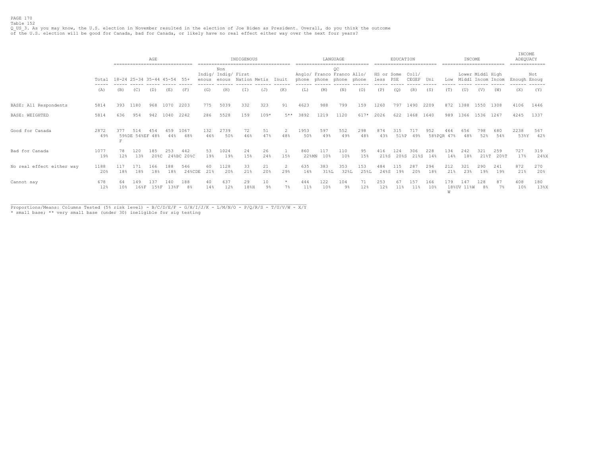Q\_US\_3. As you may know, the U.S. election in November resulted in the election of Joe Biden as President. Overall, do you think the outcome<br>of the U.S. election will be good for Canada, bad for Canada, or likely have no r

|                           |             |            | ------------------------------ | AGE            |             |                     |            |                                           | INDIGENOUS   |           |                  |              |                | LANGUAGE                         |             |                        | EDUCATION      |                    |            |                   | INCOME                |                  |                | INCOME<br>ADEQUACY | ============   |
|---------------------------|-------------|------------|--------------------------------|----------------|-------------|---------------------|------------|-------------------------------------------|--------------|-----------|------------------|--------------|----------------|----------------------------------|-------------|------------------------|----------------|--------------------|------------|-------------------|-----------------------|------------------|----------------|--------------------|----------------|
|                           | Total       |            | 18-24 25-34 35-44 45-54 55+    |                |             |                     |            | Non<br>Indig/ Indig/ First<br>enous enous | Nation Metis |           | Inuit            | phone        | phone phone    | OС<br>Anglo/ Franco Franco Allo/ | phone       | HS or Some<br>less PSE |                | Coll/<br>CEGEP Uni |            |                   | Low Middl Incom Incom | Lower Middl High |                | Enough Enoug       | Not            |
|                           | (A)         | (B)        | (C)                            | (D)            | (E)         | (F)                 | (G)        | (H)                                       | (T)          | (J)       | (K)              | (L)          | (M)            | (N)                              | (0)         | (P)                    | (Q)            | (R)                | (S)        | (T)               | (U)                   | (V)              | (W)            | (X)                | (Y)            |
| BASE: All Respondents     | 5814        | 393        | 1180                           | 968            | 1070        | 2203                | 775        | 5039                                      | 332          | 323       | 91               | 4623         | 988            | 799                              | 159         | 1260                   | 797            | 1490               | 2209       |                   | 872 1388              | 1550             | 1308           | 4106               | 1446           |
| BASE: WEIGHTED            | 5814        | 636        | 954                            | 942            | 1040        | 2242                | 286        | 5528                                      | 159          | $109*$    | 5**              | 3892         | 1219           | 1120                             | 617*        | 2026                   | 622            | 1468               | 1640       |                   | 989 1366 1536 1267    |                  |                | 4245               | 1337           |
| Good for Canada           | 2872<br>49% | 377<br>T.  | 514<br>59%DE 54%EF 48%         | 454            | 459<br>44%  | 1067<br>48%         | 132<br>46% | 2739<br>50%                               | 72<br>46%    | 51<br>47% | 2<br>48%         | 1953<br>50%  | 597<br>49%     | 552<br>49%                       | 298<br>48%  | 874<br>43%             | 315            | 717<br>51%P 49%    | 952        | 464<br>58%POR 47% | 656<br>48%            | 798<br>52%       | 680<br>54%     | 2238<br>53%Y       | 567<br>42%     |
| Bad for Canada            | 1077<br>19% | 78<br>12%  | 120<br>13%                     | 185<br>$20$ %C | 253         | 442<br>24%BC 20%C   | 53<br>19%  | 1024<br>19%                               | 24<br>15%    | 26<br>24% | 15%              | 860<br>22%MN | 117<br>10%     | 110<br>10%                       | 95<br>15%   | 416<br>21%S            | 124<br>$20$ %S | 306<br>21%S        | 228<br>14% | 134<br>14%        | 242<br>18%            | 321<br>218T      | 259<br>$20$ %T | 727<br>17%         | 319<br>24%X    |
| No real effect either way | 1188<br>20% | 117<br>18% | 171<br>18%                     | 166<br>18%     | 188<br>18%  | 546<br>$24$ % $CDE$ | 60<br>21%  | 1128<br>20%                               | 33<br>21%    | 21<br>20% | 2<br>29%         | 635<br>16%   | 383<br>$31\$ L | 353<br>32%L                      | 153<br>25%L | 484<br>24%S            | 115<br>19%     | 287<br>20%         | 294<br>18% | 212<br>21%        | 321<br>23%            | 290<br>19%       | 241<br>19%     | 872<br>21%         | 270<br>20%     |
| Cannot say                | 678<br>12%  | 64<br>10%  | 149<br>168F                    | 137<br>158F    | 140<br>138F | 188<br>8%           | 40<br>14%  | 637<br>12%                                | 29<br>18%H   | 10<br>9%  | $\star$<br>$7\%$ | 444<br>11%   | 122<br>10%     | 104<br>$9\%$                     | 71<br>12%   | 253<br>12%             | 67<br>11%      | 157<br>$11\%$      | 166<br>10% | 179<br>W          | 147<br>18%UV 11%W     | 128<br>8%        | 87<br>$7\%$    | 408<br>10%         | 180<br>$13%$ X |

\_\_\_\_\_\_\_\_\_\_\_\_\_\_\_\_\_\_\_\_\_\_\_\_\_\_\_\_\_\_\_\_\_\_\_\_\_\_\_\_\_\_\_\_\_\_\_\_\_\_\_\_\_\_\_\_\_\_\_\_\_\_\_\_\_\_\_\_\_\_\_\_\_\_\_\_\_\_\_\_\_\_\_\_\_\_\_\_\_\_\_\_\_\_\_\_\_\_\_\_\_\_\_\_\_\_\_\_\_ Proportions/Means: Columns Tested (5% risk level) - B/C/D/E/F - G/H/I/J/K - L/M/N/O - P/Q/R/S - T/U/V/W - X/Y \* small base; \*\* very small base (under 30) ineligible for sig testing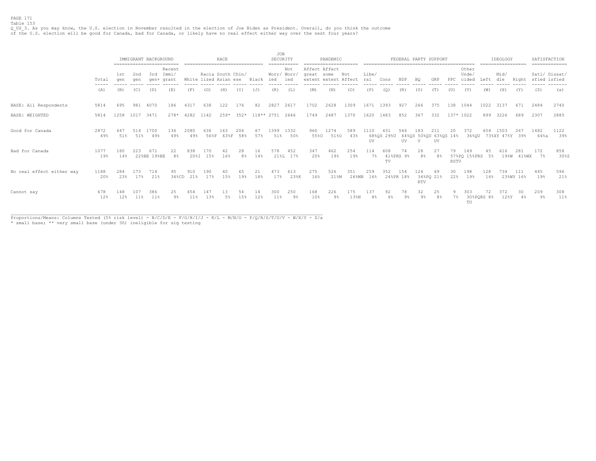### PAGE 171 Table 153

Q\_US\_3. As you may know, the U.S. election in November resulted in the election of Joe Biden as President. Overall, do you think the outcome<br>of the U.S. election will be good for Canada, bad for Canada, or likely have no r

|                           |                                        |            | IMMIGRANT BACKGROUND |                    |                               |             |                                            | RACE        |            |            | JOB<br>SECURITY   |                 |                                                     | PANDEMIC     |              |              |                   |                 |                   | FEDERAL PARTY SUPPORT              |                    |                        |            | IDEOLOGY               |                   | SATISFACTION |               |
|---------------------------|----------------------------------------|------------|----------------------|--------------------|-------------------------------|-------------|--------------------------------------------|-------------|------------|------------|-------------------|-----------------|-----------------------------------------------------|--------------|--------------|--------------|-------------------|-----------------|-------------------|------------------------------------|--------------------|------------------------|------------|------------------------|-------------------|--------------|---------------|
|                           | Total<br>$\cdots \cdots \cdots \cdots$ | 1st<br>aen | 2nd<br>aen           | 3rd                | Recent<br>Immi/<br>gen+ grant |             | Racia South Chin/<br>White lized Asian ese |             |            | Black      | Worr/ Worr<br>ied | Not<br>ied      | Affect Affect<br>great some<br>extent extent Affect |              | Not          | Libe/<br>ral | Cons              | NDP             | B <sub>0</sub>    | GRP                                | PPC                | Other<br>Unde<br>cided | Left       | Mid/<br>dle            | Right             | sfied isfied | Sati/ Dissat/ |
|                           | (A)                                    | (B)        | (C)                  | (D)                | (E)                           | (F)         | (G)                                        | (H)         | (T)        | (J)        | (K)               | (L)             | (M)                                                 | (N)          | (0)          |              |                   | (R)             | (S)               |                                    |                    | (V)                    | (W)        | (X)                    | (Y)               | (Z)          | (a)           |
| BASE: All Respondents     | 5814                                   | 695        | 981                  | 4070               | 186                           | 4317        | 638                                        | 122         | 176        | 82         | 2827              | 2617            | 1702                                                | 2628         | 1309         | 1671         | 1393              | 927             | 266               | 375                                | 138 1044           |                        | 1022       | 3137                   | 671               | 2484         | 2740          |
| BASE: WEIGHTED            | 5814                                   | 1258       | 1017                 | 3471               | $278*$                        | 4282        | 1142                                       | $259*$      | $352*$     | 118** 2751 |                   | 2646            | 1749                                                | 2487         | 1370         | 1620         | 1483              | 852             | 367               | 332                                | 137* 1022          |                        | 899        | 3226                   | 689               | 2307         | 2885          |
| Good for Canada           | 2872<br>49%                            | 647<br>51% | 514<br>51%           | 1700<br>49%        | 136<br>49%                    | 2080<br>49% | 636<br>56%F                                | 163<br>63%F | 206<br>58% | 67<br>57%  | 1399<br>51%       | 1332<br>50%     | 960<br>55%0                                         | 1274<br>51%0 | 589<br>43%   | 1110<br>UV   | 431<br>68%QS 29%U | 546<br>UV       | 183<br>V          | 211<br>64%QS 50%QU 63%QS 14%<br>UV | 20                 | 372<br>36%QU           | 654        | 1503<br>73%XY 47%Y 39% | 267               | 1482<br>64%a | 1122<br>39%   |
| Bad for Canada            | 1077<br>19%                            | 180<br>14% | 223                  | 671<br>22%BE 19%BE | 22<br>8%                      | 838         | 170<br>20%I 15%                            | 42<br>16%   | 28<br>8%   | 16<br>14%  | 578               | 452<br>21%L 17% | 347<br>20%                                          | 462<br>19%   | 254<br>19%   | 114<br>$7\%$ | 608<br>TV         | 74<br>41%PRS 9% | 28<br>8%          | 8%                                 | 79.<br><b>RSTV</b> | 149<br>57%PQ 15%PRS 5% |            |                        | 281<br>19%W 41%WX | 172<br>7%    | 858<br>30%Z   |
| No real effect either way | 1188<br>20%                            | 284<br>23% | 17%                  | 714<br>21%         | 95<br>34%CD                   | 21%         | 190<br>17%                                 | 1.5%        | 19%        | 18%        | 17%               | 613<br>23%K     | 275<br>16%                                          | 526<br>21%M  | 351<br>26%MN | 259<br>16%   | 352<br>24%PR 18%  | 154             | 124<br><b>RTV</b> | 69<br>34%PO 21%                    | 30<br>22%          | 198<br>19%             | 128<br>14% | 734                    | 111<br>23%WY 16%  | 445<br>19%   | 596<br>21%    |
| Cannot say                | 678<br>12%                             | 148<br>12% | 101<br>11%           | 386<br>11%         | 25<br>$9\%$                   | 454<br>11%  | 147<br>13%                                 | .5%         | 1.5%       | 14<br>12%  | 300<br>11%        | 250<br>9%       | 168<br>10%                                          | 226<br>$9\%$ | 175<br>13%N  | 137<br>8%    | 92                | 78<br>9%        | 32<br>$9\%$       | 25<br>8%                           | 7%                 | 303<br>TU              | 30%PQRS 8% | 128Y                   | $4\%$             | 209<br>9%    | 308<br>$11\%$ |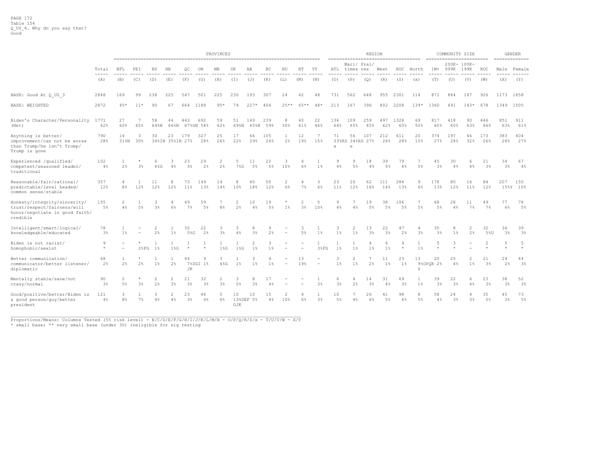|                                                                                                           |                      |                                      | PROVINCES    |                |                                |                 |                      |                                  |                      |                      |             |                    |           |                                                      |                    |                            | <b>REGION</b> |                     |                      |                |                      | COMMUNITY SIZE |             |            |             | <b>GENDER</b> |
|-----------------------------------------------------------------------------------------------------------|----------------------|--------------------------------------|--------------|----------------|--------------------------------|-----------------|----------------------|----------------------------------|----------------------|----------------------|-------------|--------------------|-----------|------------------------------------------------------|--------------------|----------------------------|---------------|---------------------|----------------------|----------------|----------------------|----------------|-------------|------------|-------------|---------------|
|                                                                                                           |                      |                                      |              |                |                                |                 |                      |                                  |                      |                      |             |                    |           |                                                      |                    | Mari/ Prai/                |               |                     |                      |                |                      | 200K- 100K-    |             |            |             |               |
|                                                                                                           | Total<br>-----       | NFL                                  | PEI          | ΝS             | ΝB                             | QС              | ON                   | МB                               | SK                   | AВ                   | ВC          | ΝU                 | NΤ        | ΥT                                                   | ATL                | times res                  |               | West                | ROC                  | North          | 1M+                  | 999K           | 199K        | ROC        |             | Male Female   |
|                                                                                                           | (A)                  | (B)                                  | (C)          | (D)            | (E)                            | (F)             | (G)                  | (H)                              | (I)                  | (J)                  | (K)         | (L)                | (M)       | (N)                                                  | (0)                | (P)                        | (Q)           | (R)                 | (S)                  | (x)            | (T)                  | (U)            | (V)         | (W)        | (X)         | (Y)           |
| BASE: Good At Q US 3                                                                                      | 2848                 | 169                                  | 99           | 238            | 225                            | 547             | 501                  | 225                              | 230                  | 193                  | 307         | 24                 | 42        | 48                                                   | 731                | 562                        | 648           | 955                 | 2301                 | 114            | 871                  | 864            | 187         | 926        |             | 1173 1658     |
| BASE: WEIGHTED                                                                                            | 2872                 | $45*$                                | $11*$        | 90             | 67                             | 664             | 1188                 | $95*$                            | 74                   | $227*$               | 406         | $25**$             | 65**      | $48*$                                                | 213                | 167                        | 396           | 802                 | 2208                 | $139*$         | 1360                 | 691            | $143*$      | 678        |             | 1349 1505     |
| Biden's Character/Personality 1771<br>(Net)                                                               | 62%                  | 27<br>60%                            | 65%          | 58<br>64%N     | 44<br>66%N                     | 443             | 692<br>67%GN 58%     | 59<br>62%                        | 51<br>69%N           | 149<br>65%N          | 239<br>59%  | 8<br>30%           | 40<br>61% | 22<br>46%                                            | 136<br>64%         | 109<br>65%                 | 259<br>65%    | 497<br>62%          | 1328<br>60%          | 69<br>50%      | 817<br>60%           | 418<br>60%     | 90<br>63%   | 446<br>66% | 851<br>63%  | 911<br>61%    |
| Anything is better/<br>improvement/can not be worse<br>than Trump/he isn't Trump/<br>Trump is gone        | 790<br>28%           | 14<br>31%N                           | 3<br>30%     | 30             | 23<br>34%IN 35%IN 27%          | 179             | 327<br>28%           | 25<br>26%                        | 17<br>22%            | 66<br>29%            | 105<br>26%  | $\mathbf{1}$<br>2% | 12<br>19% | 7<br>15%                                             | 71<br>$\mathbf{x}$ | 56<br>33%RS 34%RS 27%<br>X | 107           | 212<br>26%          | 611<br>28%           | 20<br>15%      | 374<br>27%           | 197<br>28%     | 46<br>32%   | 173<br>26% | 383<br>28%  | 404<br>27%    |
| Experienced /qualified/<br>competent/seasoned leader/<br>traditional                                      | 102<br>4%            | $\mathbf{1}$<br>$2\frac{6}{5}$       | 3%           | 6<br>6%G       | 3<br>4%                        | 23<br>3%        | 29<br>2 <sup>°</sup> | $\overline{c}$<br>2 <sup>°</sup> | $7\$ G               | 11<br>5%             | 22<br>5%    | 3<br>10%           | 6%        | $1\%$                                                | 9<br>4%            | 9<br>5%                    | 18<br>4%      | 39<br>$5\%$         | 79<br>4%             | $5\%$          | 45<br>3%             | 30<br>4%       | 6<br>4%     | 21<br>3%   | 34<br>3%    | 67<br>4%      |
| Reasonable/fair/rational/<br>predictable/level headed/<br>common sense/stable                             | 357<br>12%           | 4<br>8%                              | 12%          | 11<br>12%      | 8<br>12%                       | 73<br>11%       | 149<br>13%           | 14<br>14%                        | 8<br>10 <sup>8</sup> | 40<br>18%            | 50<br>12%   | 2<br>6%            | 7%        | 3<br>6%                                              | 23<br>11%          | 20<br>12%                  | 62<br>16%     | 111<br>14%          | 284<br>13%           | 9<br>6%        | 178<br>13%           | 80<br>12%      | 16<br>11%   | 84<br>12%  | 207<br>158Y | 150<br>10%    |
| Honesty/integrity/sincerity/<br>trust/respect/fairness/will<br>honor/negotiate in good faith/<br>credible | 155<br>$5\%$         | 2<br>4%                              | $5\%$        | 3 <sup>°</sup> | 6%                             | 49<br>7%        | 59<br>5%             | 8 <sup>°</sup>                   | 2 <sup>°</sup>       | 10<br>4%             | 19<br>$5\%$ | $1\%$              | 2<br>3%   | 5<br>10%                                             | 9<br>4%            | 4%                         | 19<br>$5\%$   | 38<br>$5\%$         | 106<br>$5\%$         | 7<br>$5\%$     | 68<br>5%             | 28<br>4%       | 11<br>$7\%$ | 49<br>7%   | 77<br>6%    | 78<br>$5\%$   |
| Intelligent/smart/logical/<br>knowledgeable/educated                                                      | 78<br>3 <sup>°</sup> | $1\%$                                |              | 2<br>2%        | $1\%$                          | 30<br>5%G       | 22<br>2%             | 3<br>$3\%$                       | 3<br>4%              | 8<br>3%              | 9<br>2%     |                    | 5%        | $1\%$                                                | 3<br>1%            | $\overline{c}$<br>$1\%$    | 13<br>3%      | 22<br>3%            | 47<br>$2\frac{6}{5}$ | 3 <sup>°</sup> | 35<br>3 <sup>°</sup> | $1\frac{6}{3}$ | 2<br>2%     | 32<br>5%U  | 36<br>3%    | 39<br>3%      |
| Biden is not racist/<br>homophobic/sexist                                                                 | 9<br>$\star$         | $\overline{\phantom{0}}$<br>$\equiv$ | $2$ $*$ $FG$ | 1%             | $\mathbf{1}$<br>$1$ %G         | $\star$         | $\star$              | 1<br>$1$ %G                      | 18G                  | $\overline{c}$<br>1% | 3<br>1%     |                    |           | 1<br>3%FG                                            | 1<br>1%            | $\mathbf{1}$<br>$1\%$      | $1\%$         | 6<br>$1\frac{6}{5}$ | 9<br>$\star$         | 1<br>$1\%$     | 5                    | 3              |             |            | 5           | 5             |
| Better communication/<br>communicator/better listener/<br>diplomatic                                      | 68<br>2%             | $\mathbf{1}$<br>2%                   | 2%           | $1\%$          | 2%                             | 44<br><b>JK</b> | 9<br>7%DGI 1%        | 3<br>$4\%G$                      | $1\%$                | $1\%$                | $1\%$       |                    | 13<br>19% | $\overline{\phantom{0}}$<br>$\overline{\phantom{a}}$ | 3<br>1%            | $\overline{2}$<br>$1\%$    | $2\%$         | 11<br>$1\%$         | 23<br>$1\%$          | 13<br>S        | 20<br>9%OPQR 2%      | 25<br>4%       | $1\%$       | 21<br>3%   | 24<br>2%    | 44<br>3%      |
| Mentally stable/sane/not<br>crazy/normal                                                                  | 90<br>3%             | $\overline{c}$<br>$5\%$              | 3%           | 2<br>2%        | $\overline{2}$<br>3%           | 21<br>3%        | 32<br>3%             | $\overline{c}$<br>3%             | 3<br>$5\%$           | 8<br>3%              | 17<br>4%    |                    |           | 1<br>3%                                              | 6<br>3%            | 4<br>$2\frac{6}{9}$        | 14<br>$3\%$   | 31<br>4%            | 69<br>$3\frac{6}{9}$ | 1%             | 39<br>3%             | 22<br>3%       | 6<br>4%     | 23<br>3%   | 38<br>3%    | 52<br>3%      |
| Good/positive/better/Biden is<br>a good person/guy/better<br>president                                    | 121<br>4%            | 3<br>8%                              | $7\%$        | 4%             | $\overline{\mathcal{L}}$<br>4% | 23<br>3%        | 46<br>4%             | 5<br>6%                          | 10<br>GJK            | 10<br>13%DEF 5%      | 15<br>4%    | 10%                | 6%        | 3%                                                   | 10<br>5%           | 4%                         | 26<br>6%      | 41<br>5%            | 98<br>4%             | 8<br>5%        | 58<br>4%             | 24<br>3%       | 4<br>3%     | 35<br>5%   | 45<br>3%    | 73<br>5%      |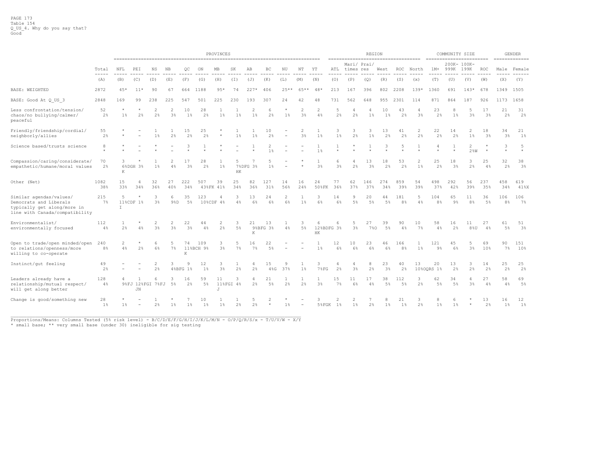|                                                                                                                    |              |                |           | PROVINCES                |                      |                      |                      |                 |                |             |                                  |                      |                                  |                       |            |                                                                  |                      | <b>REGION</b>        |                       |           |                                    | COMMUNITY SIZE      |                      |                      |                       | <b>GENDER</b> |
|--------------------------------------------------------------------------------------------------------------------|--------------|----------------|-----------|--------------------------|----------------------|----------------------|----------------------|-----------------|----------------|-------------|----------------------------------|----------------------|----------------------------------|-----------------------|------------|------------------------------------------------------------------|----------------------|----------------------|-----------------------|-----------|------------------------------------|---------------------|----------------------|----------------------|-----------------------|---------------|
|                                                                                                                    | Total        | NFL            | PEI       | ΝS                       | ΝB                   | QС                   | ON                   | MВ              | SK             | AВ          | ВC                               | ΝU                   | NΤ                               | ΥT                    | ATL        | ====================================<br>Mari/ Prai/<br>times res |                      | West                 | ROC                   | North     | =========================<br>$1M+$ | 200K- 100K-<br>999K | 199K                 | ROC                  |                       | Male Female   |
|                                                                                                                    | -----<br>(A) | (B)            | (C)       | (D)                      | (E)                  | (F)                  | (G)                  | (H)             | (T)            | (J)         | (K)                              | (L)                  | (M)                              | (N)                   | (0)        | (P)                                                              | (Q)                  | (R)                  | (S)                   | (x)       | (T)                                | (U)                 | (V)                  | (W)                  | (X)                   | (Y)           |
| <b>BASE: WEIGHTED</b>                                                                                              | 2872         | $45*$          | $11*$     | 90                       | 67                   | 664                  | 1188                 | $95*$           | 74             | $227*$      | 406                              | $25**$               | 65*<br>**                        | 48 <sup>°</sup>       | 213        | 167                                                              | 396                  | 802                  | 2208                  | $139*$    | 1360                               | 691                 | $143*$               | 678                  |                       | 1349 1505     |
| BASE: Good At Q US 3                                                                                               | 2848         | 169            | 99        | 238                      | 225                  | 547                  | 501                  | 225             | 230            | 193         | 307                              | 24                   | 42                               | 48                    | 731        | 562                                                              | 648                  | 955                  | 2301                  | 114       | 871                                | 864                 | 187                  | 926                  |                       | 1173 1658     |
| Less confrontation/tension/<br>chaos/no bullying/calmer/<br>peaceful                                               | 52<br>2%     | $1\%$          | 2%        | 2<br>2%                  | $\overline{2}$<br>3% | 10<br>1 <sup>8</sup> | 28<br>2%             | 1 <sup>8</sup>  | 1 <sup>8</sup> | 2<br>$1\%$  | 6<br>$2\frac{a}{b}$              | 1%                   | 2<br>3 <sup>8</sup>              | 2<br>4%               | 5<br>2%    | -4<br>2 <sup>°</sup>                                             | 1%                   | 10<br>1 <sup>8</sup> | 43<br>$2\frac{6}{5}$  | 3%        | 23<br>2%                           | 8<br>1 <sup>8</sup> | 5<br>3%              | 17<br>3 <sup>°</sup> | 21<br>2%              | 31<br>2%      |
| Friendly/friendship/cordial/<br>neighborly/allies                                                                  | 55<br>2%     |                |           | $1\%$                    | 2%                   | 15<br>2%             | 25<br>2%             |                 | $1\%$          | 1%          | 10<br>2%                         |                      | $\overline{2}$<br>3 <sup>°</sup> | $\mathbf{1}$<br>$1\%$ | 3<br>1%    | 3<br>2%                                                          | 3<br>$1\%$           | 13<br>2%             | 41<br>$2\frac{6}{5}$  | 2<br>2%   | 22<br>2%                           | 14<br>2%            | $1\%$                | 18<br>3%             | 34<br>3%              | 21<br>$1\%$   |
| Science based/trusts science                                                                                       | 8            |                |           |                          |                      |                      |                      |                 |                |             | $\overline{c}$<br>1 <sup>°</sup> |                      |                                  | 1<br>$1\%$            |            |                                                                  |                      |                      | 5                     |           |                                    |                     | 2<br>$2$ %W          |                      | 3                     | 5             |
| Compassion/caring/considerate/<br>empathetic/humane/moral values                                                   | 70<br>2%     | 3<br>К         | 6%DGH 3%  | 1%                       | 4%                   | 3%                   | 28<br>2 <sup>°</sup> | $1\%$           | HK             | 7%DFG 3%    | 1 <sup>°</sup>                   |                      |                                  | 3%                    | 6<br>3%    | 4<br>2%                                                          | 13<br>3 <sup>°</sup> | 18<br>2%             | 53<br>$2\frac{6}{5}$  | 1%        | 25<br>2%                           | 18<br>3%            | 3<br>2%              | 25<br>4%             | 32<br>2%              | 38<br>3%      |
| Other (Net)                                                                                                        | 1082<br>38%  | 15<br>33%      | 34%       | 32<br>36%                | 27<br>40%            | 222<br>34%           | 507                  | 39<br>43%FK 41% | 25<br>34%      | 82<br>36%   | 127<br>31%                       | 14<br>56%            | 16<br>24%                        | 24<br>50%FK           | 77<br>36%  | 62<br>37%                                                        | 146<br>37%           | 274<br>34%           | 859<br>39%            | 54<br>39% | 498<br>37%                         | 292<br>42%          | 56<br>39%            | 237<br>35%           | 458<br>34%            | 619<br>41%X   |
| Similar agendas/values/<br>Democrats and Liberals<br>typically get along/more in<br>line with Canada/compatibility | 215<br>7%    | 5<br>$\top$    | 11%CDF 1% | 3<br>3 <sup>°</sup>      | 6<br>98D             | 35<br>5%             | 123                  | 4<br>10%CDF 4%  | 3<br>4%        | 13<br>6%    | 24<br>6%                         | $\overline{2}$<br>6% | $1\frac{6}{5}$                   | 3<br>6%               | 14<br>6%   | 9<br>$5\%$                                                       | 20<br>5%             | 44<br>5%             | 181<br>8 <sup>°</sup> | 5<br>4%   | 104<br>8 <sup>°</sup>              | 65<br>9%            | 11<br>8 <sup>°</sup> | 36<br>$5\%$          | 106<br>8 <sup>°</sup> | 106<br>$7\%$  |
| Environmentalist/<br>environmentally focused                                                                       | 112<br>4%    | $2\frac{6}{5}$ | 4%        | 3%                       | 2<br>3%              | 22<br>3%             | 44<br>4%             | 2%              | $5\%$          | 21<br>K     | 13<br>9%BFG 3%                   | 4%                   | $5\%$                            | 6<br>HK               | 12%BDFG 3% | 3 <sup>8</sup>                                                   | 27<br>7%0            | 39<br>5%             | 90<br>4%              | 10<br>7%  | 58<br>4%                           | 16<br>2%            | 88U                  | 27<br>4%             | 61<br>$5\%$           | 51<br>3%      |
| Open to trade/open minded/open<br>to relations/openness/more<br>willing to co-operate                              | 240<br>8%    | 2<br>4%        | 2%        | 6<br>6%                  | 5<br>7%              | 74<br>K              | 109<br>11%BCH 9%     | 3<br>3%         | $7\%$          | 16<br>$7\%$ | 22<br>5%                         |                      |                                  | $1\%$                 | 12<br>6%   | 10<br>6%                                                         | 23<br>6%             | 46<br>6%             | 166<br>8 <sup>°</sup> | 1%        | 121<br>9%                          | 45<br>6%            | 5<br>$3\%$           | 69<br>10%            | 90<br>7%              | 151<br>10%    |
| Instinct/gut feeling                                                                                               | 49<br>2%     |                |           | 2<br>2%                  | 3                    | 4%BFG 1%             | 12<br>$1\%$          | 3<br>3%         | $2\frac{6}{9}$ | 4<br>2%     | 15<br>$4\%G$                     | 9<br>37%             | $1\%$                            | 3<br>$7$ $E$ G        | 2%         | 4<br>3%                                                          | 2%                   | 23<br>3%             | 40<br>$2\frac{6}{9}$  | 13        | 20<br>10%OORS 1%                   | 13<br>2%            | 3<br>2%              | 14<br>2%             | 25<br>2%              | 25<br>2%      |
| Leaders already have a<br>relationship/mutual respect/<br>will get along better                                    | 128<br>4%    | 4              | JN        | 6<br>9%FJ 12%FGI 7%FJ 5% | 3                    | 16<br>2%             | 59<br>$5\%$          | 11<br>J         | 3<br>11%FGI 4% | 2%          | 21<br>$5\%$                      | 2%                   | 2%                               | 1<br>$3\frac{6}{9}$   | 15<br>7%   | 11<br>$6\%$                                                      | 17<br>4%             | 38<br>5%             | 112<br>$5\%$          | 3<br>2%   | 62<br>5%                           | 34<br>5%            | 4<br>3%              | 27<br>4%             | 58<br>4%              | 69<br>5%      |
| Change is good/something new                                                                                       | 28<br>$1\%$  | $1\%$          |           | 2%                       | $1\%$                | $1\%$                | 10<br>$1\%$          | 1<br>$1\%$      | $2\frac{a}{b}$ | 5<br>2%     | 2<br>$\star$                     | $1\%$                |                                  | 3<br>5%FGK            | 2<br>$1\%$ | 2<br>$1\%$                                                       | 2%                   | 8<br>$1\%$           | 21<br>1%              | 3<br>2%   | 8<br>1%                            | 6<br>$1\%$          | $\star$              | 13<br>2%             | 16<br>1%              | 12<br>$1\%$   |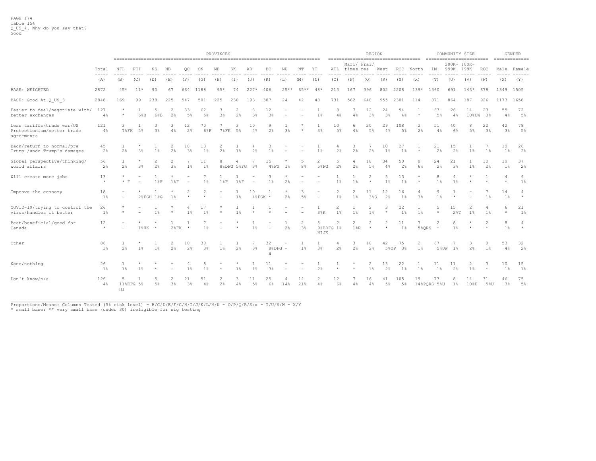|                                                                       |                |                          | PROVINCES |                     |                      |                      |                      |                      |                |                |                          |        |                          |                                       |                             |                                  | <b>REGION</b>           |                      |                              |                     |                   | COMMUNITY SIZE       |             |                      |              | <b>GENDER</b><br>==============                                                                                                                                                                                                                                                                                                                                                                                                                                                           |
|-----------------------------------------------------------------------|----------------|--------------------------|-----------|---------------------|----------------------|----------------------|----------------------|----------------------|----------------|----------------|--------------------------|--------|--------------------------|---------------------------------------|-----------------------------|----------------------------------|-------------------------|----------------------|------------------------------|---------------------|-------------------|----------------------|-------------|----------------------|--------------|-------------------------------------------------------------------------------------------------------------------------------------------------------------------------------------------------------------------------------------------------------------------------------------------------------------------------------------------------------------------------------------------------------------------------------------------------------------------------------------------|
|                                                                       | Total<br>----- | NFL                      | PEI       | NS                  | NB                   | QC                   | ON                   | МB                   | SK             | AB             | BC                       | ΝU     | NT                       | YT                                    | ATL<br>-----                | Mari/ Prai/<br>times res         |                         | West                 | ROC                          | North               | $1M+$             | 200K- 100K-<br>999K  | 199K        | <b>ROC</b>           | -----        | Male Female<br>$\frac{1}{2} \left( \frac{1}{2} \right) \left( \frac{1}{2} \right) \left( \frac{1}{2} \right) \left( \frac{1}{2} \right) \left( \frac{1}{2} \right) \left( \frac{1}{2} \right) \left( \frac{1}{2} \right) \left( \frac{1}{2} \right) \left( \frac{1}{2} \right) \left( \frac{1}{2} \right) \left( \frac{1}{2} \right) \left( \frac{1}{2} \right) \left( \frac{1}{2} \right) \left( \frac{1}{2} \right) \left( \frac{1}{2} \right) \left( \frac{1}{2} \right) \left( \frac$ |
|                                                                       | (A)            | (B)                      | (C)       | (D)                 | (E)                  | (F)                  | (G)                  | (H)                  | (T)            | (J)            | (K)                      | (L)    | (M)                      | (N)                                   | (0)                         | (P)                              | (Q)                     | (R)                  | (S)                          | (x)                 | (T)               | (U)                  | (V)         | (W)                  | (X)          | (Y)                                                                                                                                                                                                                                                                                                                                                                                                                                                                                       |
| <b>BASE: WEIGHTED</b>                                                 | 2872           | $45*$                    | $11*$     | 90                  | 67                   | 664                  | 1188                 | $95*$                | 74             | $227*$         | 406                      | $25**$ | 65**                     | $48*$                                 | 213                         | 167                              | 396                     | 802                  | 2208                         | $139*$              | 1360              | 691                  | $143*$      | 678                  |              | 1349 1505                                                                                                                                                                                                                                                                                                                                                                                                                                                                                 |
| BASE: Good At Q US 3                                                  | 2848           | 169                      | 99        | 238                 | 225                  | 547                  | 501                  | 225                  | 230            | 193            | 307                      | 24     | 42                       | 48                                    | 731                         | 562                              | 648                     | 955                  | 2301                         | 114                 | 871               | 864                  | 187         | 926                  |              | 1173 1658                                                                                                                                                                                                                                                                                                                                                                                                                                                                                 |
| Easier to deal/negotiate with/<br>better exchanges                    | 127<br>$4\%$   | $\star$<br>$\star$       | 6%B       | 5<br>6%B            | 2<br>2%              | 33<br>5%             | 62<br>5%             | 3<br>3%              | 2%             | 8<br>3%        | 12<br>3 <sup>°</sup>     |        | $\overline{\phantom{m}}$ | 1<br>1%                               | 8<br>4%                     | 4%                               | 12<br>3%                | 24<br>3 <sup>8</sup> | 94<br>4%                     | $\star$             | 63<br>5%          | 26<br>4%             | 14<br>10%UW | 23<br>3%             | 55<br>4%     | 72<br>5%                                                                                                                                                                                                                                                                                                                                                                                                                                                                                  |
| Less tariffs/trade war/US<br>Protectionism/better trade<br>agreements | 121<br>4%      | 3<br>$78$ FK             | 5%        | 3<br>3 <sup>°</sup> | 3<br>4%              | 12<br>2%             | 70<br>6%F            | <b>7%FK</b>          | 5%             | 10<br>4%       | 9<br>2%                  | 3%     |                          | 1<br>3%                               | 10<br>$5\%$                 | 6<br>4%                          | 20<br>$5\%$             | 29<br>4%             | 108<br>$5\%$                 | 2<br>2 <sup>°</sup> | 51<br>4%          | 40<br>6%             | 8<br>$5\%$  | 22<br>3 <sup>°</sup> | 42<br>3%     | 78<br>5%                                                                                                                                                                                                                                                                                                                                                                                                                                                                                  |
| Back/return to normal/pre<br>Trump /undo Trump's damages              | 45<br>2%       | 1<br>2%                  | 3%        | $1\%$               | 2<br>2%              | 18<br>3 <sup>°</sup> | 13<br>1%             | 2<br>2%              | $1\%$          | 2%             | 3<br>1 <sup>8</sup>      |        |                          | $1\frac{6}{3}$                        | 4<br>2%                     | 3<br>2%                          | 2%                      | 10<br>1 %            | 27<br>1 <sup>8</sup>         |                     | 21<br>2%          | 15<br>2%             | $1\%$       | 7<br>$1\%$           | 19<br>$1\%$  | 26<br>2%                                                                                                                                                                                                                                                                                                                                                                                                                                                                                  |
| Global perspective/thinking/<br>world affairs                         | 56<br>2%       | $\mathbf{1}$<br>$2\%$    | 3%        | 2<br>2 <sup>°</sup> | $\overline{c}$<br>3% | 1 <sup>8</sup>       | 11<br>1%             | 8                    | 8%DFG 5%FG     | 3 <sup>8</sup> | 15<br>48FG               | 1%     | 8 <sup>°</sup>           | $\overline{2}$<br>$5$ <sup>8</sup> FG | 5<br>2%                     | 4<br>2%                          | 18<br>5%                | 34<br>4%             | 50<br>$2\frac{6}{5}$         | 8<br>6%             | 24<br>2%          | 21<br>3 <sup>°</sup> | 1 %         | 10<br>2%             | 19<br>$1\%$  | 37<br>2%                                                                                                                                                                                                                                                                                                                                                                                                                                                                                  |
| Will create more jobs                                                 | 13<br>$\star$  | $\star$<br>$*$ F         | $\sim$    | 18F                 | 18F                  | $\sim$               | $1\%$                | 18F                  | 18F            | $\sim$         | 3<br>$1\%$               | 2%     | $\sim$                   |                                       | $1\%$                       | $1\frac{6}{5}$                   | 2<br>$\star$            | 5<br>$1\%$           | 13<br>$1\%$                  | $\star$<br>$\star$  | 8<br>1%           | 4<br>$1\%$           |             |                      | 4<br>$\star$ | 9<br>$1\%$                                                                                                                                                                                                                                                                                                                                                                                                                                                                                |
| Improve the economy                                                   | 18<br>$1\%$    | $\overline{\phantom{a}}$ |           | 2%FGH 1%G           | $1\%$                |                      |                      |                      | $1\%$          | 10             | $48$ FGK *               | 2%     | 5%                       | $\overline{\phantom{a}}$              | 2<br>$1\%$                  | $\overline{c}$<br>$1\frac{6}{5}$ | 11<br>38S               | 12<br>2%             | 16<br>$1\%$                  | 3 <sup>°</sup>      | 9<br>1%           |                      |             | 7<br>$1\%$           | 14<br>$1\%$  | $\star$                                                                                                                                                                                                                                                                                                                                                                                                                                                                                   |
| COVID-19/trying to control the<br>virus/handles it better             | 26<br>1%       | $\star$<br>$\star$       |           | $1\%$               |                      | 1 <sup>8</sup>       | 17<br>1%             |                      | 1 <sup>8</sup> | $\mathcal{A}$  |                          |        |                          | 1<br>3%K                              | 2<br>1%                     | $1\frac{6}{5}$                   | $\overline{2}$<br>$1\%$ | 3<br>$\star$         | 22<br>$1\%$                  | $1\%$               | 5<br>$\star$      | 15                   | 2<br>$1\%$  | 4<br>1 <sup>8</sup>  | 6<br>$\star$ | 21<br>1%                                                                                                                                                                                                                                                                                                                                                                                                                                                                                  |
| Best/beneficial/good for<br>Canada                                    | 12<br>$\star$  |                          | $1$ %HK   | $\rightarrow$       | $28$ FK              | $\star$              | 1 头                  |                      |                | 1 <sup>8</sup> | $\overline{\phantom{a}}$ | 2%     | 3%                       | 5<br>HIJK                             | $\overline{c}$<br>9%BDFG 1% | $\overline{c}$<br>$1$ % $R$      | 2<br>$\star$            | $\star$              | 11<br>$1\%$                  | 5%ORS               | 2<br>$\star$      | 8<br>1 <sup>8</sup>  | $\star$     | $\star$              | 8<br>1%      | $\star$                                                                                                                                                                                                                                                                                                                                                                                                                                                                                   |
| Other                                                                 | 86<br>3%       | $\mathbf{1}$<br>2%       | $1\%$     | $1\%$               | 2<br>2%              | 10<br>2 <sup>°</sup> | 30<br>3 <sup>°</sup> | $1\%$                | $2\frac{6}{5}$ | 3 <sup>°</sup> | 32<br>$8$ & DFG $-$<br>H |        | $1\%$                    | 1<br>3%                               | 4<br>2%                     | 3<br>2%                          | 10<br>2%                | 42                   | 75<br>5%OP<br>3 <sup>°</sup> | 2<br>$1\%$          | 67<br>5%UW        | 1%                   | 3<br>2%     | 9<br>$1\%$           | 53<br>4%     | 32<br>2%                                                                                                                                                                                                                                                                                                                                                                                                                                                                                  |
| None/nothing                                                          | 26<br>$1\%$    | 1<br>1%                  | 1%        |                     |                      | 1 <sup>8</sup>       | 1%                   |                      | $1\%$          | 1%             | 11<br>3%                 |        |                          | 2%                                    | $\star$                     |                                  | 2<br>$1\%$              | 13<br>2%             | 22<br>$1\%$                  | 1%                  | 11<br>$1\%$       | 11<br>2%             | 2<br>$1\%$  | 3<br>$\star$         | 10<br>$1\%$  | 15<br>1%                                                                                                                                                                                                                                                                                                                                                                                                                                                                                  |
| Don't know/n/a                                                        | 126<br>4%      | -5<br>11%EFG 5%<br>HI    |           | 5%                  | $\mathfrak{D}$<br>3% | 21<br>3 <sup>°</sup> | 51<br>4%             | $\mathfrak{D}$<br>2% | 4%             | 11<br>5%       | 25<br>6%                 | 14%    | 14<br>21%                | $\mathfrak{D}$<br>4%                  | 12<br>6%                    | 4%                               | 16<br>$4\%$             | 41<br>5%             | 105<br>$5\%$                 | 19                  | 73<br>14%PORS 5%U | $1\%$                | 14<br>10%U  | 31<br>5%U            | 46<br>3%     | 75<br>5%                                                                                                                                                                                                                                                                                                                                                                                                                                                                                  |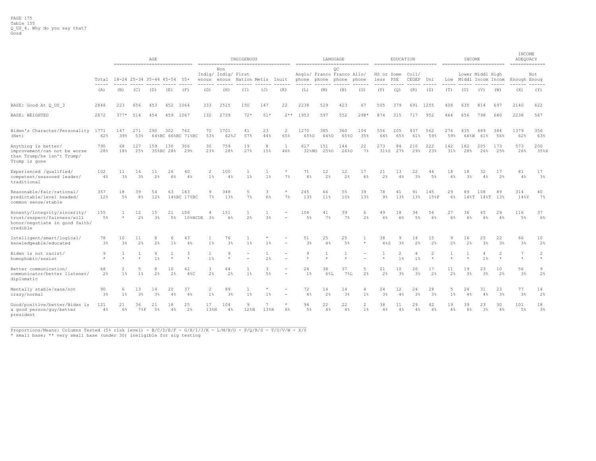|                                                                                                           |                      |                                                                                                      |                      | AGE                  |          |                    |                         |                                     | INDIGENOUS   |                    | ====================================== |              |                | LANGUAGE                         |                     |                      | EDUCATION  |                         |                      |            | INCOME                |                      |                           | INCOME<br>ADEQUACY<br>============= |                     |
|-----------------------------------------------------------------------------------------------------------|----------------------|------------------------------------------------------------------------------------------------------|----------------------|----------------------|----------|--------------------|-------------------------|-------------------------------------|--------------|--------------------|----------------------------------------|--------------|----------------|----------------------------------|---------------------|----------------------|------------|-------------------------|----------------------|------------|-----------------------|----------------------|---------------------------|-------------------------------------|---------------------|
|                                                                                                           | Total                | ------------------------------<br>18-24 25-34 35-44 45-54 55+<br>enous                               |                      |                      |          |                    |                         | Non<br>Indig/ Indig/ First<br>enous | Nation Metis |                    | Inuit                                  | phone        | phone phone    | OС<br>Anglo/ Franco Franco Allo/ | phone               | HS or Some<br>less   | PSE        | Col1/<br>CEGEP          | Uni                  |            | Low Middl Incom Incom | Lower Middl High     |                           | Enough Enoug                        | Not                 |
|                                                                                                           | $- - - -$<br>(A)     | (B)                                                                                                  | (C)                  | (D)                  | (E)      | (F)                | (G)                     | (H)                                 | (I)          | (J)                | (K)                                    | (L)          | (M)            | (N)                              | (0)                 | (P)                  | (Q)        | (R)                     | (S)                  | (T)        | (U)                   | (V)                  | (W)                       | (X)                                 | (Y)                 |
| BASE: Good At Q US 3                                                                                      | 2848                 | 223                                                                                                  | 656                  | 453                  | 452      | 1064               | 333                     | 2515                                | 150          | 147                | 22                                     | 2238         | 529            | 423                              | 67                  | 505                  | 379        | 691                     | 1255                 | 408        | 635                   | 814                  | 697                       | 2140                                | 622                 |
| <b>BASE: WEIGHTED</b>                                                                                     | 2872                 | $377*$                                                                                               | 514                  | 454                  | 459      | 1067               | 132                     | 2739                                | $72*$        | $51*$              | $2**$                                  | 1953         | 597            | 552                              | 298*                | 874                  | 315        | 717                     | 952                  | 464        | 656                   | 798                  | 680                       | 2238                                | 567                 |
| Biden's Character/Personality 1771<br>(Net)                                                               | 62%                  | 147<br>271<br>290<br>302<br>762<br>39%<br>53%<br>64%BC 66%BC 71%BC<br>68<br>127<br>159<br>130<br>306 |                      |                      |          |                    | 70<br>53%               | 1701<br>62%J                        | 41<br>57%    | 23<br>44%          | $\overline{2}$<br>65%                  | 1270<br>65%0 | 385<br>64%0    | 360<br>65%0                      | 104<br>35%          | 556<br>64%           | 205<br>65% | 437<br>61%              | 562<br>59%           | 276<br>59% | 435<br>66%W           | 489<br>61%           | 384<br>56%                | 1379<br>62%                         | 356<br>63%          |
| Anything is better/<br>improvement/can not be worse<br>than Trump/he isn't Trump/<br>Trump is gone        | 790<br>28%           | 18%<br>25%<br>35%BC 28%<br>29%                                                                       |                      |                      |          |                    | 30<br>23%               | 759<br>28%                          | 19<br>27%    | 8<br>15%           | <sup>1</sup><br>46%                    | 617<br>32%MO | 151<br>25%0    | 144<br>26%0                      | 22<br>7%            | 273<br>31%S          | 84<br>27%  | 210<br>29%              | 222<br>23%           | 142<br>31% | 182<br>28%            | 205<br>26%           | 173<br>25%                | 573<br>26%                          | 200<br>35%X         |
| Experienced /qualified/<br>competent/seasoned leader/<br>traditional                                      | 102<br>4%            | 11<br>3 <sup>8</sup>                                                                                 | 14<br>3 <sup>°</sup> | 11<br>2%             | 26<br>6% | 40<br>4%           | $\overline{2}$<br>1%    | 100<br>4%                           | $1\%$        | $1\frac{6}{6}$     | $^{\ast}$<br>7%                        | 71<br>4%     | 12<br>2%       | 12<br>2 <sup>°</sup>             | 17<br>6%            | 21<br>2 <sup>°</sup> | 13<br>4%   | 22<br>3 <sup>8</sup>    | 44<br>5%             | 18<br>4%   | 18<br>3 <sup>°</sup>  | 32<br>4%             | 17<br>2 <sup>°</sup>      | 81<br>4%                            | 17<br>3%            |
| Reasonable/fair/rational/<br>predictable/level headed/<br>common sense/stable                             | 357<br>12%           | 18<br>5%                                                                                             | 39<br>8 <sup>°</sup> | 54<br>12%            | 63       | 183<br>14%BC 17%BC | 9<br>7%                 | 348<br>13%                          | 5<br>7%      | 3<br>6%            | $\star$<br>7%                          | 245<br>13%   | 66<br>11%      | 55<br>10%                        | 39<br>13%           | 78<br>$9\%$          | 41<br>13%  | 91<br>13%               | 145<br>15%P          | 29<br>6%   | 89<br>148T            | 108<br>148T          | 89<br>13%                 | 314<br>14%Y                         | 40<br>$7\%$         |
| Honesty/integrity/sincerity/<br>trust/respect/fairness/will<br>honor/negotiate in good faith/<br>credible | 155<br>$5\%$         | $\star$                                                                                              | $12 \,$<br>2%        | 15<br>3 <sup>°</sup> | 21<br>5% | 106<br>10%BCDE     | 4<br>3%                 | 151<br>6%                           | 2%           | $\mathbf{1}$<br>3% |                                        | 104<br>$5\%$ | 41<br>7%       | 39<br>$7\%$                      | 6<br>2%             | 49<br>6%             | 18<br>6%   | 34<br>$5\%$             | 54<br>6%             | 27<br>6%   | 36<br>6%              | 45<br>6%             | 29<br>4%                  | 116<br>5%                           | 37<br>$6\%$         |
| Intelligent/smart/logical/<br>knowledgeable/educated                                                      | 78<br>3%             | 10<br>3%                                                                                             | 11<br>2%             | 8<br>2%              | 6<br>1%  | 43<br>4%           | $1\%$                   | 76<br>3%                            | $1\%$        | 1%                 |                                        | 51<br>3%     | 25<br>4%       | 25<br>5%                         | $\star$             | 38<br>48S            | 9<br>3%    | 14<br>2%                | 15<br>2%             | 9<br>2%    | 16<br>2%              | 25<br>3%             | 22<br>3%                  | 66<br>3%                            | 10<br>2%            |
| Biden is not racist/<br>homophobic/sexist                                                                 | 9                    |                                                                                                      |                      | 4<br>$1\%$           | $\star$  | 3<br>$\star$       | 1<br>$1\%$              | 9                                   |              | $\mathbf{1}$<br>2% |                                        | 9            | $\overline{1}$ |                                  |                     |                      | 2<br>$1\%$ | $\overline{4}$<br>$1\%$ | 2<br>$\star$         |            | $\mathbf{1}$          | 4<br>$1\%$           | $\overline{2}$<br>$\star$ | 7                                   | 2<br>$\star$        |
| Better communication/<br>communicator/better listener/<br>diplomatic                                      | 68<br>2%             | 2<br>$1\%$                                                                                           | 5<br>1%              | 8<br>2%              | 10<br>2% | 42<br>48C          | 3<br>2%                 | 64<br>2%                            | 1<br>$1\%$   | 3<br>5%            |                                        | 24<br>$1\%$  | 38<br>6%L      | 37<br>7%L                        | 5<br>2 <sup>°</sup> | 21<br>2 <sup>°</sup> | 10<br>3%   | 20<br>3 <sup>°</sup>    | 17<br>2 <sup>°</sup> | 11<br>2%   | 19<br>3%              | 23<br>3%             | 10<br>2%                  | 56<br>3%                            | 9<br>2 <sup>°</sup> |
| Mentally stable/sane/not<br>crazy/normal                                                                  | 90<br>3 <sup>°</sup> | 6<br>$1\%$                                                                                           | 13<br>3%             | 14<br>3%             | 20<br>4% | 37<br>4%           | $\overline{2}$<br>$1\%$ | 89<br>3%                            | 1<br>$1\%$   | 1%                 |                                        | 72<br>4%     | 14<br>2%       | 14<br>3 <sup>°</sup>             | 4<br>$1\%$          | 24<br>3 <sup>°</sup> | 12<br>4%   | 24<br>$3\%$             | 28<br>3 <sup>°</sup> | 5<br>$1\%$ | 24<br>4%              | 31<br>4%             | 23<br>3%                  | 77<br>3%                            | 14<br>2%            |
| Good/positive/better/Biden is<br>a good person/guy/better<br>president                                    | 121<br>4%            | 25<br>21<br>36<br>21<br>18<br>$6\%$<br>2%<br>$7\,$ F<br>5%<br>4%                                     |                      |                      |          |                    |                         | 104<br>13%H<br>$4\%$                | 9<br>12%H    | 13%H               | $6\%$                                  | 94<br>$5\%$  | 22<br>4%       | 22<br>4%                         | 2<br>$1\%$          | 38<br>4%             | 11<br>4%   | 29<br>4%                | 42<br>$4\%$          | 19<br>4%   | 39<br>6%              | 23<br>3 <sup>°</sup> | 30<br>4%                  | 101<br>5%                           | 18<br>3%            |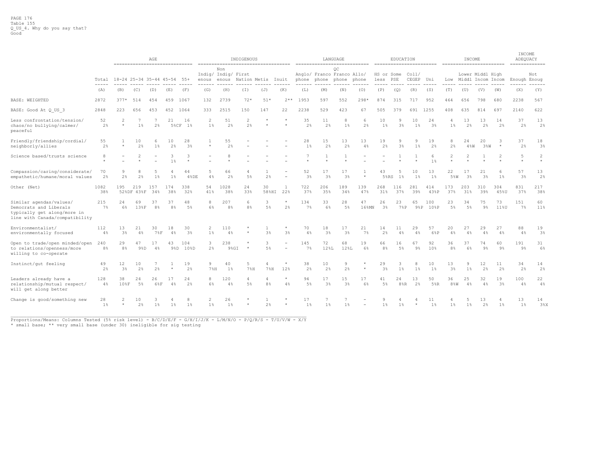|                                                                                                                    |                       |                           | AGE<br>------------------------------- |               |                |                      |                                  |                                     | INDIGENOUS                       |                            | ------------------------------------- |              |                      | LANGUAGE                         | ----------------------------- |                             | EDUCATION                  |                    | ------------------------ |                      | INCOME<br>------------------------ |                      |              | INCOME<br>ADEQUACY<br>============= |                      |
|--------------------------------------------------------------------------------------------------------------------|-----------------------|---------------------------|----------------------------------------|---------------|----------------|----------------------|----------------------------------|-------------------------------------|----------------------------------|----------------------------|---------------------------------------|--------------|----------------------|----------------------------------|-------------------------------|-----------------------------|----------------------------|--------------------|--------------------------|----------------------|------------------------------------|----------------------|--------------|-------------------------------------|----------------------|
|                                                                                                                    | Total                 | 18-24 25-34 35-44 45-54   |                                        |               |                | 55+                  | enous                            | Non<br>Indig/ Indig/ First<br>enous | Nation Metis                     |                            | Inuit                                 | phone        | phone phone          | ОC<br>Anglo/ Franco Franco Allo/ | phone                         | HS or Some<br>less PSE      |                            | Col1/<br>CEGEP Uni |                          |                      | Low Middl Incom Incom              | Lower Middl High     |              | Enough Enoug                        | Not                  |
|                                                                                                                    | $\frac{1}{2}$<br>(A)  | (B)                       | (C)                                    | (D)           | (E)            | ----<br>(F)          | -----<br>(G)                     | (H)                                 | (T)                              | (J)                        | (K)                                   | (L)          | (M)                  | (N)                              | (0)                           | (P)                         | (Q)                        | (R)                | (S)                      | (T)                  | (U)                                | (V)                  | (W)          | (X)                                 | ------<br>(Y)        |
| BASE: WEIGHTED                                                                                                     | 2872                  | $377*$                    | 514                                    | 454           | 459            | 1067                 | 132                              | 2739                                | $72*$                            | $51*$                      | $2**$                                 | 1953         | 597                  | 552                              | $298*$                        | 874                         | 315                        | 717                | 952                      | 464                  | 656                                | 798                  | 680          | 2238                                | 567                  |
| BASE: Good At Q US 3                                                                                               | 2848                  | 223                       | 656                                    | 453           | 452            | 1064                 | 333                              | 2515                                | 150                              | 147                        | 22                                    | 2238         | 529                  | 423                              | 67                            | 505                         | 379                        | 691                | 1255                     | 408                  | 635                                | 814                  | 697          | 2140                                | 622                  |
| Less confrontation/tension/<br>chaos/no bullying/calmer/<br>peaceful                                               | 52<br>2 <sup>°</sup>  | $\overline{2}$<br>$\star$ | $1\%$                                  | 2%            | 21             | 16<br>5%CF 1%        | $\overline{2}$<br>1%             | 51<br>2%                            | $\overline{2}$<br>$2\frac{a}{b}$ |                            |                                       | 35<br>2%     | 11<br>2 <sup>°</sup> | 8<br>$1\%$                       | 6<br>2%                       | 10<br>$1\%$                 | 9<br>3%                    | 10<br>1%           | 24<br>3 <sup>°</sup>     | 4<br>$1\%$           | 13<br>2 <sup>°</sup>               | 13<br>2%             | 14<br>2%     | 37<br>2%                            | 13<br>2 <sup>°</sup> |
| Friendly/friendship/cordial/<br>neighborly/allies                                                                  | 55<br>2%              |                           | 10<br>2%                               | 6<br>$1\%$    | 10<br>2%       | 28<br>3 <sup>8</sup> | $\star$                          | 55<br>2%                            |                                  |                            |                                       | 28<br>$1\%$  | 15<br>2%             | 13<br>2%                         | 13<br>4%                      | 19<br>2 <sup>°</sup>        | 9<br>3%                    | 9<br>$1\%$         | 19<br>2%                 | 8<br>2%              | 24<br>$4\%W$                       | 20<br>3%W            | 3<br>$\star$ | 37<br>2%                            | 18<br>3%             |
| Science based/trusts science                                                                                       | 8                     |                           |                                        |               | 1 <sup>°</sup> | 3                    |                                  |                                     |                                  |                            |                                       |              |                      |                                  |                               |                             |                            |                    | 6<br>1 <sup>°</sup>      |                      |                                    |                      |              | 5                                   | 2                    |
| Compassion/caring/considerate/<br>empathetic/humane/moral values                                                   | 70<br>2%              | 9<br>2%                   | 8<br>2%                                | 5<br>$1\%$    | 4<br>$1\%$     | 44<br>4%DE           | 5<br>4%                          | 66<br>2%                            | 4<br>5%                          | 2%                         |                                       | 52<br>3%     | 17<br>3 <sup>°</sup> | 17<br>3 <sup>°</sup>             | $\star$                       | 43<br>$5$ <sub>8</sub> $RS$ | 5<br>$1\%$                 | 10<br>$1\%$        | 13<br>1%                 | 22<br>5%W            | 17<br>3 <sup>°</sup>               | 21<br>3 <sup>°</sup> | -6<br>1%     | 57<br>3%                            | 13<br>2%             |
| Other (Net)                                                                                                        | 1082<br>38%           | 195                       | 219<br>52%DF 43%F                      | 157<br>34%    | 174<br>38%     | 338<br>32%           | 54<br>41%                        | 1028<br>38%                         | 24<br>33%                        | 30<br>$58$ <sup>8</sup> HI | 1<br>22%                              | 722<br>37%   | 206<br>35%           | 189<br>34%                       | 139<br>47%                    | 268<br>31%                  | 116<br>37%                 | 281<br>39%         | 414<br>43%P              | 173<br>37%           | 203<br>31%                         | 310<br>39%           | 304<br>45%U  | 831<br>37%                          | 217<br>38%           |
| Similar agendas/values/<br>Democrats and Liberals<br>typically get along/more in<br>line with Canada/compatibility | 215<br>7%             | 2.4<br>6%                 | 69<br>13%F                             | 37<br>8%      | 37<br>8%       | 48<br>5%             | 8<br>$6\%$                       | 207<br>8 <sup>°</sup>               | 6<br>8%                          | 3<br>5%                    | $\star$<br>2 <sup>°</sup>             | 134<br>$7\%$ | 33<br>6%             | 28<br>$5\%$                      | 47<br>16%MN                   | 26<br>3%                    | 23<br>78P                  | 65                 | 100<br>9%P 10%P          | 23<br>5%             | 34<br>5%                           | 75<br>$9\%$          | 73<br>11%U   | 151<br>7%                           | 60<br>11%            |
| Environmentalist/<br>environmentally focused                                                                       | 112<br>4%             | 13<br>3 <sup>8</sup>      | 21<br>4%                               | 30<br>$7\,$ F | 18<br>4%       | 30<br>3%             | $\mathfrak{D}$<br>1 <sup>8</sup> | 110<br>4%                           | $\star$                          | 3%                         | $\ast$<br>3 <sup>°</sup>              | 70<br>4%     | 18<br>3 <sup>°</sup> | 17<br>3 <sup>°</sup>             | 21<br>7%                      | 14<br>2%                    | 11<br>4%                   | 29<br>4%           | 57<br>6%P                | 20.<br>4%            | 27<br>4%                           | 29<br>4%             | 27<br>4%     | 88<br>4%                            | 19<br>3%             |
| Open to trade/open minded/open<br>to relations/openness/more<br>willing to co-operate                              | 240<br>8 <sup>°</sup> | 29<br>8%                  | 47<br>98D                              | 17<br>$4\%$   | 43             | 104<br>9%D 10%D      | 3<br>2%                          | 238<br>9%GI                         | $\star$                          | 3<br>5%                    |                                       | 145<br>$7\%$ | 72<br>12%L           | 68<br>12%L                       | 19<br>6%                      | 66<br>8 <sup>°</sup>        | 16<br>5%                   | 67<br>$9\%$        | 92<br>10%                | 36<br>8 <sup>°</sup> | 37<br>6%                           | 74<br>9%             | 60<br>9%     | 191<br>9%                           | 31<br>6%             |
| Instinct/gut feeling                                                                                               | 49<br>2%              | 12<br>$3\%$               | 10<br>2%                               | 7<br>2%       |                | 19<br>2%             | 9<br>$7\%H$                      | 40<br>$1\%$                         | 5<br>7%H                         | $7\%H$                     | $\star$<br>12%                        | 38<br>2%     | 10<br>2%             | 9<br>2%                          |                               | 29<br>3 <sup>8</sup>        | 3<br>$1\%$                 | 8<br>$1\%$         | 10<br>$1\%$              | 13<br>3%             | 9<br>$1\%$                         | 12<br>2%             | 11<br>2%     | 34<br>2%                            | 14<br>2%             |
| Leaders already have a<br>relationship/mutual respect/<br>will get along better                                    | 128<br>4%             | 38<br>108F                | 24<br>5%                               | 26<br>6%F     | 4%             | 24<br>2 <sup>8</sup> | 8<br>6%                          | 120<br>4%                           | 4<br>$5\%$                       | 8 <sup>°</sup>             | $\star$<br>4%                         | 94<br>5%     | 17<br>3 <sup>°</sup> | 15<br>3 <sup>°</sup>             | 17<br>6%                      | 41<br>.5%                   | 24<br>$8\,$ <sub>8</sub> R | 13<br>2%           | 50<br>5%R                | 36<br>$8 - W$        | 25<br>4%                           | 32<br>4%             | 19<br>3%     | 100<br>4%                           | 22<br>$4\%$          |
| Change is good/something new                                                                                       | 28<br>$1\frac{6}{6}$  | 2<br>$\star$              | 10<br>2%                               | $1\%$         | $1\%$          | 8<br>$1\%$           | $\overline{2}$<br>1 <sup>8</sup> | 26<br>$1\%$                         |                                  | 2%                         |                                       | 17<br>$1\%$  | $1\%$                | 7<br>$1\%$                       | $\sim$                        | $1\%$                       | $1\%$                      |                    | 11<br>1%                 | $1\%$                | 5<br>$1\%$                         | 13<br>2%             | $1\%$        | 13<br>$1\%$                         | 14<br>3%X            |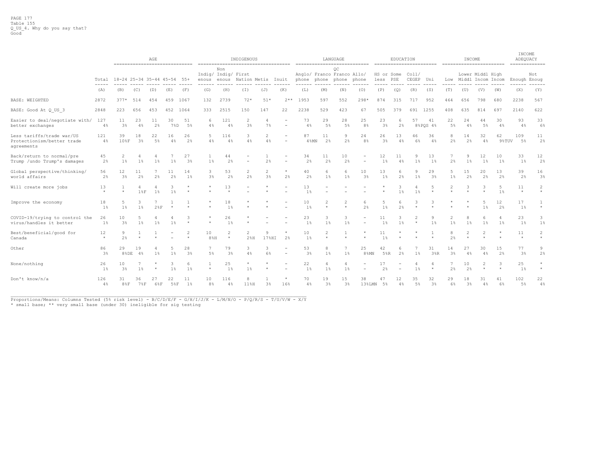|                                                                       |                                                                                                                                                                                                                                                                                                                                                                                                     | ------------------------------- |                            | AGE       |             |                                      |                                      |              | INDIGENOUS<br>------------------------------------ |            |                           |                      |                   | LANGUAGE<br>----------------------------- |                      |                    | EDUCATION  |                | ========================= |                     | INCOME<br>------------------------- |                  |                      | INCOME<br>ADEQUACY<br>============= |                           |
|-----------------------------------------------------------------------|-----------------------------------------------------------------------------------------------------------------------------------------------------------------------------------------------------------------------------------------------------------------------------------------------------------------------------------------------------------------------------------------------------|---------------------------------|----------------------------|-----------|-------------|--------------------------------------|--------------------------------------|--------------|----------------------------------------------------|------------|---------------------------|----------------------|-------------------|-------------------------------------------|----------------------|--------------------|------------|----------------|---------------------------|---------------------|-------------------------------------|------------------|----------------------|-------------------------------------|---------------------------|
|                                                                       | Total                                                                                                                                                                                                                                                                                                                                                                                               | 18-24 25-34 35-44 45-54 55+     |                            |           |             |                                      | Indig/ Indig/ First<br>enous         | Non<br>enous | Nation Metis Inuit                                 |            |                           |                      | phone phone phone | OC<br>Anglo/ Franco Franco Allo/          | phone                | HS or Some<br>less | PSE        | Col1/<br>CEGEP | Uni                       |                     | Low Middl Incom Incom               | Lower Middl High |                      | Enough Enoug                        | Not                       |
|                                                                       | $\frac{1}{2} \frac{1}{2} \frac{1}{2} \frac{1}{2} \frac{1}{2} \frac{1}{2} \frac{1}{2} \frac{1}{2} \frac{1}{2} \frac{1}{2} \frac{1}{2} \frac{1}{2} \frac{1}{2} \frac{1}{2} \frac{1}{2} \frac{1}{2} \frac{1}{2} \frac{1}{2} \frac{1}{2} \frac{1}{2} \frac{1}{2} \frac{1}{2} \frac{1}{2} \frac{1}{2} \frac{1}{2} \frac{1}{2} \frac{1}{2} \frac{1}{2} \frac{1}{2} \frac{1}{2} \frac{1}{2} \frac{$<br>(A) | (B)                             | (C)                        | (D)       | (E)         | $\cdots \cdots \cdots \cdots$<br>(F) | $\cdots \cdots \cdots \cdots$<br>(G) | (H)          | (I)                                                | (J)        | (K)                       | (L)                  | (M)               | (N)                                       | (0)                  | ----<br>(P)        | (Q)        | (R)            | -----<br>(S)              | -----<br>(T)        | (U)                                 | (V)              | (W)                  | ------<br>(X)                       | ------<br>(Y)             |
| <b>BASE: WEIGHTED</b>                                                 | 2872                                                                                                                                                                                                                                                                                                                                                                                                | $377*$                          | 514                        | 454       | 459         | 1067                                 | 132                                  | 2739         | $72*$                                              | $51*$      | $2**$                     | 1953                 | 597               | 552                                       | $298*$               | 874                | 315        | 717            | 952                       | 464                 | 656                                 | 798              | 680                  | 2238                                | 567                       |
| BASE: Good At Q US 3                                                  | 2848                                                                                                                                                                                                                                                                                                                                                                                                | 223                             | 656                        | 453       | 452         | 1064                                 | 333                                  | 2515         | 150                                                | 147        | 22                        | 2238                 | 529               | 423                                       | 67                   | 505                | 379        | 691            | 1255                      | 408                 | 635                                 | 814              | 697                  | 2140                                | 622                       |
| Easier to deal/negotiate with/<br>better exchanges                    | 127<br>4%                                                                                                                                                                                                                                                                                                                                                                                           | 11<br>3 <sup>°</sup>            | 23<br>4%                   | 11<br>2%  | 30<br>7%D   | 51<br>5%                             | 6<br>4%                              | 121<br>4%    | 2<br>3 <sup>°</sup>                                | -4<br>7%   |                           | 73<br>4%             | 29<br>5%          | 28<br>5%                                  | 25<br>8 <sup>°</sup> | 23<br>3%           | 6<br>2%    | 57             | 41<br>8%PQS 4%            | 22<br>5%            | 24<br>4%                            | 44<br>5%         | 30<br>4%             | 93<br>4%                            | 33<br>6%                  |
| Less tariffs/trade war/US<br>Protectionism/better trade<br>agreements | 121<br>4%                                                                                                                                                                                                                                                                                                                                                                                           | 39<br>10%F                      | 18<br>3 <sup>8</sup>       | 22<br>5%  | 16<br>$4\%$ | 26<br>2%                             | 4%                                   | 116<br>4%    | 3<br>4%                                            | 2<br>4%    | $\overline{\phantom{m}}$  | 87<br>$4$ % $MN$     | 11<br>2%          | 9<br>2%                                   | 24<br>8 <sup>°</sup> | 26<br>3%           | 13<br>4%   | 46<br>6%       | 36<br>$4\%$               | 8<br>2%             | 14<br>2%                            | 32<br>4%         | 62<br>9%TUV          | 109<br>5%                           | 11<br>2%                  |
| Back/return to normal/pre<br>Trump /undo Trump's damages              | 45<br>2%                                                                                                                                                                                                                                                                                                                                                                                            | $1\%$                           | $1\%$                      | 1%        | $1\%$       | 27<br>3 <sup>°</sup>                 | $1\%$                                | 44<br>2%     | $\overline{\phantom{0}}$                           | 2%         |                           | 34<br>2%             | 11<br>2%          | 10<br>2%                                  |                      | 12<br>1%           | 11<br>4%   | 9<br>1%        | 13<br>1%                  | 2%                  | 9<br>1%                             | 12<br>$1\%$      | 10<br>$1\%$          | 33<br>$1\%$                         | 12<br>2%                  |
| Global perspective/thinking/<br>world affairs                         | 56<br>2%                                                                                                                                                                                                                                                                                                                                                                                            | 12<br>3 <sup>8</sup>            | 11<br>2 <sup>°</sup>       | 7<br>2%   | 11<br>2%    | 14<br>1%                             | 3<br>3%                              | 53<br>2%     | $\overline{c}$<br>2 <sup>°</sup>                   | 2<br>3%    | $\star$<br>2%             | 40<br>2%             | 6<br>$1\%$        | 6<br>$1\%$                                | 10<br>3 <sup>°</sup> | 13<br>$1\%$        | 6<br>$2\%$ | 9<br>1%        | 29<br>3 <sup>°</sup>      | -5<br>1%            | 15<br>2%                            | 20<br>2%         | 13<br>2 <sup>°</sup> | 39<br>2%                            | 16<br>3%                  |
| Will create more jobs                                                 | 13<br>$\star$                                                                                                                                                                                                                                                                                                                                                                                       |                                 | 4<br>18F                   | $1\%$     | 3<br>$1\%$  |                                      |                                      | 13           | $\overline{\phantom{0}}$                           |            |                           | 13<br>$1\%$          |                   |                                           |                      |                    | 3<br>$1\%$ | 4<br>$1\%$     | 5<br>$\star$              | 2                   | 3                                   |                  | -5<br>1 <sup>°</sup> | 11<br>$\star$                       | $\overline{c}$<br>$\star$ |
| Improve the economy                                                   | 18<br>1%                                                                                                                                                                                                                                                                                                                                                                                            | 1 <sup>8</sup>                  | 3<br>1 <sup>8</sup>        | $2$ $R$ F |             |                                      |                                      | 18<br>1%     | $\star$                                            |            |                           | 10<br>1%             | 2                 | $\overline{c}$                            | 6<br>2%              | 5<br>1%            | 6<br>2%    | 3              | 3                         |                     |                                     | 1%               | 12<br>2%             | 17<br>1%                            | 1<br>$\star$              |
| COVID-19/trying to control the<br>virus/handles it better             | 26<br>$1\%$                                                                                                                                                                                                                                                                                                                                                                                         | 10<br>3 <sup>8</sup>            | $1\%$                      | 1%        | 1%          |                                      |                                      | 26<br>$1\%$  |                                                    |            |                           | 23<br>$1\%$          | 3<br>$1\%$        | 3<br>1 <sup>8</sup>                       |                      | 11<br>$1\%$        | 3<br>$1\%$ | $\star$        | 9<br>$1\%$                | $1\%$               | 1 <sup>8</sup>                      | 1%               | -4<br>$1\%$          | 23<br>$1\%$                         | 3<br>$1\%$                |
| Best/beneficial/good for<br>Canada                                    | 12<br>$\star$                                                                                                                                                                                                                                                                                                                                                                                       | 9<br>2%                         |                            |           |             | $\star$                              | 10<br>$8\%H$                         | 2<br>$\star$ | $\overline{2}$<br>$2$ <sup>8</sup> H               | Q<br>17%HI | $\star$<br>2 <sup>°</sup> | 10<br>1 <sup>°</sup> | 2<br>$\star$      |                                           |                      | 11<br>1%           |            |                | $\star$                   | 8<br>2 <sup>°</sup> |                                     |                  |                      | 11<br>$\rightarrow$                 | $\overline{c}$<br>$\star$ |
| Other                                                                 | 86<br>3%                                                                                                                                                                                                                                                                                                                                                                                            | 29<br>8%DE                      | 19<br>4%                   | $1\%$     | $1\%$       | 28<br>3%                             | $5\%$                                | 79<br>3%     | 3<br>4%                                            | 6%         | $\qquad \qquad -$         | 53<br>3%             | 8<br>$1\%$        | $1\%$                                     | 25<br>8%MN           | 42<br>5%R          | 6<br>2%    | $1\%$          | 31<br>3%R                 | 14<br>3%            | 27<br>4%                            | 30<br>4%         | 15<br>2%             | 77<br>3%                            | 9<br>2%                   |
| None/nothing                                                          | 26<br>$1\%$                                                                                                                                                                                                                                                                                                                                                                                         | 10<br>3 <sup>8</sup>            | $1\%$                      |           | 3<br>$1\%$  | 6<br>$1\%$                           | $\star$                              | 25<br>$1\%$  | $\star$<br>$1\%$                                   | -41        |                           | 22<br>$1\%$          | 4<br>$1\%$        | 4<br>$1\%$                                |                      | 17<br>2%           |            | 4<br>1%        | 4<br>$\star$              | 2%                  | 10<br>2%                            | 2<br>$\star$     | 3<br>$\star$         | 25<br>$1\%$                         | $\star$<br>$\star$        |
| Don't know/n/a                                                        | 126<br>$4\%$                                                                                                                                                                                                                                                                                                                                                                                        | 8.5F                            | 36<br>$7\,$ <sub>8</sub> F | 27<br>68F | 22<br>58F   | 11<br>$1\%$                          | 10<br>8%                             | 116<br>4%    | 8<br>11%H                                          | 3%         | $\star$<br>16%            | 70<br>4%             | 19<br>$3\%$       | 15<br>3%                                  | 38<br>13%LMN         | 5%                 | 12<br>4%   | 35<br>5%       | 32<br>3 <sup>°</sup>      | 29<br>6%            | 18<br>$3\frac{6}{3}$                | 31<br>4%         | 41<br>6%             | 102<br>$5\%$                        | 22<br>4%                  |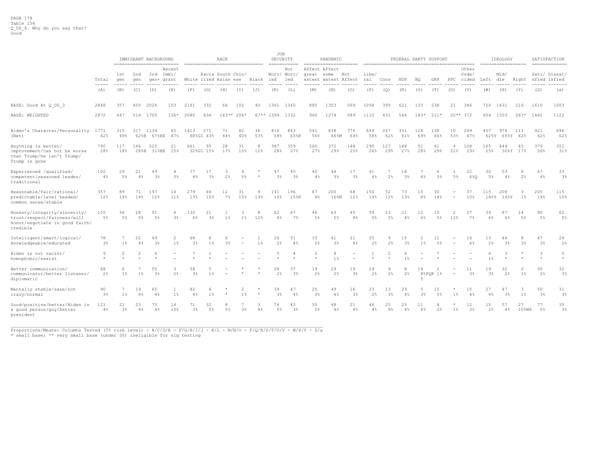|                                                                                                           |                        |                |             | IMMIGRANT BACKGROUND |                                                            |             |                      | RACE                                       |                         |                                          | JOB                  | SECURITY<br>$=$ = = = = = = = = = = = |                           | PANDEMIC<br>=====================     |                      |              |                      |                |                      | FEDERAL PARTY SUPPORT |                       |                         |                                | IDEOLOGY             |                 |                      | SATISFACTION<br>============= |
|-----------------------------------------------------------------------------------------------------------|------------------------|----------------|-------------|----------------------|------------------------------------------------------------|-------------|----------------------|--------------------------------------------|-------------------------|------------------------------------------|----------------------|---------------------------------------|---------------------------|---------------------------------------|----------------------|--------------|----------------------|----------------|----------------------|-----------------------|-----------------------|-------------------------|--------------------------------|----------------------|-----------------|----------------------|-------------------------------|
|                                                                                                           | Total<br>$\frac{1}{2}$ | 1st<br>qen     | 2nd<br>qen  | 3rd                  | -------------------------<br>Recent<br>Immi/<br>gen+ grant |             |                      | Racia South Chin/<br>White lized Asian ese |                         | -------------------------------<br>Black | ied                  | Not<br>Worr/ Worr/<br>ied             | great some                | Affect Affect<br>extent extent Affect | Not                  | Libe/<br>ral | Cons                 | NDP            | BO                   | GRP                   | $_{\rm PPC}$          | Other<br>Unde/<br>cided | ------------------<br>Left dle | Mid/                 | Right           |                      | Sati/ Dissat/<br>sfied isfied |
|                                                                                                           | (A)                    | ------<br>(B)  | (C)         | (D)                  | (E)                                                        | (F)         | (G)                  | (H)                                        | (T)                     | (J)                                      | (K)                  | (L)                                   | (M)                       | (N)                                   | (0)                  | (P)          | (Q)                  | (R)            | (S)                  | (T)                   | (U)                   | (V)                     | (W)                            | (X)                  | (Y)             | (Z)                  | (a)                           |
| BASE: Good At Q US 3                                                                                      | 2848                   | 357            | 450         | 2026                 | 103                                                        | 2161        | 332                  | 66                                         | 102                     | 40                                       | 1361                 | 1360                                  | 885                       | 1353                                  | 569                  | 1094         | 395                  | 621            | 133                  | 238                   | 21                    | 346                     | 726                            | 1431                 | 216             | 1610                 | 1003                          |
| BASE: WEIGHTED                                                                                            | 2872                   | 647            | 514         | 1700                 | $136*$                                                     | 2080        | 636                  |                                            | $163**206*$             |                                          | $67**$ 1399          | 1332                                  | 960                       | 1274                                  | 589                  | 1110         | 431                  | 546            | $183*$               | $211*$                |                       | $20**372$               | 654                            | 1503                 | $267*$          | 1482                 | 1122                          |
| Biden's Character/Personality 1771<br>(Net)                                                               | 62%                    | 315<br>49%     | 317         | 1134<br>62%B 67%BE   | 65<br>47%                                                  | 1413        | 271<br>68%GI 43%     | 71<br>44%                                  | 82<br>40%               | 36<br>53%                                | 816<br>58%           | 863<br>65%K                           | 541<br>56%                | 838<br>66%M                           | 376<br>64%           | 649<br>58%   | 267<br>62%           | 331<br>61%     | 126<br>69%           | 138<br>66%            | 10<br>53%             | 249<br>67%              | 407<br>62%Y                    | 976                  | 111<br>65%Y 42% | 921<br>62%           | 696<br>62%                    |
| Anything is better/<br>improvement/can not be worse<br>than Trump/he isn't Trump/<br>Trump is gone        | 790<br>28%             | 117<br>18%     | 146<br>28%B | 525<br>31%BE         | 21<br>15%                                                  | 661         | 95<br>32%GI 15%      | 28<br>17%                                  | 31<br>15%               | 8<br>12%                                 | 387<br>28%           | 359<br>27%                            | 260<br>27%                | 372<br>29%                            | 148<br>25%           | 290<br>26%   | 127<br>29%           | 148<br>27%     | 51<br>28%            | 61<br>29%             | $\overline{4}$<br>22% | 108<br>29%              | 165<br>25%                     | 444<br>30%Y          | 45<br>17%       | 379<br>26%           | 351<br>31%                    |
| Experienced /qualified/<br>competent/seasoned leader/<br>traditional                                      | 102<br>4%              | 29<br>5%       | 21<br>4%    | 49<br>3 <sup>°</sup> | 4<br>3%                                                    | 77<br>4%    | 17<br>3 <sup>8</sup> | 3<br>2%                                    | 9<br>5%                 |                                          | 47<br>3 <sup>8</sup> | 45<br>3 <sup>°</sup>                  | 40<br>4%                  | 44<br>3 <sup>°</sup>                  | 17<br>3 <sup>°</sup> | 41<br>4%     | 2%                   | 18<br>3%       | 4%                   | 6<br>$3\frac{a}{b}$   | 5%                    | 22<br>6%0               | 30<br>$5\%$                    | 53<br>4%             | 6<br>2%         | 67<br>4%             | 33<br>3%                      |
| Reasonable/fair/rational/<br>predictable/level headed/<br>common sense/stable                             | 357<br>12%             | 89<br>14%      | 71<br>14%   | 197<br>12%           | 14<br>11%                                                  | 279<br>13%  | 66<br>10%            | $12 \overline{ }$<br>7%                    | 31<br>15%               | 9<br>13%                                 | 141<br>10%           | 196<br>15%K                           | 87<br>9 <sup>°</sup>      | 200<br>16%M                           | 68<br>12%            | 150<br>14%   | 52<br>12%            | 73<br>13%      | 15<br>8 <sup>°</sup> | 30<br>14%             |                       | 37<br>10%               | 115<br>18%Y                    | 208<br>14%Y          | 3<br>$1\%$      | 205<br>14%           | 115<br>10%                    |
| Honesty/integrity/sincerity/<br>trust/respect/fairness/will<br>honor/negotiate in good faith/<br>credible | 155<br>$5\%$           | 36<br>5%       | 28<br>$5\%$ | 91<br>5%             | $\overline{4}$<br>$3\frac{6}{5}$                           | 130<br>6%   | 21<br>3%             | $1\%$                                      | 3<br>$1\%$              | 8<br>12%                                 | 62<br>4%             | 87<br>7%                              | 46<br>$5\%$               | 63<br>$5\%$                           | 45<br>8 <sup>°</sup> | 59<br>$5\%$  | 23<br>$5\%$          | 21<br>4%       | 12<br>6%             | 10<br>$5\%$           | 2<br>12%              | 27<br>$7\%$             | 39<br>6%                       | 87<br>6%             | 14<br>5%        | 80<br>$5\%$          | 62<br>$5\%$                   |
| Intelligent/smart/logical/<br>knowledgeable/educated                                                      | 78<br>3%               | 7<br>$1\%$     | 22<br>4%    | 49<br>3%             | 2<br>$1\%$                                                 | 68<br>$3\%$ | $1\%$                | 3%                                         | $\sim$                  | $1\%$                                    | 26<br>2 <sup>°</sup> | 51<br>4%                              | 15<br>2 <sup>°</sup>      | 41<br>3 <sup>°</sup>                  | 21<br>4%             | 25<br>2%     | 9<br>$2\frac{6}{3}$  | 15<br>3%       | 2<br>$1\%$           | 11<br>5%              |                       | 16<br>4%                | 13<br>2%                       | 44<br>3%             | 3%              | 47<br>3%             | 24<br>2%                      |
| Biden is not racist/<br>homophobic/sexist                                                                 | 9                      | $\overline{2}$ |             |                      |                                                            |             |                      |                                            |                         |                                          |                      |                                       | $\overline{2}$<br>$\star$ | 8<br>1%                               |                      |              | $\overline{2}$       | 1%             |                      |                       |                       |                         | 6<br>1%                        | 3                    |                 | 3                    | -5                            |
| Better communication/<br>communicator/better listener/<br>diplomatic                                      | 68<br>2%               | 6<br>$1\%$     | $1\%$       | 55<br>3%             | 3<br>2%                                                    | 58<br>3%    | $1\%$                |                                            |                         |                                          | 28<br>2%             | 37<br>3 <sup>°</sup>                  | 19<br>2 <sup>°</sup>      | 29<br>2%                              | 19<br>3 <sup>°</sup> | 24<br>2%     | 9<br>$2\frac{6}{3}$  | 2 <sup>°</sup> | 14<br>T              | 8%PQR 1%              |                       | 11<br>3 <sup>°</sup>    | 19<br>3 <sup>°</sup>           | 32<br>2 <sup>°</sup> | 2<br>$1\%$      | 30<br>2 <sup>°</sup> | 32<br>3%                      |
| Mentally stable/sane/not<br>crazy/normal                                                                  | 90<br>3 <sup>8</sup>   | 7<br>$1\%$     | 19<br>4%    | 65<br>4%             | 1<br>$1\%$                                                 | 82<br>4%    | -6<br>$1\%$          |                                            | $\overline{c}$<br>$1\%$ |                                          | 39<br>3 <sup>°</sup> | 47<br>4%                              | 25<br>3 <sup>8</sup>      | 49<br>4%                              | 16<br>3 <sup>°</sup> | 23<br>2%     | 13<br>$3\frac{6}{3}$ | 23<br>4%       | 5<br>3 <sup>°</sup>  | 10<br>$5\%$           | $1\%$                 | 15<br>4%                | 27<br>$4\%$                    | 47<br>3 <sup>°</sup> | 3<br>$1\%$      | 50<br>3%             | 31<br>3%                      |
| Good/positive/better/Biden is<br>a good person/guy/better<br>president                                    | 121<br>4%              | 21<br>$3\%$    | 23<br>$4\%$ | 75<br>$4\%$          | 14<br>10%                                                  | 71<br>$3\%$ | 32<br>$5\%$          | 8<br>$5\%$                                 | $3\%$                   | $4\%$                                    | 74<br>$5\%$          | 45<br>3 <sup>°</sup>                  | 50<br>5%                  | 48<br>4%                              | 21<br>4%             | 46<br>4%     | 25<br>6%             | 23<br>4%       | 11<br>6%             | 4<br>2%               | $1\%$                 | 12<br>$3\%$             | 15<br>2%                       | 57<br>4%             | 27<br>$10$ %WX  | 77<br>5%             | 35<br>3%                      |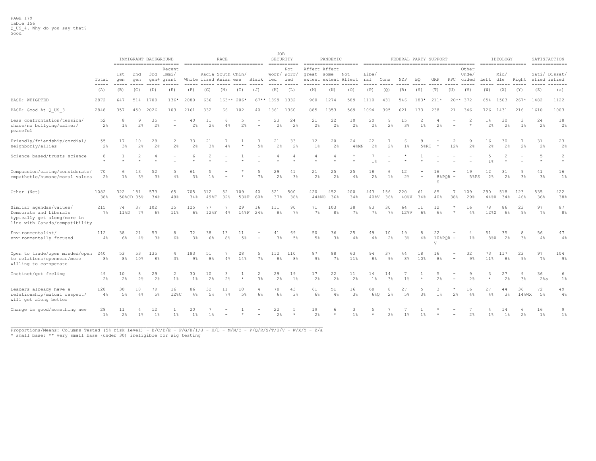|                                                                                                                    |                                     |                                                                                                                                                                                                                                                                                                                                                                                                            |                  | IMMIGRANT BACKGROUND  | -------------------------         |                      | -------------------------------            | RACE                 |               |                      | JOB<br>SECURITY       | -----------                               | ---------------------                                         | PANDEMIC              |                       |                       |                      | FEDERAL PARTY SUPPORT |                    |                      |                |                                      |                      | IDEOLOGY             | ------------------     |                      | SATISFACTION<br>==============                   |
|--------------------------------------------------------------------------------------------------------------------|-------------------------------------|------------------------------------------------------------------------------------------------------------------------------------------------------------------------------------------------------------------------------------------------------------------------------------------------------------------------------------------------------------------------------------------------------------|------------------|-----------------------|-----------------------------------|----------------------|--------------------------------------------|----------------------|---------------|----------------------|-----------------------|-------------------------------------------|---------------------------------------------------------------|-----------------------|-----------------------|-----------------------|----------------------|-----------------------|--------------------|----------------------|----------------|--------------------------------------|----------------------|----------------------|------------------------|----------------------|--------------------------------------------------|
|                                                                                                                    | Total<br>$\cdots\cdots\cdots\cdots$ | 1st<br>gen<br>$\frac{1}{2} \frac{1}{2} \frac{1}{2} \frac{1}{2} \frac{1}{2} \frac{1}{2} \frac{1}{2} \frac{1}{2} \frac{1}{2} \frac{1}{2} \frac{1}{2} \frac{1}{2} \frac{1}{2} \frac{1}{2} \frac{1}{2} \frac{1}{2} \frac{1}{2} \frac{1}{2} \frac{1}{2} \frac{1}{2} \frac{1}{2} \frac{1}{2} \frac{1}{2} \frac{1}{2} \frac{1}{2} \frac{1}{2} \frac{1}{2} \frac{1}{2} \frac{1}{2} \frac{1}{2} \frac{1}{2} \frac{$ | 2nd<br>qen       |                       | Recent<br>3rd Immi/<br>gen+ grant | -----                | Racia South Chin/<br>White lized Asian ese |                      | $\frac{1}{2}$ | Black                | ied                   | Not<br>Worr/ Worr/<br>ied<br>------ ----- | Affect Affect<br>great some<br>extent extent Affect<br>------ | $\frac{1}{2}$         | Not                   | Libe/<br>ral<br>----- | Cons                 | NDP                   | ВQ                 | GRP                  |                | Other<br>Unde/<br>PPC cided<br>----- | Left dle             | Mid/                 | Right<br>$\frac{1}{2}$ | -----                | Sati/ Dissat/<br>sfied isfied<br>$- - - - - - -$ |
|                                                                                                                    | (A)                                 | (B)                                                                                                                                                                                                                                                                                                                                                                                                        | (C)              | (D)                   | (E)                               | (F)                  | (G)                                        | (H)                  | (T)           | (J)                  | (K)                   | (L)                                       | (M)                                                           | (N)                   | (0)                   | (P)                   | (Q)                  | (R)                   | (S)                | (T)                  | (U)            | (V)                                  | (W)                  | (X)                  | (Y)                    | (Z)                  | (a)                                              |
| BASE: WEIGHTED                                                                                                     | 2872                                | 647                                                                                                                                                                                                                                                                                                                                                                                                        | 514              | 1700                  | $136*$                            | 2080                 | 636                                        |                      | $163**206*$   |                      | $67**$ 1399           | 1332                                      | 960                                                           | 1274                  | 589                   | 1110                  | 431                  | 546                   | $183*$             | $211*$               |                | $20**372$                            | 654                  | 1503                 | $267*$                 | 1482                 | 1122                                             |
| BASE: Good At Q US 3                                                                                               | 2848                                | 357                                                                                                                                                                                                                                                                                                                                                                                                        | 450              | 2026                  | 103                               | 2161                 | 332                                        | 66                   | 102           | 40                   | 1361                  | 1360                                      | 885                                                           | 1353                  | 569                   | 1094                  | 395                  | 621                   | 133                | 238                  | 21             | 346                                  | 726                  | 1431                 | 216                    | 1610                 | 1003                                             |
| Less confrontation/tension/<br>chaos/no bullying/calmer/<br>peaceful                                               | 52<br>2%                            | 8<br>$1\%$                                                                                                                                                                                                                                                                                                                                                                                                 | 9<br>2%          | 35<br>2%              | $\sim$                            | 40<br>2 <sup>°</sup> | 11<br>2%                                   | 6<br>4%              | -5<br>2.8     |                      | 23<br>2%              | 24<br>2 <sup>°</sup>                      | 21<br>2 <sup>°</sup>                                          | 22<br>2 <sup>°</sup>  | 10<br>2%              | 20<br>2%              | -9<br>2%             | 15<br>3%              | 2<br>$1\%$         | 2 <sup>8</sup>       |                | 2                                    | 14<br>2%             | 30<br>$2\%$          | 3<br>$1\%$             | 24<br>2 <sup>°</sup> | 18<br>2%                                         |
| Friendly/friendship/cordial/<br>neighborly/allies                                                                  | 55<br>$2\frac{6}{3}$                | 17<br>$3\frac{6}{5}$                                                                                                                                                                                                                                                                                                                                                                                       | 10<br>2%         | 28<br>2%              | $\overline{2}$<br>2%              | 33<br>2%             | 21<br>3%                                   | 4%                   |               | 3<br>5%              | 21<br>2%              | 33<br>2%                                  | 12<br>$1\%$                                                   | 20<br>2%              | 24<br>$4\%MN$         | 22<br>2%              | 7<br>2%              | $1\%$                 | 9<br>$5$ $8$ $R$ T |                      | 12%            | $\overline{9}$<br>2%                 | 16<br>2%             | 30<br>2%             | 7<br>2%                | 31<br>2 <sup>°</sup> | 23<br>2%                                         |
| Science based/trusts science                                                                                       | 8<br>$\star$                        | -1                                                                                                                                                                                                                                                                                                                                                                                                         |                  |                       |                                   |                      | 2                                          |                      |               |                      |                       |                                           | 4                                                             |                       |                       | $1\%$                 |                      |                       |                    |                      |                |                                      | 5<br>$1\%$           |                      |                        | 5<br>$\star$         | $\overline{c}$<br>$\star$                        |
| Compassion/caring/considerate/<br>empathetic/humane/moral values                                                   | 70<br>2%                            | 6<br>$1\%$                                                                                                                                                                                                                                                                                                                                                                                                 | 13<br>3%         | 52<br>3%              | -5<br>4%                          | 61<br>3%             | .5<br>$1\%$                                |                      |               | .5<br>7%             | 29<br>$2\%$           | 41<br>3%                                  | 21<br>2 <sup>°</sup>                                          | 25<br>2 <sup>°</sup>  | 25<br>4%              | 18<br>2%              | $1\%$                | 12<br>2%              | $\sim$             | 16<br>8%POR<br>S     |                | 19<br>5%PS                           | 12<br>2 <sup>°</sup> | 31<br>2 <sup>°</sup> | 9<br>3 <sup>°</sup>    | 41<br>3%             | 16<br>$1\%$                                      |
| Other (Net)                                                                                                        | 1082<br>38%                         | 322                                                                                                                                                                                                                                                                                                                                                                                                        | 181<br>50%CD 35% | 573<br>34%            | 65<br>48%                         | 705<br>34%           | 312<br>49%F                                | 52<br>32%            | 109<br>53%F   | 40<br>60%            | 521<br>37%            | 500<br>38%                                | 420<br>44%NO                                                  | 452<br>36%            | 200<br>34%            | 443<br>40%V           | 156<br>36%           | 220<br>$40\%V$        | 61<br>34%          | 85<br>40%            | 38%            | 109<br>29%                           | 290<br>$44\%$ X      | 518<br>34%           | 123<br>46%             | 535<br>36%           | 422<br>38%                                       |
| Similar agendas/values/<br>Democrats and Liberals<br>typically get along/more in<br>line with Canada/compatibility | 215<br>$7\%$                        | 74<br>11%D                                                                                                                                                                                                                                                                                                                                                                                                 | 37<br>$7\%$      | 102<br>6%             | 15<br>11%                         | 125<br>6%            | 77<br>128F                                 | 4%                   | 29<br>148F    | 16<br>24%            | 111<br>8 <sup>°</sup> | 90<br>$7\%$                               | 71<br>7%                                                      | 103<br>8 <sup>°</sup> | 38<br>$7\frac{6}{3}$  | 83<br>7%              | 30<br>$7\%$          | 64<br>12%V            | 11<br>6%           | 12<br>6%             |                | 16<br>4%                             | 78<br>12%X           | 86<br>6%             | 23<br>9%               | 97<br>$7\%$          | 87<br>8 <sup>°</sup>                             |
| Environmentalist/<br>environmentally focused                                                                       | 112<br>4%                           | 38<br>6%                                                                                                                                                                                                                                                                                                                                                                                                   | 21<br>4%         | 53<br>3 <sup>°</sup>  | 8<br>6%                           | 72<br>3 <sup>°</sup> | 38<br>6%                                   | 8%                   | 11<br>5%      |                      | 41<br>3%              | 69<br>5%                                  | 50<br>5 <sup>°</sup>                                          | 36<br>3 <sup>8</sup>  | 25<br>4%              | 49<br>4%              | 10<br>$2\frac{6}{3}$ | 19<br>3%              | 8<br>$4\%$         | 22<br>$\tau$         | $10$ % PQR $-$ | $1\%$                                | 51<br>$8\%X$         | 35<br>2%             | 8<br>3%                | 56<br>4%             | 47<br>4%                                         |
| Open to trade/open minded/open<br>to relations/openness/more<br>willing to co-operate                              | 240<br>8%                           | 53<br>$8\%$                                                                                                                                                                                                                                                                                                                                                                                                | 53<br>10%        | 135<br>8 <sup>°</sup> | $3\frac{6}{9}$                    | 183<br>$9\%$         | 51<br>8 <sup>°</sup>                       | 4%                   | 28<br>14%     | .5<br>7%             | 112<br>8 <sup>°</sup> | 110<br>8 <sup>°</sup>                     | 87<br>$9\%$                                                   | 88<br>$7\%$           | 63<br>11 <sup>8</sup> | 94<br>$8\%$           | 37<br>$9\%$          | 44<br>8 <sup>°</sup>  | 18<br>10%          | 16<br>8 <sup>°</sup> |                | 32<br>$9\%$                          | 73<br>11%            | 117<br>8%            | 23<br>$9\%$            | 97<br>$7\%$          | 104<br>9%                                        |
| Instinct/qut feeling                                                                                               | 49<br>2%                            | 10<br>$2\frac{6}{5}$                                                                                                                                                                                                                                                                                                                                                                                       | 8<br>2%          | 29<br>2%              | 2<br>$1\%$                        | 30<br>$1\%$          | 10<br>2%                                   | 3<br>2%              | $\star$       | $\overline{2}$<br>3% | 29<br>2%              | 19<br>$1\%$                               | 17<br>2%                                                      | 22<br>2 <sup>°</sup>  | 11<br>2 <sup>°</sup>  | 14<br>$1\%$           | 14<br>3%             | 1%                    |                    | 2%                   |                | 9<br>2%                              | 3<br>$\star$         | 27<br>$2\%$          | 9<br>3 <sup>°</sup>    | 36<br>2%a            | -6<br>$1\%$                                      |
| Leaders already have a<br>relationship/mutual respect/<br>will get along better                                    | 128<br>$4\%$                        | 30<br>$5\%$                                                                                                                                                                                                                                                                                                                                                                                                | 18<br>4%         | 79<br>5%              | 16<br>12%C                        | 86<br>4%             | 32<br>5%                                   | 11<br>$7\frac{6}{5}$ | 10<br>$5\%$   | 4<br>6%              | 78<br>$6\%$           | 43<br>3%                                  | 61<br>6%                                                      | 51<br>4%              | 16<br>3%              | 68<br>6%0             | 8<br>2%              | 27<br>5%              | 3%                 | 3<br>$1\%$           | 2%             | 16<br>$4\%$                          | 27<br>$4\%$          | 44<br>3%             | 36<br>14%WX            | 72<br>5%             | 49<br>4%                                         |
| Change is good/something new                                                                                       | 28<br>$1\%$                         | 11<br>2%                                                                                                                                                                                                                                                                                                                                                                                                   | $1\%$            | 12<br>1%              | $1\%$                             | 20<br>1%             | $1\%$                                      |                      |               |                      | 22<br>2%              | 5<br>$\star$                              | 19<br>2%                                                      |                       | 3<br>$1\%$            | 5<br>$\star$          | $2\frac{6}{5}$       | $1\%$                 | $1\%$              |                      |                | 2 <sup>°</sup>                       | $1\%$                | 14<br>$1\%$          | 6<br>2%                | 16<br>1%             | 9<br>$1\%$                                       |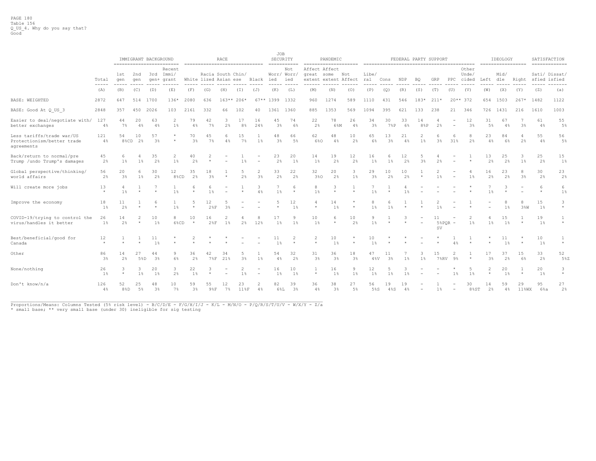|                                                                       |                        |                      |                     | IMMIGRANT BACKGROUND | ==========================   |                      |                            | RACE                 |             | ================================ | JOB          | SECURITY<br>$=$ = = = = = = = = = = = |                           | PANDEMIC<br>=====================      |                      |                      |           |             |                          | FEDERAL PARTY SUPPORT |                          |                             |                      | IDEOLOGY             | ------------------  | SATISFACTION         | $=$ = = = = = = = = = = = = = |
|-----------------------------------------------------------------------|------------------------|----------------------|---------------------|----------------------|------------------------------|----------------------|----------------------------|----------------------|-------------|----------------------------------|--------------|---------------------------------------|---------------------------|----------------------------------------|----------------------|----------------------|-----------|-------------|--------------------------|-----------------------|--------------------------|-----------------------------|----------------------|----------------------|---------------------|----------------------|-------------------------------|
|                                                                       | Total<br>$\frac{1}{2}$ | 1st<br>qen           | 2nd<br>qen          | qen+                 | Recent<br>3rd Immi/<br>grant |                      | Racia South Chin/          |                      |             | White lized Asian ese Black ied  |              | Not<br>Worr/ Worr/<br>ied             | Affect Affect             | great some Not<br>extent extent Affect |                      | Libe/<br>ral         | Cons      | NDP         | BO                       | GRP                   |                          | Other<br>Unde/<br>PPC cided | Left                 | Mid/<br>dle          |                     | Right sfied isfied   | Sati/ Dissat/                 |
|                                                                       | (A)                    | (B)                  | (C)                 | (D)                  | (E)                          | (F)                  | (G)                        | (H)                  | $(\bot)$    | (J)                              | (K)          | (L)                                   | (M)                       | (N)                                    | (0)                  | (P)                  | (Q)       | (R)         | (S)                      | (T)                   | (U)                      | (V)                         | (W)                  | (X)                  | (Y)                 | (Z)                  | (a)                           |
| BASE: WEIGHTED                                                        | 2872                   | 647                  | 514                 | 1700                 | $136*$                       | 2080                 | 636                        |                      | $163**206*$ |                                  | $67**$ 1399  | 1332                                  | 960                       | 1274                                   | 589                  | 1110                 | 431       | 546         | $183*$                   | $211*$                |                          | $20**372$                   | 654                  | 1503                 | $267*$              | 1482                 | 1122                          |
| BASE: Good At Q US 3                                                  | 2848                   | 357                  | 450                 | 2026                 | 103                          | 2161                 | 332                        | 66                   | 102         | 40                               | 1361         | 1360                                  | 885                       | 1353                                   | 569                  | 1094                 | 395       | 621         | 133                      | 238                   | 21                       | 346                         | 726                  | 1431                 | 216                 | 1610                 | 1003                          |
| Easier to deal/negotiate with/ 127<br>better exchanges                | 4%                     | 44<br>$7\%$          | 20<br>4%            | 63<br>4%             | $1\%$                        | 79<br>4%             | 42<br>$7\%$                | 2%                   | 17<br>8%    | 16<br>24%                        | 45<br>3%     | 74<br>6%                              | 22<br>2%                  | 78<br>6%M                              | 26<br>4%             | 34<br>3 <sup>°</sup> | 30<br>7%P | 33<br>6%    | 14<br>8%P                | 2%                    |                          | 12<br>3%                    | 31<br>5%             | 67<br>4%             | 3%                  | 61<br>4%             | 55<br>5%                      |
| Less tariffs/trade war/US<br>Protectionism/better trade<br>agreements | 121<br>4%              | 54<br>8%CD           | 10<br>2%            | 57<br>3 <sup>°</sup> | $\star$<br>$\star$           | 70<br>3%             | 45<br>$7\%$                | 4%                   | 15<br>7%    | $1\%$                            | 48<br>$3\%$  | 66<br>$5\%$                           | 62<br>6%0                 | 48<br>$4\%$                            | 10<br>$2\frac{6}{5}$ | 65<br>6%             | 13<br>3%  | 21<br>4%    | $1\%$                    | $3\frac{a}{b}$        | 31%                      | 2 <sup>°</sup>              | 23<br>4%             | 84<br>6%             | 2%                  | 55<br>4%             | 56<br>$5\%$                   |
| Back/return to normal/pre<br>Trump /undo Trump's damages              | 45<br>2%               | 6<br>$1\%$           | 1%                  | 35<br>2%             | $1\%$                        | 40<br>2%             |                            |                      | 1%          |                                  | 23<br>2%     | 20<br>$1\%$                           | 14<br>1%                  | 19<br>$2\%$                            | 12<br>$2\frac{6}{5}$ | 16<br>$1\%$          | $1\%$     | 12<br>2%    | 3 <sup>°</sup>           | 2%                    |                          |                             | 13<br>2%             | 25<br>2%             | $1\%$               | 25<br>2 <sup>°</sup> | 15<br>$1\%$                   |
| Global perspective/thinking/<br>world affairs                         | 56<br>2%               | 20<br>3 <sup>°</sup> | 6<br>1 <sup>8</sup> | 30<br>2 <sup>°</sup> | 12<br>8%CD                   | 35<br>2 <sup>°</sup> | 18<br>3 <sup>°</sup>       | $\star$              | 5<br>2%     | 2<br>3 <sup>°</sup>              | 33<br>2%     | 22<br>2 <sup>°</sup>                  | 32<br>3%0                 | 20<br>2 <sup>8</sup>                   | 3<br>$1\%$           | 29<br>3 <sup>°</sup> | 10<br>2%  | 10<br>2%    | $\star$                  | 1 <sup>°</sup>        |                          | 4<br>1%                     | 16<br>2 <sup>°</sup> | 23<br>2%             | 8<br>3 <sup>°</sup> | 30<br>2%             | 23<br>2 <sup>8</sup>          |
| Will create more jobs                                                 | 13<br>$\star$          | 4<br>1 <sup>8</sup>  |                     |                      | 1 <sup>°</sup>               | 6<br>$\star$         | 6<br>1 <sup>8</sup>        |                      | $\star$     | 3<br>4%                          | $1\%$        | 6<br>$\star$                          | 8<br>1 <sup>8</sup>       | 3<br>$\star$                           | $\star$              | 1 <sup>8</sup>       |           | 1%          |                          |                       |                          |                             |                      |                      |                     | -6<br>$\star$        | 6<br>$1\%$                    |
| Improve the economy                                                   | 18<br>$1\%$            | 11<br>2%             |                     | 6<br>$\star$         | $1\%$                        | 5<br>$\star$         | 12<br>28F                  | 3%                   |             |                                  | 5<br>$\star$ | 12<br>$1\%$                           | 4<br>$\star$              | 14<br>$1\%$                            | $\star$              | 8<br>$1\%$           | 6<br>1%   | $\star$     |                          | $1\%$                 |                          |                             |                      | $1\%$                | 8<br>3%W            | 15<br>1%             | 3<br>$\star$                  |
| COVID-19/trying to control the<br>virus/handles it better             | 26<br>$1\%$            | 14<br>2%             | 2                   | 10<br>1%             | 8<br>6%CD                    | 10<br>$\star$        | 16<br>28F                  | $1\%$                | 2%          | 12%                              | 17<br>$1\%$  | $1\%$                                 | 10<br>1%                  | 6<br>$\star$                           | 10<br>2 <sup>°</sup> | 9<br>1 <sup>°</sup>  |           |             |                          | 11<br><b>SV</b>       | $58$ POR -               | 1%                          | 1%                   | 15<br>$1\%$          | $\star$             | 19<br>$1\%$          | 1<br>$\star$                  |
| Best/beneficial/good for<br>Canada                                    | 12<br>$\star$          |                      |                     | 11<br>1%             |                              | 2                    |                            |                      |             |                                  | 11<br>1%     |                                       | 2<br>$\star$              | 10<br>1 <sup>°</sup>                   | $\star$              | 10<br>1 <sup>8</sup> |           |             |                          |                       |                          |                             |                      | 11<br>1%             |                     | 10<br>$1\%$          | $\star$                       |
| Other                                                                 | 86<br>$3\%$            | 14<br>$2\%$          | 27<br>5%D           | 44<br>3%             | 9<br>$6\%$                   | 36<br>2%             | 42<br>$7\,$ <sub>8</sub> F | 34<br>21%            | 5<br>3%     | $1\%$                            | 54<br>4%     | 32<br>2%                              | 31<br>3 <sup>8</sup>      | 36<br>3%                               | 18<br>3%             | 47<br>$4\,$ %V       | 11<br>3%  | $1\%$       | 3<br>1%                  | 15<br><b>7%RV</b>     | 2<br>9 <sup>°</sup>      | $\star$                     | 17<br>3%             | 37<br>2%             | 15<br>6%            | 33<br>2%             | 52<br>5%Z                     |
| None/nothing                                                          | 26<br>$1\%$            | 3                    | 3<br>$1\%$          | 20<br>1%             | 3<br>2%                      | 22<br>$1\%$          | 3                          |                      | $1\%$       |                                  | 16<br>1%     | 10<br>1%                              | $\overline{1}$<br>$\star$ | 16<br>$1\%$                            | 9<br>1%              | 12<br>$1\%$          | $1\%$     | $1\%$       |                          |                       | $1\%$                    | 5<br>$1\%$                  |                      | 20<br>1 <sup>8</sup> |                     | 20<br>$1\%$          | 3<br>$\star$                  |
| Don't know/n/a                                                        | 126<br>4%              | 52<br>8%D            | 25<br>$5\%$         | 48<br>3 <sup>°</sup> | 10 <sub>1</sub><br>7%        | 59<br>3 <sup>8</sup> | 55<br>98F                  | 12<br>$7\frac{6}{5}$ | 23<br>118F  | 4%                               | 82<br>6%L    | 39<br>3%                              | 36<br>$4\%$               | 38<br>$3\%$                            | 27<br>$5\%$          | 56<br>5%S            | 19<br>4%S | 19<br>$4\%$ | $\overline{\phantom{a}}$ | $1\%$                 | $\overline{\phantom{a}}$ | 30<br>$8\$ ST               | 14<br>2%             | 59<br>4%             | 29<br>$11$ %WX      | 95<br>$6\$ a         | 27<br>2%                      |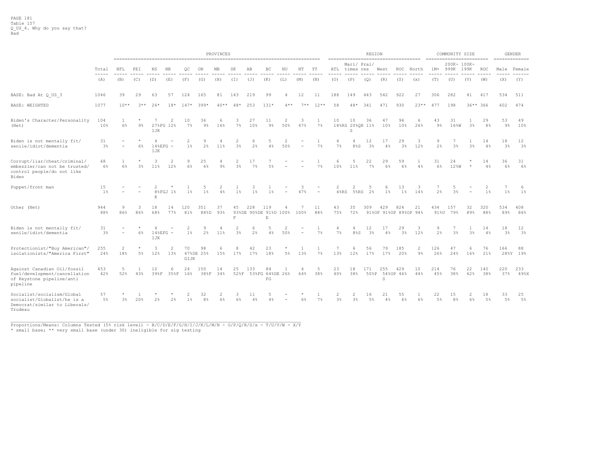|                                                                                                       |                      |                          |                       |                                    |                       |                                  |                      | PROVINCES    |                                  |              |                                             |                |                          |                          |                                  |                                  |                      | REGION     |                              |              |              | COMMUNITY SIZE       |            |                      |              | GENDER                   |
|-------------------------------------------------------------------------------------------------------|----------------------|--------------------------|-----------------------|------------------------------------|-----------------------|----------------------------------|----------------------|--------------|----------------------------------|--------------|---------------------------------------------|----------------|--------------------------|--------------------------|----------------------------------|----------------------------------|----------------------|------------|------------------------------|--------------|--------------|----------------------|------------|----------------------|--------------|--------------------------|
|                                                                                                       | Total                | NFL                      | PEI                   | ΝS                                 | ΝB                    | QС                               | ON                   | MB           | SK                               | AВ           | BC                                          | ΝU             | NΤ                       | ΥT                       | ATL                              | Mari/ Prai/<br>times res         |                      | West       | ROC.                         | North        | $1M+$        | 200K- 100K-<br>999K  | 199K       | <b>ROC</b>           | Male         | --------------<br>Female |
|                                                                                                       | -----<br>(A)         | -----<br>(B)             | -----<br>(C)          | -----<br>(D)                       | (E)                   | -----<br>(F)                     | -----<br>(G)         | -----<br>(H) | -----<br>(T)                     | -----<br>(J) | -----<br>(K)                                | -----<br>(L)   | (M)                      | $\frac{1}{2}$<br>(N)     | -----<br>(0)                     | (P)                              | ------<br>(Q)        | (R)        | (S)                          | -----<br>(x) | -----<br>(T) | (U)                  | (V)        | ------<br>(W)        | -----<br>(X) | $- - - - - -$<br>(Y)     |
| BASE: Bad At Q US 3                                                                                   | 1046                 | 39                       | 29                    | 63                                 | 57                    | 124                              | 165                  | 81           | 143                              | 219          | 99                                          | $\overline{4}$ | 12                       | 11                       | 188                              | 149                              | 443                  | 542        | 922                          | 27           | 306          | 282                  | 41         | 417                  | 534          | 511                      |
| BASE: WEIGHTED                                                                                        | 1077                 | $10**$                   | $3**$                 | $26*$                              | $18*$                 | $147*$                           | $399*$               | $40**$       | $48*$                            | 253          | $131*$                                      | $4**$          | $7**$                    | $12**$                   | 58                               | 48*                              | 341                  | 471        | 930                          | $23**$       | 477          | 198                  | $36***366$ |                      | 602          | 474                      |
| Biden's Character/Personality<br>(Net)                                                                | 104<br>10%           | $\mathbf{1}$<br>6%       | $9\%$                 | IJK                                | 27%FG 12%             | 10<br>7%                         | 36<br>$9\%$          | 6<br>16%     | 3<br>$7\%$                       | 27<br>10%    | 11<br>$9\%$                                 | 2<br>50%       | 3<br>47%                 | $\mathbf{1}$<br>7%       | 10                               | 10<br>18%RS 20%OR 11%<br>S       | 36                   | 47<br>10%  | 94<br>10%                    | 6<br>26%     | 43<br>$9\%$  | 31<br>16%W           | 1<br>3%    | 29<br>8 <sup>°</sup> | 53<br>$9\%$  | 49<br>10%                |
| Biden is not mentally fit/<br>senile/idiot/dementia                                                   | 31<br>3%             | $\overline{\phantom{0}}$ | $6\%$                 | $\overline{4}$<br>$14$ %EFG<br>IJK | $\sim$                | $\overline{2}$<br>1 <sup>8</sup> | 9<br>$2\frac{a}{b}$  | 4<br>11%     | 2<br>3%                          | 6<br>2%      | 5<br>4%                                     | 2<br>50%       | $\sim$                   | 1<br>7%                  | 4<br>7%                          | $\overline{4}$<br>8%S            | 12<br>3%             | 17<br>4%   | 29<br>3 <sup>°</sup>         | 3<br>12%     | 9<br>2%      | 3 <sup>°</sup>       | 3%         | 14<br>4%             | 18<br>3%     | 12<br>3%                 |
| Corrupt/liar/cheat/criminal/<br>embezzler/can not be trusted/<br>control people/do not like<br>Biden  | 68<br>6%             | $\mathbf{1}$<br>6%       | $\star$<br>3%         | 3<br>11%                           | $\overline{2}$<br>12% | $\circ$<br>$6\%$                 | 25<br>6%             | 4<br>$9\%$   | 2<br>$3\frac{a}{b}$              | 17<br>7%     | 5%                                          |                |                          | 7%                       | 6<br>10%                         | -5<br>11%                        | 22<br>$7\%$          | 29<br>6%   | 59<br>6%                     | -1<br>4%     | 31<br>6%     | 24<br>12%W           | -8         | 14<br>4%             | 36<br>6%     | 31<br>6%                 |
| Puppet/front man                                                                                      | 15<br>$1\%$          |                          | $\equiv$              | 2<br>К                             | 8%FGJ 1%              | $1\%$                            | 1%                   | 4%           | $1\%$                            | $1\%$        | $1\%$                                       |                | З<br>47%                 | $\overline{\phantom{a}}$ | 2<br>$4$ $8$ $RS$                | 2<br>5%RS                        | -5<br>2%             | 6<br>$1\%$ | 13<br>$1\%$                  | 3<br>14%     | 2%           | 5<br>3 <sup>°</sup>  | $\sim$     | $1\%$                | $1\%$        | -6<br>1%                 |
| Other (Net)                                                                                           | 944<br>88%           | 9<br>86%                 | 3<br>86%              | 18<br>68%                          | 14<br>77%             | 120<br>81%                       | 351<br>88%D          | 37<br>93%    | 45<br>F                          | 228          | 119<br>93%DE 90%DE 91%D 100%<br>$\mathbb E$ |                | 100%                     | 11<br>88%                | 43<br>75%                        | 35<br>72%                        | 309                  | 429        | 824<br>91%OP 91%OP 89%OP 94% | 21           | 434<br>91%U  | 157<br>79%           | 32<br>89%  | 320<br>88%           | 534<br>89%   | 408<br>86%               |
| Biden is not mentally fit/<br>senile/idiot/dementia                                                   | 31<br>$3\frac{6}{5}$ |                          | 6%                    | 148EFG<br>IJK                      |                       | 2<br>1%                          | 9<br>2%              | 11%          | $\overline{2}$<br>3 <sup>°</sup> | 6<br>2%      | 5<br>4%                                     | 50%            | $\overline{\phantom{a}}$ | $\overline{1}$<br>7%     | 4<br>7%                          | 8%S                              | 12<br>3 <sup>°</sup> | 17<br>4%   | 29<br>3 <sup>°</sup>         | 3<br>12%     | 9<br>2%      | 3 <sup>°</sup>       | $3\%$      | 14<br>4%             | 18<br>3%     | 12<br>3%                 |
| Protectionist/"Buy American"/<br>isolationists/"America First"                                        | 255<br>24%           | 2<br>18%                 | 5%                    | 3<br>12%                           | 2<br>13%              | 70<br>GIJK                       | 98<br>47%DE 25%      | 6<br>15%     | 8<br>17%                         | 42<br>17%    | 23<br>18%                                   | $5\%$          | 13%                      | 1<br>7%                  | 7<br>13%                         | 6<br>12%                         | 56<br>17%            | 79<br>17%  | 185<br>20%                   | 2<br>$9\%$   | 126<br>26%   | 47<br>24%            | 6<br>16%   | 76<br>21%            | 166          | 88<br>28%Y 19%           |
| Against Canadian Oil/fossil<br>fuel/development/cancellation<br>of Keystone pipeline/anti<br>pipeline | 453<br>42%           | .5<br>52%                | 43%                   | 10<br>39%F                         | 35%F                  | 24<br>16%                        | 150<br>38%F          | 14<br>34%    | 25<br>52%F                       | 133          | 84<br>53%FG 64%DE 26%<br>${\rm FG}$         |                | 64%                      | .5<br>38%                | 23<br>40%                        | 18<br>38%                        | 171<br>50%P          | 255<br>S   | 429<br>54%OP 46%             | 10<br>44%    | 214<br>45%   | 76<br>38%            | 22<br>62%  | 140<br>38%           | 220<br>37%   | 233<br>49%X              |
| Socialist/socialism/Global<br>socialist/Globalist/he is a<br>Democrat/similar to Liberals/<br>Trudeau | 57<br>.5%            | $^{\star}$<br>$3\%$      | $\overline{1}$<br>20% | 2%                                 | 2%                    | 2<br>1 <sup>8</sup>              | 32<br>8 <sup>°</sup> | 2<br>$6\%$   | -3<br>6%                         | 11<br>4%     | 5<br>4%                                     |                | 6%                       | 7%                       | $\overline{c}$<br>$3\frac{a}{b}$ | $\mathfrak{D}$<br>3 <sup>°</sup> | 16<br>$5\%$          | 21<br>4%   | 55<br>6%                     | -1<br>6%     | 22<br>$5\%$  | 15<br>8 <sup>°</sup> | 2<br>6%    | 18<br>$5\%$          | 33<br>$5\%$  | 25<br>$5\%$              |

\_\_\_\_\_\_\_\_\_\_\_\_\_\_\_\_\_\_\_\_\_\_\_\_\_\_\_\_\_\_\_\_\_\_\_\_\_\_\_\_\_\_\_\_\_\_\_\_\_\_\_\_\_\_\_\_\_\_\_\_\_\_\_\_\_\_\_\_\_\_\_\_\_\_\_\_\_\_\_\_\_\_\_\_\_\_\_\_\_\_\_\_\_\_\_\_\_\_\_\_\_\_\_\_\_\_\_ Proportions/Means: Columns Tested (5% risk level) - B/C/D/E/F/G/H/I/J/K/L/M/N - O/P/Q/R/S/x - T/U/V/W - X/Y

\* small base; \*\* very small base (under 30) ineligible for sig testing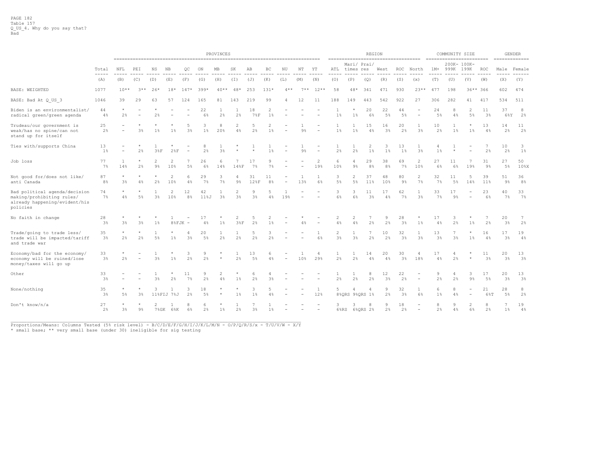|                                                                                                         |                        |                           |                          |                          |                            |                      |            | PROVINCES             |                       |                     |                         |                          |                |                          |                     |                                                    | <b>REGION</b>        |                      |                      |                     |                      | COMMUNITY SIZE      |                           |                      |              | <b>GENDER</b>        |
|---------------------------------------------------------------------------------------------------------|------------------------|---------------------------|--------------------------|--------------------------|----------------------------|----------------------|------------|-----------------------|-----------------------|---------------------|-------------------------|--------------------------|----------------|--------------------------|---------------------|----------------------------------------------------|----------------------|----------------------|----------------------|---------------------|----------------------|---------------------|---------------------------|----------------------|--------------|----------------------|
|                                                                                                         |                        |                           |                          |                          |                            |                      |            |                       |                       |                     |                         |                          |                |                          |                     | ------------------------------------<br>Mari/ Prai |                      |                      |                      |                     |                      | 200K- 100K-         | ========================= |                      |              | $=$ =============    |
|                                                                                                         | Total<br>$\frac{1}{2}$ | NFL                       | PEI                      | ΝS                       | ΝB                         | QС                   | ON         | МB                    | SK                    | AB                  | ВC                      | ΝU                       | NΤ             | ΥT                       | ATL                 | times res                                          |                      | West                 | ROC                  | North               | $1M+$                | 999K                | 199K                      | <b>ROC</b>           |              | Male Female          |
|                                                                                                         | (A)                    | (B)                       | (C)                      | (D)                      | (E)                        | (F)                  | (G)        | (H)                   | (I)                   | (J)                 | (K)                     | (L)                      | (M)            | (N)                      | (0)                 | (P)                                                | (Q)                  | (R)                  | (S)                  | (x)                 | (T)                  | (U)                 | (V)                       | (W)                  | (X)          | (Y)                  |
| BASE: WEIGHTED                                                                                          | 1077                   | $10**$                    | $3**$                    | $26*$                    | $18*$                      | $147*$               | $399*$     | $40**$                | $48*$                 | 253                 | $131*$                  | $4**$                    | $7**$          | $12**$                   | 58                  | 48*                                                | 341                  | 471                  | 930                  | $23**$              | 477                  | 198                 | 36** 366                  |                      | 602          | 474                  |
| BASE: Bad At Q US 3                                                                                     | 1046                   | 39                        | 29                       | 63                       | 57                         | 124                  | 165        | 81                    | 143                   | 219                 | 99                      | 4                        | 12             | 11                       | 188                 | 149                                                | 443                  | 542                  | 922                  | 27                  | 306                  | 282                 | 41                        | 417                  | 534          | 511                  |
| Biden is an environmentalist/<br>radical green/green agenda                                             | 44<br>4%               | $\star$<br>2%             | $\overline{\phantom{a}}$ | 2%                       |                            |                      | 22<br>6%   | 1<br>2 <sup>°</sup>   | 1<br>$2\frac{6}{5}$   | 18<br>78F           | 2<br>$1\%$              |                          |                | $\overline{\phantom{0}}$ | $1\%$               | $\star$<br>$1\%$                                   | 20<br>6%             | 22<br>5 <sup>°</sup> | 44<br>$5\%$          | $\sim$              | 24<br>5%             | 8<br>4%             | 2<br>$5\%$                | 11<br>3 <sup>°</sup> | 37<br>$6\%Y$ | 8<br>2%              |
| Trudeau/our government is<br>weak/has no spine/can not<br>stand up for itself                           | 25<br>2%               | $\qquad \qquad =$         | $3\frac{a}{b}$           | 1%                       | $1\%$                      | 5<br>3%              | 3<br>$1\%$ | 8<br>20%              | 2<br>4%               | 5<br>2%             | $\overline{2}$<br>$1\%$ | $\equiv$                 | 9 <sup>°</sup> |                          | 1<br>$1\%$          | 1<br>$1\%$                                         | 15<br>4%             | 16<br>3%             | 20<br>$2\frac{6}{5}$ | 1<br>3 <sup>°</sup> | 10<br>2%             | $1\%$               | $1\%$                     | 13<br>4%             | 14<br>2%     | 11<br>2%             |
| Ties with/supports China                                                                                | 13<br>$1\%$            | $\equiv$                  | 2%                       | 38F                      | 28F                        | $\sim$               | 8<br>2%    | 3%                    | $\star$               |                     | $1\%$                   |                          | 9%             | $\overline{\phantom{a}}$ | 1<br>2%             | 1<br>$2\frac{6}{5}$                                | 2<br>$1\%$           | 3<br>$1\%$           | 13<br>$1\%$          | 1<br>3 <sup>°</sup> | 4<br>$1\%$           | $\star$             |                           | 7<br>2%              | 10<br>2%     | 3<br>$1\%$           |
| Job loss                                                                                                | 77<br>7%               | 1<br>14%                  | 2%                       | 2<br>$9\frac{6}{3}$      | $\overline{2}$<br>10%      | 5%                   | 26<br>6%   | 6<br>14%              | 148F                  | 17<br>7%            | 9<br>7%                 |                          |                | $\overline{2}$<br>19%    | 6<br>10%            | 4<br>$9\%$                                         | 29<br>8 <sup>°</sup> | 38<br>8 <sup>°</sup> | 69<br>$7\%$          | 2<br>10%            | 27<br>6%             | 11<br>6%            | 7<br>19%                  | 31<br>$9\%$          | 27<br>$5\%$  | 50<br>10%X           |
| Not good for/does not like/<br>anti Canada                                                              | 87<br>8 <sup>°</sup>   | $\star$<br>3%             | $\star$<br>4%            | 2%                       | $\overline{2}$<br>10%      | 6<br>4%              | 29<br>7%   | 3<br>$7\%$            | 4<br>$9\%$            | 31<br>12%F          | 11<br>8 <sup>°</sup>    | $\equiv$                 | 13%            | 1<br>6%                  | 3<br>$5\%$          | $\overline{c}$<br>$5\%$                            | 37<br>11%            | 48<br>10%            | 80<br>$9\%$          | 2<br>7%             | 32<br>$7\%$          | 11<br>$5\%$         | 5<br>14%                  | 39<br>11%            | 51<br>$9\%$  | 36<br>8 <sup>°</sup> |
| Bad political agenda/decision<br>making/prohibiting rules/<br>already happening/evident/his<br>policies | 74<br>$7\%$            | $\star$<br>$4\%$          | 5%                       | 3 <sup>°</sup>           | $\overline{c}$<br>10%      | 12<br>8 <sup>°</sup> | 42<br>11%J | $\mathbf{1}$<br>$3\%$ | 2<br>3 <sup>°</sup>   | 9<br>3 <sup>8</sup> | 5<br>4%                 | 19%                      |                | $\qquad \qquad =$        | 3<br>$6\%$          | 3<br>6%                                            | 11<br>3 <sup>°</sup> | 17<br>4%             | 62<br>$7\%$          | 1<br>3 <sup>°</sup> | 33<br>$7\%$          | 17<br>$9\%$         | $\overline{a}$            | 23<br>$6\%$          | 40<br>7%     | 33<br>7%             |
| No faith in change                                                                                      | 28<br>3%               | $^{\star}$<br>3%          | 3%                       | 1%                       | 8%FJK                      |                      | 17<br>4%   | 1%                    | $\overline{c}$<br>38F | 2%                  | $\overline{c}$<br>$1\%$ |                          | 4%             |                          | 2<br>4%             | $\overline{2}$<br>4%                               | 2%                   | 9<br>2%              | 28<br>3 <sup>°</sup> | $1\%$               | 17<br>4%             | 3<br>2%             | 1%                        | 7<br>2%              | 20<br>3%     | 7<br>2%              |
| Trade/going to trade less/<br>trade will be impacted/tariff<br>and trade war                            | 35<br>3%               | $\star$<br>$2\frac{a}{b}$ | $\star$<br>2%            | 5%                       | 1%                         | 4<br>3 <sup>°</sup>  | 20<br>.5%  | 1<br>2%               | 1<br>2%               | 5<br>2%             | 3<br>2%                 |                          |                | 1<br>$6\%$               | 2<br>$3\frac{a}{b}$ | 1<br>$3\frac{6}{3}$                                | -7<br>2%             | 10<br>2%             | 32<br>$3\frac{6}{3}$ | 1<br>3%             | 13<br>3 <sup>8</sup> | 7<br>3 <sup>°</sup> | 1%                        | 16<br>4%             | 17<br>3%     | 19<br>4%             |
| Economy/bad for the economy/<br>economy will be ruined/lose<br>money/taxes will go up                   | 33<br>3%               | $^{\star}$<br>2%          |                          | 3%                       | 1%                         | 3<br>2%              | 9<br>2%    |                       | 1<br>2%               | 13<br>5%            | 6<br>4%                 |                          | 10%            | 4<br>29%                 | 1<br>2%             | 1<br>$2\frac{6}{5}$                                | 14<br>4%             | 20<br>4%             | 30<br>3 <sup>°</sup> | 4<br>18%            | 17<br>4%             | 4<br>2%             |                           | 11<br>3 <sup>°</sup> | 20<br>3%     | 13<br>3%             |
| Other                                                                                                   | 33<br>3%               |                           |                          | 3%                       | 2%                         | 11<br>7%             | 9<br>2%    | $\overline{2}$<br>4%  | 1%                    | 6<br>2%             | 4<br>3%                 |                          |                |                          | 1<br>2%             | 2%                                                 | 8<br>2%              | 12<br>3 <sup>°</sup> | 22<br>2 <sup>°</sup> |                     | 9<br>2%              | -4<br>2%            | 3<br>9%                   | 17<br>$5\%$          | 20<br>3%     | 13<br>3%             |
| None/nothing                                                                                            | 35<br>3%               | $\star$<br>5%             | 3%                       | 3                        | $\mathbf{1}$<br>11%FIJ 7%J | 3<br>2%              | 18<br>5%   | $^{\star}$            | $1\%$                 | 3<br>$1\%$          | 5<br>4%                 | $\overline{\phantom{a}}$ |                | 1<br>12%                 | 5                   | $\overline{4}$<br>8%QRS 9%QRS 1%                   |                      | 9<br>2%              | 32<br>3 <sup>°</sup> | $\mathbf{1}$<br>6%  | 6<br>$1\%$           | 8<br>4%             |                           | 21<br>6%T            | 28<br>5%     | 8<br>2%              |
| Don't know/n/a                                                                                          | 27<br>2%               | $3\frac{6}{6}$            | 9%                       | $\overline{\mathcal{L}}$ | $\mathbf{1}$<br>7%GK 6%K   | 8<br>$6\%$           | 6<br>2%    | $1\%$                 | 2%                    | 3%                  | $1\%$                   |                          |                | $\sim$                   | 3                   | 3<br>6%RS 6%QRS 2%                                 |                      | 9<br>2%              | 18<br>2%             | $\sim$              | 8<br>2%              | 9<br>$4\%$          | $\mathfrak{D}$<br>6%      | 8<br>2%              | 7<br>1%      | 19<br>4%             |

\_\_\_\_\_\_\_\_\_\_\_\_\_\_\_\_\_\_\_\_\_\_\_\_\_\_\_\_\_\_\_\_\_\_\_\_\_\_\_\_\_\_\_\_\_\_\_\_\_\_\_\_\_\_\_\_\_\_\_\_\_\_\_\_\_\_\_\_\_\_\_\_\_\_\_\_\_\_\_\_\_\_\_\_\_\_\_\_\_\_\_\_\_\_\_\_\_\_\_\_\_\_\_\_\_\_\_ Proportions/Means: Columns Tested (5% risk level) - B/C/D/E/F/G/H/I/J/K/L/M/N - O/P/Q/R/S/x - T/U/V/W - X/Y

\* small base; \*\* very small base (under 30) ineligible for sig testing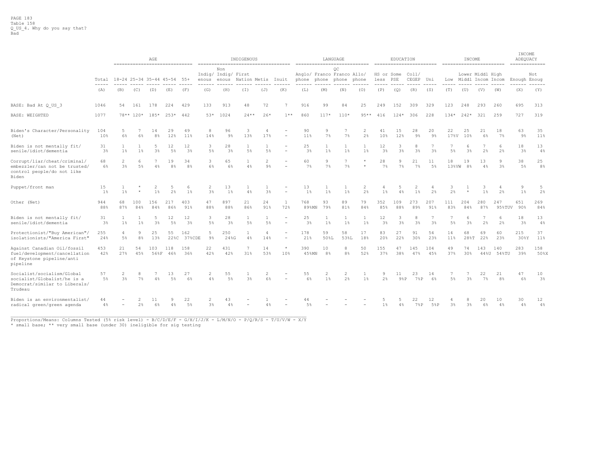|                                                                                                       |                      |                                  |            | AGE                     | ------------------------------ |                      |                     |                                     | INDIGENOUS         |                     | -----------------------------------                  |              |                      | LANGUAGE                                        |           |                        | EDUCATION  |                         |                      |             | INCOME              | -------------------------             |                      | INCOME<br>ADEQUACY<br>============= |                      |
|-------------------------------------------------------------------------------------------------------|----------------------|----------------------------------|------------|-------------------------|--------------------------------|----------------------|---------------------|-------------------------------------|--------------------|---------------------|------------------------------------------------------|--------------|----------------------|-------------------------------------------------|-----------|------------------------|------------|-------------------------|----------------------|-------------|---------------------|---------------------------------------|----------------------|-------------------------------------|----------------------|
|                                                                                                       | Total                |                                  |            |                         | 18-24 25-34 35-44 45-54        | $55+$                | enous               | Non<br>Indig/ Indig/ First<br>enous | Nation Metis       |                     | Inuit                                                | phone        |                      | OС<br>Anglo/ Franco Franco Allo/<br>phone phone | phone     | HS or Some<br>less PSE |            | Col1/<br>CEGEP          | Uni                  | Low         |                     | Lower Middl High<br>Middl Incom Incom |                      | Enough Enoug                        | Not                  |
|                                                                                                       | $---$<br>(A)         | (B)                              | (C)        | (D)                     | (E)                            | (F)                  | (G)                 | (H)                                 | (I)                | (J)                 | (K)                                                  | (L)          | (M)                  | (N)                                             | (0)       | (P)                    | (Q)        | (R)                     | (S)                  | (T)         | (U)                 | (V)                                   | (W)                  | (X)                                 | (Y)                  |
| BASE: Bad At Q US 3                                                                                   | 1046                 | 54                               | 161        | 178                     | 224                            | 429                  | 133                 | 913                                 | 48                 | 72                  | $\overline{7}$                                       | 916          | 99                   | 84                                              | 25        | 249                    | 152        | 309                     | 329                  | 123         | 248                 | 293                                   | 260                  | 695                                 | 313                  |
| BASE: WEIGHTED                                                                                        | 1077                 |                                  | 78** 120*  | $185*$                  | $253*$                         | 442                  | 53*                 | 1024                                | $24***$            | $26*$               | $1**$                                                | 860          | $117*$               | $110*$                                          | $95**$    | 416                    | $124*$     | 306                     | 228                  | $134*$      | $242*$              | 321                                   | 259                  | 727                                 | 319                  |
| Biden's Character/Personality<br>(Net)                                                                | 104<br>10%           | 5<br>6%                          | 6%         | 14<br>8 <sup>°</sup>    | 29<br>12%                      | 49<br>11%            | 8<br>14%            | 96<br>$9\%$                         | 3<br>13%           | 4<br>17%            | $\overline{\phantom{0}}$                             | 90<br>11%    | 9<br>7%              | 7<br>7%                                         | 2<br>2%   | 41<br>10%              | 15<br>12%  | 28<br>$9\%$             | 20<br>9 <sup>°</sup> | 22<br>17%V  | 25<br>10%           | 21<br>6%                              | 18<br>$7\%$          | 63<br>$9\%$                         | 35<br>11%            |
| Biden is not mentally fit/<br>senile/idiot/dementia                                                   | 31<br>3 <sup>°</sup> | $1\%$                            | 1%         | 5<br>3%                 | 12<br>$5\%$                    | 12<br>3%             | 3<br>$5\%$          | 28<br>3%                            | $5\%$              | 5%                  | $\overline{a}$                                       | 25<br>3%     | 1<br>$1\%$           | 1<br>$1\%$                                      | $1\%$     | 12<br>3 <sup>°</sup>   | 3<br>3%    | 8<br>3%                 | 3%                   | $5\%$       | 6<br>$3\frac{6}{3}$ | 2%                                    | 6<br>2%              | 18<br>3 <sup>°</sup>                | 13<br>$4\%$          |
| Corrupt/liar/cheat/criminal/<br>embezzler/can not be trusted/<br>control people/do not like<br>Biden  | 68<br>6%             | $\overline{c}$<br>$3\frac{6}{5}$ | 6<br>5%    | $\overline{7}$<br>4%    | 19<br>8 <sup>°</sup>           | 34<br>8%             | 3<br>6%             | 65<br>6%                            | $\mathbf{1}$<br>4% | 2<br>9 <sup>°</sup> |                                                      | 60<br>$7\%$  | 9<br>7%              | 7<br>$7\%$                                      | $\star$   | 28<br>$7\%$            | 9<br>$7\%$ | 21<br>$7\%$             | 11<br>5%             | 18<br>13%VW | 19<br>8%            | 13<br>4%                              | 9<br>3%              | 38<br>5%                            | 25<br>8 <sup>°</sup> |
| Puppet/front man                                                                                      | 15<br>$1\%$          | $1\%$                            |            | $\overline{2}$<br>$1\%$ | 5<br>2%                        | 6<br>$1\%$           | 2<br>3 <sup>8</sup> | 13<br>$1\%$                         | 4%                 | 3%                  | $\sim$                                               | 13<br>$1\%$  | $\overline{1}$<br>1% | $\overline{1}$<br>$1\%$                         | 2<br>2%   | $1\%$                  | 4%         | $\overline{2}$<br>$1\%$ | 2%                   | 3<br>2%     |                     | 3<br>1%                               | -4<br>2%             | 9<br>$1\%$                          | 5<br>2%              |
| Other (Net)                                                                                           | 944<br>88%           | 68<br>87%                        | 100<br>84% | 156<br>84%              | 217<br>86%                     | 403<br>91%           | 47<br>88%           | 897<br>88%                          | 21<br>86%          | 24<br>91%           | $\mathbf{1}$<br>72%                                  | 768<br>89%MN | 93<br>79%            | 89<br>81%                                       | 79<br>84% | 352<br>85%             | 109<br>88% | 273<br>89%              | 207<br>91%           | 111<br>83%  | 204<br>84%          | 280<br>87%                            | 247<br>95%TUV 90%    | 651                                 | 269<br>84%           |
| Biden is not mentally fit/<br>senile/idiot/dementia                                                   | 31<br>3 <sup>°</sup> | 1<br>$1\%$                       | 1%         | 5<br>3 <sup>8</sup>     | 12<br>$5\%$                    | 12<br>3 <sup>8</sup> | 3<br>$5\%$          | 28<br>3%                            | 1<br>5%            | 1<br>5%             | $\overline{\phantom{m}}$<br>$\overline{\phantom{a}}$ | 25<br>3%     | 1<br>$1\%$           | 1<br>$1\%$                                      | 1<br>1%   | 12<br>3%               | 3<br>3%    | 8<br>$3\frac{6}{9}$     | 7<br>3%              | 7<br>$5\%$  | 6<br>$3\frac{6}{3}$ | 2%                                    | 6<br>2%              | 18<br>3%                            | 13<br>4%             |
| Protectionist/"Buy American",<br>isolationists/"America First"                                        | 255<br>24%           | 4<br>$5\%$                       | 9<br>8%    | 25<br>13%               | 55<br>22%C                     | 162<br>37%CDE        | 5<br>$9\%$          | 250<br>24%G                         | $\mathbf{1}$<br>4% | 4<br>14%            | $\equiv$<br>$\overline{a}$                           | 178<br>21%   | 59<br>50%L           | 58<br>53%L                                      | 17<br>18% | 83<br>20%              | 27<br>22%  | 91<br>30%               | 54<br>23%            | 14<br>11%   | 68<br>28%T          | 69<br>22%                             | 60<br>23%            | 215<br>30%Y                         | 37<br>11%            |
| Against Canadian Oil/fossil<br>fuel/development/cancellation<br>of Keystone pipeline/anti<br>pipeline | 453<br>42%           | 21<br>27%                        | 54<br>45%  | 103<br>56%F             | 118<br>46%                     | 158<br>36%           | 22<br>42%           | 431<br>42%                          | 7<br>31%           | 14<br>53%           | $\star$<br>10%                                       | 390<br>45%MN | 10<br>8%             | 8<br>8%                                         | 50<br>52% | 155<br>37%             | 47<br>38%  | 145<br>47%              | 104<br>45%           | 49<br>37%   | 74<br>30%           | 143                                   | 140<br>44%U 54%TU    | 283<br>39%                          | 158<br>50%X          |
| Socialist/socialism/Global<br>socialist/Globalist/he is a<br>Democrat/similar to Liberals/<br>Trudeau | 57<br>$5\%$          | $3\%$                            | 8<br>7%    | 4%                      | 13<br>$5\%$                    | 27<br>6%             | 2<br>4%             | 55<br>5%                            | $3\frac{6}{3}$     | 2<br>6%             |                                                      | 55<br>$6\%$  | $1\%$                | $\overline{c}$<br>2%                            | $1\%$     | $2\%$                  | 11<br>98P  | 23<br>7%P               | 14<br>6%             | 5%          | 3%                  | 22<br>7%                              | 21<br>8 <sup>°</sup> | 47<br>6%                            | 10<br>$3\%$          |
| Biden is an environmentalist/<br>radical green/green agenda                                           | 44<br>4%             | $\equiv$                         | 2%         | 11<br>6%                | 9<br>4%                        | 22<br>5%             | 2<br>3%             | 43<br>4%                            |                    | $4\%$               |                                                      | 44<br>$5\%$  |                      |                                                 |           | $1\%$                  | 4%         | 22<br>7%P               | 12<br>5%P            | 3%          | 3%                  | 20<br>$6\%$                           | 10<br>$4\%$          | 30<br>4%                            | 12<br>4%             |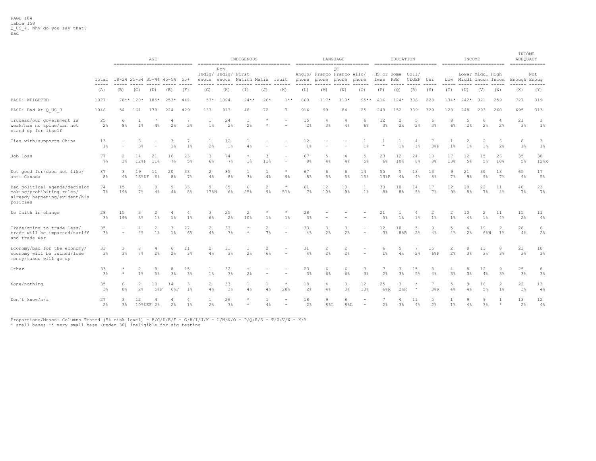|                                                                                                         |                                                                                                                                                                                                                                                                                                                                                                                                     |                                 |                                                 | AGE               | ------------------------------ |                      |                       |                                     | INDIGENOUS                     |                      |                                                      |                      |                                           | LANGUAGE    |                          |                      | EDUCATION                  |                     |                     |                       | INCOME                           |                        |                      | INCOME<br>ADEQUACY<br>$=$ = = = = = = = = = = = = = |               |
|---------------------------------------------------------------------------------------------------------|-----------------------------------------------------------------------------------------------------------------------------------------------------------------------------------------------------------------------------------------------------------------------------------------------------------------------------------------------------------------------------------------------------|---------------------------------|-------------------------------------------------|-------------------|--------------------------------|----------------------|-----------------------|-------------------------------------|--------------------------------|----------------------|------------------------------------------------------|----------------------|-------------------------------------------|-------------|--------------------------|----------------------|----------------------------|---------------------|---------------------|-----------------------|----------------------------------|------------------------|----------------------|-----------------------------------------------------|---------------|
|                                                                                                         | Total                                                                                                                                                                                                                                                                                                                                                                                               | 18-24 25-34 35-44 45-54 55+     |                                                 |                   |                                |                      | enous                 | Non<br>Indig/ Indig/ First<br>enous | Nation Metis                   |                      | Inuit                                                | phone                | Anglo/ Franco Franco Allo/<br>phone phone | ОC          | phone                    | HS or Some<br>less   | PSE                        | Col1/<br>CEGEP Uni  |                     |                       | Low Middl Incom Incom            | Lower Middl High       |                      | Enough Enoug                                        | Not           |
|                                                                                                         | $\frac{1}{2} \frac{1}{2} \frac{1}{2} \frac{1}{2} \frac{1}{2} \frac{1}{2} \frac{1}{2} \frac{1}{2} \frac{1}{2} \frac{1}{2} \frac{1}{2} \frac{1}{2} \frac{1}{2} \frac{1}{2} \frac{1}{2} \frac{1}{2} \frac{1}{2} \frac{1}{2} \frac{1}{2} \frac{1}{2} \frac{1}{2} \frac{1}{2} \frac{1}{2} \frac{1}{2} \frac{1}{2} \frac{1}{2} \frac{1}{2} \frac{1}{2} \frac{1}{2} \frac{1}{2} \frac{1}{2} \frac{$<br>(A) | (B)                             | (C)                                             | (D)               | (E)                            | (F)                  | (G)                   | (H)                                 | (I)                            | (J)                  | (K)                                                  | (L)                  | (M)                                       | (N)         | (0)                      | (P)                  | (Q)                        | (R)                 | (S)                 | (T)                   | (U)                              | (V)                    | (W)                  | (X)                                                 | ------<br>(Y) |
| <b>BASE: WEIGHTED</b>                                                                                   | 1077                                                                                                                                                                                                                                                                                                                                                                                                |                                 | 78** 120*                                       | $185*$            | $253*$                         | 442                  | $53*$                 | 1024                                | $24**$                         | $26*$                | $1**$                                                | 860                  | $117*$                                    | $110*$      | $95**$                   | 416                  | $124*$                     | 306                 | 228                 | $134*$                | $242*$                           | 321                    | 259                  | 727                                                 | 319           |
| BASE: Bad At Q US 3                                                                                     | 1046                                                                                                                                                                                                                                                                                                                                                                                                | 54                              | 161                                             | 178               | 224                            | 429                  | 133                   | 913                                 | 48                             | 72                   | $\overline{7}$                                       | 916                  | 99                                        | 84          | 25                       | 249                  | 152                        | 309                 | 329                 | 123                   | 248                              | 293                    | 260                  | 695                                                 | 313           |
| Trudeau/our government is<br>weak/has no spine/can not<br>stand up for itself                           | 25<br>2%                                                                                                                                                                                                                                                                                                                                                                                            | -6<br>8 <sup>°</sup>            | $1\%$                                           | 4%                | 4<br>2%                        | 7<br>2%              | 1<br>$1\%$            | 24<br>2 <sup>°</sup>                | 2%                             |                      |                                                      | 15<br>2%             | 3 <sup>°</sup>                            | 4<br>4%     | 6<br>6%                  | 12<br>3 <sup>8</sup> | $\overline{2}$<br>2%       | 5<br>2%             | 6<br>3 <sup>°</sup> | 8<br>$6\%$            | 5<br>2%                          | 6<br>2%                | $\overline{A}$<br>2% | 21<br>3%                                            | 3<br>$1\%$    |
| Ties with/supports China                                                                                | 13<br>1%                                                                                                                                                                                                                                                                                                                                                                                            |                                 | 3<br>3%                                         | $\qquad \qquad =$ | 3<br>$1\%$                     | 7<br>1%              | $\mathbf{1}$<br>2%    | 12<br>1%                            | 4%                             |                      |                                                      | 12<br>1 <sup>8</sup> |                                           |             | 1 <sup>°</sup>           |                      | 1 <sup>°</sup>             | 4<br>1 <sup>8</sup> | 38P                 | $\mathbf{1}$<br>$1\%$ | $\mathfrak{D}$<br>$1\frac{6}{3}$ | $\mathcal{D}$<br>$1\%$ | 6<br>2%              | 8<br>1%                                             | 3<br>$1\%$    |
| Job loss                                                                                                | 77<br>7%                                                                                                                                                                                                                                                                                                                                                                                            | $\mathcal{L}$<br>3 <sup>8</sup> | 14<br>128F                                      | 21<br>11%         | 16<br>$7\%$                    | 23<br>5%             | 3<br>6%               | 74<br>7%                            | $1\%$                          | 3<br>11%             | ٠<br>$\overline{\phantom{a}}$                        | 67<br>8%             | 5<br>4%                                   | 4<br>4%     | -5<br>5%                 | 23<br>6%             | 12<br>10%                  | 24<br>8%            | 18<br>8%            | 17<br>13%             | 12<br>5%                         | 15<br>5%               | 26<br>10%            | 35<br>5%                                            | 38<br>12%X    |
| Not good for/does not like/<br>anti Canada                                                              | 87<br>8 <sup>°</sup>                                                                                                                                                                                                                                                                                                                                                                                | 3<br>$4\%$                      | 19<br>168DF                                     | 11<br>6%          | 20<br>8%                       | 33<br>$7\%$          | $\overline{2}$<br>4%  | 85<br>8 <sup>°</sup>                | $\mathbf{1}$<br>3 <sup>°</sup> | 4%                   | $\star$<br>$9\%$                                     | 67<br>8 <sup>°</sup> | 6<br>5%                                   | 6<br>$5\%$  | 14<br>15%                | 55<br>13%R           | 5<br>4%                    | 13<br>4%            | 13<br>6%            | 9<br>7%               | 21<br>$9\%$                      | 30<br>$9\%$            | 18<br>$7\%$          | 65<br>9%                                            | 17<br>5%      |
| Bad political agenda/decision<br>making/prohibiting rules/<br>already happening/evident/his<br>policies | 74<br>7%                                                                                                                                                                                                                                                                                                                                                                                            | 15<br>19%                       | 8<br>7%                                         | 8<br>4%           | 9<br>4%                        | 33<br>8 <sup>°</sup> | 9<br>17%H             | 65<br>6%                            | 6<br>25%                       | 2<br>$9\%$           | $\star$<br>51%                                       | 61<br>7%             | 12<br>10%                                 | 10<br>$9\%$ | $\mathbf{1}$<br>$1\%$    | 33<br>8%             | 10<br>8%                   | 14<br>5%            | 17<br>7%            | 12<br>$9\%$           | 20<br>8%                         | 22<br>$7\%$            | 11<br>4%             | 48<br>$7\%$                                         | 23<br>$7\%$   |
| No faith in change                                                                                      | 28<br>3%                                                                                                                                                                                                                                                                                                                                                                                            | 15<br>19%                       | 3<br>$3\frac{6}{9}$                             | 2<br>$1\%$        | 4<br>$1\%$                     | -4<br>$1\%$          | 3<br>6%               | 25<br>2%                            | 2<br>10%                       | $1\%$                | $1\%$                                                | 28<br>3%             |                                           |             |                          | 21<br>$5\%$          | $1\%$                      | $1\%$               | 2<br>$1\%$          | 2<br>$1\%$            | 10<br>$4\%$                      | 2<br>$1\%$             | 11<br>4%             | 15<br>2%                                            | 11<br>4%      |
| Trade/going to trade less/<br>trade will be impacted/tariff<br>and trade war                            | 35<br>3%                                                                                                                                                                                                                                                                                                                                                                                            |                                 | 4%                                              | 2<br>$1\%$        | 3<br>$1\%$                     | 27<br>6%             | 2<br>4%               | 33<br>3%                            | $\pm$<br>$\star$               | $\overline{2}$<br>7% | $\overline{\phantom{m}}$<br>$\overline{\phantom{a}}$ | 33<br>4%             | 3<br>2%                                   | 3<br>2%     |                          | 12<br>$3\%$          | 10<br>$8$ <sup>8</sup> $R$ | 5<br>2%             | 9<br>4%             | 5<br>4%               | $\overline{4}$<br>2%             | 19<br>6%W              | 2<br>$1\%$           | 28<br>4%                                            | 6<br>2%       |
| Economy/bad for the economy/<br>economy will be ruined/lose<br>money/taxes will go up                   | 33<br>3%                                                                                                                                                                                                                                                                                                                                                                                            | 3<br>3 <sup>8</sup>             | 8<br>$7\%$                                      | 4<br>2%           | 6<br>2%                        | 11<br>3%             | $\overline{c}$<br>4%  | 31<br>3 <sup>8</sup>                | -1.<br>2%                      | 2<br>6%              |                                                      | 31<br>4%             | 2<br>2%                                   | 2<br>2%     |                          | 6<br>$1\%$           | 5<br>4%                    | 7<br>2%             | 15<br>6%P           | 2<br>2%               | 8<br>3 <sup>°</sup>              | 11<br>3 <sup>°</sup>   | 8<br>3%              | 23<br>$3\%$                                         | 10<br>$3\%$   |
| Other                                                                                                   | 33<br>3%                                                                                                                                                                                                                                                                                                                                                                                            | $\star$                         | 2<br>$1\%$                                      | 8<br>$5\%$        | 8<br>3 <sup>°</sup>            | 15<br>3 <sup>°</sup> | $\mathbf{1}$<br>$1\%$ | 32<br>3 <sup>8</sup>                | $\star$<br>2%                  |                      |                                                      | 23<br>3%             | 6<br>6%                                   | 6<br>6%     | 3<br>3%                  | 2%                   | 3<br>3%                    | 15<br>$5\%$         | 8<br>4%             | 3%                    | 8<br>$3\%$                       | 12<br>4%               | 9<br>3%              | 25<br>3 <sup>°</sup>                                | 8<br>$3\%$    |
| None/nothing                                                                                            | 35<br>3%                                                                                                                                                                                                                                                                                                                                                                                            | $6^{6}$<br>8 <sup>°</sup>       | 10<br>3<br>2<br>14<br>2%<br>58F<br>$1\%$<br>68F |                   |                                |                      |                       | 33<br>3 <sup>8</sup>                | $\mathbf{1}$<br>4%             | 4%                   | $\star$<br>28%                                       | 18<br>2%             | 4<br>4%                                   | 3<br>3%     | $12 \overline{ }$<br>13% | 25<br>6%R            | $2$ $R$                    |                     | 38R                 | 5<br>4%               | Q<br>4%                          | 16<br>5%               | 2<br>$1\%$           | 22<br>3%                                            | 13<br>4%      |
| Don't know/n/a                                                                                          | 27<br>2%                                                                                                                                                                                                                                                                                                                                                                                            | 3%                              | 12                                              | 10%DEF 2%         | 2%                             | -4<br>$1\%$          | 2%                    | 26<br>3%                            |                                | 4%                   | $\overline{\phantom{m}}$<br>$\overline{\phantom{a}}$ | 18<br>2%             | 9<br>$8\,$ %L                             | 8<br>$8\%L$ | $\sim$                   | 2%                   | 4<br>3%                    | 11<br>$4\%$         | 5<br>2%             | $1\%$                 | 9<br>4%                          | 9<br>3 <sup>°</sup>    | $\star$              | 13<br>2%                                            | 12<br>4%      |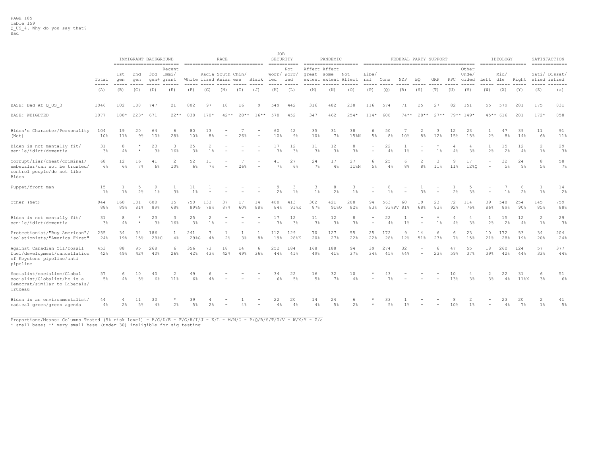|                                                                                                       |                                                                                                                                                                                                                                                                                                                                                                                                                                                                                   |                                                                                                                                                                                                                                                                                                                                                                                                     |             | IMMIGRANT BACKGROUND | -------------------------         |                       |                | RACE<br>------------------------------ |           |                          | JOB<br>SECURITY    | ===========          |                             | PANDEMIC<br>===================== |                     |              |                      | FEDERAL PARTY SUPPORT |                          |             |                |                                                                                                                                                                                                                                                                                                                                                                                                     |                          | IDEOLOGY<br>================== |             | SATISFACTION<br>$=$ = = = = = = = = = = = = = |                |
|-------------------------------------------------------------------------------------------------------|-----------------------------------------------------------------------------------------------------------------------------------------------------------------------------------------------------------------------------------------------------------------------------------------------------------------------------------------------------------------------------------------------------------------------------------------------------------------------------------|-----------------------------------------------------------------------------------------------------------------------------------------------------------------------------------------------------------------------------------------------------------------------------------------------------------------------------------------------------------------------------------------------------|-------------|----------------------|-----------------------------------|-----------------------|----------------|----------------------------------------|-----------|--------------------------|--------------------|----------------------|-----------------------------|-----------------------------------|---------------------|--------------|----------------------|-----------------------|--------------------------|-------------|----------------|-----------------------------------------------------------------------------------------------------------------------------------------------------------------------------------------------------------------------------------------------------------------------------------------------------------------------------------------------------------------------------------------------------|--------------------------|--------------------------------|-------------|-----------------------------------------------|----------------|
|                                                                                                       | Total                                                                                                                                                                                                                                                                                                                                                                                                                                                                             | 1st<br>qen                                                                                                                                                                                                                                                                                                                                                                                          | 2nd<br>qen  |                      | Recent<br>3rd Immi/<br>gen+ grant | White lized Asian ese |                | Racia South Chin/                      |           | Black                    | Worr/ Worr/<br>ied | Not<br>ied           | Affect Affect<br>great some | extent extent Affect              | Not                 | Libe/<br>ral | Cons                 | NDP                   | <b>BO</b>                | GRP         | $_{\rm PPC}$   | Other<br>Unde/<br>cided                                                                                                                                                                                                                                                                                                                                                                             | Left                     | Mid/<br>dle                    | Right       | Sati/ Dissat/<br>sfied isfied                 |                |
|                                                                                                       | $\frac{1}{2} \left( \frac{1}{2} \right) \left( \frac{1}{2} \right) \left( \frac{1}{2} \right) \left( \frac{1}{2} \right) \left( \frac{1}{2} \right) \left( \frac{1}{2} \right) \left( \frac{1}{2} \right) \left( \frac{1}{2} \right) \left( \frac{1}{2} \right) \left( \frac{1}{2} \right) \left( \frac{1}{2} \right) \left( \frac{1}{2} \right) \left( \frac{1}{2} \right) \left( \frac{1}{2} \right) \left( \frac{1}{2} \right) \left( \frac{1}{2} \right) \left( \frac$<br>(A) | $\frac{1}{2} \frac{1}{2} \frac{1}{2} \frac{1}{2} \frac{1}{2} \frac{1}{2} \frac{1}{2} \frac{1}{2} \frac{1}{2} \frac{1}{2} \frac{1}{2} \frac{1}{2} \frac{1}{2} \frac{1}{2} \frac{1}{2} \frac{1}{2} \frac{1}{2} \frac{1}{2} \frac{1}{2} \frac{1}{2} \frac{1}{2} \frac{1}{2} \frac{1}{2} \frac{1}{2} \frac{1}{2} \frac{1}{2} \frac{1}{2} \frac{1}{2} \frac{1}{2} \frac{1}{2} \frac{1}{2} \frac{$<br>(B) | (C)         | (D)                  | (E)                               | (F)                   | (G)            | (H)                                    | (T)       | (J)                      | ----<br>(K)        | (L)                  | (M)                         | (N)                               | (0)                 | (P)          | (Q)                  | (R)                   | (S)                      | (T)         | (U)            | $\frac{1}{2} \frac{1}{2} \frac{1}{2} \frac{1}{2} \frac{1}{2} \frac{1}{2} \frac{1}{2} \frac{1}{2} \frac{1}{2} \frac{1}{2} \frac{1}{2} \frac{1}{2} \frac{1}{2} \frac{1}{2} \frac{1}{2} \frac{1}{2} \frac{1}{2} \frac{1}{2} \frac{1}{2} \frac{1}{2} \frac{1}{2} \frac{1}{2} \frac{1}{2} \frac{1}{2} \frac{1}{2} \frac{1}{2} \frac{1}{2} \frac{1}{2} \frac{1}{2} \frac{1}{2} \frac{1}{2} \frac{$<br>(V) | (W)                      | (X)                            | (Y)         | (Z)                                           | -------<br>(a) |
| BASE: Bad At Q US 3                                                                                   | 1046                                                                                                                                                                                                                                                                                                                                                                                                                                                                              | 102                                                                                                                                                                                                                                                                                                                                                                                                 | 188         | 747                  | 21                                | 802                   | 97             | 18                                     | 16        | 9                        | 549                | 442                  | 316                         | 482                               | 238                 | 116          | 574                  | 71                    | 25                       | 27          | 82             | 151                                                                                                                                                                                                                                                                                                                                                                                                 | 55                       | 579                            | 281         | 175                                           | 831            |
| <b>BASE: WEIGHTED</b>                                                                                 | 1077                                                                                                                                                                                                                                                                                                                                                                                                                                                                              | 180*                                                                                                                                                                                                                                                                                                                                                                                                | $223*$      | 671                  | $22**$                            | 838                   | $170*$         | $42**$                                 | $28**$    | $16***$                  | 578                | 452                  | 347                         | 462                               | $254*$              | $114*$       | 608                  | $74**$                | $28**$                   | $27**$      |                | $79***$ 149*                                                                                                                                                                                                                                                                                                                                                                                        |                          | 45** 616                       | 281         | $172*$                                        | 858            |
| Biden's Character/Personality<br>(Net)                                                                | 104<br>10%                                                                                                                                                                                                                                                                                                                                                                                                                                                                        | 19<br>11%                                                                                                                                                                                                                                                                                                                                                                                           | 20<br>$9\%$ | 64<br>10%            | 6<br>28%                          | 80<br>10%             | 13<br>8%       |                                        | 26%       | $\overline{\phantom{0}}$ | 60<br>10%          | 42<br>9%             | 35<br>10%                   | 31<br>$7\%$                       | 38<br>15%N          | 6<br>$5\%$   | 50<br>8 <sup>°</sup> | 10%                   | 2<br>8 <sup>°</sup>      | 3<br>12%    | 12<br>15%      | 23<br>15%                                                                                                                                                                                                                                                                                                                                                                                           | 2%                       | 47<br>8%                       | 39<br>14%   | 11<br>6%                                      | 91<br>11%      |
| Biden is not mentally fit/<br>senile/idiot/dementia                                                   | 31<br>$3\%$                                                                                                                                                                                                                                                                                                                                                                                                                                                                       | 8<br>$4\%$                                                                                                                                                                                                                                                                                                                                                                                          |             | 23<br>3%             | 3<br>16%                          | 25<br>3 <sup>°</sup>  | $1\%$          |                                        |           |                          | 17<br>3%           | 12<br>3%             | 11<br>$3\%$                 | 12<br>3 <sup>8</sup>              | 8<br>$3\frac{6}{3}$ | $\equiv$     | 22<br>4%             | $1\%$                 |                          | $1\%$       | 4%             | $3\%$                                                                                                                                                                                                                                                                                                                                                                                               | $2\frac{a}{b}$           | 15<br>$2\%$                    | 12<br>4%    | 2<br>$1\%$                                    | 29<br>3%       |
| Corrupt/liar/cheat/criminal/<br>embezzler/can not be trusted/<br>control people/do not like<br>Biden  | 68<br>6%                                                                                                                                                                                                                                                                                                                                                                                                                                                                          | 12<br>6%                                                                                                                                                                                                                                                                                                                                                                                            | 16<br>$7\%$ | 41<br>6%             | 2<br>10%                          | 52<br>6%              | 11<br>$7\%$    |                                        | 26%       |                          | 41<br>$7\%$        | 27<br>6%             | 24<br>$7\%$                 | 17<br>4%                          | 27<br>11%N          | 6<br>$5\%$   | 25<br>4%             | 8 <sup>°</sup>        | $8\%$                    | 3<br>$11\%$ | $11\%$         | 17<br>12%0                                                                                                                                                                                                                                                                                                                                                                                          | $\qquad \qquad =$        | 32<br>$5\%$                    | 24<br>$9\%$ | 8<br>5%                                       | 58<br>$7\%$    |
| Puppet/front man                                                                                      | 15<br>$1\%$                                                                                                                                                                                                                                                                                                                                                                                                                                                                       | 1%                                                                                                                                                                                                                                                                                                                                                                                                  | 2%          | 9<br>1 <sup>8</sup>  | 3 <sup>°</sup>                    | 11<br>1 <sup>8</sup>  |                |                                        |           |                          | 2%                 | 3<br>$1\%$           | 3<br>$1\%$                  | 8<br>2%                           | 3<br>$1\%$          | $\equiv$     | $1\%$                |                       | 3%                       |             | 2 <sup>°</sup> | 3%                                                                                                                                                                                                                                                                                                                                                                                                  | $\overline{\phantom{a}}$ | $1\%$                          | -6<br>2%    | $1\%$                                         | 14<br>2%       |
| Other (Net)                                                                                           | 944<br>88%                                                                                                                                                                                                                                                                                                                                                                                                                                                                        | 160<br>89%                                                                                                                                                                                                                                                                                                                                                                                          | 181<br>81%  | 600<br>89%           | 15<br>68%                         | 750<br>89%G           | 133<br>78%     | 37<br>87%                              | 17<br>60% | 14<br>88%                | 488<br>84%         | 413<br>91%K          | 302<br>87%                  | 421<br>91%0                       | 208<br>82%          | 94<br>83%    | 563                  | 60<br>93%PV 81%       | 19<br>68%                | 23<br>83%   | 72<br>92%      | 114<br>76%                                                                                                                                                                                                                                                                                                                                                                                          | 39<br>86%                | 548<br>89%                     | 254<br>90%  | 145<br>85%                                    | 759<br>88%     |
| Biden is not mentally fit/<br>senile/idiot/dementia                                                   | 31<br>3 <sup>°</sup>                                                                                                                                                                                                                                                                                                                                                                                                                                                              | 8<br>$4\%$                                                                                                                                                                                                                                                                                                                                                                                          |             | 23<br>3%             | 3<br>16%                          | 25<br>3%              | 2<br>$1\%$     |                                        |           |                          | 17<br>$3\%$        | 12<br>3 <sup>°</sup> | 11<br>3 <sup>°</sup>        | 12<br>3 <sup>°</sup>              | 8<br>3 <sup>°</sup> |              | 22<br>4%             | $1\%$                 |                          | $1\%$       | 4%             | $\overline{4}$<br>3%                                                                                                                                                                                                                                                                                                                                                                                | 2%                       | 15<br>$2\%$                    | 12<br>4%    | 2<br>$1\%$                                    | 29<br>3%       |
| Protectionist/"Buy American"/<br>isolationists/"America First"                                        | 255<br>24%                                                                                                                                                                                                                                                                                                                                                                                                                                                                        | 34<br>19%                                                                                                                                                                                                                                                                                                                                                                                           | 34<br>15%   | 186<br>28%C          | $\mathbf{1}$<br>4%                | 241<br>29%G           | 7<br>4%        | 2%                                     | 3%        | -1<br>8%                 | 112<br>19%         | 129<br>28%K          | 70<br>20%                   | 127<br>27%                        | 55<br>22%           | 25<br>22%    | 172<br>28%           | 9<br>12%              | 14<br>51%                | 6<br>23%    | -6<br>7%       | 23<br>15%                                                                                                                                                                                                                                                                                                                                                                                           | 10<br>21%                | 172<br>28%                     | 53<br>19%   | 34<br>20%                                     | 204<br>24%     |
| Against Canadian Oil/fossil<br>fuel/development/cancellation<br>of Keystone pipeline/anti<br>pipeline | 453<br>42%                                                                                                                                                                                                                                                                                                                                                                                                                                                                        | 88<br>49%                                                                                                                                                                                                                                                                                                                                                                                           | 95<br>42%   | 268<br>40%           | 6<br>26%                          | 356<br>42%            | 73<br>43%      | 18<br>42%                              | 14<br>49% | 6<br>36%                 | 252<br>44%         | 184<br>41%           | 168<br>49%                  | 188<br>41%                        | 94<br>37%           | 39<br>34%    | 274<br>45%           | 32<br>44%             | $\overline{\phantom{a}}$ | 6<br>23%    | 47<br>59%      | 55<br>37%                                                                                                                                                                                                                                                                                                                                                                                           | 18<br>39%                | 260<br>42%                     | 124<br>44%  | 57<br>33%                                     | 377<br>44%     |
| Socialist/socialism/Global<br>socialist/Globalist/he is a<br>Democrat/similar to Liberals/<br>Trudeau | 57<br>$5\%$                                                                                                                                                                                                                                                                                                                                                                                                                                                                       | 6<br>$4\%$                                                                                                                                                                                                                                                                                                                                                                                          | 10<br>$5\%$ | 40<br>6%             | 11 <sup>8</sup>                   | 6%                    |                |                                        |           |                          | 34<br>6%           | 22<br>5%             | 16<br>$5\%$                 | 32<br>$7\%$                       | 10<br>$4\%$         |              | 43<br>$7\frac{6}{3}$ |                       |                          |             | 10<br>13%      | 3%                                                                                                                                                                                                                                                                                                                                                                                                  | $3\frac{6}{9}$           | 22<br>4%                       | 31<br>11%X  | 6<br>3 <sup>°</sup>                           | 51<br>6%       |
| Biden is an environmentalist/<br>radical green/green agenda                                           | 44<br>$4\%$                                                                                                                                                                                                                                                                                                                                                                                                                                                                       | 2%                                                                                                                                                                                                                                                                                                                                                                                                  | 11<br>$5\%$ | 30<br>4%             | 2%                                | 39<br>$5\%$           | $2\frac{6}{9}$ |                                        |           |                          | 22<br>$4\%$        | 20<br>4%             | 14<br>$4\%$                 | 24<br>5%                          | 6<br>$2\frac{6}{5}$ | $\star$      | 33<br>$5\%$          | $1\%$                 |                          |             | 10%            | $1\%$                                                                                                                                                                                                                                                                                                                                                                                               |                          | 23<br>$4\%$                    | 20<br>7%    | $1\%$                                         | 41<br>$5\%$    |